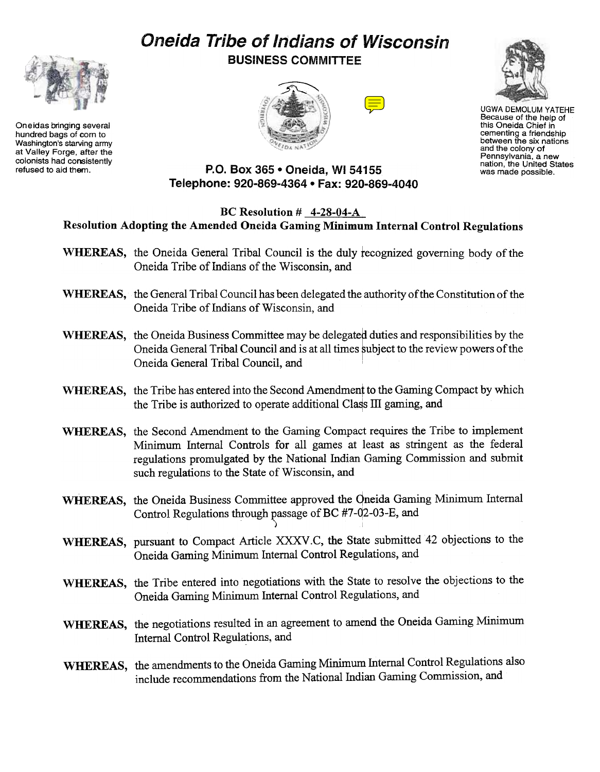# Oneida Tribe of Indians of Wisconsin



Oneidas bringing several hundred bags of corn to Washington's starving army at Valley Forge, after the colonists had consistently<br>refused to aid them.

BUSINESS COMMITTEE





UGWA DEMOLUM YATEHE Because of the help of this Oneida Chief in cementing a friendship between the six nations and the colony of Pennsylvania. a new nation, the United States was made possible.

# P.O. Box 365 . Oneida, WI 54155 Telephone: 920-869-4364 . Fax: 920-869-4040

# BC Resolution # 4-28-04-A Resolution Adopting the Amended Oneida Gaming Minimum Internal Control Regulations

- WHEREAS, the Oneida General Tribal Council is the duly recognized governing body of the Oneida Tribe of Indians of the Wisconsin, and
- WHEREAS, the General Tribal Council has been delegated the authority of the Constitution of the Oneida Tribe of Indians of Wisconsin, and
- WHEREAS, the Oneida Business Committee may be delegated duties and responsibilities by the Oneida General Tribal Council and is at all times subject to the review powers of the Oneida General Tribal Council, and '
- WHEREAS, the Tribe has entered into the Second Amendment to the Gaming Compact by which the Tribe is authorized to operate additional Class III gaming, and
- WHEREAS, the Second Amendment to the Gaming Compact requires the Tribe to implement Minimum Internal Controls for all games at least as stringent as the federal regulations promulgated by the National Indian Gaming Commission and submit such regulations to the State of Wisconsin, and
- WHEREAS, the Oneida Business Committee approved the Qneida Gaming Minimum Internal Control Regulations through passage of BC #7-02-03-E, and )
- WHEREAS, pursuant to Compact Article XXXV .C, the State submitted 42 objections to the Oneida Gaming Minimum Internal Control Regulations, and
- WHEREAS, the Tribe entered into negotiations with the State to resolve the objections to the Oneida Gaming Minimum Internal Control Regulations, and
- WHEREAS, the negotiations resulted in an agreement to amend the Oneida Gaming Minimum Internal Control Regulations, and
- WHEREAS, the amendments to the Oneida Gaming Minimum Internal Control Regulations also include recommendations from the National Indian Gaming Commission, and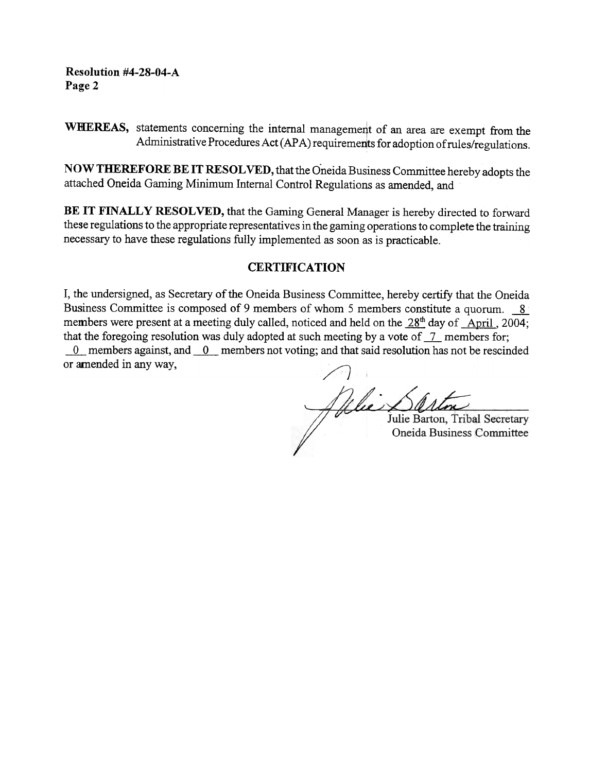# Resolution #4-28-04-A Page 2

WHEREAS, statements concerning the internal management of an area are exempt from the Administrative Procedures Act (APA) requirements for adoption of rules/regulations.

NOW THEREFORE BE IT RESOLVED, that the Oneida Business Committee hereby adopts the attached Oneida Gaming Minimum Internal Control Regulations as amended, and

BE IT FINALLY RESOLVED, that the Gaming General Manager is hereby directed to forward these regulations to the appropriate representatives in the gaming operations to complete the training necessary to have these regulations fully implemented as soon as is practicable.

# **CERTIFICATION**

T, the undersigned, as Secretary of the Oneida Business Committee, hereby certify that the Oneida Business Committee is composed of 9 members of whom 5 members constitute a quorum. 8 members were present at a meeting duly called, noticed and held on the 28<sup>th</sup> day of April, 2004; that the foregoing resolution was duly adopted at such meeting by a vote of  $\overline{1}$  members for;

 $-0$  members against, and  $-0$  members not voting; and that said resolution has not be rescinded or amended in any way,

Jille Sarton, Trib

Julie Barton, Tribal Secretary Oneida Business Committee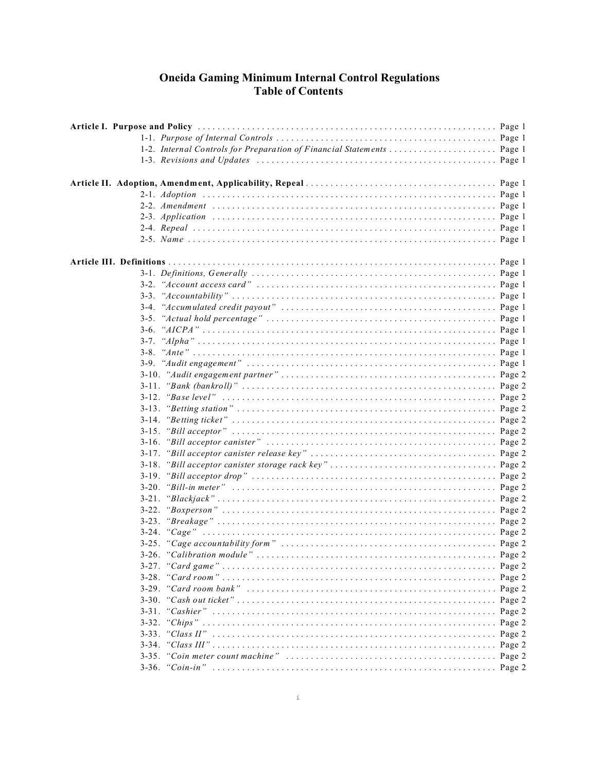# **Oneida Gaming Minimum Internal Control Regulations<br>Table of Contents**

| 1-2. Internal Controls for Preparation of Financial Statements  Page 1 |  |
|------------------------------------------------------------------------|--|
|                                                                        |  |
|                                                                        |  |
|                                                                        |  |
|                                                                        |  |
|                                                                        |  |
|                                                                        |  |
|                                                                        |  |
|                                                                        |  |
|                                                                        |  |
|                                                                        |  |
|                                                                        |  |
|                                                                        |  |
|                                                                        |  |
|                                                                        |  |
|                                                                        |  |
| $3-6.$                                                                 |  |
|                                                                        |  |
|                                                                        |  |
|                                                                        |  |
|                                                                        |  |
|                                                                        |  |
|                                                                        |  |
|                                                                        |  |
| 3-14.                                                                  |  |
| $3 - 15$ .                                                             |  |
| $3-16.$                                                                |  |
| $3 - 17$ .                                                             |  |
| $3-18$ .                                                               |  |
|                                                                        |  |
| $3 - 20$ .                                                             |  |
| $3-21$ .                                                               |  |
| $3-22$ .                                                               |  |
| $3 - 23$ .                                                             |  |
|                                                                        |  |
|                                                                        |  |
|                                                                        |  |
|                                                                        |  |
|                                                                        |  |
| $3 - 28$ .                                                             |  |
| $3-29.$                                                                |  |
| $3 - 30$ .                                                             |  |
| $3 - 31$ .                                                             |  |
|                                                                        |  |
|                                                                        |  |
|                                                                        |  |
|                                                                        |  |
|                                                                        |  |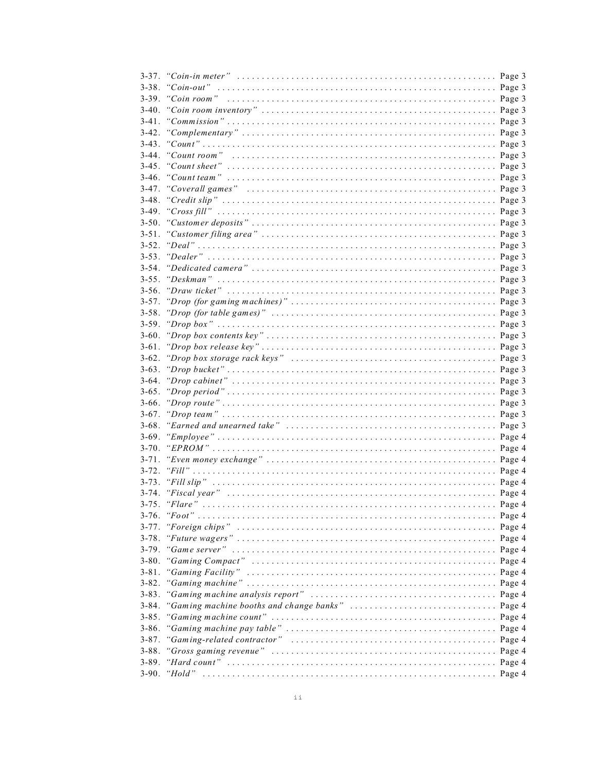| $3 - 38$ . |  |
|------------|--|
|            |  |
| $3-40.$    |  |
| $3-41$ .   |  |
|            |  |
| $3-43$ .   |  |
| $3-44$ .   |  |
| $3-45.$    |  |
| $3-46.$    |  |
| $3-47.$    |  |
| $3-48.$    |  |
| $3-49.$    |  |
|            |  |
| $3 - 51$ . |  |
| $3 - 52$ . |  |
| $3 - 53$ . |  |
| $3 - 54$   |  |
| $3 - 55$ . |  |
| $3-56$ .   |  |
| $3 - 57$ . |  |
|            |  |
| $3 - 58$ . |  |
| $3-59.$    |  |
| $3-60$ .   |  |
| $3-61$ .   |  |
|            |  |
|            |  |
|            |  |
| $3-65$ .   |  |
|            |  |
|            |  |
| $3 - 68$ . |  |
|            |  |
|            |  |
|            |  |
| $3 - 72$ . |  |
| $3 - 73$ . |  |
| $3 - 74.$  |  |
| $3 - 75$ . |  |
|            |  |
| $3 - 77.$  |  |
| $3 - 78.$  |  |
| $3 - 79.$  |  |
| $3 - 80$ . |  |
| $3 - 81$ . |  |
| $3 - 82$ . |  |
| $3 - 83$ . |  |
| $3 - 84$ . |  |
| $3 - 85.$  |  |
| $3 - 86.$  |  |
| $3 - 87.$  |  |
| $3 - 88.$  |  |
| $3 - 89.$  |  |
| $3-90.$    |  |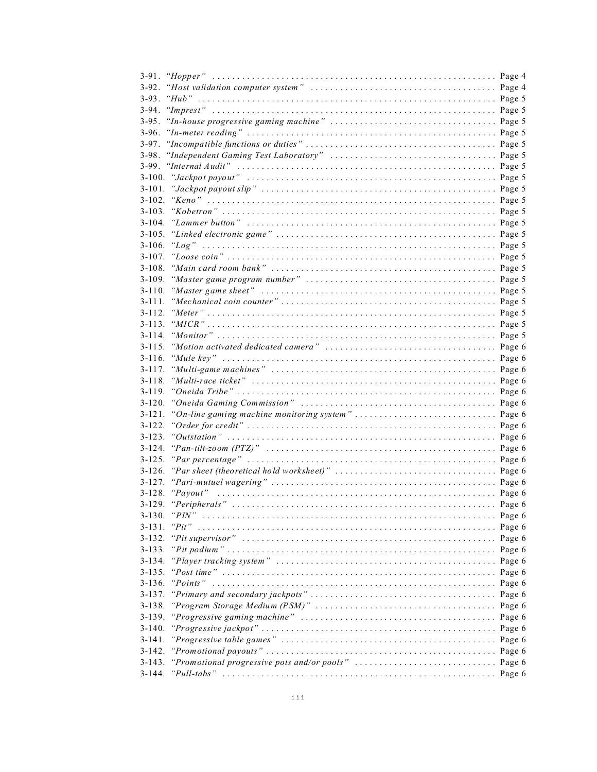| $3-93.$     |                                                                                                                          |        |
|-------------|--------------------------------------------------------------------------------------------------------------------------|--------|
|             |                                                                                                                          |        |
| $3-95.$     |                                                                                                                          |        |
| $3-96.$     |                                                                                                                          |        |
| 3-97.       |                                                                                                                          |        |
| 3-98.       |                                                                                                                          |        |
|             |                                                                                                                          |        |
|             |                                                                                                                          |        |
| $3-101.$    |                                                                                                                          |        |
| $3-102.$    |                                                                                                                          |        |
|             |                                                                                                                          |        |
|             |                                                                                                                          |        |
|             |                                                                                                                          |        |
|             |                                                                                                                          |        |
|             |                                                                                                                          |        |
|             |                                                                                                                          |        |
|             |                                                                                                                          |        |
|             |                                                                                                                          |        |
|             |                                                                                                                          |        |
|             |                                                                                                                          |        |
|             |                                                                                                                          |        |
|             |                                                                                                                          |        |
|             |                                                                                                                          |        |
| $3 - 116$ . |                                                                                                                          |        |
|             |                                                                                                                          |        |
|             |                                                                                                                          |        |
|             |                                                                                                                          |        |
|             |                                                                                                                          |        |
|             | 3-121. "On-line gaming machine monitoring system" Page 6                                                                 |        |
|             |                                                                                                                          |        |
|             |                                                                                                                          |        |
|             |                                                                                                                          |        |
|             |                                                                                                                          |        |
|             |                                                                                                                          |        |
|             |                                                                                                                          |        |
| $3 - 128$ . |                                                                                                                          |        |
|             |                                                                                                                          |        |
| $3 - 130.$  | " $PIN"$                                                                                                                 |        |
| $3 - 131$ . | " $Pit$ "                                                                                                                |        |
| $3 - 132$ . |                                                                                                                          |        |
| $3 - 133$ . |                                                                                                                          |        |
| $3 - 134.$  |                                                                                                                          |        |
| $3 - 135$ . |                                                                                                                          |        |
| $3 - 136$ . |                                                                                                                          |        |
| $3 - 137$ . |                                                                                                                          | Page 6 |
| $3 - 138.$  |                                                                                                                          |        |
| $3 - 139.$  |                                                                                                                          |        |
| $3 - 140.$  |                                                                                                                          |        |
| $3 - 141.$  | "Progressive table games" $\ldots \ldots \ldots \ldots \ldots \ldots \ldots \ldots \ldots \ldots \ldots \ldots$ . Page 6 |        |
| 3-142.      |                                                                                                                          |        |
| $3 - 143.$  |                                                                                                                          |        |
| $3 - 144.$  |                                                                                                                          |        |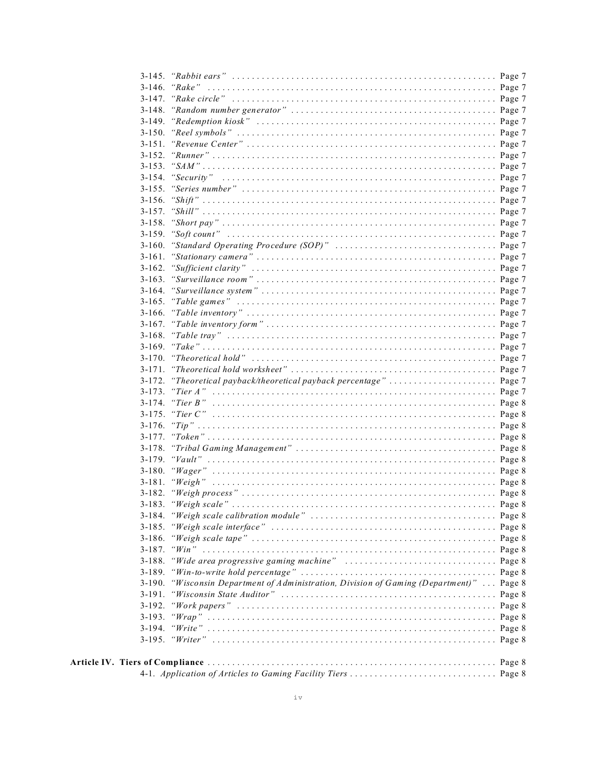| 3-172. "Theoretical payback/theoretical payback percentage"  Page 7                      |  |
|------------------------------------------------------------------------------------------|--|
|                                                                                          |  |
| 3-174. "Tier $B$ "                                                                       |  |
|                                                                                          |  |
|                                                                                          |  |
|                                                                                          |  |
|                                                                                          |  |
|                                                                                          |  |
|                                                                                          |  |
|                                                                                          |  |
|                                                                                          |  |
|                                                                                          |  |
|                                                                                          |  |
|                                                                                          |  |
|                                                                                          |  |
|                                                                                          |  |
| 3-188. "Wide area progressive gaming machine"  Page 8                                    |  |
|                                                                                          |  |
| 3-190. "Wisconsin Department of Administration, Division of Gaming (Department)"  Page 8 |  |
|                                                                                          |  |
|                                                                                          |  |
|                                                                                          |  |
|                                                                                          |  |
|                                                                                          |  |
|                                                                                          |  |
|                                                                                          |  |
|                                                                                          |  |

Article IV.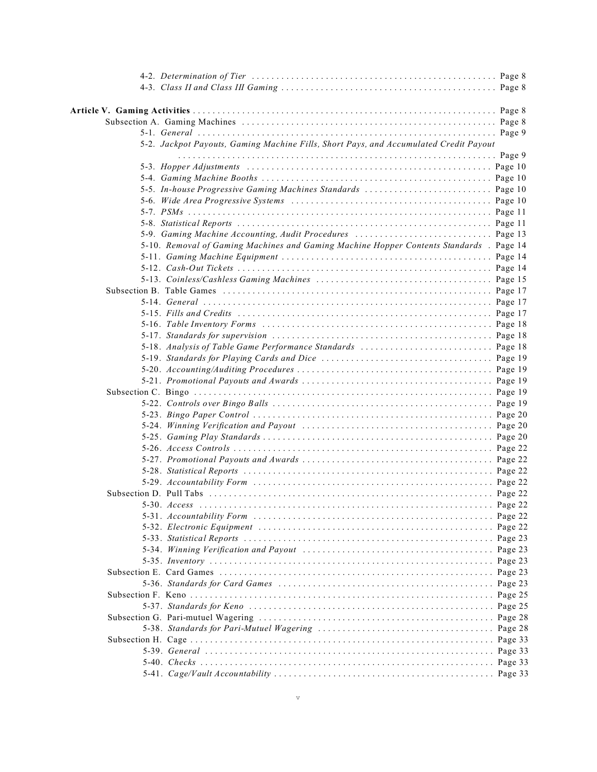| 5-2. Jackpot Payouts, Gaming Machine Fills, Short Pays, and Accumulated Credit Payout   |  |
|-----------------------------------------------------------------------------------------|--|
|                                                                                         |  |
|                                                                                         |  |
| 5-5. In-house Progressive Gaming Machines Standards  Page 10                            |  |
|                                                                                         |  |
|                                                                                         |  |
|                                                                                         |  |
| 5-9. Gaming Machine Accounting, Audit Procedures  Page 13                               |  |
| 5-10. Removal of Gaming Machines and Gaming Machine Hopper Contents Standards . Page 14 |  |
|                                                                                         |  |
|                                                                                         |  |
|                                                                                         |  |
|                                                                                         |  |
|                                                                                         |  |
|                                                                                         |  |
|                                                                                         |  |
|                                                                                         |  |
|                                                                                         |  |
|                                                                                         |  |
|                                                                                         |  |
|                                                                                         |  |
|                                                                                         |  |
|                                                                                         |  |
|                                                                                         |  |
|                                                                                         |  |
|                                                                                         |  |
|                                                                                         |  |
|                                                                                         |  |
|                                                                                         |  |
|                                                                                         |  |
|                                                                                         |  |
|                                                                                         |  |
|                                                                                         |  |
|                                                                                         |  |
|                                                                                         |  |
|                                                                                         |  |
|                                                                                         |  |
|                                                                                         |  |
|                                                                                         |  |
|                                                                                         |  |
|                                                                                         |  |
|                                                                                         |  |
|                                                                                         |  |
|                                                                                         |  |
|                                                                                         |  |
|                                                                                         |  |
|                                                                                         |  |
|                                                                                         |  |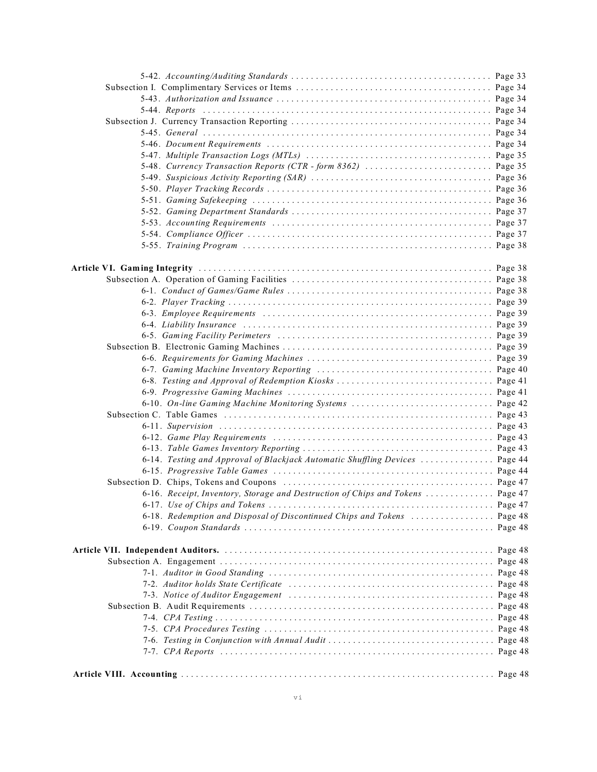| 6-14. Testing and Approval of Blackjack Automatic Shuffling Devices  Page 44   |  |
|--------------------------------------------------------------------------------|--|
|                                                                                |  |
|                                                                                |  |
| 6-16. Receipt, Inventory, Storage and Destruction of Chips and Tokens  Page 47 |  |
|                                                                                |  |
| 6-18. Redemption and Disposal of Discontinued Chips and Tokens  Page 48        |  |
|                                                                                |  |
|                                                                                |  |
|                                                                                |  |
|                                                                                |  |
|                                                                                |  |
|                                                                                |  |
|                                                                                |  |
|                                                                                |  |
|                                                                                |  |
|                                                                                |  |
|                                                                                |  |
|                                                                                |  |
|                                                                                |  |
|                                                                                |  |
|                                                                                |  |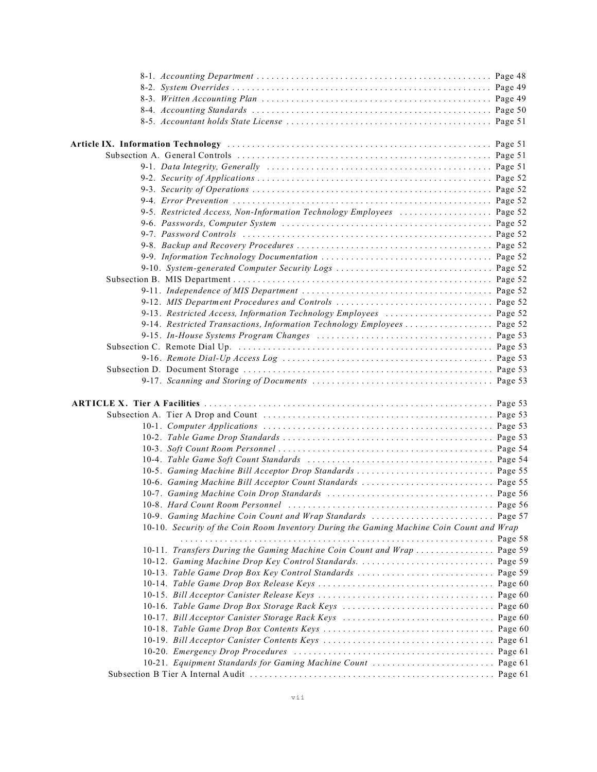| 9-5. Restricted Access, Non-Information Technology Employees  Page 52                                                  |         |
|------------------------------------------------------------------------------------------------------------------------|---------|
|                                                                                                                        |         |
| 9-7. Password Controls $\dots \dots \dots \dots \dots \dots \dots \dots \dots \dots \dots \dots \dots \dots$ . Page 52 |         |
|                                                                                                                        |         |
|                                                                                                                        |         |
| 9-10. System-generated Computer Security Logs  Page 52                                                                 |         |
|                                                                                                                        |         |
|                                                                                                                        |         |
|                                                                                                                        |         |
|                                                                                                                        |         |
| 9-14. Restricted Transactions, Information Technology Employees  Page 52                                               |         |
|                                                                                                                        |         |
|                                                                                                                        |         |
|                                                                                                                        |         |
|                                                                                                                        |         |
|                                                                                                                        |         |
|                                                                                                                        |         |
|                                                                                                                        |         |
|                                                                                                                        |         |
|                                                                                                                        |         |
|                                                                                                                        |         |
|                                                                                                                        |         |
|                                                                                                                        |         |
|                                                                                                                        |         |
|                                                                                                                        |         |
|                                                                                                                        |         |
|                                                                                                                        |         |
|                                                                                                                        |         |
|                                                                                                                        |         |
| 10-10. Security of the Coin Room Inventory During the Gaming Machine Coin Count and Wrap                               |         |
|                                                                                                                        |         |
| 10-11. Transfers During the Gaming Machine Coin Count and Wrap  Page 59                                                |         |
|                                                                                                                        |         |
|                                                                                                                        |         |
|                                                                                                                        |         |
|                                                                                                                        |         |
|                                                                                                                        |         |
|                                                                                                                        |         |
|                                                                                                                        | Page 61 |
|                                                                                                                        |         |
| 10-21. Equipment Standards for Gaming Machine Count  Page 61                                                           |         |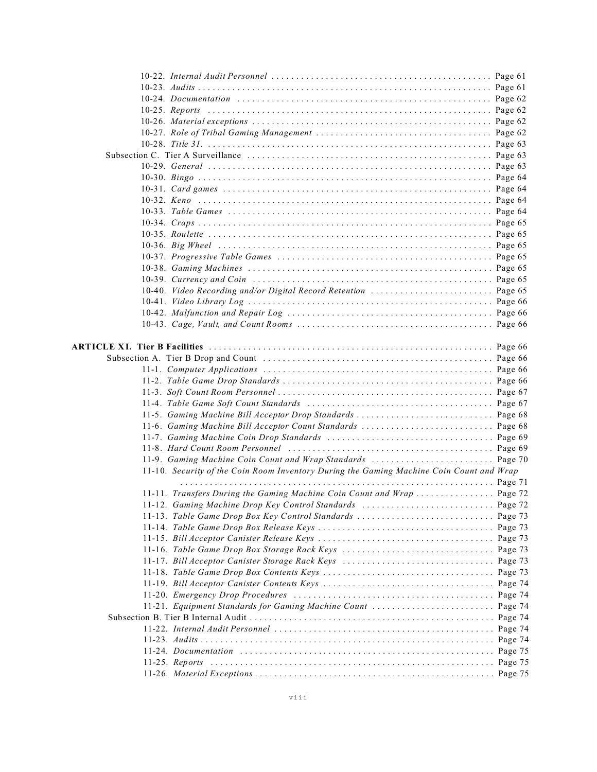| 10-40. Video Recording and/or Digital Record Retention  Page 65                          |  |
|------------------------------------------------------------------------------------------|--|
|                                                                                          |  |
|                                                                                          |  |
|                                                                                          |  |
|                                                                                          |  |
|                                                                                          |  |
|                                                                                          |  |
|                                                                                          |  |
|                                                                                          |  |
|                                                                                          |  |
|                                                                                          |  |
| 11-5. Gaming Machine Bill Acceptor Drop Standards  Page 68                               |  |
| 11-6. Gaming Machine Bill Acceptor Count Standards  Page 68                              |  |
|                                                                                          |  |
|                                                                                          |  |
|                                                                                          |  |
| 11-10. Security of the Coin Room Inventory During the Gaming Machine Coin Count and Wrap |  |
|                                                                                          |  |
| 11-11. Transfers During the Gaming Machine Coin Count and Wrap  Page 72                  |  |
| 11-12. Gaming Machine Drop Key Control Standards  Page 72                                |  |
|                                                                                          |  |
|                                                                                          |  |
|                                                                                          |  |
|                                                                                          |  |
|                                                                                          |  |
|                                                                                          |  |
|                                                                                          |  |
|                                                                                          |  |
| 11-21. Equipment Standards for Gaming Machine Count  Page 74                             |  |
|                                                                                          |  |
|                                                                                          |  |
|                                                                                          |  |
|                                                                                          |  |
|                                                                                          |  |
|                                                                                          |  |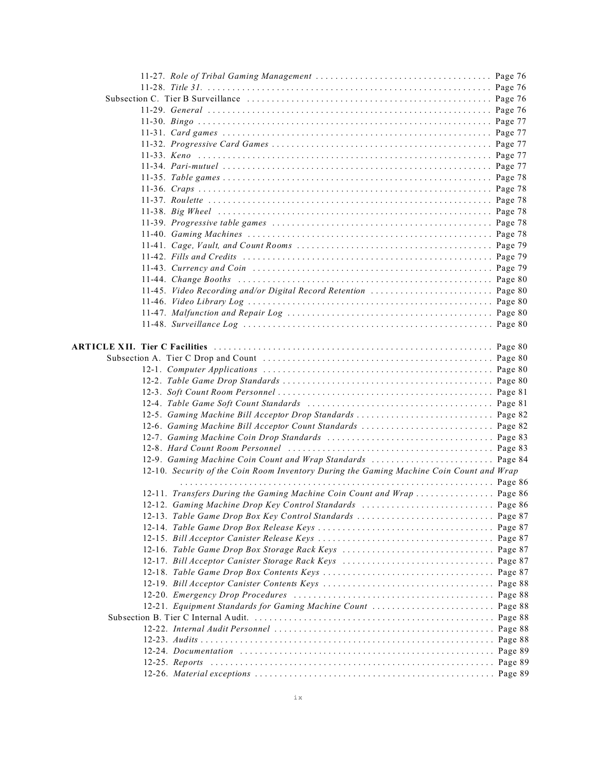| 12-5. Gaming Machine Bill Acceptor Drop Standards  Page 82                               |  |
|------------------------------------------------------------------------------------------|--|
| 12-6. Gaming Machine Bill Acceptor Count Standards  Page 82                              |  |
|                                                                                          |  |
|                                                                                          |  |
| 12-9. Gaming Machine Coin Count and Wrap Standards  Page 84                              |  |
| 12-10. Security of the Coin Room Inventory During the Gaming Machine Coin Count and Wrap |  |
|                                                                                          |  |
| 12-11. Transfers During the Gaming Machine Coin Count and Wrap  Page 86                  |  |
|                                                                                          |  |
|                                                                                          |  |
|                                                                                          |  |
|                                                                                          |  |
|                                                                                          |  |
|                                                                                          |  |
|                                                                                          |  |
|                                                                                          |  |
|                                                                                          |  |
| 12-21. Equipment Standards for Gaming Machine Count  Page 88                             |  |
|                                                                                          |  |
|                                                                                          |  |
|                                                                                          |  |
|                                                                                          |  |
|                                                                                          |  |
|                                                                                          |  |
|                                                                                          |  |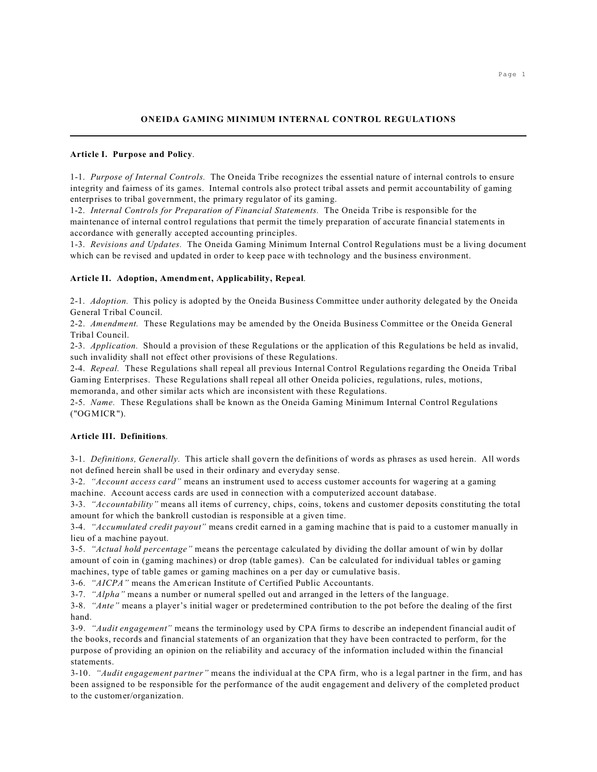# **Article I. Purpose and Policy**.

1-1. *Purpose of Internal Controls.* The Oneida Tribe recognizes the essential nature of internal controls to ensure integrity and fairness of its games. Internal controls also protect tribal assets and permit accountability of gaming enterprises to tribal government, the primary regulator of its gaming.

1-2. *Internal Controls for Preparation of Financial Statements.* The Oneida Tribe is responsible for the maintenance of internal control regulations that permit the timely preparation of accurate financial statements in accordance with generally accepted accounting principles.

1-3. *Revisions and Updates.* The Oneida Gaming Minimum Internal Control Regulations must be a living document which can be revised and updated in order to keep pace with technology and the business environment.

## **Article II. Adoption, Amendment, Applicability, Repeal**.

2-1. *Adoption.* This policy is adopted by the Oneida Business Committee under authority delegated by the Oneida General Tribal Council.

2-2. *Amendment.* These Regulations may be amended by the Oneida Business Committee or the Oneida General Tribal Council.

2-3. *Application.* Should a provision of these Regulations or the application of this Regulations be held as invalid, such invalidity shall not effect other provisions of these Regulations.

2-4. *Repeal.* These Regulations shall repeal all previous Internal Control Regulations regarding the Oneida Tribal Gaming Enterprises. These Regulations shall repeal all other Oneida policies, regulations, rules, motions,

memoranda, and other similar acts which are inconsistent with these Regulations.

2-5. *Name.* These Regulations shall be known as the Oneida Gaming Minimum Internal Control Regulations ("OGMICR").

## **Article III. Definitions**.

3-1. *Definitions, Generally.* This article shall govern the definitions of words as phrases as used herein. All words not defined herein shall be used in their ordinary and everyday sense.

3-2. *"Account access card"* means an instrument used to access customer accounts for wagering at a gaming machine. Account access cards are used in connection with a computerized account database.

3-3. *"Accountability"* means all items of currency, chips, coins, tokens and customer deposits constituting the total amount for which the bankroll custodian is responsible at a given time.

3-4. *"Accumulated credit payout"* means credit earned in a gaming machine that is paid to a customer manually in lieu of a machine payout.

3-5. *"Actual hold percentage"* means the percentage calculated by dividing the dollar amount of win by dollar amount of coin in (gaming machines) or drop (table games). Can be calculated for individual tables or gaming machines, type of table games or gaming machines on a per day or cumulative basis.

3-6. *"AICPA"* means the American Institute of Certified Public Accountants.

3-7. *"Alpha"* means a number or numeral spelled out and arranged in the letters of the language.

3-8. *"Ante"* means a player's initial wager or predetermined contribution to the pot before the dealing of the first hand.

3-9. *"Audit engagement"* means the terminology used by CPA firms to describe an independent financial audit of the books, records and financial statements of an organization that they have been contracted to perform, for the purpose of providing an opinion on the reliability and accuracy of the information included within the financial statements.

3-10. *"Audit engagement partner"* means the individual at the CPA firm, who is a legal partner in the firm, and has been assigned to be responsible for the performance of the audit engagement and delivery of the completed product to the customer/organization.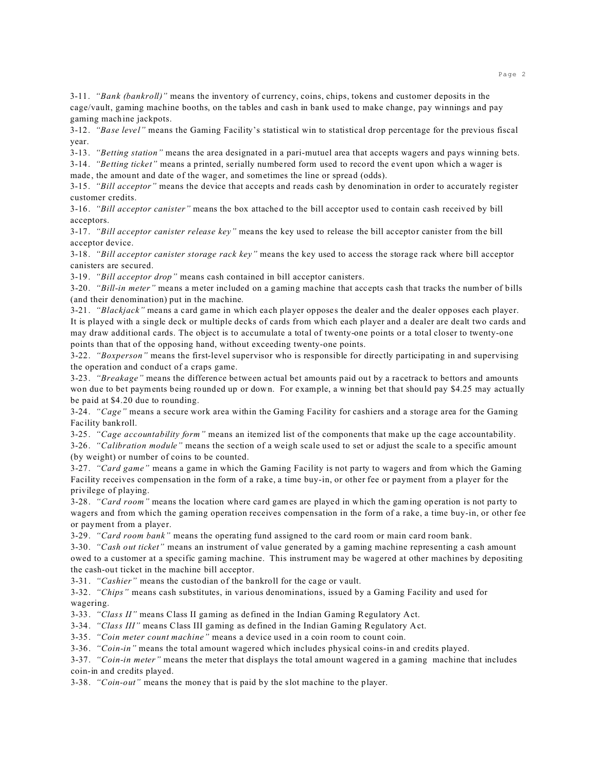3-11. *"Bank (bankroll)"* means the inventory of currency, coins, chips, tokens and customer deposits in the cage/vault, gaming machine booths, on the tables and cash in bank used to make change, pay winnings and pay gaming machine jackpots.

3-12. *"Base level"* means the Gaming Facility's statistical win to statistical drop percentage for the previous fiscal year.

3-13. *"Betting station"* means the area designated in a pari-mutuel area that accepts wagers and pays winning bets.

3-14. *"Betting ticket"* means a printed, serially numbered form used to record the event upon which a wager is made, the amount and date of the wager, and sometimes the line or spread (odds).

3-15. *"Bill acceptor"* means the device that accepts and reads cash by denomination in order to accurately register customer credits.

3-16. *"Bill acceptor canister"* means the box attached to the bill acceptor used to contain cash received by bill acceptors.

3-17. *"Bill acceptor canister release key"* means the key used to release the bill acceptor canister from the bill acceptor device.

3-18. *"Bill acceptor canister storage rack key"* means the key used to access the storage rack where bill acceptor canisters are secured.

3-19. *"Bill acceptor drop"* means cash contained in bill acceptor canisters.

3-20. *"Bill-in meter"* means a meter included on a gaming machine that accepts cash that tracks the number of bills (and their denomination) put in the machine.

3-21. *"Blackjack"* means a card game in which each player opposes the dealer and the dealer opposes each player. It is played with a single deck or multiple decks of cards from which each player and a dealer are dealt two cards and may draw additional cards. The object is to accumulate a total of twenty-one points or a total closer to twenty-one points than that of the opposing hand, without exceeding twenty-one points.

3-22. *"Boxperson"* means the first-level supervisor who is responsible for directly participating in and supervising the operation and conduct of a craps game.

3-23. *"Breakage"* means the difference between actual bet amounts paid out by a racetrack to bettors and amounts won due to bet payments being rounded up or down. For example, a winning bet that should pay \$4.25 may actually be paid at \$4.20 due to rounding.

3-24. *"Cage"* means a secure work area within the Gaming Facility for cashiers and a storage area for the Gaming Facility bankroll.

3-25. *"Cage accountability form"* means an itemized list of the components that make up the cage accountability.

3-26. *"Calibration module"* means the section of a weigh scale used to set or adjust the scale to a specific amount (by weight) or number of coins to be counted.

3-27. *"Card game"* means a game in which the Gaming Facility is not party to wagers and from which the Gaming Facility receives compensation in the form of a rake, a time buy-in, or other fee or payment from a player for the privilege of playing.

3-28. *"Card room"* means the location where card games are played in which the gaming operation is not party to wagers and from which the gaming operation receives compensation in the form of a rake, a time buy-in, or other fee or payment from a player.

3-29. *"Card room bank"* means the operating fund assigned to the card room or main card room bank.

3-30. *"Cash out ticket"* means an instrument of value generated by a gaming machine representing a cash amount owed to a customer at a specific gaming machine. This instrument may be wagered at other machines by depositing the cash-out ticket in the machine bill acceptor.

3-31. *"Cashier"* means the custodian of the bankroll for the cage or vault.

3-32. *"Chips"* means cash substitutes, in various denominations, issued by a Gaming Facility and used for wagering.

3-33. *"Class II"* means Class II gaming as defined in the Indian Gaming Regulatory Act.

3-34. *"Class III"* means Class III gaming as defined in the Indian Gaming Regulatory Act.

3-35. *"Coin meter count machine"* means a device used in a coin room to count coin.

3-36. *"Coin-in"* means the total amount wagered which includes physical coins-in and credits played.

3-37. *"Coin-in meter"* means the meter that displays the total amount wagered in a gaming machine that includes coin-in and credits played.

3-38. *"Coin-out"* means the money that is paid by the slot machine to the player.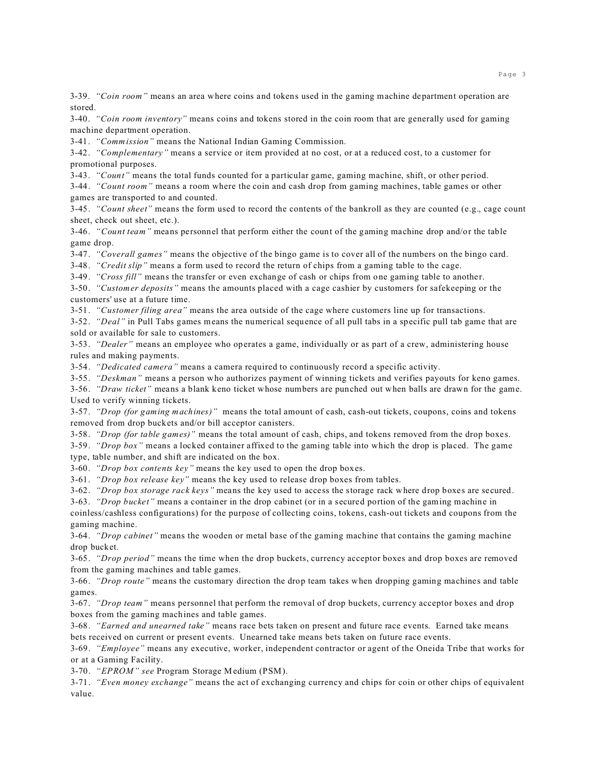3-39. *"Coin room"* means an area where coins and tokens used in the gaming machine department operation are stored.

3-40. *"Coin room inventory"* means coins and tokens stored in the coin room that are generally used for gaming machine department operation.

3-41. *"Commission"* means the National Indian Gaming Commission.

3-42. *"Complementary"* means a service or item provided at no cost, or at a reduced cost, to a customer for promotional purposes.

3-43. *"Count"* means the total funds counted for a particular game, gaming machine, shift, or other period.

3-44. *"Count room"* means a room where the coin and cash drop from gaming machines, table games or other games are transported to and counted.

3-45. *"Count sheet"* means the form used to record the contents of the bankroll as they are counted (e.g., cage count sheet, check out sheet, etc.).

3-46. *"Count team"* means personnel that perform either the count of the gaming machine drop and/or the table game drop.

3-47. *"Coverall games"* means the objective of the bingo game is to cover all of the numbers on the bingo card.

3-48. *"Credit slip"* means a form used to record the return of chips from a gaming table to the cage.

3-49. *"Cross fill"* means the transfer or even exchange of cash or chips from one gaming table to another.

3-50. *"Customer deposits"* means the amounts placed with a cage cashier by customers for safekeeping or the customers' use at a future time.

3-51. *"Customer filing area"* means the area outside of the cage where customers line up for transactions.

3-52. *"Deal"* in Pull Tabs games means the numerical sequence of all pull tabs in a specific pull tab game that are sold or available for sale to customers.

3-53. *"Dealer"* means an employee who operates a game, individually or as part of a crew, administering house rules and making payments.

3-54. *"Dedicated camera"* means a camera required to continuously record a specific activity.

3-55. *"Deskman"* means a person who authorizes payment of winning tickets and verifies payouts for keno games.

3-56. *"Draw ticket"* means a blank keno ticket whose numbers are punched out when balls are drawn for the game. Used to verify winning tickets.

3-57. *"Drop (for gaming machines)"* means the total amount of cash, cash-out tickets, coupons, coins and tokens removed from drop buckets and/or bill acceptor canisters.

3-58. *"Drop (for table games)"* means the total amount of cash, chips, and tokens removed from the drop boxes.

3-59. *"Drop box"* means a locked container affixed to the gaming table into which the drop is placed. The game type, table number, and shift are indicated on the box.

3-60. *"Drop box contents key"* means the key used to open the drop boxes.

3-61. *"Drop box release key"* means the key used to release drop boxes from tables.

3-62. *"Drop box storage rack keys"* means the key used to access the storage rack where drop boxes are secured.

3-63. *"Drop bucket"* means a container in the drop cabinet (or in a secured portion of the gaming machine in coinless/cashless configurations) for the purpose of collecting coins, tokens, cash-out tickets and coupons from the gaming machine.

3-64. *"Drop cabinet"* means the wooden or metal base of the gaming machine that contains the gaming machine drop bucket.

3-65. *"Drop period"* means the time when the drop buckets, currency acceptor boxes and drop boxes are removed from the gaming machines and table games.

3-66. *"Drop route"* means the customary direction the drop team takes when dropping gaming machines and table games.

3-67. *"Drop team"* means personnel that perform the removal of drop buckets, currency acceptor boxes and drop boxes from the gaming machines and table games.

3-68. *"Earned and unearned take"* means race bets taken on present and future race events. Earned take means bets received on current or present events. Unearned take means bets taken on future race events.

3-69. *"Employee"* means any executive, worker, independent contractor or agent of the Oneida Tribe that works for or at a Gaming Facility.

3-70. *"EPROM" see* Program Storage Medium (PSM).

3-71. *"Even money exchange"* means the act of exchanging currency and chips for coin or other chips of equivalent value.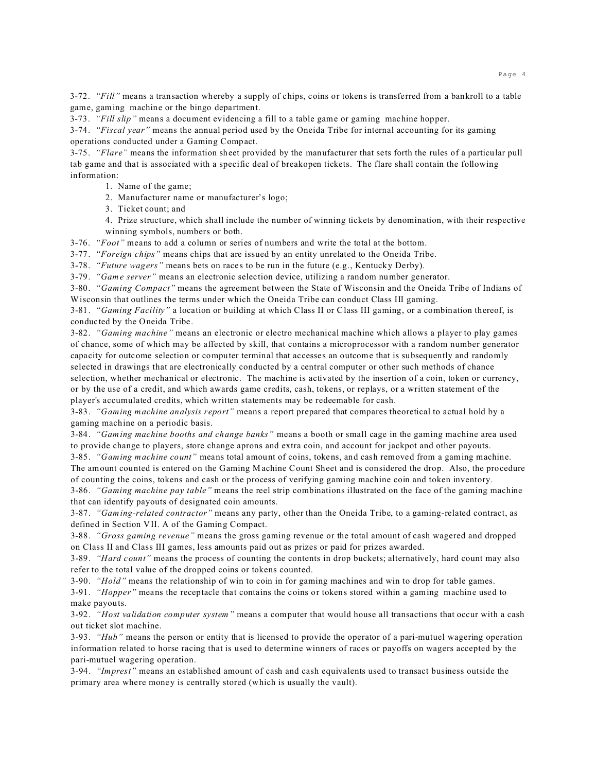3-72. *"Fill"* means a transaction whereby a supply of chips, coins or tokens is transferred from a bankroll to a table game, gaming machine or the bingo department.

3-73. *"Fill slip"* means a document evidencing a fill to a table game or gaming machine hopper.

3-74. *"Fiscal year"* means the annual period used by the Oneida Tribe for internal accounting for its gaming operations conducted under a Gaming Compact.

3-75. *"Flare"* means the information sheet provided by the manufacturer that sets forth the rules of a particular pull tab game and that is associated with a specific deal of breakopen tickets. The flare shall contain the following information:

1. Name of the game;

2. Manufacturer name or manufacturer's logo;

3. Ticket count; and

4. Prize structure, which shall include the number of winning tickets by denomination, with their respective winning symbols, numbers or both.

3-76. *"Foot"* means to add a column or series of numbers and write the total at the bottom.

3-77. *"Foreign chips"* means chips that are issued by an entity unrelated to the Oneida Tribe.

3-78. *"Future wagers"* means bets on races to be run in the future (e.g., Kentucky Derby).

3-79. *"Game server"* means an electronic selection device, utilizing a random number generator.

3-80. *"Gaming Compact"* means the agreement between the State of Wisconsin and the Oneida Tribe of Indians of Wisconsin that outlines the terms under which the Oneida Tribe can conduct Class III gaming.

3-81. *"Gaming Facility"* a location or building at which Class II or Class III gaming, or a combination thereof, is conducted by the Oneida Tribe.

3-82. *"Gaming machine"* means an electronic or electro mechanical machine which allows a player to play games of chance, some of which may be affected by skill, that contains a microprocessor with a random number generator capacity for outcome selection or computer terminal that accesses an outcome that is subsequently and randomly selected in drawings that are electronically conducted by a central computer or other such methods of chance selection, whether mechanical or electronic. The machine is activated by the insertion of a coin, token or currency, or by the use of a credit, and which awards game credits, cash, tokens, or replays, or a written statement of the player's accumulated credits, which written statements may be redeemable for cash.

3-83. *"Gaming machine analysis report"* means a report prepared that compares theoretical to actual hold by a gaming machine on a periodic basis.

3-84. *"Gaming machine booths and change banks"* means a booth or small cage in the gaming machine area used to provide change to players, store change aprons and extra coin, and account for jackpot and other payouts.

3-85. *"Gaming machine count"* means total amount of coins, tokens, and cash removed from a gaming machine. The amount counted is entered on the Gaming Machine Count Sheet and is considered the drop. Also, the procedure of counting the coins, tokens and cash or the process of verifying gaming machine coin and token inventory.

3-86. *"Gaming machine pay table"* means the reel strip combinations illustrated on the face of the gaming machine that can identify payouts of designated coin amounts.

3-87. *"Gaming-related contractor"* means any party, other than the Oneida Tribe, to a gaming-related contract, as defined in Section VII. A of the Gaming Compact.

3-88. *"Gross gaming revenue"* means the gross gaming revenue or the total amount of cash wagered and dropped on Class II and Class III games, less amounts paid out as prizes or paid for prizes awarded.

3-89. *"Hard count"* means the process of counting the contents in drop buckets; alternatively, hard count may also refer to the total value of the dropped coins or tokens counted.

3-90. *"Hold"* means the relationship of win to coin in for gaming machines and win to drop for table games.

3-91. *"Hopper"* means the receptacle that contains the coins or tokens stored within a gaming machine used to make payouts.

3-92. *"Host validation computer system"* means a computer that would house all transactions that occur with a cash out ticket slot machine.

3-93. *"Hub"* means the person or entity that is licensed to provide the operator of a pari-mutuel wagering operation information related to horse racing that is used to determine winners of races or payoffs on wagers accepted by the pari-mutuel wagering operation.

3-94. *"Imprest"* means an established amount of cash and cash equivalents used to transact business outside the primary area where money is centrally stored (which is usually the vault).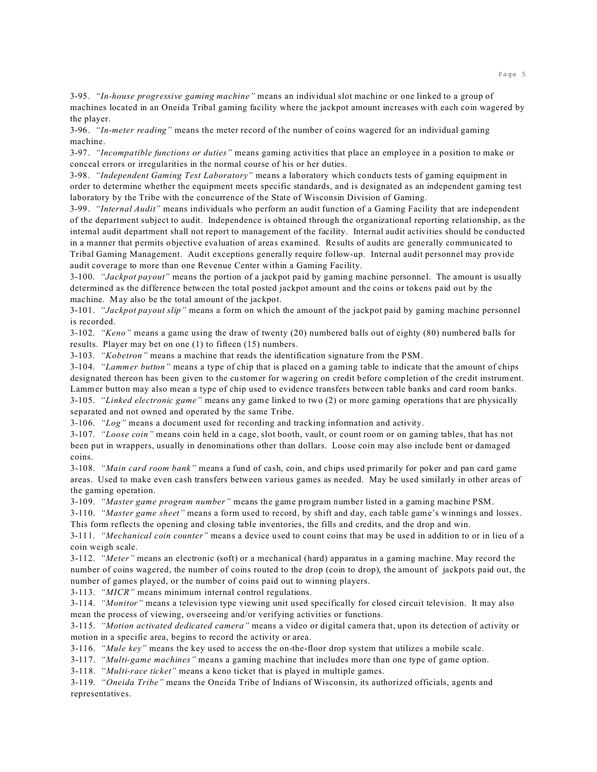3-95. *"In-house progressive gaming machine"* means an individual slot machine or one linked to a group of machines located in an Oneida Tribal gaming facility where the jackpot amount increases with each coin wagered by the player.

3-96. *"In-meter reading"* means the meter record of the number of coins wagered for an individual gaming machine.

3-97. *"Incompatible functions or duties"* means gaming activities that place an employee in a position to make or conceal errors or irregularities in the normal course of his or her duties.

3-98. *"Independent Gaming Test Laboratory"* means a laboratory which conducts tests of gaming equipment in order to determine whether the equipment meets specific standards, and is designated as an independent gaming test laboratory by the Tribe with the concurrence of the State of Wisconsin Division of Gaming.

3-99. *"Internal Audit"* means individuals who perform an audit function of a Gaming Facility that are independent of the department subject to audit. Independence is obtained through the organizational reporting relationship, as the internal audit department shall not report to management of the facility. Internal audit activities should be conducted in a manner that permits objective evaluation of areas examined. Results of audits are generally communicated to Tribal Gaming Management. Audit exceptions generally require follow-up. Internal audit personnel may provide audit coverage to more than one Revenue Center within a Gaming Facility.

3-100. *"Jackpot payout"* means the portion of a jackpot paid by gaming machine personnel. The amount is usually determined as the difference between the total posted jackpot amount and the coins or tokens paid out by the machine. May also be the total amount of the jackpot.

3-101. *"Jackpot payout slip"* means a form on which the amount of the jackpot paid by gaming machine personnel is recorded.

3-102. *"Keno"* means a game using the draw of twenty (20) numbered balls out of eighty (80) numbered balls for results. Player may bet on one (1) to fifteen (15) numbers.

3-103. *"Kobetron"* means a machine that reads the identification signature from the PSM.

3-104. *"Lammer button"* means a type of chip that is placed on a gaming table to indicate that the amount of chips designated thereon has been given to the customer for wagering on credit before completion of the credit instrument. Lammer button may also mean a type of chip used to evidence transfers between table banks and card room banks. 3-105. *"Linked electronic game"* means any game linked to two (2) or more gaming operations that are physically separated and not owned and operated by the same Tribe.

3-106. *"Log"* means a document used for recording and tracking information and activity.

3-107. *"Loose coin"* means coin held in a cage, slot booth, vault, or count room or on gaming tables, that has not been put in wrappers, usually in denominations other than dollars. Loose coin may also include bent or damaged coins.

3-108. *"Main card room bank"* means a fund of cash, coin, and chips used primarily for poker and pan card game areas. Used to make even cash transfers between various games as needed. May be used similarly in other areas of the gaming operation.

3-109. *"Master game program number"* means the game program number listed in a gaming machine PSM.

3-110. *"Master game sheet"* means a form used to record, by shift and day, each table game's winnings and losses. This form reflects the opening and closing table inventories, the fills and credits, and the drop and win.

3-111. *"Mechanical coin counter"* means a device used to count coins that may be used in addition to or in lieu of a coin weigh scale.

3-112. *"Meter"* means an electronic (soft) or a mechanical (hard) apparatus in a gaming machine. May record the number of coins wagered, the number of coins routed to the drop (coin to drop), the amount of jackpots paid out, the number of games played, or the number of coins paid out to winning players.

3-113. *"MICR"* means minimum internal control regulations.

3-114. *"Monitor"* means a television type viewing unit used specifically for closed circuit television. It may also mean the process of viewing, overseeing and/or verifying activities or functions.

3-115. *"Motion activated dedicated camera"* means a video or digital camera that, upon its detection of activity or motion in a specific area, begins to record the activity or area.

3-116. *"Mule key"* means the key used to access the on-the-floor drop system that utilizes a mobile scale.

3-117. *"Multi-game machines"* means a gaming machine that includes more than one type of game option.

3-118. *"Multi-race ticket"* means a keno ticket that is played in multiple games.

3-119. *"Oneida Tribe"* means the Oneida Tribe of Indians of Wisconsin, its authorized officials, agents and representatives.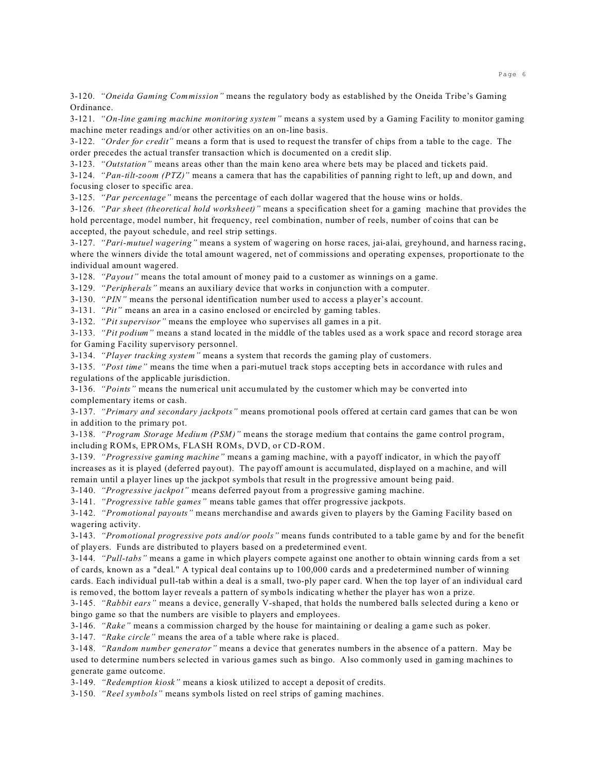3-120. *"Oneida Gaming Commission"* means the regulatory body as established by the Oneida Tribe's Gaming Ordinance.

3-121. *"On-line gaming machine monitoring system"* means a system used by a Gaming Facility to monitor gaming machine meter readings and/or other activities on an on-line basis.

3-122. *"Order for credit"* means a form that is used to request the transfer of chips from a table to the cage. The order precedes the actual transfer transaction which is documented on a credit slip.

3-123. *"Outstation"* means areas other than the main keno area where bets may be placed and tickets paid.

3-124. *"Pan-tilt-zoom (PTZ)"* means a camera that has the capabilities of panning right to left, up and down, and focusing closer to specific area.

3-125. *"Par percentage"* means the percentage of each dollar wagered that the house wins or holds.

3-126. *"Par sheet (theoretical hold worksheet)"* means a specification sheet for a gaming machine that provides the hold percentage, model number, hit frequency, reel combination, number of reels, number of coins that can be accepted, the payout schedule, and reel strip settings.

3-127. *"Pari-mutuel wagering"* means a system of wagering on horse races, jai-alai, greyhound, and harness racing, where the winners divide the total amount wagered, net of commissions and operating expenses, proportionate to the individual amount wagered.

3-128. *"Payout"* means the total amount of money paid to a customer as winnings on a game.

3-129. *"Peripherals"* means an auxiliary device that works in conjunction with a computer.

3-130. *"PIN"* means the personal identification number used to access a player's account.

3-131. *"Pit"* means an area in a casino enclosed or encircled by gaming tables.

3-132. *"Pit supervisor"* means the employee who supervises all games in a pit.

3-133. *"Pit podium"* means a stand located in the middle of the tables used as a work space and record storage area for Gaming Facility supervisory personnel.

3-134. *"Player tracking system"* means a system that records the gaming play of customers.

3-135. *"Post time"* means the time when a pari-mutuel track stops accepting bets in accordance with rules and regulations of the applicable jurisdiction.

3-136. *"Points"* means the numerical unit accumulated by the customer which may be converted into complementary items or cash.

3-137. *"Primary and secondary jackpots"* means promotional pools offered at certain card games that can be won in addition to the primary pot.

3-138. *"Program Storage Medium (PSM)"* means the storage medium that contains the game control program, including ROMs, EPROMs, FLASH ROMs, DVD, or CD-ROM.

3-139. *"Progressive gaming machine"* means a gaming machine, with a payoff indicator, in which the payoff increases as it is played (deferred payout). The payoff amount is accumulated, displayed on a machine, and will remain until a player lines up the jackpot symbols that result in the progressive amount being paid.

3-140. *"Progressive jackpot"* means deferred payout from a progressive gaming machine.

3-141. *"Progressive table games"* means table games that offer progressive jackpots.

3-142. *"Promotional payouts"* means merchandise and awards given to players by the Gaming Facility based on wagering activity.

3-143. *"Promotional progressive pots and/or pools"* means funds contributed to a table game by and for the benefit of players. Funds are distributed to players based on a predetermined event.

3-144. *"Pull-tabs"* means a game in which players compete against one another to obtain winning cards from a set of cards, known as a "deal." A typical deal contains up to 100,000 cards and a predetermined number of winning cards. Each individual pull-tab within a deal is a small, two-ply paper card. When the top layer of an individual card is removed, the bottom layer reveals a pattern of symbols indicating whether the player has won a prize.

3-145. *"Rabbit ears"* means a device, generally V-shaped, that holds the numbered balls selected during a keno or bingo game so that the numbers are visible to players and employees.

3-146. *"Rake"* means a commission charged by the house for maintaining or dealing a game such as poker.

3-147. *"Rake circle"* means the area of a table where rake is placed.

3-148. *"Random number generator"* means a device that generates numbers in the absence of a pattern. May be used to determine numbers selected in various games such as bingo. Also commonly used in gaming machines to generate game outcome.

3-149. *"Redemption kiosk"* means a kiosk utilized to accept a deposit of credits.

3-150. *"Reel symbols"* means symbols listed on reel strips of gaming machines.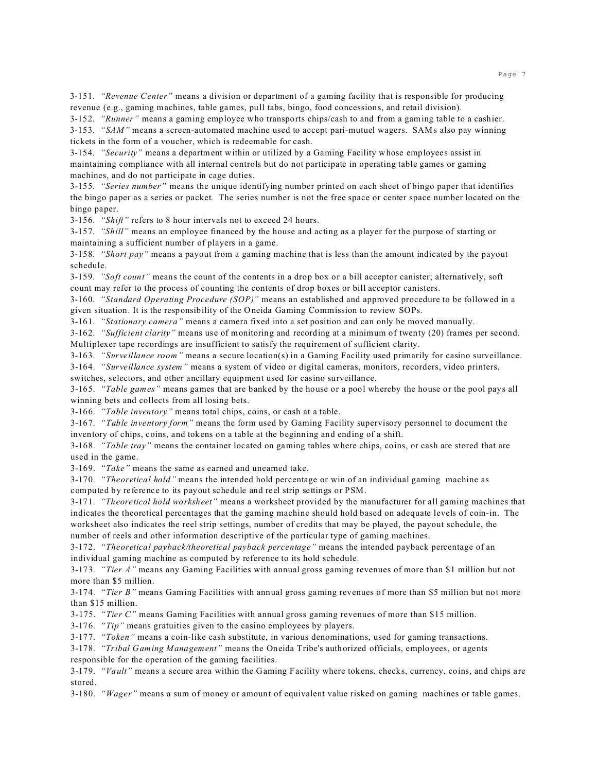3-151. *"Revenue Center"* means a division or department of a gaming facility that is responsible for producing revenue (e.g., gaming machines, table games, pull tabs, bingo, food concessions, and retail division).

3-152. *"Runner"* means a gaming employee who transports chips/cash to and from a gaming table to a cashier.

3-153. *"SAM"* means a screen-automated machine used to accept pari-mutuel wagers. SAMs also pay winning tickets in the form of a voucher, which is redeemable for cash.

3-154. *"Security"* means a department within or utilized by a Gaming Facility whose employees assist in maintaining compliance with all internal controls but do not participate in operating table games or gaming machines, and do not participate in cage duties.

3-155. *"Series number"* means the unique identifying number printed on each sheet of bingo paper that identifies the bingo paper as a series or packet. The series number is not the free space or center space number located on the bingo paper.

3-156. *"Shift"* refers to 8 hour intervals not to exceed 24 hours.

3-157. *"Shill"* means an employee financed by the house and acting as a player for the purpose of starting or maintaining a sufficient number of players in a game.

3-158. *"Short pay"* means a payout from a gaming machine that is less than the amount indicated by the payout schedule.

3-159. *"Soft count"* means the count of the contents in a drop box or a bill acceptor canister; alternatively, soft count may refer to the process of counting the contents of drop boxes or bill acceptor canisters.

3-160. *"Standard Operating Procedure (SOP)"* means an established and approved procedure to be followed in a given situation. It is the responsibility of the Oneida Gaming Commission to review SOPs.

3-161. *"Stationary camera"* means a camera fixed into a set position and can only be moved manually.

3-162. *"Sufficient clarity"* means use of monitoring and recording at a minimum of twenty (20) frames per second. Multiplexer tape recordings are insufficient to satisfy the requirement of sufficient clarity.

3-163. *"Surveillance room"* means a secure location(s) in a Gaming Facility used primarily for casino surveillance. 3-164. *"Surveillance system"* means a system of video or digital cameras, monitors, recorders, video printers,

switches, selectors, and other ancillary equipment used for casino surveillance.

3-165. *"Table games"* means games that are banked by the house or a pool whereby the house or the pool pays all winning bets and collects from all losing bets.

3-166. *"Table inventory"* means total chips, coins, or cash at a table.

3-167. *"Table inventory form"* means the form used by Gaming Facility supervisory personnel to document the inventory of chips, coins, and tokens on a table at the beginning and ending of a shift.

3-168. *"Table tray"* means the container located on gaming tables where chips, coins, or cash are stored that are used in the game.

3-169. *"Take"* means the same as earned and unearned take.

3-170. *"Theoretical hold"* means the intended hold percentage or win of an individual gaming machine as computed by reference to its payout schedule and reel strip settings or PSM.

3-171. *"Theoretical hold worksheet"* means a worksheet provided by the manufacturer for all gaming machines that indicates the theoretical percentages that the gaming machine should hold based on adequate levels of coin-in. The worksheet also indicates the reel strip settings, number of credits that may be played, the payout schedule, the number of reels and other information descriptive of the particular type of gaming machines.

3-172. *"Theoretical payback/theoretical payback percentage"* means the intended payback percentage of an individual gaming machine as computed by reference to its hold schedule.

3-173. *"Tier A"* means any Gaming Facilities with annual gross gaming revenues of more than \$1 million but not more than \$5 million.

3-174. *"Tier B"* means Gaming Facilities with annual gross gaming revenues of more than \$5 million but not more than \$15 million.

3-175. *"Tier C"* means Gaming Facilities with annual gross gaming revenues of more than \$15 million.

3-176. *"Tip"* means gratuities given to the casino employees by players.

3-177. *"Token"* means a coin-like cash substitute, in various denominations, used for gaming transactions.

3-178. *"Tribal Gaming Management"* means the Oneida Tribe's authorized officials, employees, or agents responsible for the operation of the gaming facilities.

3-179. *"Vault"* means a secure area within the Gaming Facility where tokens, checks, currency, coins, and chips are stored.

3-180. *"Wager"* means a sum of money or amount of equivalent value risked on gaming machines or table games.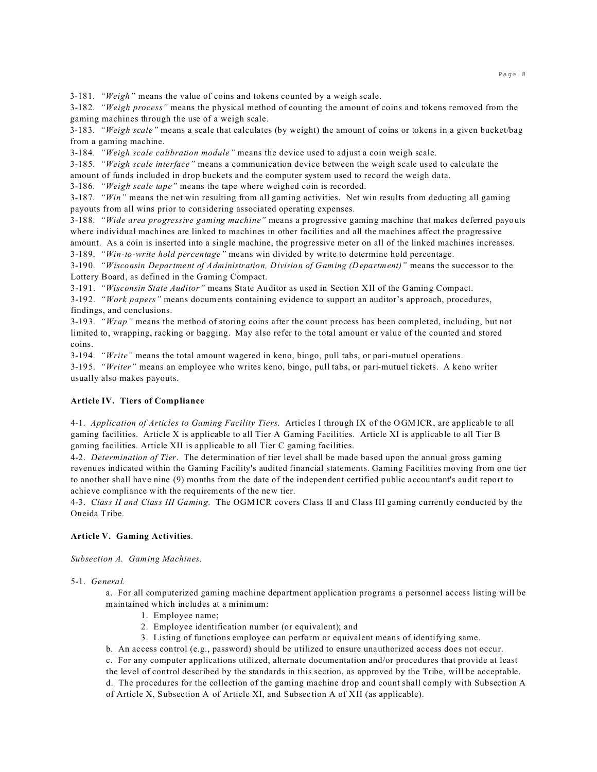3-181. *"Weigh"* means the value of coins and tokens counted by a weigh scale.

3-182. *"Weigh process"* means the physical method of counting the amount of coins and tokens removed from the gaming machines through the use of a weigh scale.

3-183. *"Weigh scale"* means a scale that calculates (by weight) the amount of coins or tokens in a given bucket/bag from a gaming machine.

3-184. *"Weigh scale calibration module"* means the device used to adjust a coin weigh scale.

3-185. *"Weigh scale interface"* means a communication device between the weigh scale used to calculate the amount of funds included in drop buckets and the computer system used to record the weigh data.

3-186. *"Weigh scale tape"* means the tape where weighed coin is recorded.

3-187. *"Win"* means the net win resulting from all gaming activities. Net win results from deducting all gaming payouts from all wins prior to considering associated operating expenses.

3-188. *"Wide area progressive gaming machine"* means a progressive gaming machine that makes deferred payouts where individual machines are linked to machines in other facilities and all the machines affect the progressive amount. As a coin is inserted into a single machine, the progressive meter on all of the linked machines increases.

3-189. *"Win-to-write hold percentage"* means win divided by write to determine hold percentage.

3-190. *"Wisconsin Department of Administration, Division of Gaming (Department)"* means the successor to the Lottery Board, as defined in the Gaming Compact.

3-191. *"Wisconsin State Auditor"* means State Auditor as used in Section XII of the Gaming Compact.

3-192. *"Work papers"* means documents containing evidence to support an auditor's approach, procedures, findings, and conclusions.

3-193. *"Wrap"* means the method of storing coins after the count process has been completed, including, but not limited to, wrapping, racking or bagging. May also refer to the total amount or value of the counted and stored coins.

3-194. *"Write"* means the total amount wagered in keno, bingo, pull tabs, or pari-mutuel operations.

3-195. *"Writer"* means an employee who writes keno, bingo, pull tabs, or pari-mutuel tickets. A keno writer usually also makes payouts.

## **Article IV. Tiers of Compliance**

4-1. *Application of Articles to Gaming Facility Tiers.* Articles I through IX of the OGMICR, are applicable to all gaming facilities. Article X is applicable to all Tier A Gaming Facilities. Article XI is applicable to all Tier B gaming facilities. Article XII is applicable to all Tier C gaming facilities.

4-2. *Determination of Tier*.The determination of tier level shall be made based upon the annual gross gaming revenues indicated within the Gaming Facility's audited financial statements. Gaming Facilities moving from one tier to another shall have nine (9) months from the date of the independent certified public accountant's audit report to achieve compliance with the requirements of the new tier.

4-3. *Class II and Class III Gaming.* The OGM ICR covers Class II and Class III gaming currently conducted by the Oneida Tribe.

## **Article V. Gaming Activities**.

*Subsection A. Gaming Machines.*

## 5-1. *General.*

a. For all computerized gaming machine department application programs a personnel access listing will be maintained which includes at a minimum:

- 1. Employee name;
- 2. Employee identification number (or equivalent); and
- 3. Listing of functions employee can perform or equivalent means of identifying same.

b. An access control (e.g., password) should be utilized to ensure unauthorized access does not occur.

c. For any computer applications utilized, alternate documentation and/or procedures that provide at least

the level of control described by the standards in this section, as approved by the Tribe, will be acceptable. d. The procedures for the collection of the gaming machine drop and count shall comply with Subsection A of Article X, Subsection A of Article XI, and Subsection A of XII (as applicable).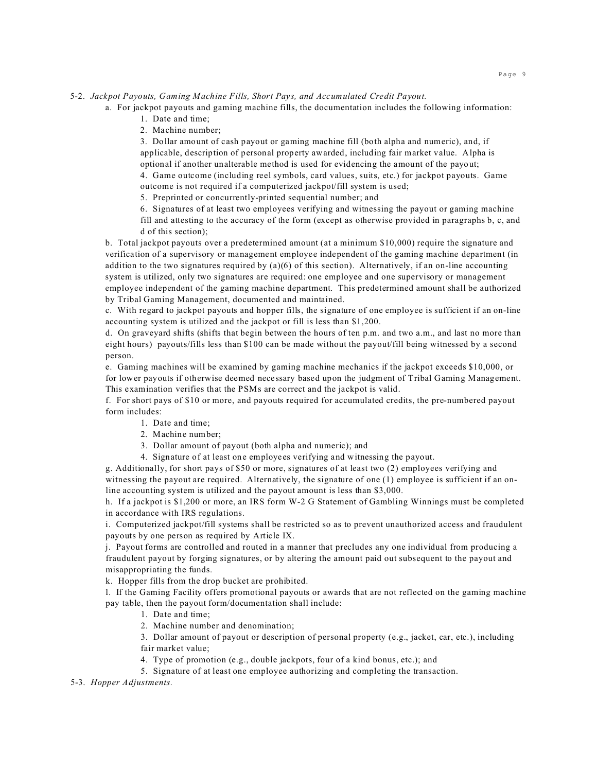5-2. *Jackpot Payouts, Gaming Machine Fills, Short Pays, and Accumulated Credit Payout.* 

a. For jackpot payouts and gaming machine fills, the documentation includes the following information:

- 1. Date and time;
- 2. Machine number;

3. Dollar amount of cash payout or gaming machine fill (both alpha and numeric), and, if applicable, description of personal property awarded, including fair market value. Alpha is optional if another unalterable method is used for evidencing the amount of the payout;

4. Game outcome (including reel symbols, card values, suits, etc.) for jackpot payouts. Game outcome is not required if a computerized jackpot/fill system is used;

5. Preprinted or concurrently-printed sequential number; and

6. Signatures of at least two employees verifying and witnessing the payout or gaming machine

fill and attesting to the accuracy of the form (except as otherwise provided in paragraphs b, c, and d of this section);

b. Total jackpot payouts over a predetermined amount (at a minimum \$10,000) require the signature and verification of a supervisory or management employee independent of the gaming machine department (in addition to the two signatures required by  $(a)(6)$  of this section). Alternatively, if an on-line accounting system is utilized, only two signatures are required: one employee and one supervisory or management employee independent of the gaming machine department. This predetermined amount shall be authorized by Tribal Gaming Management, documented and maintained.

c. With regard to jackpot payouts and hopper fills, the signature of one employee is sufficient if an on-line accounting system is utilized and the jackpot or fill is less than \$1,200.

d. On graveyard shifts (shifts that begin between the hours of ten p.m. and two a.m., and last no more than eight hours) payouts/fills less than \$100 can be made without the payout/fill being witnessed by a second person.

e. Gaming machines will be examined by gaming machine mechanics if the jackpot exceeds \$10,000, or for lower payouts if otherwise deemed necessary based upon the judgment of Tribal Gaming Management. This examination verifies that the PSMs are correct and the jackpot is valid.

f. For short pays of \$10 or more, and payouts required for accumulated credits, the pre-numbered payout form includes:

- 1. Date and time;
- 2. Machine number;
- 3. Dollar amount of payout (both alpha and numeric); and
- 4. Signature of at least one employees verifying and witnessing the payout.

g. Additionally, for short pays of \$50 or more, signatures of at least two (2) employees verifying and witnessing the payout are required. Alternatively, the signature of one (1) employee is sufficient if an online accounting system is utilized and the payout amount is less than \$3,000.

h. If a jackpot is \$1,200 or more, an IRS form W-2 G Statement of Gambling Winnings must be completed in accordance with IRS regulations.

i. Computerized jackpot/fill systems shall be restricted so as to prevent unauthorized access and fraudulent payouts by one person as required by Article IX.

j. Payout forms are controlled and routed in a manner that precludes any one individual from producing a fraudulent payout by forging signatures, or by altering the amount paid out subsequent to the payout and misappropriating the funds.

k. Hopper fills from the drop bucket are prohibited.

l. If the Gaming Facility offers promotional payouts or awards that are not reflected on the gaming machine pay table, then the payout form/documentation shall include:

- 1. Date and time;
- 2. Machine number and denomination;

3. Dollar amount of payout or description of personal property (e.g., jacket, car, etc.), including fair market value;

4. Type of promotion (e.g., double jackpots, four of a kind bonus, etc.); and

5. Signature of at least one employee authorizing and completing the transaction.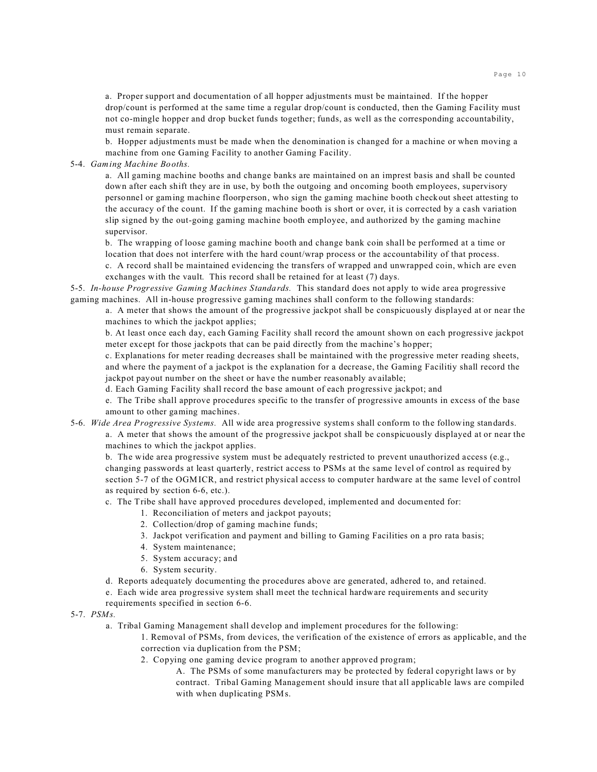a. Proper support and documentation of all hopper adjustments must be maintained. If the hopper drop/count is performed at the same time a regular drop/count is conducted, then the Gaming Facility must not co-mingle hopper and drop bucket funds together; funds, as well as the corresponding accountability, must remain separate.

b. Hopper adjustments must be made when the denomination is changed for a machine or when moving a machine from one Gaming Facility to another Gaming Facility.

## 5-4. *Gaming Machine Booths.*

a. All gaming machine booths and change banks are maintained on an imprest basis and shall be counted down after each shift they are in use, by both the outgoing and oncoming booth employees, supervisory personnel or gaming machine floorperson, who sign the gaming machine booth checkout sheet attesting to the accuracy of the count. If the gaming machine booth is short or over, it is corrected by a cash variation slip signed by the out-going gaming machine booth employee, and authorized by the gaming machine supervisor.

b. The wrapping of loose gaming machine booth and change bank coin shall be performed at a time or location that does not interfere with the hard count/wrap process or the accountability of that process.

c. A record shall be maintained evidencing the transfers of wrapped and unwrapped coin, which are even exchanges with the vault. This record shall be retained for at least (7) days.

5-5. *In-house Progressive Gaming Machines Standards.* This standard does not apply to wide area progressive gaming machines. All in-house progressive gaming machines shall conform to the following standards:

a. A meter that shows the amount of the progressive jackpot shall be conspicuously displayed at or near the machines to which the jackpot applies;

b. At least once each day, each Gaming Facility shall record the amount shown on each progressive jackpot meter except for those jackpots that can be paid directly from the machine's hopper;

c. Explanations for meter reading decreases shall be maintained with the progressive meter reading sheets, and where the payment of a jackpot is the explanation for a decrease, the Gaming Facilitiy shall record the jackpot payout number on the sheet or have the number reasonably available;

d. Each Gaming Facility shall record the base amount of each progressive jackpot; and

e. The Tribe shall approve procedures specific to the transfer of progressive amounts in excess of the base amount to other gaming machines.

5-6. *Wide Area Progressive Systems.* All wide area progressive systems shall conform to the following standards.

a. A meter that shows the amount of the progressive jackpot shall be conspicuously displayed at or near the machines to which the jackpot applies.

b. The wide area progressive system must be adequately restricted to prevent unauthorized access (e.g., changing passwords at least quarterly, restrict access to PSMs at the same level of control as required by section 5-7 of the OGMICR, and restrict physical access to computer hardware at the same level of control as required by section 6-6, etc.).

c. The Tribe shall have approved procedures developed, implemented and documented for:

- 1. Reconciliation of meters and jackpot payouts;
- 2. Collection/drop of gaming machine funds;
- 3. Jackpot verification and payment and billing to Gaming Facilities on a pro rata basis;
- 4. System maintenance;
- 5. System accuracy; and
- 6. System security.
- d. Reports adequately documenting the procedures above are generated, adhered to, and retained.

e. Each wide area progressive system shall meet the technical hardware requirements and security requirements specified in section 6-6.

#### 5-7. *PSMs.*

a. Tribal Gaming Management shall develop and implement procedures for the following:

1. Removal of PSMs, from devices, the verification of the existence of errors as applicable, and the correction via duplication from the PSM;

- 2. Copying one gaming device program to another approved program;
	- A. The PSMs of some manufacturers may be protected by federal copyright laws or by contract. Tribal Gaming Management should insure that all applicable laws are compiled with when duplicating PSMs.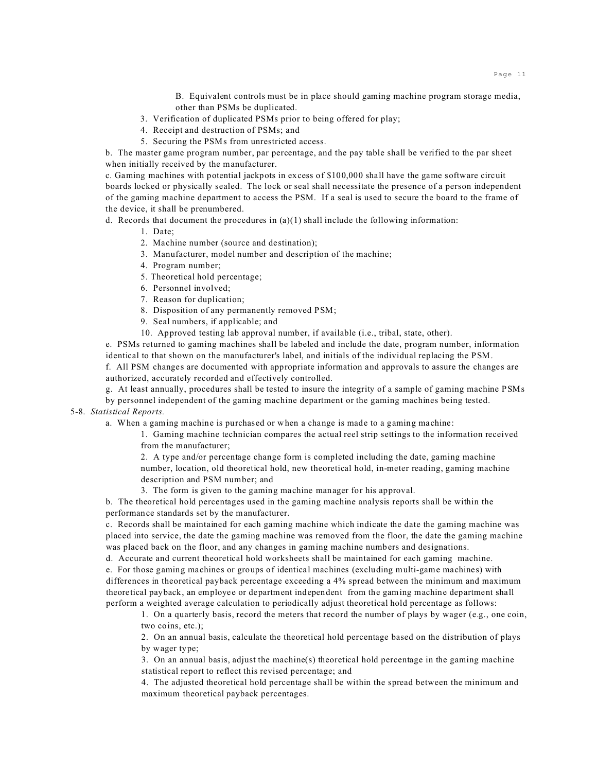B. Equivalent controls must be in place should gaming machine program storage media, other than PSMs be duplicated.

- 3. Verification of duplicated PSMs prior to being offered for play;
- 4. Receipt and destruction of PSMs; and
- 5. Securing the PSMs from unrestricted access.

b. The master game program number, par percentage, and the pay table shall be verified to the par sheet when initially received by the manufacturer.

c. Gaming machines with potential jackpots in excess of \$100,000 shall have the game software circuit boards locked or physically sealed. The lock or seal shall necessitate the presence of a person independent of the gaming machine department to access the PSM. If a seal is used to secure the board to the frame of the device, it shall be prenumbered.

d. Records that document the procedures in  $(a)(1)$  shall include the following information:

1. Date;

- 2. Machine number (source and destination);
- 3. Manufacturer, model number and description of the machine;
- 4. Program number;
- 5. Theoretical hold percentage;
- 6. Personnel involved;
- 7. Reason for duplication;
- 8. Disposition of any permanently removed PSM;
- 9. Seal numbers, if applicable; and
- 10. Approved testing lab approval number, if available (i.e., tribal, state, other).

e. PSMs returned to gaming machines shall be labeled and include the date, program number, information identical to that shown on the manufacturer's label, and initials of the individual replacing the PSM.

f. All PSM changes are documented with appropriate information and approvals to assure the changes are authorized, accurately recorded and effectively controlled.

g. At least annually, procedures shall be tested to insure the integrity of a sample of gaming machine PSMs by personnel independent of the gaming machine department or the gaming machines being tested.

# 5-8. *Statistical Reports.*

a. When a gaming machine is purchased or when a change is made to a gaming machine:

1. Gaming machine technician compares the actual reel strip settings to the information received from the manufacturer;

2. A type and/or percentage change form is completed including the date, gaming machine number, location, old theoretical hold, new theoretical hold, in-meter reading, gaming machine description and PSM number; and

3. The form is given to the gaming machine manager for his approval.

b. The theoretical hold percentages used in the gaming machine analysis reports shall be within the performance standards set by the manufacturer.

c. Records shall be maintained for each gaming machine which indicate the date the gaming machine was placed into service, the date the gaming machine was removed from the floor, the date the gaming machine was placed back on the floor, and any changes in gaming machine numbers and designations.

d. Accurate and current theoretical hold worksheets shall be maintained for each gaming machine. e. For those gaming machines or groups of identical machines (excluding multi-game machines) with differences in theoretical payback percentage exceeding a 4% spread between the minimum and maximum theoretical payback, an employee or department independent from the gaming machine department shall perform a weighted average calculation to periodically adjust theoretical hold percentage as follows:

1. On a quarterly basis, record the meters that record the number of plays by wager (e.g., one coin, two coins, etc.);

2. On an annual basis, calculate the theoretical hold percentage based on the distribution of plays by wager type;

3. On an annual basis, adjust the machine(s) theoretical hold percentage in the gaming machine statistical report to reflect this revised percentage; and

4. The adjusted theoretical hold percentage shall be within the spread between the minimum and maximum theoretical payback percentages.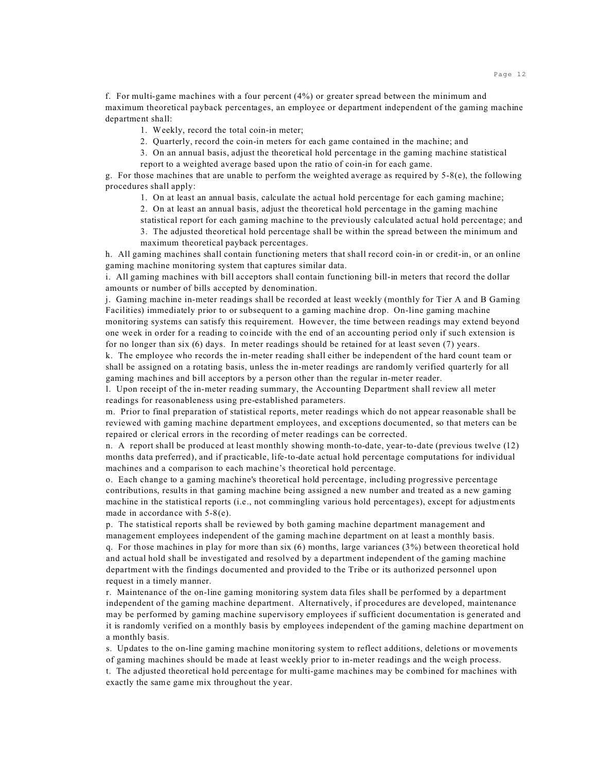f. For multi-game machines with a four percent (4%) or greater spread between the minimum and maximum theoretical payback percentages, an employee or department independent of the gaming machine department shall:

- 1. Weekly, record the total coin-in meter;
- 2. Quarterly, record the coin-in meters for each game contained in the machine; and
- 3. On an annual basis, adjust the theoretical hold percentage in the gaming machine statistical report to a weighted average based upon the ratio of coin-in for each game.

g. For those machines that are unable to perform the weighted average as required by  $5-8(e)$ , the following procedures shall apply:

- 1. On at least an annual basis, calculate the actual hold percentage for each gaming machine;
- 2. On at least an annual basis, adjust the theoretical hold percentage in the gaming machine
- statistical report for each gaming machine to the previously calculated actual hold percentage; and
- 3. The adjusted theoretical hold percentage shall be within the spread between the minimum and maximum theoretical payback percentages.

h. All gaming machines shall contain functioning meters that shall record coin-in or credit-in, or an online gaming machine monitoring system that captures similar data.

i. All gaming machines with bill acceptors shall contain functioning bill-in meters that record the dollar amounts or number of bills accepted by denomination.

j. Gaming machine in-meter readings shall be recorded at least weekly (monthly for Tier A and B Gaming Facilities) immediately prior to or subsequent to a gaming machine drop. On-line gaming machine monitoring systems can satisfy this requirement. However, the time between readings may extend beyond one week in order for a reading to coincide with the end of an accounting period only if such extension is for no longer than six (6) days. In meter readings should be retained for at least seven (7) years.

k. The employee who records the in-meter reading shall either be independent of the hard count team or shall be assigned on a rotating basis, unless the in-meter readings are randomly verified quarterly for all gaming machines and bill acceptors by a person other than the regular in-meter reader.

l. Upon receipt of the in-meter reading summary, the Accounting Department shall review all meter readings for reasonableness using pre-established parameters.

m. Prior to final preparation of statistical reports, meter readings which do not appear reasonable shall be reviewed with gaming machine department employees, and exceptions documented, so that meters can be repaired or clerical errors in the recording of meter readings can be corrected.

n. A report shall be produced at least monthly showing month-to-date, year-to-date (previous twelve (12) months data preferred), and if practicable, life-to-date actual hold percentage computations for individual machines and a comparison to each machine's theoretical hold percentage.

o. Each change to a gaming machine's theoretical hold percentage, including progressive percentage contributions, results in that gaming machine being assigned a new number and treated as a new gaming machine in the statistical reports (i.e., not commingling various hold percentages), except for adjustments made in accordance with 5-8(e).

p. The statistical reports shall be reviewed by both gaming machine department management and management employees independent of the gaming machine department on at least a monthly basis. q. For those machines in play for more than six (6) months, large variances (3%) between theoretical hold and actual hold shall be investigated and resolved by a department independent of the gaming machine department with the findings documented and provided to the Tribe or its authorized personnel upon request in a timely manner.

r. Maintenance of the on-line gaming monitoring system data files shall be performed by a department independent of the gaming machine department. Alternatively, if procedures are developed, maintenance may be performed by gaming machine supervisory employees if sufficient documentation is generated and it is randomly verified on a monthly basis by employees independent of the gaming machine department on a monthly basis.

s. Updates to the on-line gaming machine monitoring system to reflect additions, deletions or movements of gaming machines should be made at least weekly prior to in-meter readings and the weigh process.

t. The adjusted theoretical hold percentage for multi-game machines may be combined for machines with exactly the same game mix throughout the year.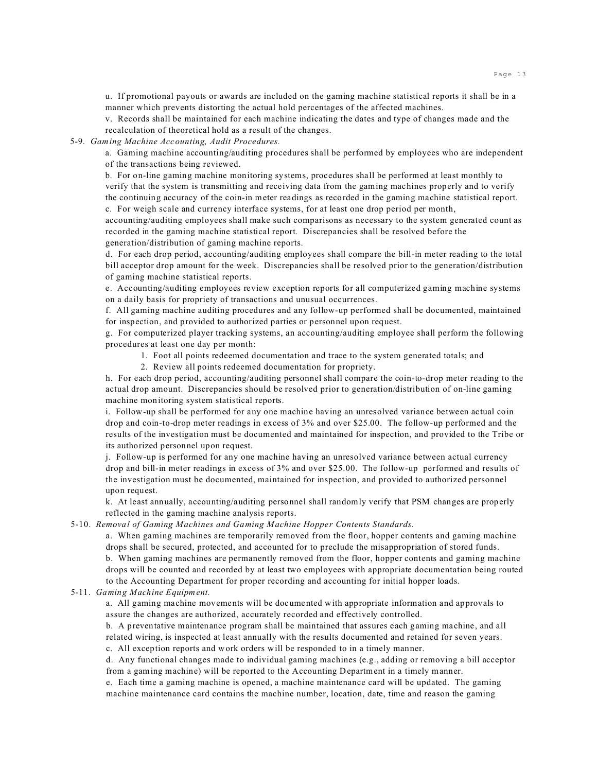u. If promotional payouts or awards are included on the gaming machine statistical reports it shall be in a manner which prevents distorting the actual hold percentages of the affected machines.

v. Records shall be maintained for each machine indicating the dates and type of changes made and the recalculation of theoretical hold as a result of the changes.

5-9. *Gaming Machine Accounting, Audit Procedures.*

a. Gaming machine accounting/auditing procedures shall be performed by employees who are independent of the transactions being reviewed.

b. For on-line gaming machine monitoring systems, procedures shall be performed at least monthly to verify that the system is transmitting and receiving data from the gaming machines properly and to verify the continuing accuracy of the coin-in meter readings as recorded in the gaming machine statistical report. c. For weigh scale and currency interface systems, for at least one drop period per month,

accounting/auditing employees shall make such comparisons as necessary to the system generated count as recorded in the gaming machine statistical report. Discrepancies shall be resolved before the generation/distribution of gaming machine reports.

d. For each drop period, accounting/auditing employees shall compare the bill-in meter reading to the total bill acceptor drop amount for the week. Discrepancies shall be resolved prior to the generation/distribution of gaming machine statistical reports.

e. Accounting/auditing employees review exception reports for all computerized gaming machine systems on a daily basis for propriety of transactions and unusual occurrences.

f. All gaming machine auditing procedures and any follow-up performed shall be documented, maintained for inspection, and provided to authorized parties or personnel upon request.

g. For computerized player tracking systems, an accounting/auditing employee shall perform the following procedures at least one day per month:

- 1. Foot all points redeemed documentation and trace to the system generated totals; and
- 2. Review all points redeemed documentation for propriety.

h. For each drop period, accounting/auditing personnel shall compare the coin-to-drop meter reading to the actual drop amount. Discrepancies should be resolved prior to generation/distribution of on-line gaming machine monitoring system statistical reports.

i. Follow-up shall be performed for any one machine having an unresolved variance between actual coin drop and coin-to-drop meter readings in excess of 3% and over \$25.00. The follow-up performed and the results of the investigation must be documented and maintained for inspection, and provided to the Tribe or its authorized personnel upon request.

j. Follow-up is performed for any one machine having an unresolved variance between actual currency drop and bill-in meter readings in excess of 3% and over \$25.00. The follow-up performed and results of the investigation must be documented, maintained for inspection, and provided to authorized personnel upon request.

k. At least annually, accounting/auditing personnel shall randomly verify that PSM changes are properly reflected in the gaming machine analysis reports.

5-10. *Removal of Gaming Machines and Gaming Machine Hopper Contents Standards.*

a. When gaming machines are temporarily removed from the floor, hopper contents and gaming machine drops shall be secured, protected, and accounted for to preclude the misappropriation of stored funds. b. When gaming machines are permanently removed from the floor, hopper contents and gaming machine drops will be counted and recorded by at least two employees with appropriate documentation being routed to the Accounting Department for proper recording and accounting for initial hopper loads.

5-11. *Gaming Machine Equipment.*

a. All gaming machine movements will be documented with appropriate information and approvals to assure the changes are authorized, accurately recorded and effectively controlled.

b. A preventative maintenance program shall be maintained that assures each gaming machine, and all related wiring, is inspected at least annually with the results documented and retained for seven years.

c. All exception reports and work orders will be responded to in a timely manner.

d. Any functional changes made to individual gaming machines (e.g., adding or removing a bill acceptor from a gaming machine) will be reported to the Accounting Department in a timely manner.

e. Each time a gaming machine is opened, a machine maintenance card will be updated. The gaming machine maintenance card contains the machine number, location, date, time and reason the gaming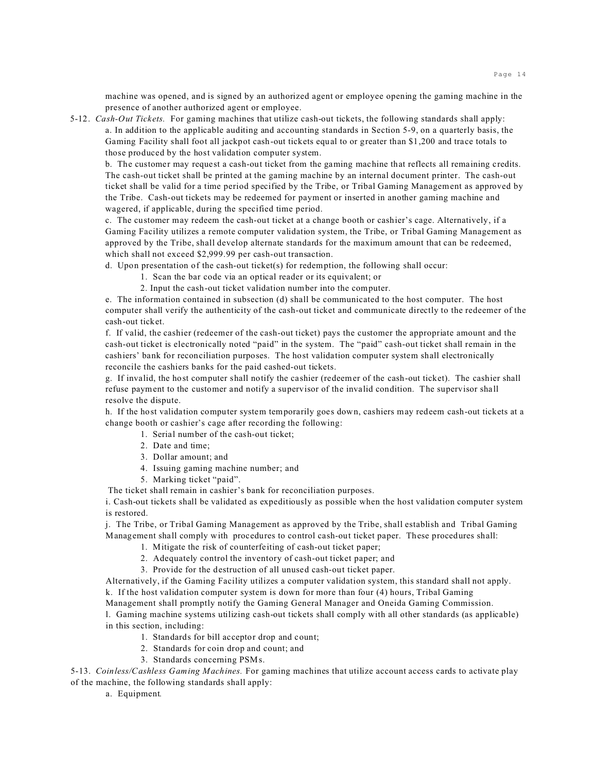machine was opened, and is signed by an authorized agent or employee opening the gaming machine in the presence of another authorized agent or employee.

5-12. *Cash-Out Tickets.* For gaming machines that utilize cash-out tickets, the following standards shall apply: a. In addition to the applicable auditing and accounting standards in Section 5-9, on a quarterly basis, the Gaming Facility shall foot all jackpot cash-out tickets equal to or greater than \$1,200 and trace totals to those produced by the host validation computer system.

b. The customer may request a cash-out ticket from the gaming machine that reflects all remaining credits. The cash-out ticket shall be printed at the gaming machine by an internal document printer. The cash-out ticket shall be valid for a time period specified by the Tribe, or Tribal Gaming Management as approved by the Tribe. Cash-out tickets may be redeemed for payment or inserted in another gaming machine and wagered, if applicable, during the specified time period.

c. The customer may redeem the cash-out ticket at a change booth or cashier's cage. Alternatively, if a Gaming Facility utilizes a remote computer validation system, the Tribe, or Tribal Gaming Management as approved by the Tribe, shall develop alternate standards for the maximum amount that can be redeemed, which shall not exceed \$2,999.99 per cash-out transaction.

d. Upon presentation of the cash-out ticket(s) for redemption, the following shall occur:

- 1. Scan the bar code via an optical reader or its equivalent; or
- 2. Input the cash-out ticket validation number into the computer.

e. The information contained in subsection (d) shall be communicated to the host computer. The host computer shall verify the authenticity of the cash-out ticket and communicate directly to the redeemer of the cash-out ticket.

f. If valid, the cashier (redeemer of the cash-out ticket) pays the customer the appropriate amount and the cash-out ticket is electronically noted "paid" in the system. The "paid" cash-out ticket shall remain in the cashiers' bank for reconciliation purposes. The host validation computer system shall electronically reconcile the cashiers banks for the paid cashed-out tickets.

g. If invalid, the host computer shall notify the cashier (redeemer of the cash-out ticket). The cashier shall refuse payment to the customer and notify a supervisor of the invalid condition. The supervisor shall resolve the dispute.

h. If the host validation computer system temporarily goes down, cashiers may redeem cash-out tickets at a change booth or cashier's cage after recording the following:

- 1. Serial number of the cash-out ticket;
- 2. Date and time;
- 3. Dollar amount; and
- 4. Issuing gaming machine number; and
- 5. Marking ticket "paid".

The ticket shall remain in cashier's bank for reconciliation purposes.

i. Cash-out tickets shall be validated as expeditiously as possible when the host validation computer system is restored.

j. The Tribe, or Tribal Gaming Management as approved by the Tribe, shall establish and Tribal Gaming Management shall comply with procedures to control cash-out ticket paper. These procedures shall:

- 1. Mitigate the risk of counterfeiting of cash-out ticket paper;
- 2. Adequately control the inventory of cash-out ticket paper; and
- 3. Provide for the destruction of all unused cash-out ticket paper.

Alternatively, if the Gaming Facility utilizes a computer validation system, this standard shall not apply. k. If the host validation computer system is down for more than four (4) hours, Tribal Gaming

Management shall promptly notify the Gaming General Manager and Oneida Gaming Commission.

l. Gaming machine systems utilizing cash-out tickets shall comply with all other standards (as applicable) in this section, including:

- 1. Standards for bill acceptor drop and count;
- 2. Standards for coin drop and count; and
- 3. Standards concerning PSMs.

5-13. *Coinless/Cashless Gaming Machines.* For gaming machines that utilize account access cards to activate play of the machine, the following standards shall apply:

a. Equipment*.*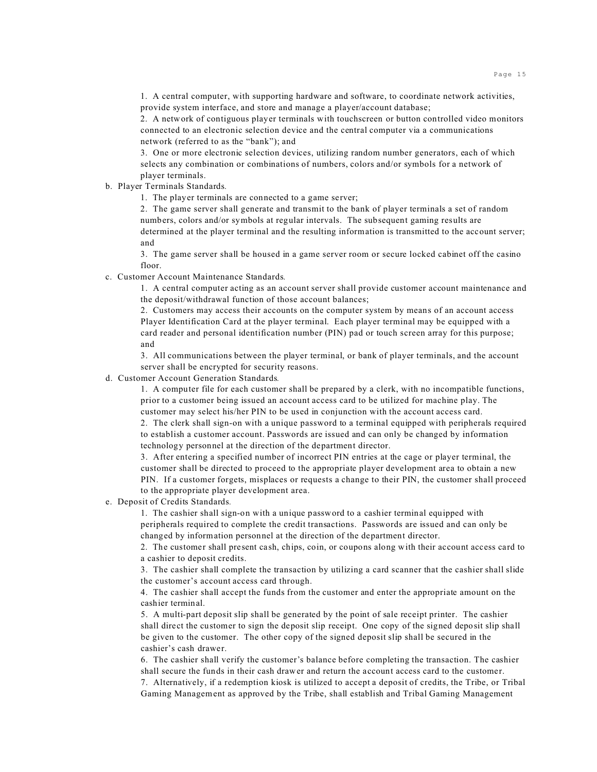1. A central computer, with supporting hardware and software, to coordinate network activities, provide system interface, and store and manage a player/account database;

2. A network of contiguous player terminals with touchscreen or button controlled video monitors connected to an electronic selection device and the central computer via a communications network (referred to as the "bank"); and

3. One or more electronic selection devices, utilizing random number generators, each of which selects any combination or combinations of numbers, colors and/or symbols for a network of player terminals.

b. Player Terminals Standards*.*

1. The player terminals are connected to a game server;

2. The game server shall generate and transmit to the bank of player terminals a set of random numbers, colors and/or symbols at regular intervals. The subsequent gaming results are determined at the player terminal and the resulting information is transmitted to the account server; and

3. The game server shall be housed in a game server room or secure locked cabinet off the casino floor.

c. Customer Account Maintenance Standards*.*

1. A central computer acting as an account server shall provide customer account maintenance and the deposit/withdrawal function of those account balances;

2. Customers may access their accounts on the computer system by means of an account access Player Identification Card at the player terminal. Each player terminal may be equipped with a card reader and personal identification number (PIN) pad or touch screen array for this purpose; and

3. All communications between the player terminal, or bank of player terminals, and the account server shall be encrypted for security reasons.

d. Customer Account Generation Standards*.*

1. A computer file for each customer shall be prepared by a clerk, with no incompatible functions, prior to a customer being issued an account access card to be utilized for machine play. The customer may select his/her PIN to be used in conjunction with the account access card.

2. The clerk shall sign-on with a unique password to a terminal equipped with peripherals required to establish a customer account. Passwords are issued and can only be changed by information technology personnel at the direction of the department director.

3. After entering a specified number of incorrect PIN entries at the cage or player terminal, the customer shall be directed to proceed to the appropriate player development area to obtain a new PIN. If a customer forgets, misplaces or requests a change to their PIN, the customer shall proceed to the appropriate player development area.

e. Deposit of Credits Standards*.*

1. The cashier shall sign-on with a unique password to a cashier terminal equipped with peripherals required to complete the credit transactions. Passwords are issued and can only be changed by information personnel at the direction of the department director.

2. The customer shall present cash, chips, coin, or coupons along with their account access card to a cashier to deposit credits.

3. The cashier shall complete the transaction by utilizing a card scanner that the cashier shall slide the customer's account access card through.

4. The cashier shall accept the funds from the customer and enter the appropriate amount on the cashier terminal.

5. A multi-part deposit slip shall be generated by the point of sale receipt printer. The cashier shall direct the customer to sign the deposit slip receipt. One copy of the signed deposit slip shall be given to the customer. The other copy of the signed deposit slip shall be secured in the cashier's cash drawer.

6. The cashier shall verify the customer's balance before completing the transaction. The cashier shall secure the funds in their cash drawer and return the account access card to the customer.

7. Alternatively, if a redemption kiosk is utilized to accept a deposit of credits, the Tribe, or Tribal Gaming Management as approved by the Tribe, shall establish and Tribal Gaming Management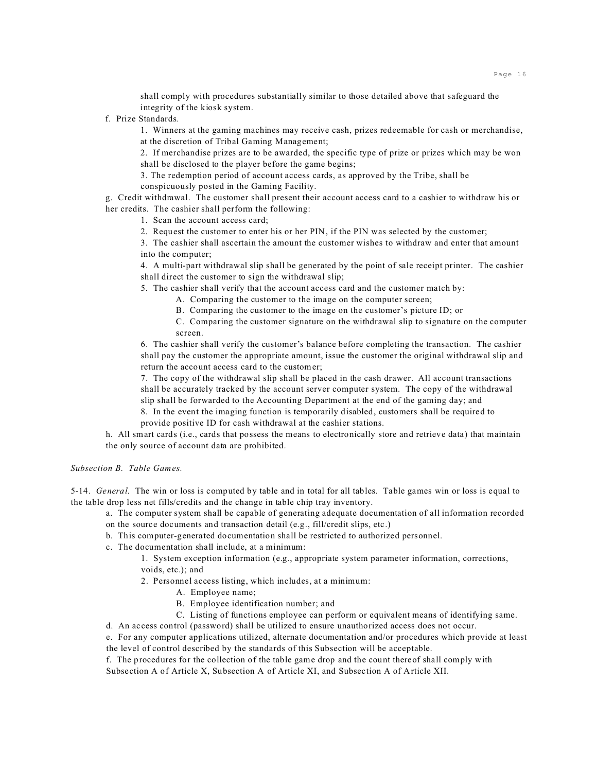shall comply with procedures substantially similar to those detailed above that safeguard the integrity of the kiosk system.

f. Prize Standards*.*

1. Winners at the gaming machines may receive cash, prizes redeemable for cash or merchandise, at the discretion of Tribal Gaming Management;

2. If merchandise prizes are to be awarded, the specific type of prize or prizes which may be won shall be disclosed to the player before the game begins;

3. The redemption period of account access cards, as approved by the Tribe, shall be conspicuously posted in the Gaming Facility.

g. Credit withdrawal. The customer shall present their account access card to a cashier to withdraw his or her credits. The cashier shall perform the following:

1. Scan the account access card;

2. Request the customer to enter his or her PIN, if the PIN was selected by the customer;

3. The cashier shall ascertain the amount the customer wishes to withdraw and enter that amount into the computer;

4. A multi-part withdrawal slip shall be generated by the point of sale receipt printer. The cashier shall direct the customer to sign the withdrawal slip;

- 5. The cashier shall verify that the account access card and the customer match by:
	- A. Comparing the customer to the image on the computer screen;
	- B. Comparing the customer to the image on the customer's picture ID; or
	- C. Comparing the customer signature on the withdrawal slip to signature on the computer screen.

6. The cashier shall verify the customer's balance before completing the transaction. The cashier shall pay the customer the appropriate amount, issue the customer the original withdrawal slip and return the account access card to the customer;

7. The copy of the withdrawal slip shall be placed in the cash drawer. All account transactions shall be accurately tracked by the account server computer system. The copy of the withdrawal slip shall be forwarded to the Accounting Department at the end of the gaming day; and

8. In the event the imaging function is temporarily disabled, customers shall be required to provide positive ID for cash withdrawal at the cashier stations.

h. All smart cards (i.e., cards that possess the means to electronically store and retrieve data) that maintain the only source of account data are prohibited.

*Subsection B. Table Games.*

5-14. *General.* The win or loss is computed by table and in total for all tables. Table games win or loss is equal to the table drop less net fills/credits and the change in table chip tray inventory.

a. The computer system shall be capable of generating adequate documentation of all information recorded on the source documents and transaction detail (e.g., fill/credit slips, etc.)

- b. This computer-generated documentation shall be restricted to authorized personnel.
- c. The documentation shall include, at a minimum:

1. System exception information (e.g., appropriate system parameter information, corrections, voids, etc.); and

- 2. Personnel access listing, which includes, at a minimum:
	- A. Employee name;
	- B. Employee identification number; and
	- C. Listing of functions employee can perform or equivalent means of identifying same.

d. An access control (password) shall be utilized to ensure unauthorized access does not occur.

e. For any computer applications utilized, alternate documentation and/or procedures which provide at least the level of control described by the standards of this Subsection will be acceptable.

f. The procedures for the collection of the table game drop and the count thereof shall comply with Subsection A of Article X, Subsection A of Article XI, and Subsection A of Article XII.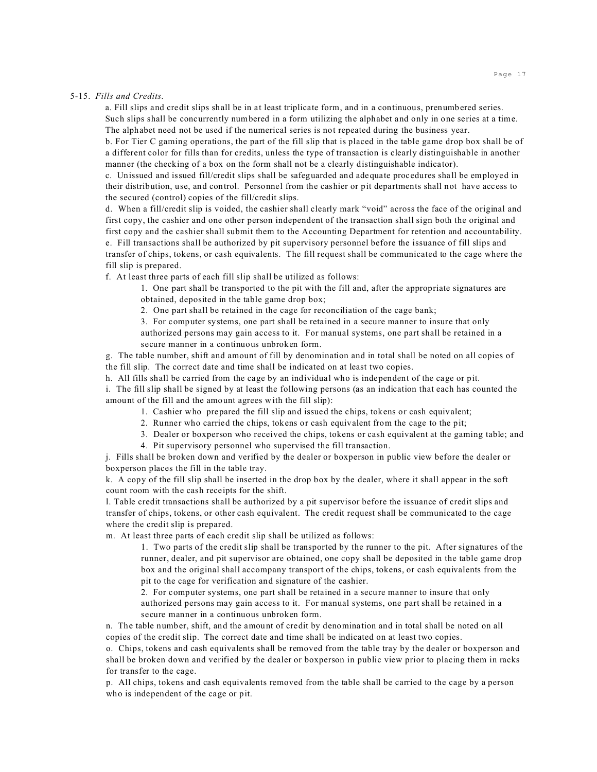#### 5-15. *Fills and Credits.*

a. Fill slips and credit slips shall be in at least triplicate form, and in a continuous, prenumbered series. Such slips shall be concurrently numbered in a form utilizing the alphabet and only in one series at a time. The alphabet need not be used if the numerical series is not repeated during the business year.

b. For Tier C gaming operations, the part of the fill slip that is placed in the table game drop box shall be of a different color for fills than for credits, unless the type of transaction is clearly distinguishable in another manner (the checking of a box on the form shall not be a clearly distinguishable indicator).

c. Unissued and issued fill/credit slips shall be safeguarded and adequate procedures shall be employed in their distribution, use, and control. Personnel from the cashier or pit departments shall not have access to the secured (control) copies of the fill/credit slips.

d. When a fill/credit slip is voided, the cashier shall clearly mark "void" across the face of the original and first copy, the cashier and one other person independent of the transaction shall sign both the original and first copy and the cashier shall submit them to the Accounting Department for retention and accountability. e. Fill transactions shall be authorized by pit supervisory personnel before the issuance of fill slips and transfer of chips, tokens, or cash equivalents. The fill request shall be communicated to the cage where the fill slip is prepared.

f. At least three parts of each fill slip shall be utilized as follows:

1. One part shall be transported to the pit with the fill and, after the appropriate signatures are obtained, deposited in the table game drop box;

2. One part shall be retained in the cage for reconciliation of the cage bank;

3. For computer systems, one part shall be retained in a secure manner to insure that only authorized persons may gain access to it. For manual systems, one part shall be retained in a secure manner in a continuous unbroken form.

g. The table number, shift and amount of fill by denomination and in total shall be noted on all copies of the fill slip. The correct date and time shall be indicated on at least two copies.

h. All fills shall be carried from the cage by an individual who is independent of the cage or pit.

i. The fill slip shall be signed by at least the following persons (as an indication that each has counted the amount of the fill and the amount agrees with the fill slip):

- 1. Cashier who prepared the fill slip and issued the chips, tokens or cash equivalent;
- 2. Runner who carried the chips, tokens or cash equivalent from the cage to the pit;
- 3. Dealer or boxperson who received the chips, tokens or cash equivalent at the gaming table; and
- 4. Pit supervisory personnel who supervised the fill transaction.

j. Fills shall be broken down and verified by the dealer or boxperson in public view before the dealer or boxperson places the fill in the table tray.

k. A copy of the fill slip shall be inserted in the drop box by the dealer, where it shall appear in the soft count room with the cash receipts for the shift.

l. Table credit transactions shall be authorized by a pit supervisor before the issuance of credit slips and transfer of chips, tokens, or other cash equivalent. The credit request shall be communicated to the cage where the credit slip is prepared.

m. At least three parts of each credit slip shall be utilized as follows:

1. Two parts of the credit slip shall be transported by the runner to the pit. After signatures of the runner, dealer, and pit supervisor are obtained, one copy shall be deposited in the table game drop box and the original shall accompany transport of the chips, tokens, or cash equivalents from the pit to the cage for verification and signature of the cashier.

2. For computer systems, one part shall be retained in a secure manner to insure that only authorized persons may gain access to it. For manual systems, one part shall be retained in a secure manner in a continuous unbroken form.

n. The table number, shift, and the amount of credit by denomination and in total shall be noted on all copies of the credit slip. The correct date and time shall be indicated on at least two copies.

o. Chips, tokens and cash equivalents shall be removed from the table tray by the dealer or boxperson and shall be broken down and verified by the dealer or boxperson in public view prior to placing them in racks for transfer to the cage.

p. All chips, tokens and cash equivalents removed from the table shall be carried to the cage by a person who is independent of the cage or pit.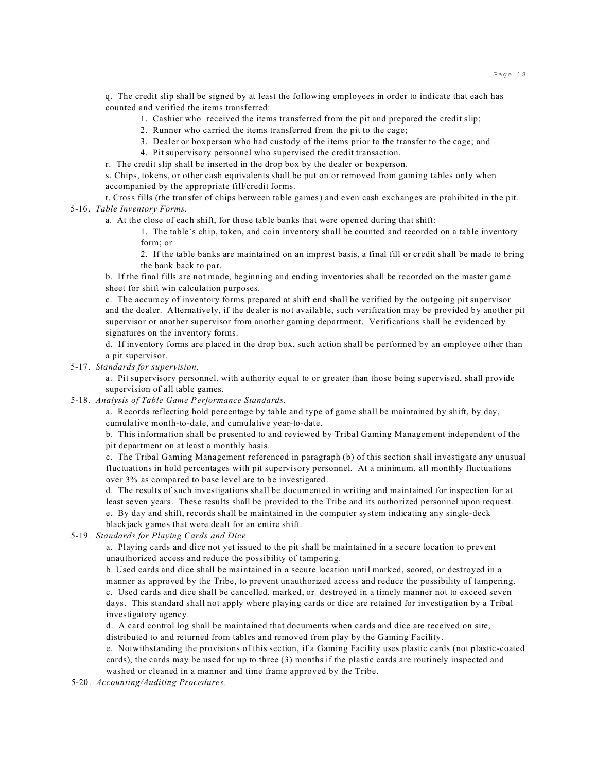q. The credit slip shall be signed by at least the following employees in order to indicate that each has counted and verified the items transferred:

- 1. Cashier who received the items transferred from the pit and prepared the credit slip;
- 2. Runner who carried the items transferred from the pit to the cage;
- 3. Dealer or boxperson who had custody of the items prior to the transfer to the cage; and
- 4. Pit supervisory personnel who supervised the credit transaction.

r. The credit slip shall be inserted in the drop box by the dealer or boxperson.

s. Chips, tokens, or other cash equivalents shall be put on or removed from gaming tables only when accompanied by the appropriate fill/credit forms.

t. Cross fills (the transfer of chips between table games) and even cash exchanges are prohibited in the pit. 5-16. *Table Inventory Forms.*

a. At the close of each shift, for those table banks that were opened during that shift:

1. The table's chip, token, and coin inventory shall be counted and recorded on a table inventory form; or

2. If the table banks are maintained on an imprest basis, a final fill or credit shall be made to bring the bank back to par.

b. If the final fills are not made, beginning and ending inventories shall be recorded on the master game sheet for shift win calculation purposes.

c. The accuracy of inventory forms prepared at shift end shall be verified by the outgoing pit supervisor and the dealer. Alternatively, if the dealer is not available, such verification may be provided by another pit supervisor or another supervisor from another gaming department. Verifications shall be evidenced by signatures on the inventory forms.

d. If inventory forms are placed in the drop box, such action shall be performed by an employee other than a pit supervisor.

#### 5-17. *Standards for supervision*.

a. Pit supervisory personnel, with authority equal to or greater than those being supervised, shall provide supervision of all table games.

5-18. *Analysis of Table Game Performance Standards.*

a. Records reflecting hold percentage by table and type of game shall be maintained by shift, by day, cumulative month-to-date, and cumulative year-to-date.

b. This information shall be presented to and reviewed by Tribal Gaming Management independent of the pit department on at least a monthly basis.

c. The Tribal Gaming Management referenced in paragraph (b) of this section shall investigate any unusual fluctuations in hold percentages with pit supervisory personnel. At a minimum, all monthly fluctuations over 3% as compared to base level are to be investigated.

d. The results of such investigations shall be documented in writing and maintained for inspection for at least seven years. These results shall be provided to the Tribe and its authorized personnel upon request. e. By day and shift, records shall be maintained in the computer system indicating any single-deck blackjack games that were dealt for an entire shift.

#### 5-19. *Standards for Playing Cards and Dice.*

a. Playing cards and dice not yet issued to the pit shall be maintained in a secure location to prevent unauthorized access and reduce the possibility of tampering.

b. Used cards and dice shall be maintained in a secure location until marked, scored, or destroyed in a manner as approved by the Tribe, to prevent unauthorized access and reduce the possibility of tampering. c. Used cards and dice shall be cancelled, marked, or destroyed in a timely manner not to exceed seven days. This standard shall not apply where playing cards or dice are retained for investigation by a Tribal investigatory agency.

d. A card control log shall be maintained that documents when cards and dice are received on site, distributed to and returned from tables and removed from play by the Gaming Facility.

e. Notwithstanding the provisions of this section, if a Gaming Facility uses plastic cards (not plastic-coated cards), the cards may be used for up to three (3) months if the plastic cards are routinely inspected and washed or cleaned in a manner and time frame approved by the Tribe.

5-20. *Accounting/Auditing Procedures.*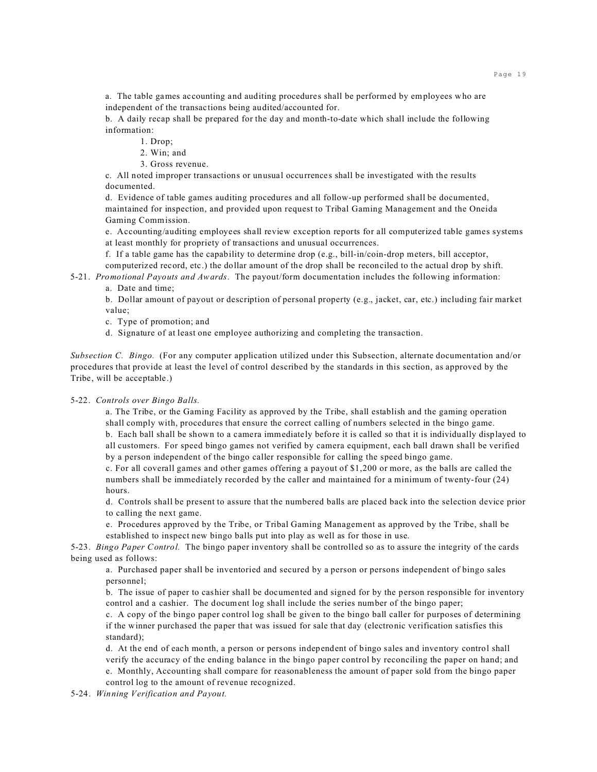a. The table games accounting and auditing procedures shall be performed by employees who are independent of the transactions being audited/accounted for.

b. A daily recap shall be prepared for the day and month-to-date which shall include the following information:

1. Drop;

2. Win; and

3. Gross revenue.

c. All noted improper transactions or unusual occurrences shall be investigated with the results documented.

d. Evidence of table games auditing procedures and all follow-up performed shall be documented, maintained for inspection, and provided upon request to Tribal Gaming Management and the Oneida Gaming Commission.

e. Accounting/auditing employees shall review exception reports for all computerized table games systems at least monthly for propriety of transactions and unusual occurrences.

f. If a table game has the capability to determine drop (e.g., bill-in/coin-drop meters, bill acceptor, computerized record, etc.) the dollar amount of the drop shall be reconciled to the actual drop by shift.

5-21. *Promotional Payouts and Awards.* The payout/form documentation includes the following information:

a. Date and time;

b. Dollar amount of payout or description of personal property (e.g., jacket, car, etc.) including fair market value;

c. Type of promotion; and

d. Signature of at least one employee authorizing and completing the transaction.

*Subsection C. Bingo.* (For any computer application utilized under this Subsection, alternate documentation and/or procedures that provide at least the level of control described by the standards in this section, as approved by the Tribe, will be acceptable.)

#### 5-22. *Controls over Bingo Balls.*

a. The Tribe, or the Gaming Facility as approved by the Tribe, shall establish and the gaming operation shall comply with, procedures that ensure the correct calling of numbers selected in the bingo game. b. Each ball shall be shown to a camera immediately before it is called so that it is individually displayed to all customers. For speed bingo games not verified by camera equipment, each ball drawn shall be verified by a person independent of the bingo caller responsible for calling the speed bingo game.

c. For all coverall games and other games offering a payout of \$1,200 or more, as the balls are called the numbers shall be immediately recorded by the caller and maintained for a minimum of twenty-four (24) hours.

d. Controls shall be present to assure that the numbered balls are placed back into the selection device prior to calling the next game.

e. Procedures approved by the Tribe, or Tribal Gaming Management as approved by the Tribe, shall be established to inspect new bingo balls put into play as well as for those in use.

5-23. *Bingo Paper Control.* The bingo paper inventory shall be controlled so as to assure the integrity of the cards being used as follows:

a. Purchased paper shall be inventoried and secured by a person or persons independent of bingo sales personnel;

b. The issue of paper to cashier shall be documented and signed for by the person responsible for inventory control and a cashier. The document log shall include the series number of the bingo paper;

c. A copy of the bingo paper control log shall be given to the bingo ball caller for purposes of determining if the winner purchased the paper that was issued for sale that day (electronic verification satisfies this standard);

d. At the end of each month, a person or persons independent of bingo sales and inventory control shall verify the accuracy of the ending balance in the bingo paper control by reconciling the paper on hand; and

e. Monthly, Accounting shall compare for reasonableness the amount of paper sold from the bingo paper control log to the amount of revenue recognized.

5-24. *Winning Verification and Payout.*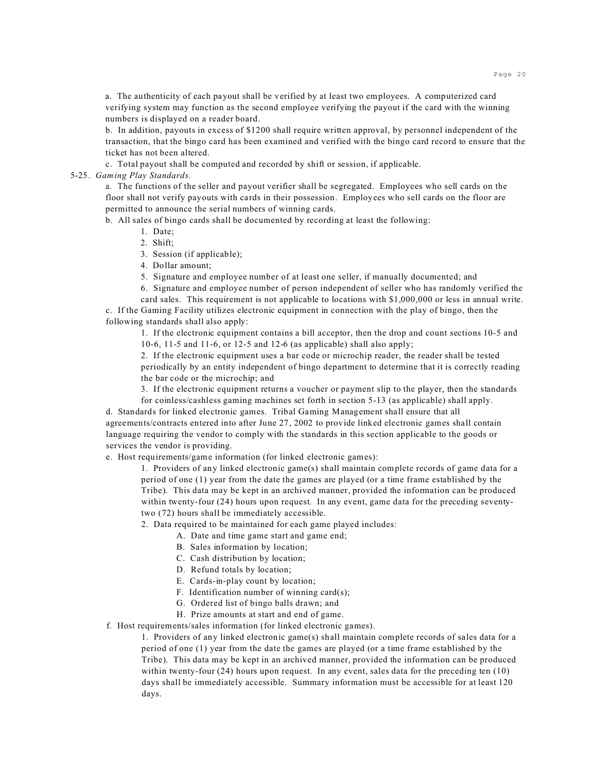a. The authenticity of each payout shall be verified by at least two employees. A computerized card verifying system may function as the second employee verifying the payout if the card with the winning numbers is displayed on a reader board.

b. In addition, payouts in excess of \$1200 shall require written approval, by personnel independent of the transaction, that the bingo card has been examined and verified with the bingo card record to ensure that the ticket has not been altered.

c. Total payout shall be computed and recorded by shift or session, if applicable.

#### 5-25. *Gaming Play Standards.*

a. The functions of the seller and payout verifier shall be segregated. Employees who sell cards on the floor shall not verify payouts with cards in their possession. Employees who sell cards on the floor are permitted to announce the serial numbers of winning cards.

b. All sales of bingo cards shall be documented by recording at least the following:

- 1. Date;
- 2. Shift;
- 3. Session (if applicable);
- 4. Dollar amount;

5. Signature and employee number of at least one seller, if manually documented; and

6. Signature and employee number of person independent of seller who has randomly verified the card sales. This requirement is not applicable to locations with \$1,000,000 or less in annual write.

c. If the Gaming Facility utilizes electronic equipment in connection with the play of bingo, then the following standards shall also apply:

1. If the electronic equipment contains a bill acceptor, then the drop and count sections 10-5 and 10-6, 11-5 and 11-6, or 12-5 and 12-6 (as applicable) shall also apply;

2. If the electronic equipment uses a bar code or microchip reader, the reader shall be tested periodically by an entity independent of bingo department to determine that it is correctly reading the bar code or the microchip; and

3. If the electronic equipment returns a voucher or payment slip to the player, then the standards

for coinless/cashless gaming machines set forth in section 5-13 (as applicable) shall apply. d. Standards for linked electronic games. Tribal Gaming Management shall ensure that all agreements/contracts entered into after June 27, 2002 to provide linked electronic games shall contain language requiring the vendor to comply with the standards in this section applicable to the goods or services the vendor is providing.

e. Host requirements/game information (for linked electronic games):

1. Providers of any linked electronic game(s) shall maintain complete records of game data for a period of one (1) year from the date the games are played (or a time frame established by the Tribe). This data may be kept in an archived manner, provided the information can be produced within twenty-four (24) hours upon request. In any event, game data for the preceding seventytwo (72) hours shall be immediately accessible.

2. Data required to be maintained for each game played includes:

- A. Date and time game start and game end;
- B. Sales information by location;
- C. Cash distribution by location;
- D. Refund totals by location;
- E. Cards-in-play count by location;
- F. Identification number of winning card(s);
- G. Ordered list of bingo balls drawn; and
- H. Prize amounts at start and end of game.

f. Host requirements/sales information (for linked electronic games).

1. Providers of any linked electronic game(s) shall maintain complete records of sales data for a period of one (1) year from the date the games are played (or a time frame established by the Tribe). This data may be kept in an archived manner, provided the information can be produced within twenty-four (24) hours upon request. In any event, sales data for the preceding ten (10) days shall be immediately accessible. Summary information must be accessible for at least 120 days.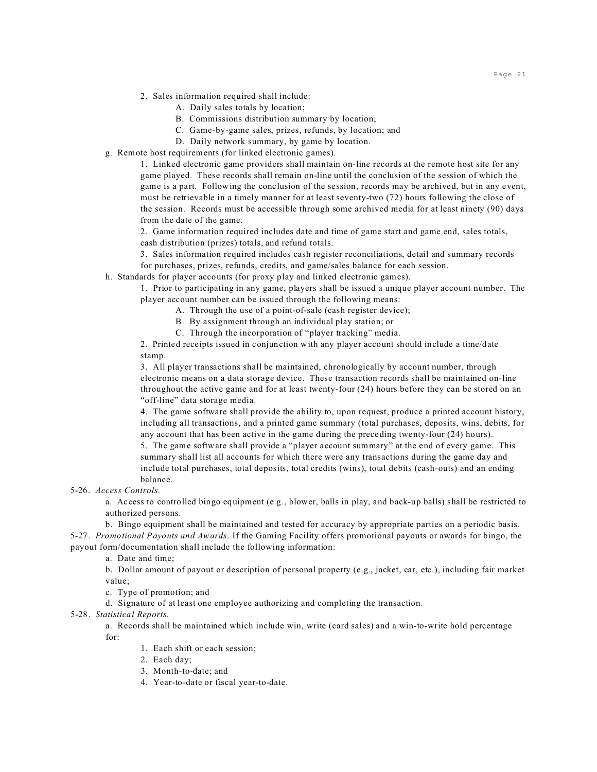- 2. Sales information required shall include:
	- A. Daily sales totals by location;
	- B. Commissions distribution summary by location;
	- C. Game-by-game sales, prizes, refunds, by location; and
	- D. Daily network summary, by game by location.
- g. Remote host requirements (for linked electronic games).

1. Linked electronic game providers shall maintain on-line records at the remote host site for any game played. These records shall remain on-line until the conclusion of the session of which the game is a part. Following the conclusion of the session, records may be archived, but in any event, must be retrievable in a timely manner for at least seventy-two (72) hours following the close of the session. Records must be accessible through some archived media for at least ninety (90) days from the date of the game.

2. Game information required includes date and time of game start and game end, sales totals, cash distribution (prizes) totals, and refund totals.

3. Sales information required includes cash register reconciliations, detail and summary records for purchases, prizes, refunds, credits, and game/sales balance for each session.

h. Standards for player accounts (for proxy play and linked electronic games).

1. Prior to participating in any game, players shall be issued a unique player account number. The player account number can be issued through the following means:

- A. Through the use of a point-of-sale (cash register device);
- B. By assignment through an individual play station; or
- C. Through the incorporation of "player tracking" media.

2. Printed receipts issued in conjunction with any player account should include a time/date stamp.

3. All player transactions shall be maintained, chronologically by account number, through electronic means on a data storage device. These transaction records shall be maintained on-line throughout the active game and for at least twenty-four (24) hours before they can be stored on an "off-line" data storage media.

4. The game software shall provide the ability to, upon request, produce a printed account history, including all transactions, and a printed game summary (total purchases, deposits, wins, debits, for any account that has been active in the game during the preceding twenty-four (24) hours).

5. The game software shall provide a "player account summary" at the end of every game. This summary shall list all accounts for which there were any transactions during the game day and include total purchases, total deposits, total credits (wins), total debits (cash-outs) and an ending balance.

5-26. *Access Controls.*

a. Access to controlled bingo equipment (e.g., blower, balls in play, and back-up balls) shall be restricted to authorized persons.

b. Bingo equipment shall be maintained and tested for accuracy by appropriate parties on a periodic basis. 5-27. *Promotional Payouts and Awards.* If the Gaming Facility offers promotional payouts or awards for bingo, the payout form/documentation shall include the following information:

a. Date and time;

b. Dollar amount of payout or description of personal property (e.g., jacket, car, etc.), including fair market value;

c. Type of promotion; and

d. Signature of at least one employee authorizing and completing the transaction.

#### 5-28. *Statistical Reports.*

a. Records shall be maintained which include win, write (card sales) and a win-to-write hold percentage for:

- 1. Each shift or each session;
- 2. Each day;
- 3. Month-to-date; and
- 4. Year-to-date or fiscal year-to-date.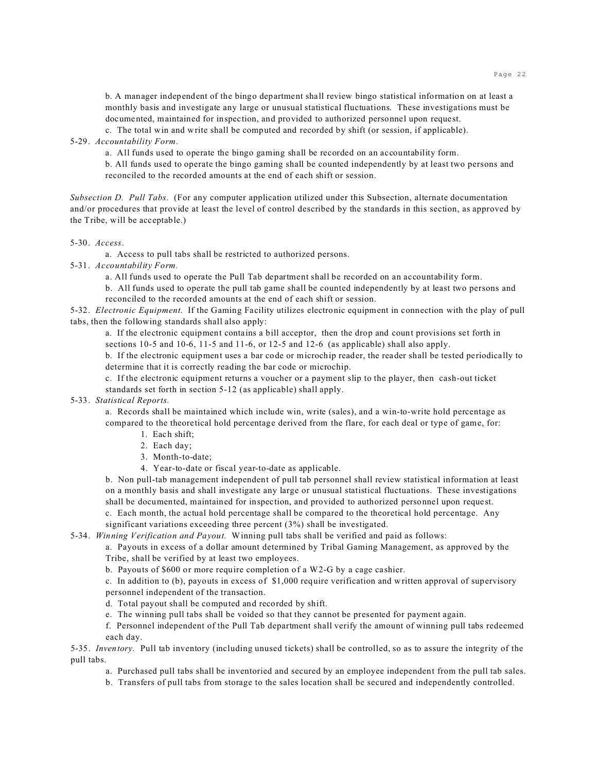b. A manager independent of the bingo department shall review bingo statistical information on at least a monthly basis and investigate any large or unusual statistical fluctuations. These investigations must be documented, maintained for inspection, and provided to authorized personnel upon request.

c. The total win and write shall be computed and recorded by shift (or session, if applicable).

5-29. *Accountability Form*.

a. All funds used to operate the bingo gaming shall be recorded on an accountability form.

b. All funds used to operate the bingo gaming shall be counted independently by at least two persons and reconciled to the recorded amounts at the end of each shift or session.

*Subsection D. Pull Tabs.* (For any computer application utilized under this Subsection, alternate documentation and/or procedures that provide at least the level of control described by the standards in this section, as approved by the Tribe, will be acceptable.)

5-30. *Access*.

a. Access to pull tabs shall be restricted to authorized persons.

5-31. *Accountability Form.*

a. All funds used to operate the Pull Tab department shall be recorded on an accountability form.

b. All funds used to operate the pull tab game shall be counted independently by at least two persons and reconciled to the recorded amounts at the end of each shift or session.

5-32. *Electronic Equipment*. If the Gaming Facility utilizes electronic equipment in connection with the play of pull tabs, then the following standards shall also apply:

a. If the electronic equipment contains a bill acceptor, then the drop and count provisions set forth in sections 10-5 and 10-6, 11-5 and 11-6, or 12-5 and 12-6 (as applicable) shall also apply.

b. If the electronic equipment uses a bar code or microchip reader, the reader shall be tested periodically to determine that it is correctly reading the bar code or microchip.

c. If the electronic equipment returns a voucher or a payment slip to the player, then cash-out ticket standards set forth in section 5-12 (as applicable) shall apply.

#### 5-33. *Statistical Reports.*

a. Records shall be maintained which include win, write (sales), and a win-to-write hold percentage as compared to the theoretical hold percentage derived from the flare, for each deal or type of game, for:

- 1. Each shift;
- 2. Each day;
- 3. Month-to-date;
- 4. Year-to-date or fiscal year-to-date as applicable.

b. Non pull-tab management independent of pull tab personnel shall review statistical information at least on a monthly basis and shall investigate any large or unusual statistical fluctuations. These investigations shall be documented, maintained for inspection, and provided to authorized personnel upon request.

c. Each month, the actual hold percentage shall be compared to the theoretical hold percentage. Any significant variations exceeding three percent (3%) shall be investigated.

5-34. *Winning Verification and Payout.* Winning pull tabs shall be verified and paid as follows:

a. Payouts in excess of a dollar amount determined by Tribal Gaming Management, as approved by the Tribe, shall be verified by at least two employees.

b. Payouts of \$600 or more require completion of a W2-G by a cage cashier.

c. In addition to (b), payouts in excess of \$1,000 require verification and written approval of supervisory personnel independent of the transaction.

d. Total payout shall be computed and recorded by shift.

e. The winning pull tabs shall be voided so that they cannot be presented for payment again.

f. Personnel independent of the Pull Tab department shall verify the amount of winning pull tabs redeemed each day.

5-35. *Inventory.* Pull tab inventory (including unused tickets) shall be controlled, so as to assure the integrity of the pull tabs.

a. Purchased pull tabs shall be inventoried and secured by an employee independent from the pull tab sales.

b. Transfers of pull tabs from storage to the sales location shall be secured and independently controlled.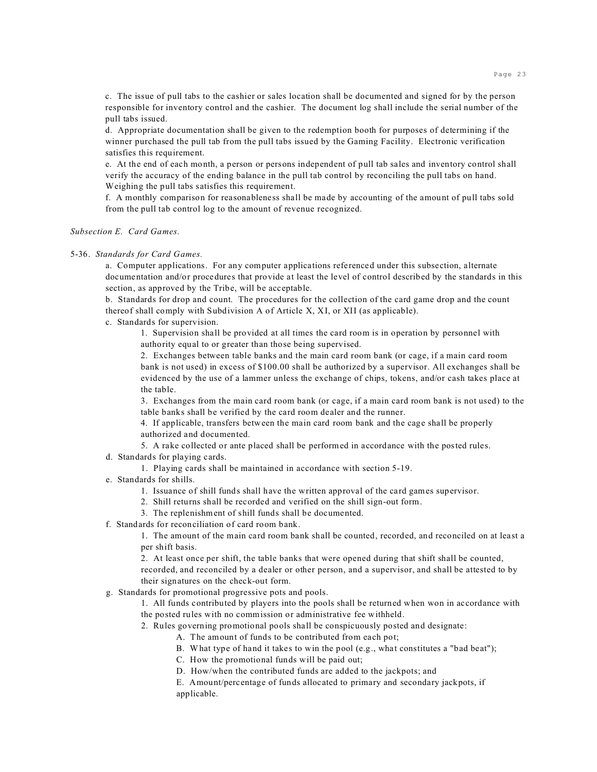c. The issue of pull tabs to the cashier or sales location shall be documented and signed for by the person responsible for inventory control and the cashier. The document log shall include the serial number of the pull tabs issued.

d. Appropriate documentation shall be given to the redemption booth for purposes of determining if the winner purchased the pull tab from the pull tabs issued by the Gaming Facility. Electronic verification satisfies this requirement.

e. At the end of each month, a person or persons independent of pull tab sales and inventory control shall verify the accuracy of the ending balance in the pull tab control by reconciling the pull tabs on hand. Weighing the pull tabs satisfies this requirement.

f. A monthly comparison for reasonableness shall be made by accounting of the amount of pull tabs sold from the pull tab control log to the amount of revenue recognized.

#### *Subsection E. Card Games.*

#### 5-36. *Standards for Card Games.*

a. Computer applications. For any computer applications referenced under this subsection, alternate documentation and/or procedures that provide at least the level of control described by the standards in this section, as approved by the Tribe, will be acceptable.

b. Standards for drop and count. The procedures for the collection of the card game drop and the count thereof shall comply with Subdivision A of Article X, XI, or XII (as applicable).

c. Standards for supervision.

1. Supervision shall be provided at all times the card room is in operation by personnel with authority equal to or greater than those being supervised.

2. Exchanges between table banks and the main card room bank (or cage, if a main card room bank is not used) in excess of \$100.00 shall be authorized by a supervisor. All exchanges shall be evidenced by the use of a lammer unless the exchange of chips, tokens, and/or cash takes place at the table.

3. Exchanges from the main card room bank (or cage, if a main card room bank is not used) to the table banks shall be verified by the card room dealer and the runner.

4. If applicable, transfers between the main card room bank and the cage shall be properly authorized and documented.

5. A rake collected or ante placed shall be performed in accordance with the posted rules.

- d. Standards for playing cards.
	- 1. Playing cards shall be maintained in accordance with section 5-19.
- e. Standards for shills.
	- 1. Issuance of shill funds shall have the written approval of the card games supervisor.
	- 2. Shill returns shall be recorded and verified on the shill sign-out form.
	- 3. The replenishment of shill funds shall be documented.
- f. Standards for reconciliation of card room bank.

1. The amount of the main card room bank shall be counted, recorded, and reconciled on at least a per shift basis.

2. At least once per shift, the table banks that were opened during that shift shall be counted, recorded, and reconciled by a dealer or other person, and a supervisor, and shall be attested to by their signatures on the check-out form.

g. Standards for promotional progressive pots and pools.

1. All funds contributed by players into the pools shall be returned when won in accordance with the posted rules with no commission or administrative fee withheld.

- 2. Rules governing promotional pools shall be conspicuously posted and designate:
	- A. The amount of funds to be contributed from each pot;
	- B. What type of hand it takes to win the pool (e.g., what constitutes a "bad beat");
	- C. How the promotional funds will be paid out;
	- D. How/when the contributed funds are added to the jackpots; and

E. Amount/percentage of funds allocated to primary and secondary jackpots, if applicable.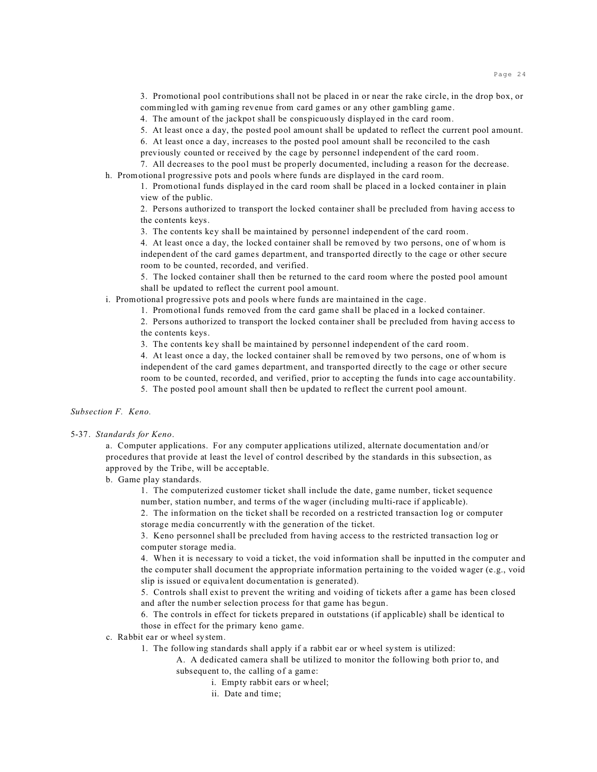3. Promotional pool contributions shall not be placed in or near the rake circle, in the drop box, or commingled with gaming revenue from card games or any other gambling game.

4. The amount of the jackpot shall be conspicuously displayed in the card room.

5. At least once a day, the posted pool amount shall be updated to reflect the current pool amount.

6. At least once a day, increases to the posted pool amount shall be reconciled to the cash previously counted or received by the cage by personnel independent of the card room. 7. All decreases to the pool must be properly documented, including a reason for the decrease.

h. Promotional progressive pots and pools where funds are displayed in the card room.

1. Promotional funds displayed in the card room shall be placed in a locked container in plain view of the public.

2. Persons authorized to transport the locked container shall be precluded from having access to the contents keys.

3. The contents key shall be maintained by personnel independent of the card room.

4. At least once a day, the locked container shall be removed by two persons, one of whom is independent of the card games department, and transported directly to the cage or other secure room to be counted, recorded, and verified.

5. The locked container shall then be returned to the card room where the posted pool amount shall be updated to reflect the current pool amount.

i. Promotional progressive pots and pools where funds are maintained in the cage.

1. Promotional funds removed from the card game shall be placed in a locked container.

2. Persons authorized to transport the locked container shall be precluded from having access to the contents keys.

3. The contents key shall be maintained by personnel independent of the card room.

4. At least once a day, the locked container shall be removed by two persons, one of whom is independent of the card games department, and transported directly to the cage or other secure room to be counted, recorded, and verified, prior to accepting the funds into cage accountability. 5. The posted pool amount shall then be updated to reflect the current pool amount.

*Subsection F. Keno.*

#### 5-37. *Standards for Keno*.

a. Computer applications. For any computer applications utilized, alternate documentation and/or procedures that provide at least the level of control described by the standards in this subsection, as approved by the Tribe, will be acceptable.

b. Game play standards.

1. The computerized customer ticket shall include the date, game number, ticket sequence number, station number, and terms of the wager (including multi-race if applicable).

2. The information on the ticket shall be recorded on a restricted transaction log or computer storage media concurrently with the generation of the ticket.

3. Keno personnel shall be precluded from having access to the restricted transaction log or computer storage media.

4. When it is necessary to void a ticket, the void information shall be inputted in the computer and the computer shall document the appropriate information pertaining to the voided wager (e.g., void slip is issued or equivalent documentation is generated).

5. Controls shall exist to prevent the writing and voiding of tickets after a game has been closed and after the number selection process for that game has begun.

6. The controls in effect for tickets prepared in outstations (if applicable) shall be identical to those in effect for the primary keno game.

- c. Rabbit ear or wheel system.
	- 1. The following standards shall apply if a rabbit ear or wheel system is utilized:

A. A dedicated camera shall be utilized to monitor the following both prior to, and subsequent to, the calling of a game:

- i. Empty rabbit ears or wheel;
- ii. Date and time;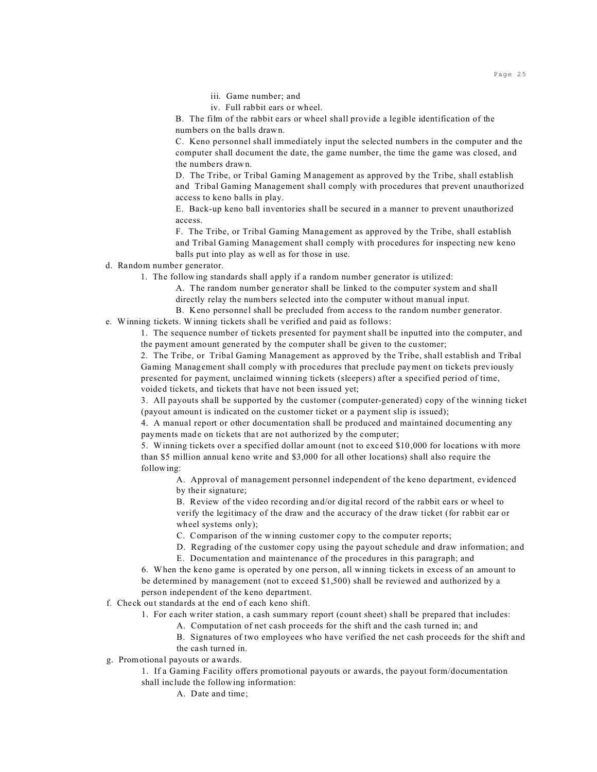- iii. Game number; and
- iv. Full rabbit ears or wheel.

B. The film of the rabbit ears or wheel shall provide a legible identification of the numbers on the balls drawn.

C. Keno personnel shall immediately input the selected numbers in the computer and the computer shall document the date, the game number, the time the game was closed, and the numbers drawn.

D. The Tribe, or Tribal Gaming Management as approved by the Tribe, shall establish and Tribal Gaming Management shall comply with procedures that prevent unauthorized access to keno balls in play.

E. Back-up keno ball inventories shall be secured in a manner to prevent unauthorized access.

F. The Tribe, or Tribal Gaming Management as approved by the Tribe, shall establish and Tribal Gaming Management shall comply with procedures for inspecting new keno balls put into play as well as for those in use.

## d. Random number generator.

1. The following standards shall apply if a random number generator is utilized:

A. The random number generator shall be linked to the computer system and shall directly relay the numbers selected into the computer without manual input.

B. Keno personnel shall be precluded from access to the random number generator. e. Winning tickets. Winning tickets shall be verified and paid as follows:

1. The sequence number of tickets presented for payment shall be inputted into the computer, and the payment amount generated by the computer shall be given to the customer;

2. The Tribe, or Tribal Gaming Management as approved by the Tribe, shall establish and Tribal Gaming Management shall comply with procedures that preclude payment on tickets previously presented for payment, unclaimed winning tickets (sleepers) after a specified period of time, voided tickets, and tickets that have not been issued yet;

3. All payouts shall be supported by the customer (computer-generated) copy of the winning ticket (payout amount is indicated on the customer ticket or a payment slip is issued);

4. A manual report or other documentation shall be produced and maintained documenting any payments made on tickets that are not authorized by the computer;

5. Winning tickets over a specified dollar amount (not to exceed \$10,000 for locations with more than \$5 million annual keno write and \$3,000 for all other locations) shall also require the following:

A. Approval of management personnel independent of the keno department, evidenced by their signature;

B. Review of the video recording and/or digital record of the rabbit ears or wheel to verify the legitimacy of the draw and the accuracy of the draw ticket (for rabbit ear or wheel systems only);

C. Comparison of the winning customer copy to the computer reports;

D. Regrading of the customer copy using the payout schedule and draw information; and

E. Documentation and maintenance of the procedures in this paragraph; and

6. When the keno game is operated by one person, all winning tickets in excess of an amount to be determined by management (not to exceed \$1,500) shall be reviewed and authorized by a person independent of the keno department.

## f. Check out standards at the end of each keno shift.

- 1. For each writer station, a cash summary report (count sheet) shall be prepared that includes:
	- A. Computation of net cash proceeds for the shift and the cash turned in; and
	- B. Signatures of two employees who have verified the net cash proceeds for the shift and the cash turned in.
- g. Promotional payouts or awards.
	- 1. If a Gaming Facility offers promotional payouts or awards, the payout form/documentation shall include the following information:

A. Date and time;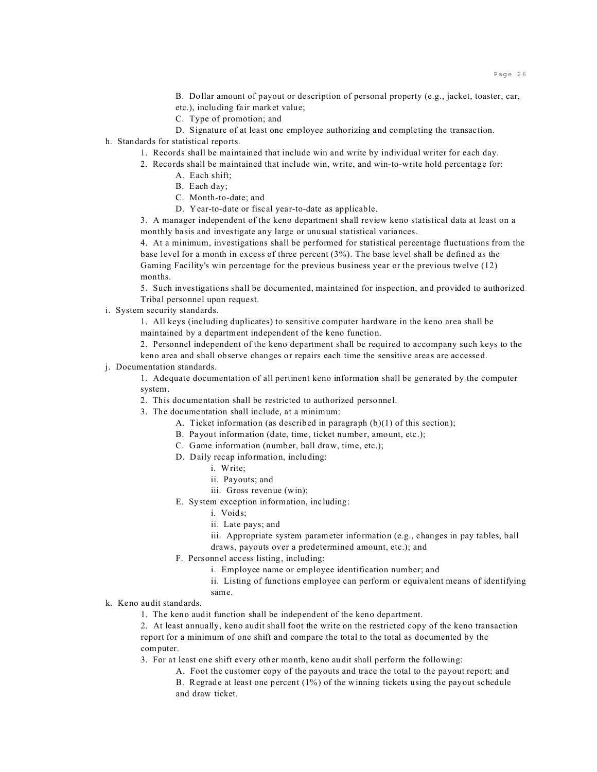B. Dollar amount of payout or description of personal property (e.g., jacket, toaster, car, etc.), including fair market value;

- C. Type of promotion; and
- D. Signature of at least one employee authorizing and completing the transaction.

h. Standards for statistical reports.

- 1. Records shall be maintained that include win and write by individual writer for each day.
- 2. Records shall be maintained that include win, write, and win-to-write hold percentage for:
	- A. Each shift;
	- B. Each day;
	- C. Month-to-date; and
	- D. Year-to-date or fiscal year-to-date as applicable.

3. A manager independent of the keno department shall review keno statistical data at least on a monthly basis and investigate any large or unusual statistical variances.

4. At a minimum, investigations shall be performed for statistical percentage fluctuations from the base level for a month in excess of three percent (3%). The base level shall be defined as the Gaming Facility's win percentage for the previous business year or the previous twelve (12) months.

5. Such investigations shall be documented, maintained for inspection, and provided to authorized Tribal personnel upon request.

i. System security standards.

1. All keys (including duplicates) to sensitive computer hardware in the keno area shall be maintained by a department independent of the keno function.

2. Personnel independent of the keno department shall be required to accompany such keys to the

- keno area and shall observe changes or repairs each time the sensitive areas are accessed.
- j. Documentation standards.
	- 1. Adequate documentation of all pertinent keno information shall be generated by the computer system.
	- 2. This documentation shall be restricted to authorized personnel.
	- 3. The documentation shall include, at a minimum:
		- A. Ticket information (as described in paragraph (b)(1) of this section);
		- B. Payout information (date, time, ticket number, amount, etc.);
		- C. Game information (number, ball draw, time, etc.);
		- D. Daily recap information, including:
			- i. Write;
			- ii. Payouts; and
			- iii. Gross revenue (win);
		- E. System exception information, including:
			- i. Voids;
			- ii. Late pays; and
			- iii. Appropriate system parameter information (e.g., changes in pay tables, ball

draws, payouts over a predetermined amount, etc.); and

- F. Personnel access listing, including:
	- i. Employee name or employee identification number; and
	- ii. Listing of functions employee can perform or equivalent means of identifying same.

## k. Keno audit standards.

1. The keno audit function shall be independent of the keno department.

2. At least annually, keno audit shall foot the write on the restricted copy of the keno transaction report for a minimum of one shift and compare the total to the total as documented by the computer.

3. For at least one shift every other month, keno audit shall perform the following:

A. Foot the customer copy of the payouts and trace the total to the payout report; and

B. Regrade at least one percent (1%) of the winning tickets using the payout schedule and draw ticket.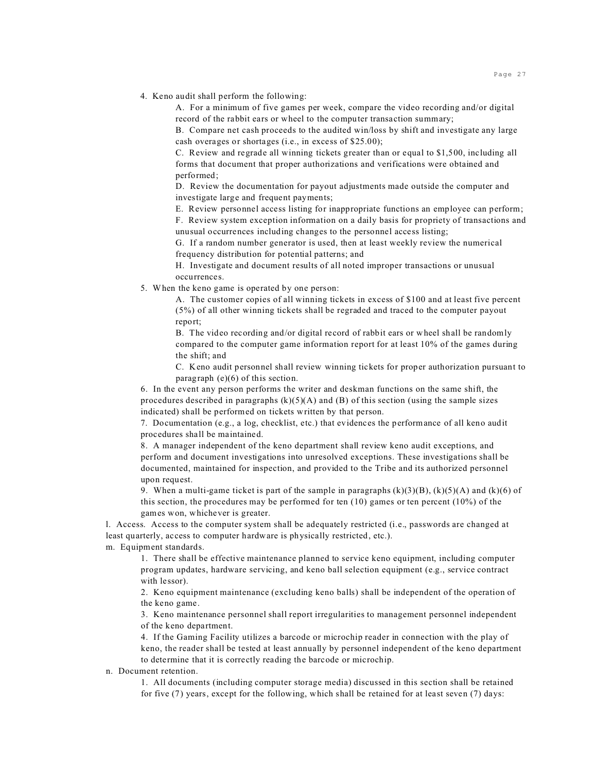4. Keno audit shall perform the following:

A. For a minimum of five games per week, compare the video recording and/or digital record of the rabbit ears or wheel to the computer transaction summary;

B. Compare net cash proceeds to the audited win/loss by shift and investigate any large cash overages or shortages (i.e., in excess of \$25.00);

C. Review and regrade all winning tickets greater than or equal to \$1,500, including all forms that document that proper authorizations and verifications were obtained and performed;

D. Review the documentation for payout adjustments made outside the computer and investigate large and frequent payments;

E. Review personnel access listing for inappropriate functions an employee can perform;

F. Review system exception information on a daily basis for propriety of transactions and unusual occurrences including changes to the personnel access listing;

G. If a random number generator is used, then at least weekly review the numerical frequency distribution for potential patterns; and

H. Investigate and document results of all noted improper transactions or unusual occurrences.

5. When the keno game is operated by one person:

A. The customer copies of all winning tickets in excess of \$100 and at least five percent (5%) of all other winning tickets shall be regraded and traced to the computer payout report;

B. The video recording and/or digital record of rabbit ears or wheel shall be randomly compared to the computer game information report for at least 10% of the games during the shift; and

C. Keno audit personnel shall review winning tickets for proper authorization pursuant to paragraph (e)(6) of this section.

6. In the event any person performs the writer and deskman functions on the same shift, the procedures described in paragraphs  $(k)(5)(A)$  and  $(B)$  of this section (using the sample sizes indicated) shall be performed on tickets written by that person.

7. Documentation (e.g., a log, checklist, etc.) that evidences the performance of all keno audit procedures shall be maintained.

8. A manager independent of the keno department shall review keno audit exceptions, and perform and document investigations into unresolved exceptions. These investigations shall be documented, maintained for inspection, and provided to the Tribe and its authorized personnel upon request.

9. When a multi-game ticket is part of the sample in paragraphs  $(k)(3)(B)$ ,  $(k)(5)(A)$  and  $(k)(6)$  of this section, the procedures may be performed for ten  $(10)$  games or ten percent  $(10\%)$  of the games won, whichever is greater.

l. Access. Access to the computer system shall be adequately restricted (i.e., passwords are changed at least quarterly, access to computer hardware is physically restricted, etc.). m. Equipment standards.

1. There shall be effective maintenance planned to service keno equipment, including computer program updates, hardware servicing, and keno ball selection equipment (e.g., service contract with lessor).

2. Keno equipment maintenance (excluding keno balls) shall be independent of the operation of the keno game.

3. Keno maintenance personnel shall report irregularities to management personnel independent of the keno department.

4. If the Gaming Facility utilizes a barcode or microchip reader in connection with the play of keno, the reader shall be tested at least annually by personnel independent of the keno department to determine that it is correctly reading the barcode or microchip.

n. Document retention.

1. All documents (including computer storage media) discussed in this section shall be retained for five (7) years, except for the following, which shall be retained for at least seven (7) days: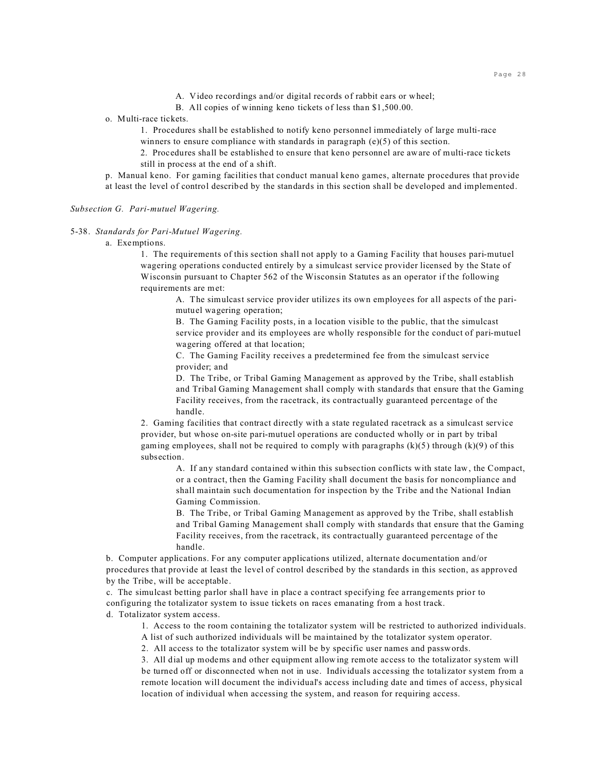- A. Video recordings and/or digital records of rabbit ears or wheel;
- B. All copies of winning keno tickets of less than \$1,500.00.

o. Multi-race tickets.

1. Procedures shall be established to notify keno personnel immediately of large multi-race winners to ensure compliance with standards in paragraph (e)(5) of this section.

2. Procedures shall be established to ensure that keno personnel are aware of multi-race tickets still in process at the end of a shift.

p. Manual keno. For gaming facilities that conduct manual keno games, alternate procedures that provide at least the level of control described by the standards in this section shall be developed and implemented.

*Subsection G. Pari-mutuel Wagering.*

5-38. *Standards for Pari-Mutuel Wagering.*

a. Exemptions.

1. The requirements of this section shall not apply to a Gaming Facility that houses pari-mutuel wagering operations conducted entirely by a simulcast service provider licensed by the State of Wisconsin pursuant to Chapter 562 of the Wisconsin Statutes as an operator if the following requirements are met:

A. The simulcast service provider utilizes its own employees for all aspects of the parimutuel wagering operation;

B. The Gaming Facility posts, in a location visible to the public, that the simulcast service provider and its employees are wholly responsible for the conduct of pari-mutuel wagering offered at that location;

C. The Gaming Facility receives a predetermined fee from the simulcast service provider; and

D. The Tribe, or Tribal Gaming Management as approved by the Tribe, shall establish and Tribal Gaming Management shall comply with standards that ensure that the Gaming Facility receives, from the racetrack, its contractually guaranteed percentage of the handle.

2. Gaming facilities that contract directly with a state regulated racetrack as a simulcast service provider, but whose on-site pari-mutuel operations are conducted wholly or in part by tribal gaming employees, shall not be required to comply with paragraphs  $(k)(5)$  through  $(k)(9)$  of this subsection.

A. If any standard contained within this subsection conflicts with state law, the Compact, or a contract, then the Gaming Facility shall document the basis for noncompliance and shall maintain such documentation for inspection by the Tribe and the National Indian Gaming Commission.

B. The Tribe, or Tribal Gaming Management as approved by the Tribe, shall establish and Tribal Gaming Management shall comply with standards that ensure that the Gaming Facility receives, from the racetrack, its contractually guaranteed percentage of the handle.

b. Computer applications. For any computer applications utilized, alternate documentation and/or procedures that provide at least the level of control described by the standards in this section, as approved by the Tribe, will be acceptable.

c. The simulcast betting parlor shall have in place a contract specifying fee arrangements prior to configuring the totalizator system to issue tickets on races emanating from a host track.

d. Totalizator system access.

1. Access to the room containing the totalizator system will be restricted to authorized individuals.

A list of such authorized individuals will be maintained by the totalizator system operator.

2. All access to the totalizator system will be by specific user names and passwords.

3. All dial up modems and other equipment allowing remote access to the totalizator system will be turned off or disconnected when not in use. Individuals accessing the totalizator system from a remote location will document the individual's access including date and times of access, physical location of individual when accessing the system, and reason for requiring access.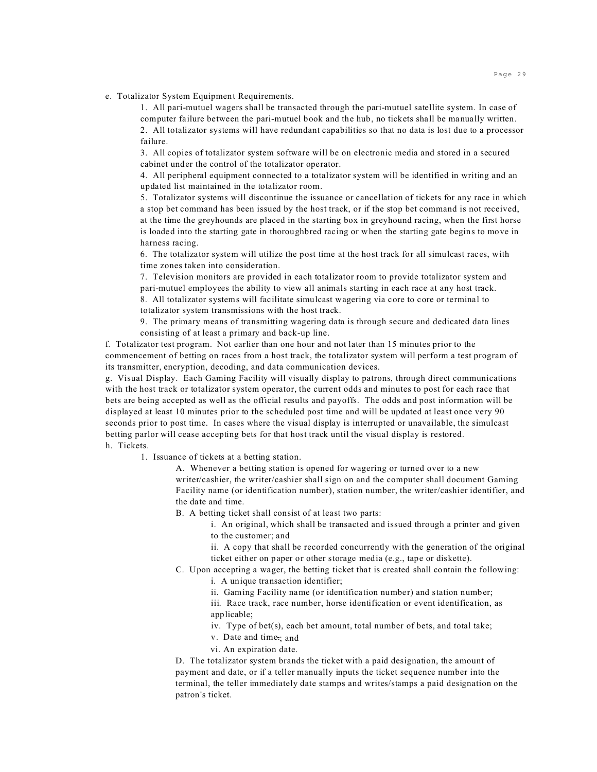e. Totalizator System Equipment Requirements.

1. All pari-mutuel wagers shall be transacted through the pari-mutuel satellite system. In case of computer failure between the pari-mutuel book and the hub, no tickets shall be manually written. 2. All totalizator systems will have redundant capabilities so that no data is lost due to a processor failure.

3. All copies of totalizator system software will be on electronic media and stored in a secured cabinet under the control of the totalizator operator.

4. All peripheral equipment connected to a totalizator system will be identified in writing and an updated list maintained in the totalizator room.

5. Totalizator systems will discontinue the issuance or cancellation of tickets for any race in which a stop bet command has been issued by the host track, or if the stop bet command is not received, at the time the greyhounds are placed in the starting box in greyhound racing, when the first horse is loaded into the starting gate in thoroughbred racing or when the starting gate begins to move in harness racing.

6. The totalizator system will utilize the post time at the host track for all simulcast races, with time zones taken into consideration.

7. Television monitors are provided in each totalizator room to provide totalizator system and pari-mutuel employees the ability to view all animals starting in each race at any host track. 8. All totalizator systems will facilitate simulcast wagering via core to core or terminal to totalizator system transmissions with the host track.

9. The primary means of transmitting wagering data is through secure and dedicated data lines consisting of at least a primary and back-up line.

f*.* Totalizator test program. Not earlier than one hour and not later than 15 minutes prior to the commencement of betting on races from a host track, the totalizator system will perform a test program of its transmitter, encryption, decoding, and data communication devices.

g.Visual Display. Each Gaming Facility will visually display to patrons, through direct communications with the host track or totalizator system operator, the current odds and minutes to post for each race that bets are being accepted as well as the official results and payoffs. The odds and post information will be displayed at least 10 minutes prior to the scheduled post time and will be updated at least once very 90 seconds prior to post time. In cases where the visual display is interrupted or unavailable, the simulcast betting parlor will cease accepting bets for that host track until the visual display is restored. h. Tickets.

1. Issuance of tickets at a betting station.

A. Whenever a betting station is opened for wagering or turned over to a new writer/cashier, the writer/cashier shall sign on and the computer shall document Gaming Facility name (or identification number), station number, the writer/cashier identifier, and the date and time.

B. A betting ticket shall consist of at least two parts:

i. An original, which shall be transacted and issued through a printer and given to the customer; and

ii. A copy that shall be recorded concurrently with the generation of the original ticket either on paper or other storage media (e.g., tape or diskette).

C. Upon accepting a wager, the betting ticket that is created shall contain the following:

i. A unique transaction identifier;

ii. Gaming Facility name (or identification number) and station number;

iii. Race track, race number, horse identification or event identification, as applicable;

iv. Type of bet(s), each bet amount, total number of bets, and total take;

v. Date and time.; and

vi. An expiration date.

D. The totalizator system brands the ticket with a paid designation, the amount of payment and date, or if a teller manually inputs the ticket sequence number into the terminal, the teller immediately date stamps and writes/stamps a paid designation on the patron's ticket.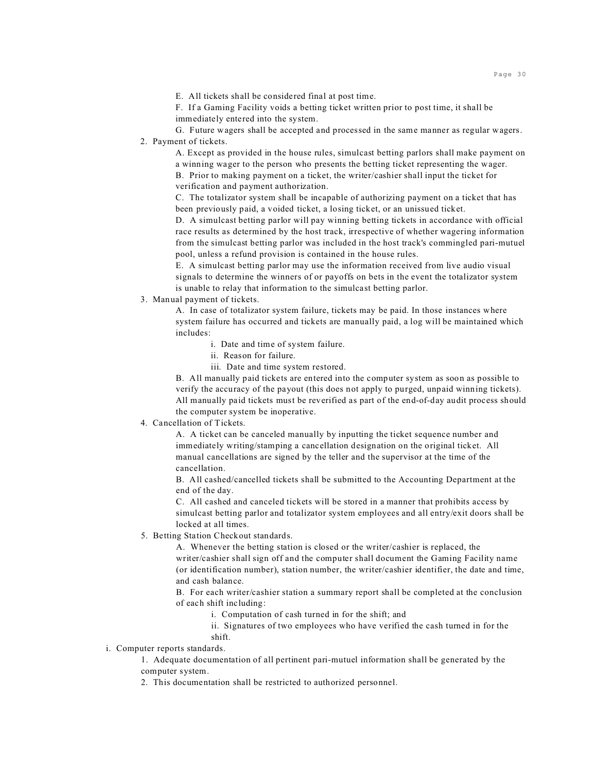E. All tickets shall be considered final at post time.

F. If a Gaming Facility voids a betting ticket written prior to post time, it shall be immediately entered into the system.

G. Future wagers shall be accepted and processed in the same manner as regular wagers. 2. Payment of tickets.

A. Except as provided in the house rules, simulcast betting parlors shall make payment on a winning wager to the person who presents the betting ticket representing the wager. B. Prior to making payment on a ticket, the writer/cashier shall input the ticket for verification and payment authorization.

C. The totalizator system shall be incapable of authorizing payment on a ticket that has been previously paid, a voided ticket, a losing ticket, or an unissued ticket.

D. A simulcast betting parlor will pay winning betting tickets in accordance with official race results as determined by the host track, irrespective of whether wagering information from the simulcast betting parlor was included in the host track's commingled pari-mutuel pool, unless a refund provision is contained in the house rules.

E. A simulcast betting parlor may use the information received from live audio visual signals to determine the winners of or payoffs on bets in the event the totalizator system is unable to relay that information to the simulcast betting parlor.

3.Manual payment of tickets.

A. In case of totalizator system failure, tickets may be paid. In those instances where system failure has occurred and tickets are manually paid, a log will be maintained which includes:

- i. Date and time of system failure.
- ii. Reason for failure.
- iii. Date and time system restored.

B. All manually paid tickets are entered into the computer system as soon as possible to verify the accuracy of the payout (this does not apply to purged, unpaid winning tickets). All manually paid tickets must be reverified as part of the end-of-day audit process should the computer system be inoperative.

## 4. Cancellation of Tickets.

A. A ticket can be canceled manually by inputting the ticket sequence number and immediately writing/stamping a cancellation designation on the original ticket. All manual cancellations are signed by the teller and the supervisor at the time of the cancellation.

B. All cashed/cancelled tickets shall be submitted to the Accounting Department at the end of the day.

C. All cashed and canceled tickets will be stored in a manner that prohibits access by simulcast betting parlor and totalizator system employees and all entry/exit doors shall be locked at all times.

5. Betting Station Checkout standards.

A. Whenever the betting station is closed or the writer/cashier is replaced, the writer/cashier shall sign off and the computer shall document the Gaming Facility name (or identification number), station number, the writer/cashier identifier, the date and time, and cash balance.

B. For each writer/cashier station a summary report shall be completed at the conclusion of each shift including:

i. Computation of cash turned in for the shift; and

ii. Signatures of two employees who have verified the cash turned in for the shift.

i. Computer reports standards.

1. Adequate documentation of all pertinent pari-mutuel information shall be generated by the computer system.

2. This documentation shall be restricted to authorized personnel.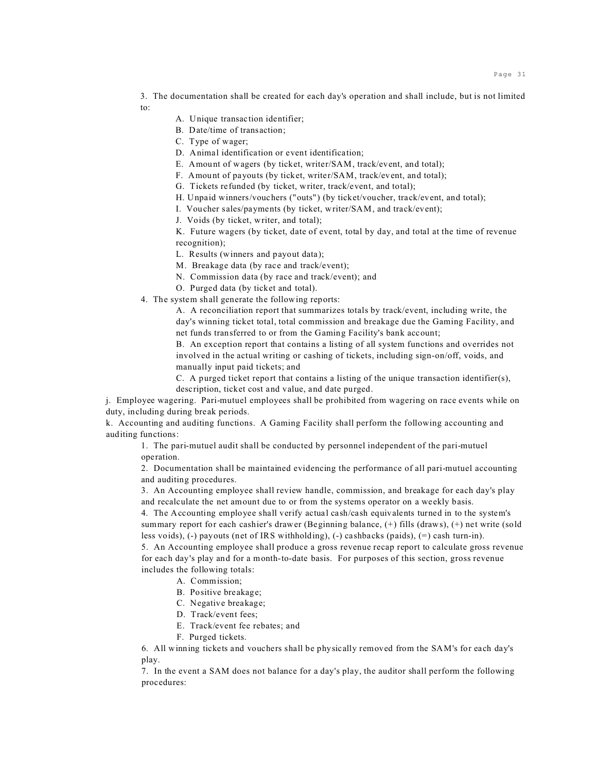3. The documentation shall be created for each day's operation and shall include, but is not limited to:

- A. Unique transaction identifier;
- B. Date/time of transaction;
- C. Type of wager;
- D. Animal identification or event identification;
- E. Amount of wagers (by ticket, writer/SAM, track/event, and total);
- F. Amount of payouts (by ticket, writer/SAM, track/event, and total);
- G. Tickets refunded (by ticket, writer, track/event, and total);
- H. Unpaid winners/vouchers ("outs") (by ticket/voucher, track/event, and total);
- I. Voucher sales/payments (by ticket, writer/SAM, and track/event);
- J. Voids (by ticket, writer, and total);

K. Future wagers (by ticket, date of event, total by day, and total at the time of revenue recognition);

L. Results (winners and payout data);

- M. Breakage data (by race and track/event);
- N. Commission data (by race and track/event); and
- O. Purged data (by ticket and total).
- 4. The system shall generate the following reports:

A. A reconciliation report that summarizes totals by track/event, including write, the day's winning ticket total, total commission and breakage due the Gaming Facility, and net funds transferred to or from the Gaming Facility's bank account;

B. An exception report that contains a listing of all system functions and overrides not involved in the actual writing or cashing of tickets, including sign-on/off, voids, and manually input paid tickets; and

C. A purged ticket report that contains a listing of the unique transaction identifier(s), description, ticket cost and value, and date purged.

j. Employee wagering. Pari-mutuel employees shall be prohibited from wagering on race events while on duty, including during break periods.

k. Accounting and auditing functions. A Gaming Facility shall perform the following accounting and auditing functions:

1. The pari-mutuel audit shall be conducted by personnel independent of the pari-mutuel operation.

2. Documentation shall be maintained evidencing the performance of all pari-mutuel accounting and auditing procedures.

3. An Accounting employee shall review handle, commission, and breakage for each day's play and recalculate the net amount due to or from the systems operator on a weekly basis.

4. The Accounting employee shall verify actual cash/cash equivalents turned in to the system's summary report for each cashier's drawer (Beginning balance,  $(+)$  fills (draws),  $(+)$  net write (sold less voids), (-) payouts (net of IRS withholding), (-) cashbacks (paids), (=) cash turn-in).

5. An Accounting employee shall produce a gross revenue recap report to calculate gross revenue for each day's play and for a month-to-date basis. For purposes of this section, gross revenue includes the following totals:

- A. Commission;
- B. Positive breakage;
- C. Negative breakage;
- D. Track/event fees;
- E. Track/event fee rebates; and
- F. Purged tickets.

6. All winning tickets and vouchers shall be physically removed from the SAM's for each day's play.

7. In the event a SAM does not balance for a day's play, the auditor shall perform the following procedures: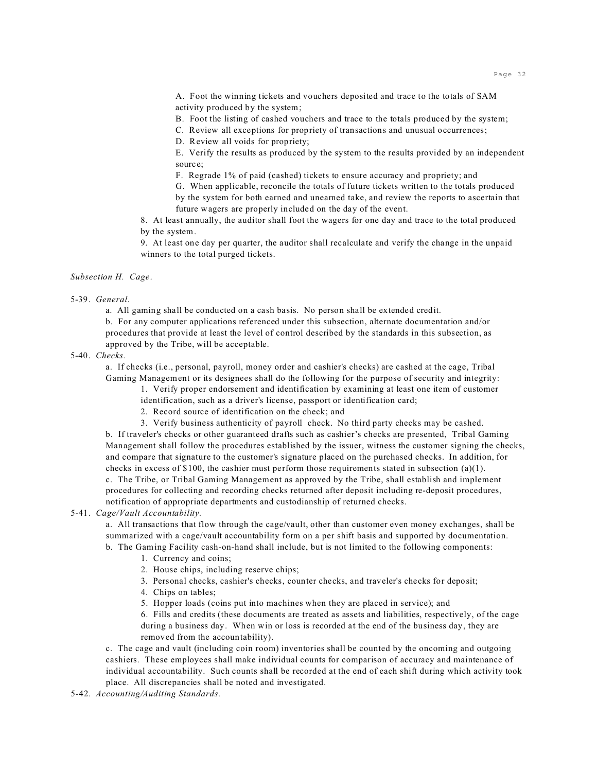A. Foot the winning tickets and vouchers deposited and trace to the totals of SAM activity produced by the system;

B. Foot the listing of cashed vouchers and trace to the totals produced by the system;

C. Review all exceptions for propriety of transactions and unusual occurrences;

D. Review all voids for propriety;

E. Verify the results as produced by the system to the results provided by an independent source;

F. Regrade 1% of paid (cashed) tickets to ensure accuracy and propriety; and

G. When applicable, reconcile the totals of future tickets written to the totals produced by the system for both earned and unearned take, and review the reports to ascertain that future wagers are properly included on the day of the event.

8. At least annually, the auditor shall foot the wagers for one day and trace to the total produced by the system.

9. At least one day per quarter, the auditor shall recalculate and verify the change in the unpaid winners to the total purged tickets.

## *Subsection H. Cage*.

### 5-39. *General*.

a. All gaming shall be conducted on a cash basis. No person shall be extended credit.

b. For any computer applications referenced under this subsection, alternate documentation and/or procedures that provide at least the level of control described by the standards in this subsection, as approved by the Tribe, will be acceptable.

5-40. *Checks.*

a. If checks (i.e., personal, payroll, money order and cashier's checks) are cashed at the cage, Tribal Gaming Management or its designees shall do the following for the purpose of security and integrity:

1. Verify proper endorsement and identification by examining at least one item of customer

identification, such as a driver's license, passport or identification card;

2. Record source of identification on the check; and

3. Verify business authenticity of payroll check. No third party checks may be cashed.

b. If traveler's checks or other guaranteed drafts such as cashier's checks are presented, Tribal Gaming Management shall follow the procedures established by the issuer, witness the customer signing the checks, and compare that signature to the customer's signature placed on the purchased checks. In addition, for checks in excess of \$100, the cashier must perform those requirements stated in subsection (a)(1).

c. The Tribe, or Tribal Gaming Management as approved by the Tribe, shall establish and implement procedures for collecting and recording checks returned after deposit including re-deposit procedures, notification of appropriate departments and custodianship of returned checks.

## 5-41. *Cage/Vault Accountability.*

a. All transactions that flow through the cage/vault, other than customer even money exchanges, shall be summarized with a cage/vault accountability form on a per shift basis and supported by documentation. b. The Gaming Facility cash-on-hand shall include, but is not limited to the following components:

- 1. Currency and coins;
- 2. House chips, including reserve chips;
- 3. Personal checks, cashier's checks, counter checks, and traveler's checks for deposit;
- 4. Chips on tables;

5. Hopper loads (coins put into machines when they are placed in service); and

6. Fills and credits (these documents are treated as assets and liabilities, respectively, of the cage during a business day. When win or loss is recorded at the end of the business day, they are removed from the accountability).

c. The cage and vault (including coin room) inventories shall be counted by the oncoming and outgoing cashiers. These employees shall make individual counts for comparison of accuracy and maintenance of individual accountability. Such counts shall be recorded at the end of each shift during which activity took place. All discrepancies shall be noted and investigated.

5-42. *Accounting/Auditing Standards*.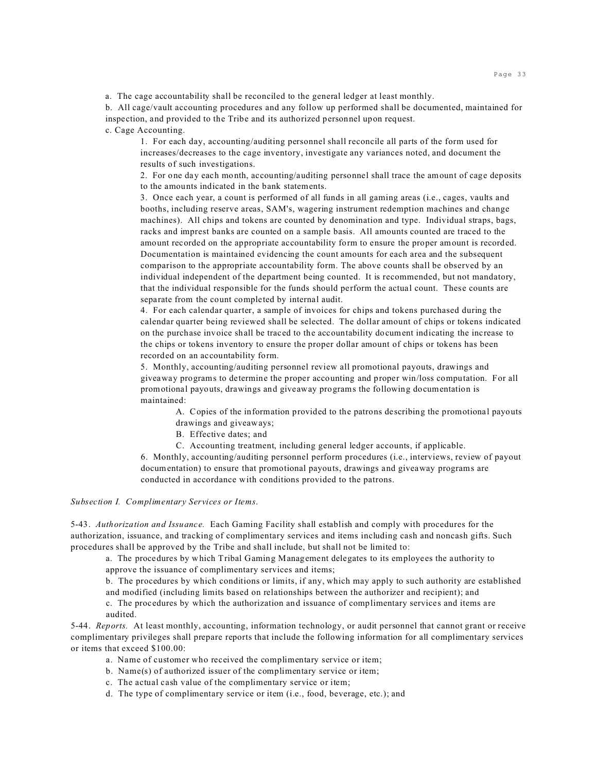a. The cage accountability shall be reconciled to the general ledger at least monthly.

b. All cage/vault accounting procedures and any follow up performed shall be documented, maintained for inspection, and provided to the Tribe and its authorized personnel upon request.

c. Cage Accounting.

1. For each day, accounting/auditing personnel shall reconcile all parts of the form used for increases/decreases to the cage inventory, investigate any variances noted, and document the results of such investigations.

2. For one day each month, accounting/auditing personnel shall trace the amount of cage deposits to the amounts indicated in the bank statements.

3. Once each year, a count is performed of all funds in all gaming areas (i.e., cages, vaults and booths, including reserve areas, SAM's, wagering instrument redemption machines and change machines). All chips and tokens are counted by denomination and type. Individual straps, bags, racks and imprest banks are counted on a sample basis. All amounts counted are traced to the amount recorded on the appropriate accountability form to ensure the proper amount is recorded. Documentation is maintained evidencing the count amounts for each area and the subsequent comparison to the appropriate accountability form. The above counts shall be observed by an individual independent of the department being counted. It is recommended, but not mandatory, that the individual responsible for the funds should perform the actual count. These counts are separate from the count completed by internal audit.

4. For each calendar quarter, a sample of invoices for chips and tokens purchased during the calendar quarter being reviewed shall be selected. The dollar amount of chips or tokens indicated on the purchase invoice shall be traced to the accountability document indicating the increase to the chips or tokens inventory to ensure the proper dollar amount of chips or tokens has been recorded on an accountability form.

5. Monthly, accounting/auditing personnel review all promotional payouts, drawings and giveaway programs to determine the proper accounting and proper win/loss computation. For all promotional payouts, drawings and giveaway programs the following documentation is maintained:

A. Copies of the information provided to the patrons describing the promotional payouts drawings and giveaways;

B. Effective dates; and

C. Accounting treatment, including general ledger accounts, if applicable.

6. Monthly, accounting/auditing personnel perform procedures (i.e., interviews, review of payout documentation) to ensure that promotional payouts, drawings and giveaway programs are conducted in accordance with conditions provided to the patrons.

## *Subsection I. Complimentary Services or Items*.

5-43. *Authorization and Issuance.* Each Gaming Facility shall establish and comply with procedures for the authorization, issuance, and tracking of complimentary services and items including cash and noncash gifts. Such procedures shall be approved by the Tribe and shall include, but shall not be limited to:

a. The procedures by which Tribal Gaming Management delegates to its employees the authority to approve the issuance of complimentary services and items;

b. The procedures by which conditions or limits, if any, which may apply to such authority are established

and modified (including limits based on relationships between the authorizer and recipient); and

c. The procedures by which the authorization and issuance of complimentary services and items are audited.

5-44. *Reports.* At least monthly, accounting, information technology, or audit personnel that cannot grant or receive complimentary privileges shall prepare reports that include the following information for all complimentary services or items that exceed \$100.00:

- a. Name of customer who received the complimentary service or item;
- b. Name(s) of authorized issuer of the complimentary service or item;
- c. The actual cash value of the complimentary service or item;
- d. The type of complimentary service or item (i.e., food, beverage, etc.); and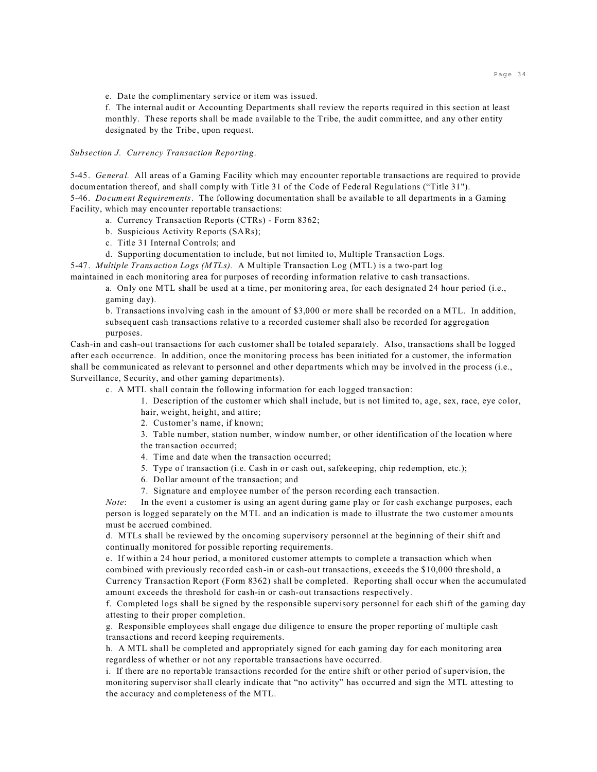e. Date the complimentary service or item was issued.

f. The internal audit or Accounting Departments shall review the reports required in this section at least monthly. These reports shall be made available to the Tribe, the audit committee, and any other entity designated by the Tribe, upon request.

*Subsection J. Currency Transaction Reporting*.

5-45. *General.* All areas of a Gaming Facility which may encounter reportable transactions are required to provide documentation thereof, and shall comply with Title 31 of the Code of Federal Regulations ("Title 31"). 5-46. *Document Requirements*. The following documentation shall be available to all departments in a Gaming Facility, which may encounter reportable transactions:

- a. Currency Transaction Reports (CTRs) Form 8362;
- b. Suspicious Activity Reports (SARs);
- c. Title 31 Internal Controls; and
- d. Supporting documentation to include, but not limited to, Multiple Transaction Logs.

5-47. *Multiple Transaction Logs (MTLs).* A Multiple Transaction Log (MTL) is a two-part log maintained in each monitoring area for purposes of recording information relative to cash transactions.

a. Only one MTL shall be used at a time, per monitoring area, for each designated 24 hour period (i.e., gaming day).

b. Transactions involving cash in the amount of \$3,000 or more shall be recorded on a MTL. In addition, subsequent cash transactions relative to a recorded customer shall also be recorded for aggregation purposes.

Cash-in and cash-out transactions for each customer shall be totaled separately. Also, transactions shall be logged after each occurrence. In addition, once the monitoring process has been initiated for a customer, the information shall be communicated as relevant to personnel and other departments which may be involved in the process (i.e., Surveillance, Security, and other gaming departments).

c. A MTL shall contain the following information for each logged transaction:

1. Description of the customer which shall include, but is not limited to, age, sex, race, eye color, hair, weight, height, and attire;

2. Customer's name, if known;

3. Table number, station number, window number, or other identification of the location where

the transaction occurred;

- 4. Time and date when the transaction occurred;
- 5. Type of transaction (i.e. Cash in or cash out, safekeeping, chip redemption, etc.);
- 6. Dollar amount of the transaction; and
- 7. Signature and employee number of the person recording each transaction.

*Note*: In the event a customer is using an agent during game play or for cash exchange purposes, each person is logged separately on the MTL and an indication is made to illustrate the two customer amounts must be accrued combined.

d. MTLs shall be reviewed by the oncoming supervisory personnel at the beginning of their shift and continually monitored for possible reporting requirements.

e. If within a 24 hour period, a monitored customer attempts to complete a transaction which when combined with previously recorded cash-in or cash-out transactions, exceeds the \$10,000 threshold, a Currency Transaction Report (Form 8362) shall be completed. Reporting shall occur when the accumulated amount exceeds the threshold for cash-in or cash-out transactions respectively.

f. Completed logs shall be signed by the responsible supervisory personnel for each shift of the gaming day attesting to their proper completion.

g. Responsible employees shall engage due diligence to ensure the proper reporting of multiple cash transactions and record keeping requirements.

h. A MTL shall be completed and appropriately signed for each gaming day for each monitoring area regardless of whether or not any reportable transactions have occurred.

i. If there are no reportable transactions recorded for the entire shift or other period of supervision, the monitoring supervisor shall clearly indicate that "no activity" has occurred and sign the MTL attesting to the accuracy and completeness of the MTL.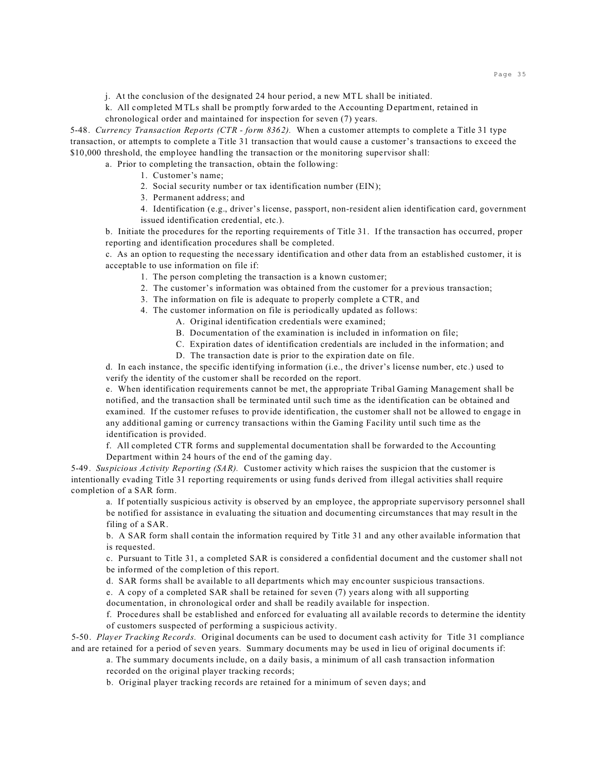j. At the conclusion of the designated 24 hour period, a new MTL shall be initiated.

k. All completed MTLs shall be promptly forwarded to the Accounting Department, retained in chronological order and maintained for inspection for seven (7) years.

5-48. *Currency Transaction Reports (CTR - form 8362).* When a customer attempts to complete a Title 31 type transaction, or attempts to complete a Title 31 transaction that would cause a customer's transactions to exceed the \$10,000 threshold, the employee handling the transaction or the monitoring supervisor shall:

a. Prior to completing the transaction, obtain the following:

1. Customer's name;

2. Social security number or tax identification number (EIN);

3. Permanent address; and

4. Identification (e.g., driver's license, passport, non-resident alien identification card, government issued identification credential, etc.).

b. Initiate the procedures for the reporting requirements of Title 31. If the transaction has occurred, proper reporting and identification procedures shall be completed.

c. As an option to requesting the necessary identification and other data from an established customer, it is acceptable to use information on file if:

1. The person completing the transaction is a known customer;

- 2. The customer's information was obtained from the customer for a previous transaction;
- 3. The information on file is adequate to properly complete a CTR, and
- 4. The customer information on file is periodically updated as follows:
	- A. Original identification credentials were examined;
	- B. Documentation of the examination is included in information on file;
	- C. Expiration dates of identification credentials are included in the information; and
	- D. The transaction date is prior to the expiration date on file.

d. In each instance, the specific identifying information (i.e., the driver's license number, etc.) used to verify the identity of the customer shall be recorded on the report.

e. When identification requirements cannot be met, the appropriate Tribal Gaming Management shall be notified, and the transaction shall be terminated until such time as the identification can be obtained and examined. If the customer refuses to provide identification, the customer shall not be allowed to engage in any additional gaming or currency transactions within the Gaming Facility until such time as the identification is provided.

f. All completed CTR forms and supplemental documentation shall be forwarded to the Accounting Department within 24 hours of the end of the gaming day.

5-49. *Suspicious Activity Reporting (SAR).* Customer activity which raises the suspicion that the customer is intentionally evading Title 31 reporting requirements or using funds derived from illegal activities shall require completion of a SAR form.

a. If potentially suspicious activity is observed by an employee, the appropriate supervisory personnel shall be notified for assistance in evaluating the situation and documenting circumstances that may result in the filing of a SAR.

b. A SAR form shall contain the information required by Title 31 and any other available information that is requested.

c. Pursuant to Title 31, a completed SAR is considered a confidential document and the customer shall not be informed of the completion of this report.

d. SAR forms shall be available to all departments which may encounter suspicious transactions.

e. A copy of a completed SAR shall be retained for seven (7) years along with all supporting

documentation, in chronological order and shall be readily available for inspection.

f. Procedures shall be established and enforced for evaluating all available records to determine the identity of customers suspected of performing a suspicious activity.

5-50. *Player Tracking Records.* Original documents can be used to document cash activity for Title 31 compliance and are retained for a period of seven years. Summary documents may be used in lieu of original documents if:

a. The summary documents include, on a daily basis, a minimum of all cash transaction information recorded on the original player tracking records;

b. Original player tracking records are retained for a minimum of seven days; and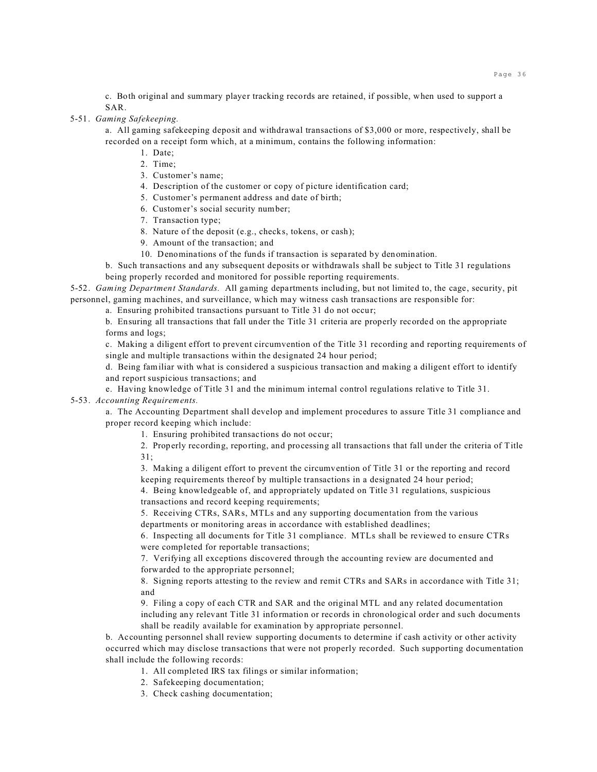c. Both original and summary player tracking records are retained, if possible, when used to support a SAR.

5-51. *Gaming Safekeeping.*

a. All gaming safekeeping deposit and withdrawal transactions of \$3,000 or more, respectively, shall be recorded on a receipt form which, at a minimum, contains the following information:

- 1. Date;
- 2. Time;
- 3. Customer's name;
- 4. Description of the customer or copy of picture identification card;
- 5. Customer's permanent address and date of birth;
- 6. Customer's social security number;
- 7. Transaction type;
- 8. Nature of the deposit (e.g., checks, tokens, or cash);
- 9. Amount of the transaction; and
- 10. Denominations of the funds if transaction is separated by denomination.
- b. Such transactions and any subsequent deposits or withdrawals shall be subject to Title 31 regulations being properly recorded and monitored for possible reporting requirements.

5-52. *Gaming Department Standards.* All gaming departments including, but not limited to, the cage, security, pit personnel, gaming machines, and surveillance, which may witness cash transactions are responsible for:

a. Ensuring prohibited transactions pursuant to Title 31 do not occur;

b. Ensuring all transactions that fall under the Title 31 criteria are properly recorded on the appropriate forms and logs;

c. Making a diligent effort to prevent circumvention of the Title 31 recording and reporting requirements of single and multiple transactions within the designated 24 hour period;

d. Being familiar with what is considered a suspicious transaction and making a diligent effort to identify and report suspicious transactions; and

e. Having knowledge of Title 31 and the minimum internal control regulations relative to Title 31. 5-53. *Accounting Requirements.*

a. The Accounting Department shall develop and implement procedures to assure Title 31 compliance and proper record keeping which include:

1. Ensuring prohibited transactions do not occur;

2. Properly recording, reporting, and processing all transactions that fall under the criteria of Title 31;

3. Making a diligent effort to prevent the circumvention of Title 31 or the reporting and record keeping requirements thereof by multiple transactions in a designated 24 hour period;

4. Being knowledgeable of, and appropriately updated on Title 31 regulations, suspicious transactions and record keeping requirements;

5. Receiving CTRs, SARs, MTLs and any supporting documentation from the various departments or monitoring areas in accordance with established deadlines;

6. Inspecting all documents for Title 31 compliance. MTLs shall be reviewed to ensure CTRs were completed for reportable transactions;

7. Verifying all exceptions discovered through the accounting review are documented and forwarded to the appropriate personnel;

8. Signing reports attesting to the review and remit CTRs and SARs in accordance with Title 31; and

9. Filing a copy of each CTR and SAR and the original MTL and any related documentation including any relevant Title 31 information or records in chronological order and such documents shall be readily available for examination by appropriate personnel.

b. Accounting personnel shall review supporting documents to determine if cash activity or other activity occurred which may disclose transactions that were not properly recorded. Such supporting documentation shall include the following records:

- 1. All completed IRS tax filings or similar information;
- 2. Safekeeping documentation;

3. Check cashing documentation;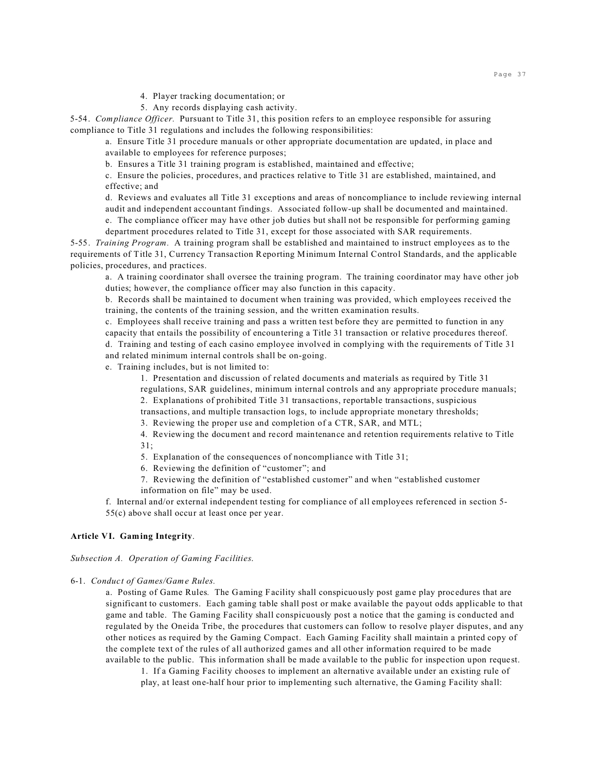4. Player tracking documentation; or

5. Any records displaying cash activity.

5-54. *Compliance Officer.* Pursuant to Title 31, this position refers to an employee responsible for assuring compliance to Title 31 regulations and includes the following responsibilities:

a. Ensure Title 31 procedure manuals or other appropriate documentation are updated, in place and available to employees for reference purposes;

b. Ensures a Title 31 training program is established, maintained and effective;

c. Ensure the policies, procedures, and practices relative to Title 31 are established, maintained, and effective; and

d. Reviews and evaluates all Title 31 exceptions and areas of noncompliance to include reviewing internal

audit and independent accountant findings. Associated follow-up shall be documented and maintained. e. The compliance officer may have other job duties but shall not be responsible for performing gaming

department procedures related to Title 31, except for those associated with SAR requirements.

5-55. *Training Program.* A training program shall be established and maintained to instruct employees as to the requirements of Title 31, Currency Transaction Reporting Minimum Internal Control Standards, and the applicable policies, procedures, and practices.

a. A training coordinator shall oversee the training program. The training coordinator may have other job duties; however, the compliance officer may also function in this capacity.

b. Records shall be maintained to document when training was provided, which employees received the training, the contents of the training session, and the written examination results.

c. Employees shall receive training and pass a written test before they are permitted to function in any capacity that entails the possibility of encountering a Title 31 transaction or relative procedures thereof. d. Training and testing of each casino employee involved in complying with the requirements of Title 31 and related minimum internal controls shall be on-going.

e. Training includes, but is not limited to:

1. Presentation and discussion of related documents and materials as required by Title 31 regulations, SAR guidelines, minimum internal controls and any appropriate procedure manuals; 2. Explanations of prohibited Title 31 transactions, reportable transactions, suspicious

transactions, and multiple transaction logs, to include appropriate monetary thresholds;

3. Reviewing the proper use and completion of a CTR, SAR, and MTL;

4. Reviewing the document and record maintenance and retention requirements relative to Title 31;

5. Explanation of the consequences of noncompliance with Title 31;

6. Reviewing the definition of "customer"; and

7. Reviewing the definition of "established customer" and when "established customer information on file" may be used.

f. Internal and/or external independent testing for compliance of all employees referenced in section 5- 55(c) above shall occur at least once per year.

## **Article VI. Gaming Integrity**.

### *Subsection A. Operation of Gaming Facilities*.

### 6-1. *Conduct of Games/Game Rules.*

a. Posting of Game Rules*.* The Gaming Facility shall conspicuously post game play procedures that are significant to customers. Each gaming table shall post or make available the payout odds applicable to that game and table. The Gaming Facility shall conspicuously post a notice that the gaming is conducted and regulated by the Oneida Tribe, the procedures that customers can follow to resolve player disputes, and any other notices as required by the Gaming Compact. Each Gaming Facility shall maintain a printed copy of the complete text of the rules of all authorized games and all other information required to be made available to the public. This information shall be made available to the public for inspection upon request.

1. If a Gaming Facility chooses to implement an alternative available under an existing rule of play, at least one-half hour prior to implementing such alternative, the Gaming Facility shall: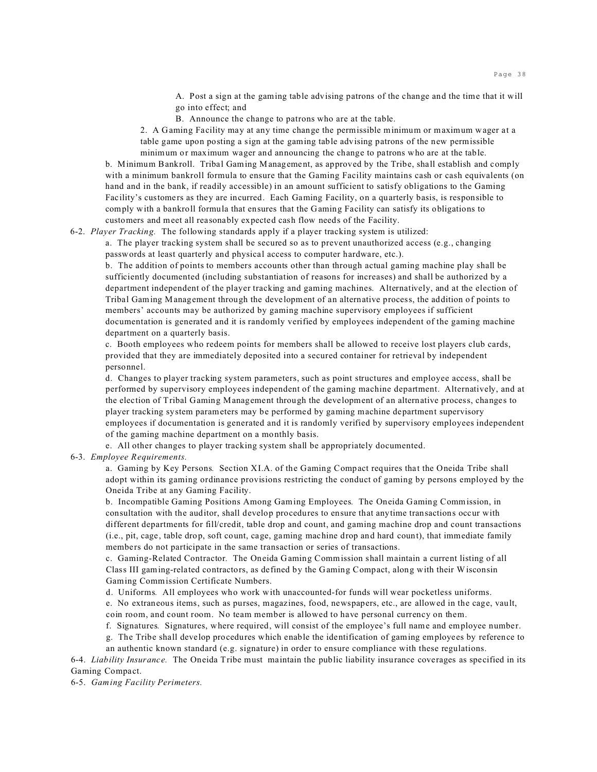A. Post a sign at the gaming table advising patrons of the change and the time that it will go into effect; and

B. Announce the change to patrons who are at the table.

2. A Gaming Facility may at any time change the permissible minimum or maximum wager at a table game upon posting a sign at the gaming table advising patrons of the new permissible minimum or maximum wager and announcing the change to patrons who are at the table.

b. Minimum Bankroll. Tribal Gaming Management, as approved by the Tribe, shall establish and comply with a minimum bankroll formula to ensure that the Gaming Facility maintains cash or cash equivalents (on hand and in the bank, if readily accessible) in an amount sufficient to satisfy obligations to the Gaming Facility's customers as they are incurred. Each Gaming Facility, on a quarterly basis, is responsible to comply with a bankroll formula that ensures that the Gaming Facility can satisfy its obligations to customers and meet all reasonably expected cash flow needs of the Facility.

6-2. *Player Tracking.* The following standards apply if a player tracking system is utilized:

a. The player tracking system shall be secured so as to prevent unauthorized access (e.g., changing passwords at least quarterly and physical access to computer hardware, etc.).

b. The addition of points to members accounts other than through actual gaming machine play shall be sufficiently documented (including substantiation of reasons for increases) and shall be authorized by a department independent of the player tracking and gaming machines. Alternatively, and at the election of Tribal Gaming Management through the development of an alternative process, the addition of points to members' accounts may be authorized by gaming machine supervisory employees if sufficient documentation is generated and it is randomly verified by employees independent of the gaming machine department on a quarterly basis.

c. Booth employees who redeem points for members shall be allowed to receive lost players club cards, provided that they are immediately deposited into a secured container for retrieval by independent personnel.

d. Changes to player tracking system parameters, such as point structures and employee access, shall be performed by supervisory employees independent of the gaming machine department. Alternatively, and at the election of Tribal Gaming Management through the development of an alternative process, changes to player tracking system parameters may be performed by gaming machine department supervisory employees if documentation is generated and it is randomly verified by supervisory employees independent of the gaming machine department on a monthly basis.

e. All other changes to player tracking system shall be appropriately documented.

6-3. *Employee Requirements.*

a. Gaming by Key Persons*.* Section XI.A. of the Gaming Compact requires that the Oneida Tribe shall adopt within its gaming ordinance provisions restricting the conduct of gaming by persons employed by the Oneida Tribe at any Gaming Facility.

b. Incompatible Gaming Positions Among Gaming Employees*.* The Oneida Gaming Commission, in consultation with the auditor, shall develop procedures to ensure that anytime transactions occur with different departments for fill/credit, table drop and count, and gaming machine drop and count transactions (i.e., pit, cage, table drop, soft count, cage, gaming machine drop and hard count), that immediate family members do not participate in the same transaction or series of transactions.

c. Gaming-Related Contractor*.* The Oneida Gaming Commission shall maintain a current listing of all Class III gaming-related contractors, as defined by the Gaming Compact, along with their Wisconsin Gaming Commission Certificate Numbers.

d. Uniforms*.* All employees who work with unaccounted-for funds will wear pocketless uniforms.

e. No extraneous items, such as purses, magazines, food, newspapers, etc., are allowed in the cage, vault, coin room, and count room. No team member is allowed to have personal currency on them.

f. Signatures*.* Signatures, where required, will consist of the employee's full name and employee number.

g. The Tribe shall develop procedures which enable the identification of gaming employees by reference to an authentic known standard (e.g. signature) in order to ensure compliance with these regulations.

6-4. *Liability Insurance.* The Oneida Tribe must maintain the public liability insurance coverages as specified in its Gaming Compact.

6-5. *Gaming Facility Perimeters.*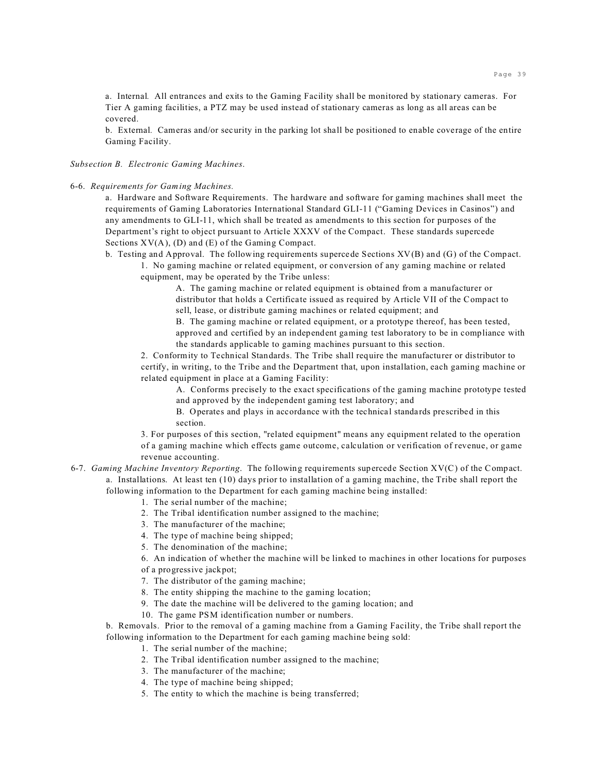a. Internal*.* All entrances and exits to the Gaming Facility shall be monitored by stationary cameras. For Tier A gaming facilities, a PTZ may be used instead of stationary cameras as long as all areas can be covered.

b. External*.* Cameras and/or security in the parking lot shall be positioned to enable coverage of the entire Gaming Facility.

*Subsection B. Electronic Gaming Machines*.

6-6. *Requirements for Gaming Machines.*

a. Hardware and Software Requirements. The hardware and software for gaming machines shall meet the requirements of Gaming Laboratories International Standard GLI-11 ("Gaming Devices in Casinos") and any amendments to GLI-11, which shall be treated as amendments to this section for purposes of the Department's right to object pursuant to Article XXXV of the Compact. These standards supercede Sections  $XV(A)$ , (D) and (E) of the Gaming Compact.

b. Testing and Approval. The following requirements supercede Sections XV(B) and (G) of the Compact.

 1. No gaming machine or related equipment, or conversion of any gaming machine or related equipment, may be operated by the Tribe unless:

> A. The gaming machine or related equipment is obtained from a manufacturer or distributor that holds a Certificate issued as required by Article VII of the Compact to sell, lease, or distribute gaming machines or related equipment; and

B. The gaming machine or related equipment, or a prototype thereof, has been tested, approved and certified by an independent gaming test laboratory to be in compliance with the standards applicable to gaming machines pursuant to this section.

2. Conformity to Technical Standards. The Tribe shall require the manufacturer or distributor to certify, in writing, to the Tribe and the Department that, upon installation, each gaming machine or related equipment in place at a Gaming Facility:

A. Conforms precisely to the exact specifications of the gaming machine prototype tested and approved by the independent gaming test laboratory; and

B. Operates and plays in accordance with the technical standards prescribed in this section.

3. For purposes of this section, "related equipment" means any equipment related to the operation of a gaming machine which effects game outcome, calculation or verification of revenue, or game revenue accounting.

- 6-7. *Gaming Machine Inventory Reporting*. The following requirements supercede Section XV(C) of the Compact. a. Installations. At least ten (10) days prior to installation of a gaming machine, the Tribe shall report the following information to the Department for each gaming machine being installed:
	- 1. The serial number of the machine;
	- 2. The Tribal identification number assigned to the machine;
	- 3. The manufacturer of the machine;
	- 4. The type of machine being shipped;
	- 5. The denomination of the machine;

6. An indication of whether the machine will be linked to machines in other locations for purposes of a progressive jackpot;

- 7. The distributor of the gaming machine;
- 8. The entity shipping the machine to the gaming location;
- 9. The date the machine will be delivered to the gaming location; and
- 10. The game PSM identification number or numbers.

b. Removals. Prior to the removal of a gaming machine from a Gaming Facility, the Tribe shall report the following information to the Department for each gaming machine being sold:

- 1. The serial number of the machine;
- 2. The Tribal identification number assigned to the machine;
- 3. The manufacturer of the machine;
- 4. The type of machine being shipped;
- 5. The entity to which the machine is being transferred;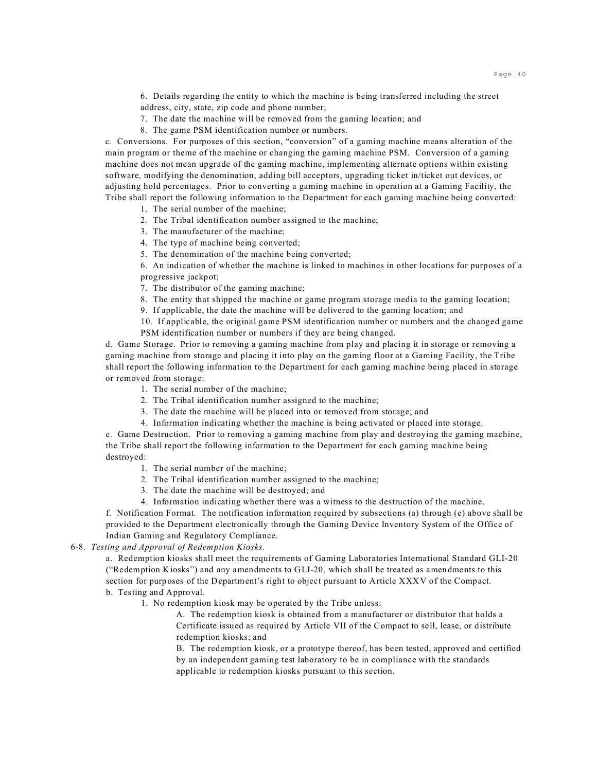6. Details regarding the entity to which the machine is being transferred including the street address, city, state, zip code and phone number;

- 7. The date the machine will be removed from the gaming location; and
- 8. The game PSM identification number or numbers.

c. Conversions. For purposes of this section, "conversion" of a gaming machine means alteration of the main program or theme of the machine or changing the gaming machine PSM. Conversion of a gaming machine does not mean upgrade of the gaming machine, implementing alternate options within existing software, modifying the denomination, adding bill acceptors, upgrading ticket in/ticket out devices, or adjusting hold percentages. Prior to converting a gaming machine in operation at a Gaming Facility, the Tribe shall report the following information to the Department for each gaming machine being converted:

- 1. The serial number of the machine;
- 2. The Tribal identification number assigned to the machine;
- 3. The manufacturer of the machine;
- 4. The type of machine being converted;
- 5. The denomination of the machine being converted;

6. An indication of whether the machine is linked to machines in other locations for purposes of a progressive jackpot;

- 7. The distributor of the gaming machine;
- 8. The entity that shipped the machine or game program storage media to the gaming location;
- 9. If applicable, the date the machine will be delivered to the gaming location; and

10. If applicable, the original game PSM identification number or numbers and the changed game PSM identification number or numbers if they are being changed.

d. Game Storage. Prior to removing a gaming machine from play and placing it in storage or removing a gaming machine from storage and placing it into play on the gaming floor at a Gaming Facility, the Tribe shall report the following information to the Department for each gaming machine being placed in storage or removed from storage:

- 1. The serial number of the machine;
- 2. The Tribal identification number assigned to the machine;
- 3. The date the machine will be placed into or removed from storage; and
- 4. Information indicating whether the machine is being activated or placed into storage.

e. Game Destruction. Prior to removing a gaming machine from play and destroying the gaming machine, the Tribe shall report the following information to the Department for each gaming machine being destroyed:

- 1. The serial number of the machine;
- 2. The Tribal identification number assigned to the machine;
- 3. The date the machine will be destroyed; and
- 4. Information indicating whether there was a witness to the destruction of the machine.

f. Notification Format. The notification information required by subsections (a) through (e) above shall be provided to the Department electronically through the Gaming Device Inventory System of the Office of Indian Gaming and Regulatory Compliance.

6-8. *Testing and Approval of Redemption Kiosks.*

a. Redemption kiosks shall meet the requirements of Gaming Laboratories International Standard GLI-20 ("Redemption Kiosks") and any amendments to GLI-20, which shall be treated as amendments to this section for purposes of the Department's right to object pursuant to Article XXXV of the Compact. b. Testing and Approval.

1. No redemption kiosk may be operated by the Tribe unless:

A. The redemption kiosk is obtained from a manufacturer or distributor that holds a Certificate issued as required by Article VII of the Compact to sell, lease, or distribute redemption kiosks; and

B. The redemption kiosk, or a prototype thereof, has been tested, approved and certified by an independent gaming test laboratory to be in compliance with the standards applicable to redemption kiosks pursuant to this section.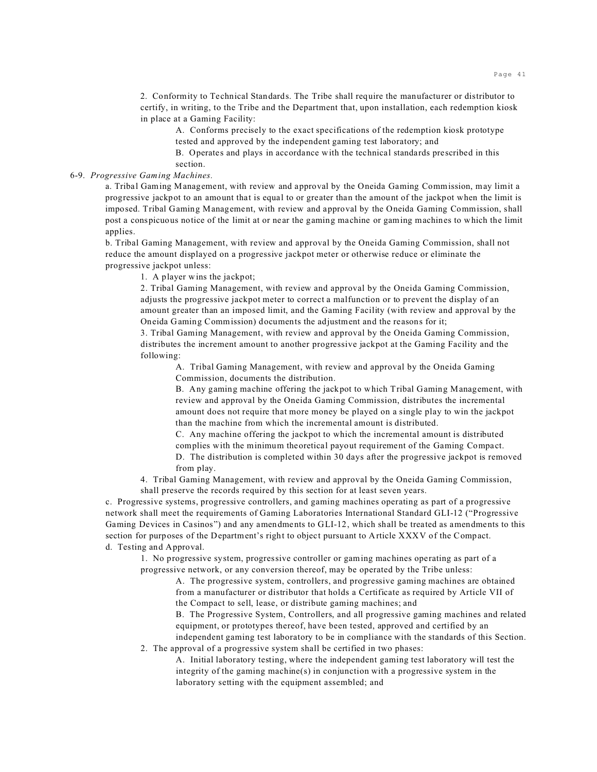2. Conformity to Technical Standards. The Tribe shall require the manufacturer or distributor to certify, in writing, to the Tribe and the Department that, upon installation, each redemption kiosk in place at a Gaming Facility:

A. Conforms precisely to the exact specifications of the redemption kiosk prototype tested and approved by the independent gaming test laboratory; and

B. Operates and plays in accordance with the technical standards prescribed in this section.

# 6-9. *Progressive Gaming Machines.*

a. Tribal Gaming Management, with review and approval by the Oneida Gaming Commission, may limit a progressive jackpot to an amount that is equal to or greater than the amount of the jackpot when the limit is imposed. Tribal Gaming Management, with review and approval by the Oneida Gaming Commission, shall post a conspicuous notice of the limit at or near the gaming machine or gaming machines to which the limit applies.

b. Tribal Gaming Management, with review and approval by the Oneida Gaming Commission, shall not reduce the amount displayed on a progressive jackpot meter or otherwise reduce or eliminate the progressive jackpot unless:

1. A player wins the jackpot;

2. Tribal Gaming Management, with review and approval by the Oneida Gaming Commission, adjusts the progressive jackpot meter to correct a malfunction or to prevent the display of an amount greater than an imposed limit, and the Gaming Facility (with review and approval by the Oneida Gaming Commission) documents the adjustment and the reasons for it;

3. Tribal Gaming Management, with review and approval by the Oneida Gaming Commission, distributes the increment amount to another progressive jackpot at the Gaming Facility and the following:

A. Tribal Gaming Management, with review and approval by the Oneida Gaming Commission, documents the distribution.

B. Any gaming machine offering the jackpot to which Tribal Gaming Management, with review and approval by the Oneida Gaming Commission, distributes the incremental amount does not require that more money be played on a single play to win the jackpot than the machine from which the incremental amount is distributed.

C. Any machine offering the jackpot to which the incremental amount is distributed complies with the minimum theoretical payout requirement of the Gaming Compact. D. The distribution is completed within 30 days after the progressive jackpot is removed from play.

4. Tribal Gaming Management, with review and approval by the Oneida Gaming Commission, shall preserve the records required by this section for at least seven years.

c. Progressive systems, progressive controllers, and gaming machines operating as part of a progressive network shall meet the requirements of Gaming Laboratories International Standard GLI-12 ("Progressive Gaming Devices in Casinos") and any amendments to GLI-12, which shall be treated as amendments to this section for purposes of the Department's right to object pursuant to Article XXXV of the Compact. d. Testing and Approval.

1. No progressive system, progressive controller or gaming machines operating as part of a progressive network, or any conversion thereof, may be operated by the Tribe unless:

A. The progressive system, controllers, and progressive gaming machines are obtained from a manufacturer or distributor that holds a Certificate as required by Article VII of the Compact to sell, lease, or distribute gaming machines; and

B. The Progressive System, Controllers, and all progressive gaming machines and related equipment, or prototypes thereof, have been tested, approved and certified by an

independent gaming test laboratory to be in compliance with the standards of this Section. 2. The approval of a progressive system shall be certified in two phases:

A. Initial laboratory testing, where the independent gaming test laboratory will test the integrity of the gaming machine(s) in conjunction with a progressive system in the laboratory setting with the equipment assembled; and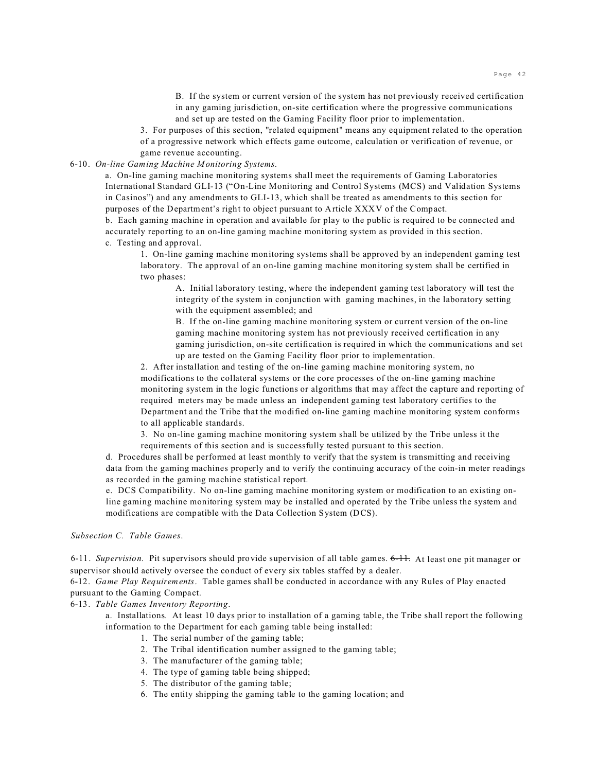B. If the system or current version of the system has not previously received certification in any gaming jurisdiction, on-site certification where the progressive communications and set up are tested on the Gaming Facility floor prior to implementation.

3. For purposes of this section, "related equipment" means any equipment related to the operation

of a progressive network which effects game outcome, calculation or verification of revenue, or game revenue accounting.

# 6-10. *On-line Gaming Machine Monitoring Systems.*

a. On-line gaming machine monitoring systems shall meet the requirements of Gaming Laboratories International Standard GLI-13 ("On-Line Monitoring and Control Systems (MCS) and Validation Systems in Casinos") and any amendments to GLI-13, which shall be treated as amendments to this section for purposes of the Department's right to object pursuant to Article XXXV of the Compact.

b. Each gaming machine in operation and available for play to the public is required to be connected and accurately reporting to an on-line gaming machine monitoring system as provided in this section. c. Testing and approval.

1. On-line gaming machine monitoring systems shall be approved by an independent gaming test laboratory. The approval of an on-line gaming machine monitoring system shall be certified in two phases:

A. Initial laboratory testing, where the independent gaming test laboratory will test the integrity of the system in conjunction with gaming machines, in the laboratory setting with the equipment assembled; and

B. If the on-line gaming machine monitoring system or current version of the on-line gaming machine monitoring system has not previously received certification in any gaming jurisdiction, on-site certification is required in which the communications and set up are tested on the Gaming Facility floor prior to implementation.

2. After installation and testing of the on-line gaming machine monitoring system, no modifications to the collateral systems or the core processes of the on-line gaming machine monitoring system in the logic functions or algorithms that may affect the capture and reporting of required meters may be made unless an independent gaming test laboratory certifies to the Department and the Tribe that the modified on-line gaming machine monitoring system conforms to all applicable standards.

3. No on-line gaming machine monitoring system shall be utilized by the Tribe unless it the requirements of this section and is successfully tested pursuant to this section.

d. Procedures shall be performed at least monthly to verify that the system is transmitting and receiving data from the gaming machines properly and to verify the continuing accuracy of the coin-in meter readings as recorded in the gaming machine statistical report.

e. DCS Compatibility. No on-line gaming machine monitoring system or modification to an existing online gaming machine monitoring system may be installed and operated by the Tribe unless the system and modifications are compatible with the Data Collection System (DCS).

*Subsection C. Table Games*.

6-11. *Supervision.* Pit supervisors should provide supervision of all table games. 6-11. At least one pit manager or supervisor should actively oversee the conduct of every six tables staffed by a dealer.

6-12. *Game Play Requirements*. Table games shall be conducted in accordance with any Rules of Play enacted pursuant to the Gaming Compact.

6-13. *Table Games Inventory Reporting*.

a. Installations. At least 10 days prior to installation of a gaming table, the Tribe shall report the following information to the Department for each gaming table being installed:

- 1. The serial number of the gaming table;
- 2. The Tribal identification number assigned to the gaming table;
- 3. The manufacturer of the gaming table;
- 4. The type of gaming table being shipped;
- 5. The distributor of the gaming table;
- 6. The entity shipping the gaming table to the gaming location; and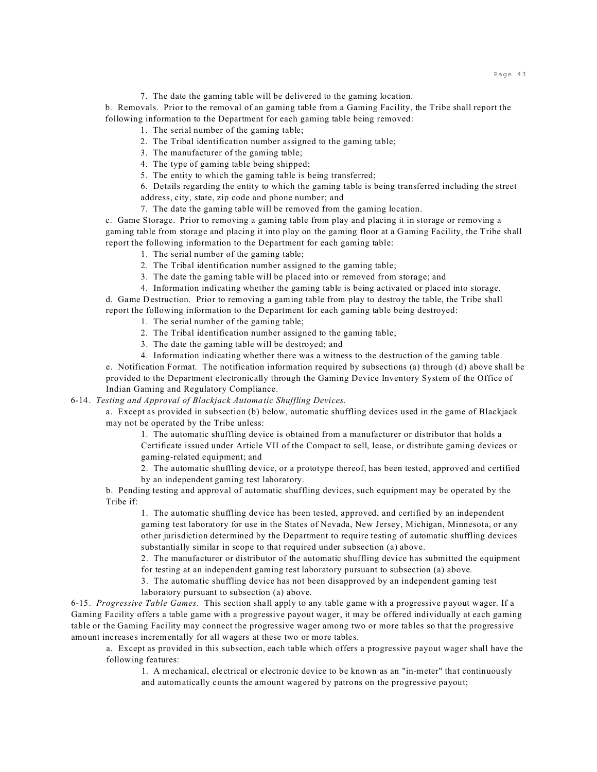#### 7. The date the gaming table will be delivered to the gaming location.

b. Removals. Prior to the removal of an gaming table from a Gaming Facility, the Tribe shall report the following information to the Department for each gaming table being removed:

- 1. The serial number of the gaming table;
- 2. The Tribal identification number assigned to the gaming table;
- 3. The manufacturer of the gaming table;
- 4. The type of gaming table being shipped;
- 5. The entity to which the gaming table is being transferred;

6. Details regarding the entity to which the gaming table is being transferred including the street address, city, state, zip code and phone number; and

7. The date the gaming table will be removed from the gaming location.

c. Game Storage. Prior to removing a gaming table from play and placing it in storage or removing a gaming table from storage and placing it into play on the gaming floor at a Gaming Facility, the Tribe shall report the following information to the Department for each gaming table:

- 1. The serial number of the gaming table;
- 2. The Tribal identification number assigned to the gaming table;
- 3. The date the gaming table will be placed into or removed from storage; and

4. Information indicating whether the gaming table is being activated or placed into storage. d. Game Destruction. Prior to removing a gaming table from play to destroy the table, the Tribe shall

report the following information to the Department for each gaming table being destroyed:

- 1. The serial number of the gaming table;
- 2. The Tribal identification number assigned to the gaming table;
- 3. The date the gaming table will be destroyed; and

4. Information indicating whether there was a witness to the destruction of the gaming table. e. Notification Format. The notification information required by subsections (a) through (d) above shall be provided to the Department electronically through the Gaming Device Inventory System of the Office of Indian Gaming and Regulatory Compliance.

6-14. *Testing and Approval of Blackjack Automatic Shuffling Devices.*

a. Except as provided in subsection (b) below, automatic shuffling devices used in the game of Blackjack may not be operated by the Tribe unless:

> 1. The automatic shuffling device is obtained from a manufacturer or distributor that holds a Certificate issued under Article VII of the Compact to sell, lease, or distribute gaming devices or gaming-related equipment; and

> 2. The automatic shuffling device, or a prototype thereof, has been tested, approved and certified by an independent gaming test laboratory.

b. Pending testing and approval of automatic shuffling devices, such equipment may be operated by the Tribe if:

1. The automatic shuffling device has been tested, approved, and certified by an independent gaming test laboratory for use in the States of Nevada, New Jersey, Michigan, Minnesota, or any other jurisdiction determined by the Department to require testing of automatic shuffling devices substantially similar in scope to that required under subsection (a) above.

2. The manufacturer or distributor of the automatic shuffling device has submitted the equipment for testing at an independent gaming test laboratory pursuant to subsection (a) above.

3. The automatic shuffling device has not been disapproved by an independent gaming test

laboratory pursuant to subsection (a) above.

6-15. *Progressive Table Games*. This section shall apply to any table game with a progressive payout wager. If a Gaming Facility offers a table game with a progressive payout wager, it may be offered individually at each gaming table or the Gaming Facility may connect the progressive wager among two or more tables so that the progressive amount increases incrementally for all wagers at these two or more tables.

a. Except as provided in this subsection, each table which offers a progressive payout wager shall have the following features:

1. A mechanical, electrical or electronic device to be known as an "in-meter" that continuously and automatically counts the amount wagered by patrons on the progressive payout;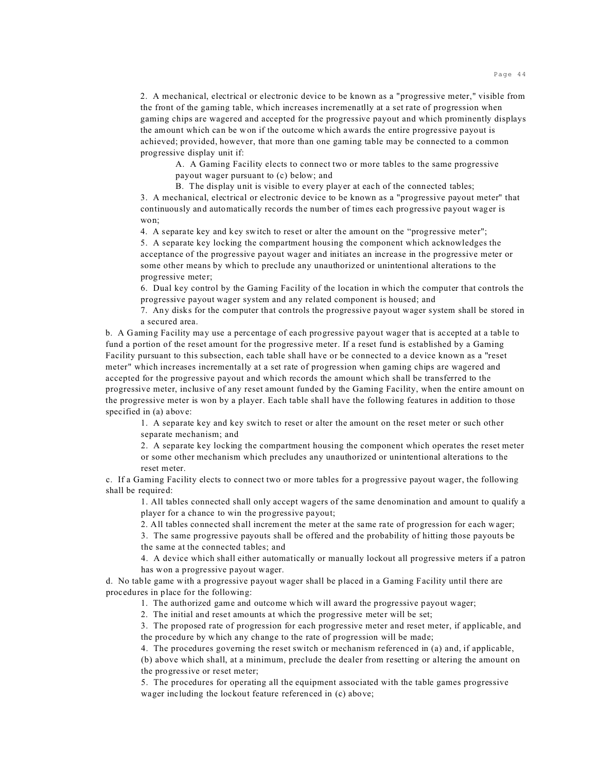2. A mechanical, electrical or electronic device to be known as a "progressive meter," visible from the front of the gaming table, which increases incremenatlly at a set rate of progression when gaming chips are wagered and accepted for the progressive payout and which prominently displays the amount which can be won if the outcome which awards the entire progressive payout is achieved; provided, however, that more than one gaming table may be connected to a common progressive display unit if:

A. A Gaming Facility elects to connect two or more tables to the same progressive payout wager pursuant to (c) below; and

B. The display unit is visible to every player at each of the connected tables; 3. A mechanical, electrical or electronic device to be known as a "progressive payout meter" that continuously and automatically records the number of times each progressive payout wager is won;

4. A separate key and key switch to reset or alter the amount on the "progressive meter";

5. A separate key locking the compartment housing the component which acknowledges the acceptance of the progressive payout wager and initiates an increase in the progressive meter or some other means by which to preclude any unauthorized or unintentional alterations to the progressive meter;

6. Dual key control by the Gaming Facility of the location in which the computer that controls the progressive payout wager system and any related component is housed; and

7. Any disks for the computer that controls the progressive payout wager system shall be stored in a secured area.

b. A Gaming Facility may use a percentage of each progressive payout wager that is accepted at a table to fund a portion of the reset amount for the progressive meter. If a reset fund is established by a Gaming Facility pursuant to this subsection, each table shall have or be connected to a device known as a "reset meter" which increases incrementally at a set rate of progression when gaming chips are wagered and accepted for the progressive payout and which records the amount which shall be transferred to the progressive meter, inclusive of any reset amount funded by the Gaming Facility, when the entire amount on the progressive meter is won by a player. Each table shall have the following features in addition to those specified in (a) above:

1. A separate key and key switch to reset or alter the amount on the reset meter or such other separate mechanism; and

2. A separate key locking the compartment housing the component which operates the reset meter or some other mechanism which precludes any unauthorized or unintentional alterations to the reset meter.

c. If a Gaming Facility elects to connect two or more tables for a progressive payout wager, the following shall be required:

1. All tables connected shall only accept wagers of the same denomination and amount to qualify a player for a chance to win the progressive payout;

2. All tables connected shall increment the meter at the same rate of progression for each wager;

3. The same progressive payouts shall be offered and the probability of hitting those payouts be the same at the connected tables; and

4. A device which shall either automatically or manually lockout all progressive meters if a patron has won a progressive payout wager.

d. No table game with a progressive payout wager shall be placed in a Gaming Facility until there are procedures in place for the following:

1. The authorized game and outcome which will award the progressive payout wager;

2. The initial and reset amounts at which the progressive meter will be set;

3. The proposed rate of progression for each progressive meter and reset meter, if applicable, and the procedure by which any change to the rate of progression will be made;

4. The procedures governing the reset switch or mechanism referenced in (a) and, if applicable,

(b) above which shall, at a minimum, preclude the dealer from resetting or altering the amount on the progressive or reset meter;

5. The procedures for operating all the equipment associated with the table games progressive wager including the lockout feature referenced in (c) above;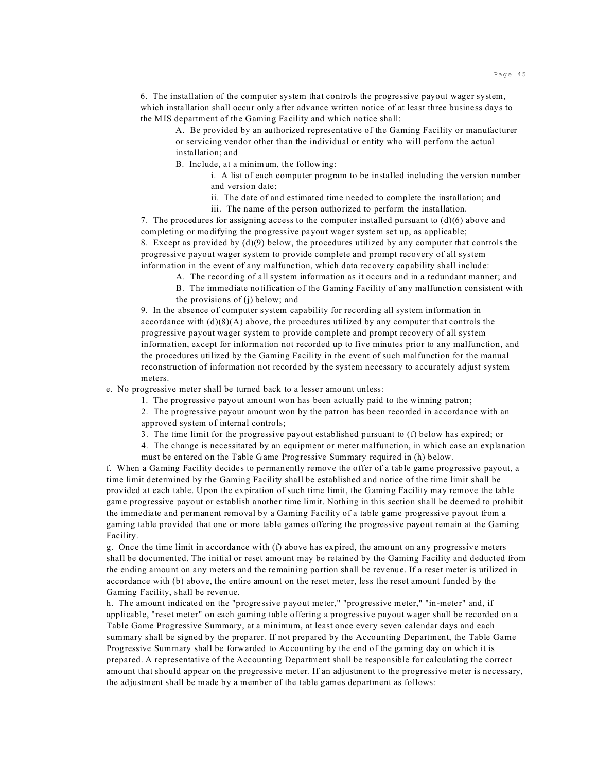6. The installation of the computer system that controls the progressive payout wager system, which installation shall occur only after advance written notice of at least three business days to the MIS department of the Gaming Facility and which notice shall:

A. Be provided by an authorized representative of the Gaming Facility or manufacturer or servicing vendor other than the individual or entity who will perform the actual installation; and

B. Include, at a minimum, the following:

i. A list of each computer program to be installed including the version number and version date;

- ii. The date of and estimated time needed to complete the installation; and
- iii. The name of the person authorized to perform the installation.

7. The procedures for assigning access to the computer installed pursuant to  $(d)(6)$  above and completing or modifying the progressive payout wager system set up, as applicable; 8. Except as provided by  $(d)(9)$  below, the procedures utilized by any computer that controls the progressive payout wager system to provide complete and prompt recovery of all system information in the event of any malfunction, which data recovery capability shall include:

- A. The recording of all system information as it occurs and in a redundant manner; and
- B. The immediate notification of the Gaming Facility of any malfunction consistent with the provisions of (j) below; and

9. In the absence of computer system capability for recording all system information in accordance with  $(d)(8)(A)$  above, the procedures utilized by any computer that controls the progressive payout wager system to provide complete and prompt recovery of all system information, except for information not recorded up to five minutes prior to any malfunction, and the procedures utilized by the Gaming Facility in the event of such malfunction for the manual reconstruction of information not recorded by the system necessary to accurately adjust system meters.

e. No progressive meter shall be turned back to a lesser amount unless:

1. The progressive payout amount won has been actually paid to the winning patron;

2. The progressive payout amount won by the patron has been recorded in accordance with an approved system of internal controls;

- 3. The time limit for the progressive payout established pursuant to (f) below has expired; or
- 4. The change is necessitated by an equipment or meter malfunction, in which case an explanation must be entered on the Table Game Progressive Summary required in (h) below.

f. When a Gaming Facility decides to permanently remove the offer of a table game progressive payout, a time limit determined by the Gaming Facility shall be established and notice of the time limit shall be provided at each table. Upon the expiration of such time limit, the Gaming Facility may remove the table game progressive payout or establish another time limit. Nothing in this section shall be deemed to prohibit the immediate and permanent removal by a Gaming Facility of a table game progressive payout from a gaming table provided that one or more table games offering the progressive payout remain at the Gaming Facility.

g. Once the time limit in accordance with (f) above has expired, the amount on any progressive meters shall be documented. The initial or reset amount may be retained by the Gaming Facility and deducted from the ending amount on any meters and the remaining portion shall be revenue. If a reset meter is utilized in accordance with (b) above, the entire amount on the reset meter, less the reset amount funded by the Gaming Facility, shall be revenue.

h. The amount indicated on the "progressive payout meter," "progressive meter," "in-meter" and, if applicable, "reset meter" on each gaming table offering a progressive payout wager shall be recorded on a Table Game Progressive Summary, at a minimum, at least once every seven calendar days and each summary shall be signed by the preparer. If not prepared by the Accounting Department, the Table Game Progressive Summary shall be forwarded to Accounting by the end of the gaming day on which it is prepared. A representative of the Accounting Department shall be responsible for calculating the correct amount that should appear on the progressive meter. If an adjustment to the progressive meter is necessary, the adjustment shall be made by a member of the table games department as follows: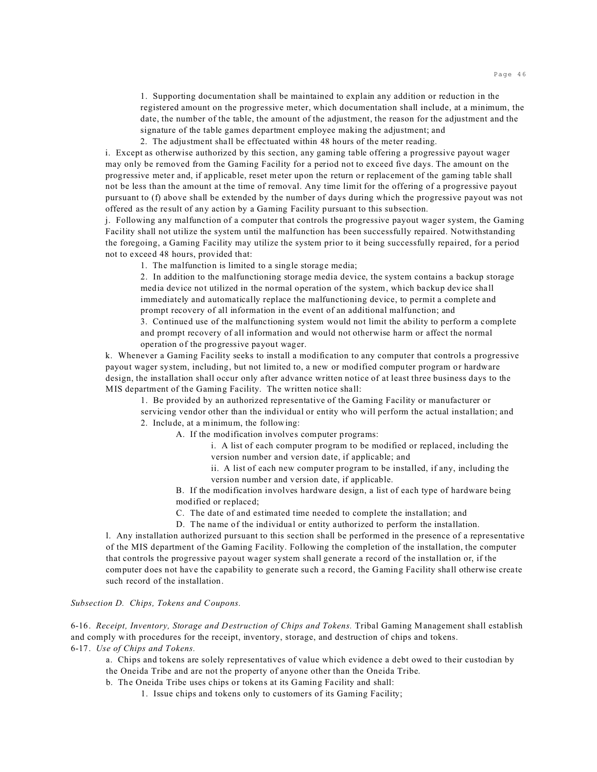1. Supporting documentation shall be maintained to explain any addition or reduction in the registered amount on the progressive meter, which documentation shall include, at a minimum, the date, the number of the table, the amount of the adjustment, the reason for the adjustment and the signature of the table games department employee making the adjustment; and

2. The adjustment shall be effectuated within 48 hours of the meter reading.

i. Except as otherwise authorized by this section, any gaming table offering a progressive payout wager may only be removed from the Gaming Facility for a period not to exceed five days. The amount on the progressive meter and, if applicable, reset meter upon the return or replacement of the gaming table shall not be less than the amount at the time of removal. Any time limit for the offering of a progressive payout pursuant to (f) above shall be extended by the number of days during which the progressive payout was not offered as the result of any action by a Gaming Facility pursuant to this subsection.

j. Following any malfunction of a computer that controls the progressive payout wager system, the Gaming Facility shall not utilize the system until the malfunction has been successfully repaired. Notwithstanding the foregoing, a Gaming Facility may utilize the system prior to it being successfully repaired, for a period not to exceed 48 hours, provided that:

1. The malfunction is limited to a single storage media;

2. In addition to the malfunctioning storage media device, the system contains a backup storage media device not utilized in the normal operation of the system, which backup device shall immediately and automatically replace the malfunctioning device, to permit a complete and prompt recovery of all information in the event of an additional malfunction; and

3. Continued use of the malfunctioning system would not limit the ability to perform a complete and prompt recovery of all information and would not otherwise harm or affect the normal operation of the progressive payout wager.

k. Whenever a Gaming Facility seeks to install a modification to any computer that controls a progressive payout wager system, including, but not limited to, a new or modified computer program or hardware design, the installation shall occur only after advance written notice of at least three business days to the MIS department of the Gaming Facility. The written notice shall:

1. Be provided by an authorized representative of the Gaming Facility or manufacturer or

servicing vendor other than the individual or entity who will perform the actual installation; and 2. Include, at a minimum, the following:

A. If the modification involves computer programs:

i. A list of each computer program to be modified or replaced, including the version number and version date, if applicable; and

ii. A list of each new computer program to be installed, if any, including the version number and version date, if applicable.

B. If the modification involves hardware design, a list of each type of hardware being modified or replaced;

C. The date of and estimated time needed to complete the installation; and

D. The name of the individual or entity authorized to perform the installation.

l. Any installation authorized pursuant to this section shall be performed in the presence of a representative of the MIS department of the Gaming Facility. Following the completion of the installation, the computer that controls the progressive payout wager system shall generate a record of the installation or, if the computer does not have the capability to generate such a record, the Gaming Facility shall otherwise create such record of the installation.

*Subsection D. Chips, Tokens and Coupons.*

6-16. *Receipt, Inventory, Storage and Destruction of Chips and Tokens.* Tribal Gaming Management shall establish and comply with procedures for the receipt, inventory, storage, and destruction of chips and tokens. 6-17. *Use of Chips and Tokens.*

a. Chips and tokens are solely representatives of value which evidence a debt owed to their custodian by the Oneida Tribe and are not the property of anyone other than the Oneida Tribe.

b. The Oneida Tribe uses chips or tokens at its Gaming Facility and shall:

1. Issue chips and tokens only to customers of its Gaming Facility;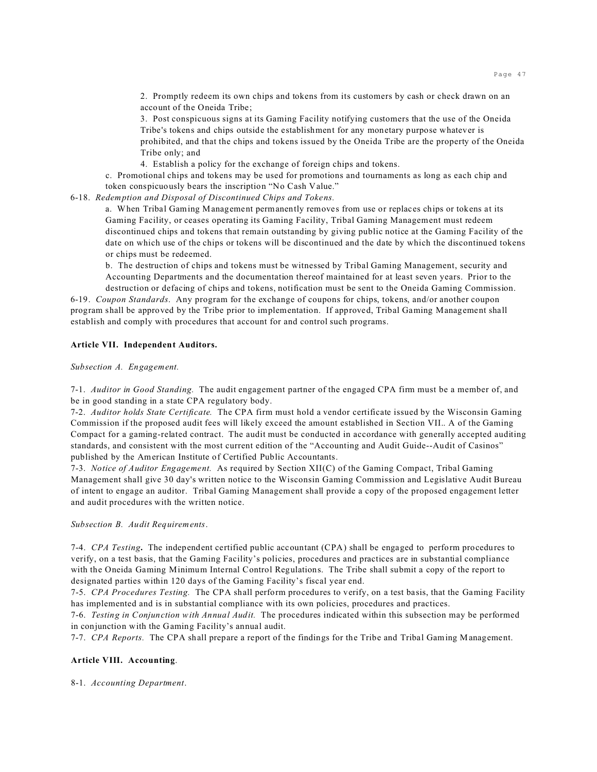2. Promptly redeem its own chips and tokens from its customers by cash or check drawn on an account of the Oneida Tribe;

3. Post conspicuous signs at its Gaming Facility notifying customers that the use of the Oneida Tribe's tokens and chips outside the establishment for any monetary purpose whatever is prohibited, and that the chips and tokens issued by the Oneida Tribe are the property of the Oneida Tribe only; and

4. Establish a policy for the exchange of foreign chips and tokens.

c. Promotional chips and tokens may be used for promotions and tournaments as long as each chip and token conspicuously bears the inscription "No Cash Value."

6-18. *Redemption and Disposal of Discontinued Chips and Tokens.*

a. When Tribal Gaming Management permanently removes from use or replaces chips or tokens at its Gaming Facility, or ceases operating its Gaming Facility, Tribal Gaming Management must redeem discontinued chips and tokens that remain outstanding by giving public notice at the Gaming Facility of the date on which use of the chips or tokens will be discontinued and the date by which the discontinued tokens or chips must be redeemed.

b. The destruction of chips and tokens must be witnessed by Tribal Gaming Management, security and Accounting Departments and the documentation thereof maintained for at least seven years. Prior to the

destruction or defacing of chips and tokens, notification must be sent to the Oneida Gaming Commission. 6-19. *Coupon Standards*. Any program for the exchange of coupons for chips, tokens, and/or another coupon program shall be approved by the Tribe prior to implementation. If approved, Tribal Gaming Management shall establish and comply with procedures that account for and control such programs.

#### **Article VII. Independent Auditors.**

#### *Subsection A. Engagement.*

7-1. *Auditor in Good Standing.* The audit engagement partner of the engaged CPA firm must be a member of, and be in good standing in a state CPA regulatory body.

7-2. *Auditor holds State Certificate.* The CPA firm must hold a vendor certificate issued by the Wisconsin Gaming Commission if the proposed audit fees will likely exceed the amount established in Section VII.. A of the Gaming Compact for a gaming-related contract. The audit must be conducted in accordance with generally accepted auditing standards, and consistent with the most current edition of the "Accounting and Audit Guide--Audit of Casinos" published by the American Institute of Certified Public Accountants.

7-3. *Notice of Auditor Engagement.* As required by Section XII(C) of the Gaming Compact, Tribal Gaming Management shall give 30 day's written notice to the Wisconsin Gaming Commission and Legislative Audit Bureau of intent to engage an auditor. Tribal Gaming Management shall provide a copy of the proposed engagement letter and audit procedures with the written notice.

*Subsection B. Audit Requirements*.

7-4. *CPA Testing***.** The independent certified public accountant (CPA) shall be engaged to perform procedures to verify, on a test basis, that the Gaming Facility's policies, procedures and practices are in substantial compliance with the Oneida Gaming Minimum Internal Control Regulations. The Tribe shall submit a copy of the report to designated parties within 120 days of the Gaming Facility's fiscal year end.

7-5. *CPA Procedures Testing.* The CPA shall perform procedures to verify, on a test basis, that the Gaming Facility has implemented and is in substantial compliance with its own policies, procedures and practices.

7-6. *Testing in Conjunction with Annual Audit.* The procedures indicated within this subsection may be performed in conjunction with the Gaming Facility's annual audit.

7-7. *CPA Reports.* The CPA shall prepare a report of the findings for the Tribe and Tribal Gaming Management.

## **Article VIII. Accounting**.

8-1. *Accounting Department*.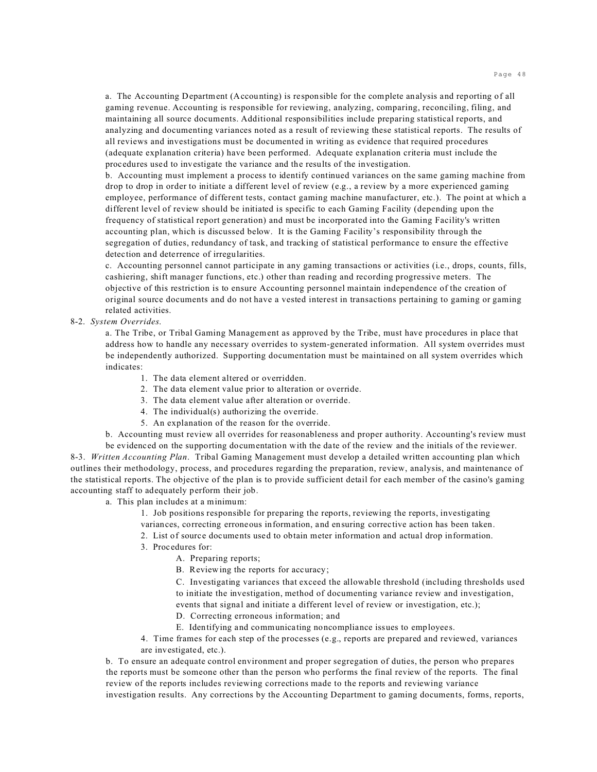a. The Accounting Department (Accounting) is responsible for the complete analysis and reporting of all gaming revenue. Accounting is responsible for reviewing, analyzing, comparing, reconciling, filing, and maintaining all source documents. Additional responsibilities include preparing statistical reports, and analyzing and documenting variances noted as a result of reviewing these statistical reports. The results of all reviews and investigations must be documented in writing as evidence that required procedures (adequate explanation criteria) have been performed. Adequate explanation criteria must include the procedures used to investigate the variance and the results of the investigation.

b. Accounting must implement a process to identify continued variances on the same gaming machine from drop to drop in order to initiate a different level of review (e.g., a review by a more experienced gaming employee, performance of different tests, contact gaming machine manufacturer, etc.). The point at which a different level of review should be initiated is specific to each Gaming Facility (depending upon the frequency of statistical report generation) and must be incorporated into the Gaming Facility's written accounting plan, which is discussed below. It is the Gaming Facility's responsibility through the segregation of duties, redundancy of task, and tracking of statistical performance to ensure the effective detection and deterrence of irregularities.

c. Accounting personnel cannot participate in any gaming transactions or activities (i.e., drops, counts, fills, cashiering, shift manager functions, etc.) other than reading and recording progressive meters. The objective of this restriction is to ensure Accounting personnel maintain independence of the creation of original source documents and do not have a vested interest in transactions pertaining to gaming or gaming related activities.

## 8-2. *System Overrides*.

a. The Tribe, or Tribal Gaming Management as approved by the Tribe, must have procedures in place that address how to handle any necessary overrides to system-generated information. All system overrides must be independently authorized. Supporting documentation must be maintained on all system overrides which indicates:

- 1. The data element altered or overridden.
- 2. The data element value prior to alteration or override.
- 3. The data element value after alteration or override.
- 4. The individual(s) authorizing the override.
- 5. An explanation of the reason for the override.

b. Accounting must review all overrides for reasonableness and proper authority. Accounting's review must

be evidenced on the supporting documentation with the date of the review and the initials of the reviewer. 8-3. *Written Accounting Plan*. Tribal Gaming Management must develop a detailed written accounting plan which outlines their methodology, process, and procedures regarding the preparation, review, analysis, and maintenance of the statistical reports. The objective of the plan is to provide sufficient detail for each member of the casino's gaming accounting staff to adequately perform their job.

a. This plan includes at a minimum:

1. Job positions responsible for preparing the reports, reviewing the reports, investigating variances, correcting erroneous information, and ensuring corrective action has been taken.

- 2. List of source documents used to obtain meter information and actual drop information.
- 3. Procedures for:
	- A. Preparing reports;
	- B. Reviewing the reports for accuracy;

C. Investigating variances that exceed the allowable threshold (including thresholds used to initiate the investigation, method of documenting variance review and investigation, events that signal and initiate a different level of review or investigation, etc.);

- D. Correcting erroneous information; and
- E. Identifying and communicating noncompliance issues to employees.
- 4. Time frames for each step of the processes (e.g., reports are prepared and reviewed, variances are investigated, etc.).

b. To ensure an adequate control environment and proper segregation of duties, the person who prepares the reports must be someone other than the person who performs the final review of the reports. The final review of the reports includes reviewing corrections made to the reports and reviewing variance investigation results. Any corrections by the Accounting Department to gaming documents, forms, reports,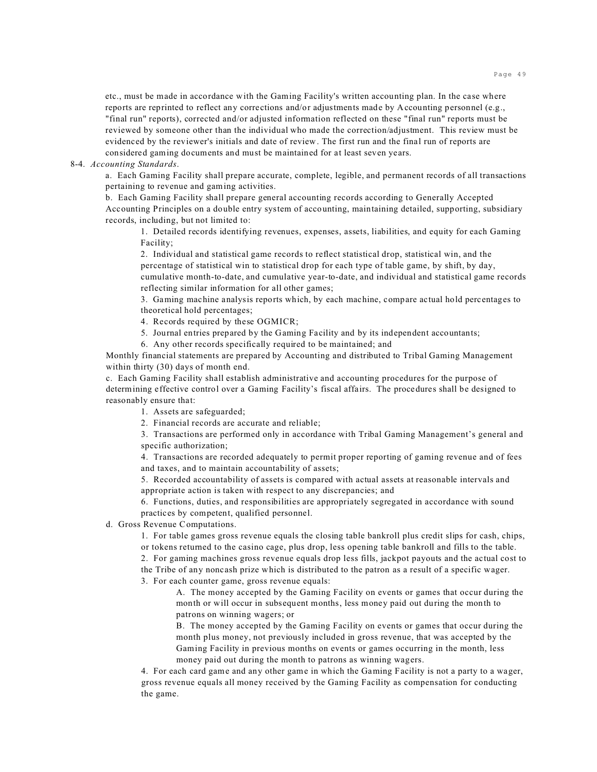etc., must be made in accordance with the Gaming Facility's written accounting plan. In the case where reports are reprinted to reflect any corrections and/or adjustments made by Accounting personnel (e.g., "final run" reports), corrected and/or adjusted information reflected on these "final run" reports must be reviewed by someone other than the individual who made the correction/adjustment. This review must be evidenced by the reviewer's initials and date of review. The first run and the final run of reports are considered gaming documents and must be maintained for at least seven years.

## 8-4. *Accounting Standards*.

a. Each Gaming Facility shall prepare accurate, complete, legible, and permanent records of all transactions pertaining to revenue and gaming activities.

b. Each Gaming Facility shall prepare general accounting records according to Generally Accepted Accounting Principles on a double entry system of accounting, maintaining detailed, supporting, subsidiary records, including, but not limited to:

1. Detailed records identifying revenues, expenses, assets, liabilities, and equity for each Gaming Facility;

2. Individual and statistical game records to reflect statistical drop, statistical win, and the percentage of statistical win to statistical drop for each type of table game, by shift, by day, cumulative month-to-date, and cumulative year-to-date, and individual and statistical game records reflecting similar information for all other games;

3. Gaming machine analysis reports which, by each machine, compare actual hold percentages to theoretical hold percentages;

4. Records required by these OGMICR;

- 5. Journal entries prepared by the Gaming Facility and by its independent accountants;
- 6. Any other records specifically required to be maintained; and

Monthly financial statements are prepared by Accounting and distributed to Tribal Gaming Management within thirty (30) days of month end.

c. Each Gaming Facility shall establish administrative and accounting procedures for the purpose of determining effective control over a Gaming Facility's fiscal affairs. The procedures shall be designed to reasonably ensure that:

- 1. Assets are safeguarded;
- 2. Financial records are accurate and reliable;

3. Transactions are performed only in accordance with Tribal Gaming Management's general and specific authorization;

4. Transactions are recorded adequately to permit proper reporting of gaming revenue and of fees and taxes, and to maintain accountability of assets;

5. Recorded accountability of assets is compared with actual assets at reasonable intervals and appropriate action is taken with respect to any discrepancies; and

6. Functions, duties, and responsibilities are appropriately segregated in accordance with sound practices by competent, qualified personnel.

d. Gross Revenue Computations.

1. For table games gross revenue equals the closing table bankroll plus credit slips for cash, chips, or tokens returned to the casino cage, plus drop, less opening table bankroll and fills to the table.

2. For gaming machines gross revenue equals drop less fills, jackpot payouts and the actual cost to the Tribe of any noncash prize which is distributed to the patron as a result of a specific wager. 3. For each counter game, gross revenue equals:

A. The money accepted by the Gaming Facility on events or games that occur during the month or will occur in subsequent months, less money paid out during the month to patrons on winning wagers; or

B. The money accepted by the Gaming Facility on events or games that occur during the month plus money, not previously included in gross revenue, that was accepted by the Gaming Facility in previous months on events or games occurring in the month, less money paid out during the month to patrons as winning wagers.

4. For each card game and any other game in which the Gaming Facility is not a party to a wager, gross revenue equals all money received by the Gaming Facility as compensation for conducting the game.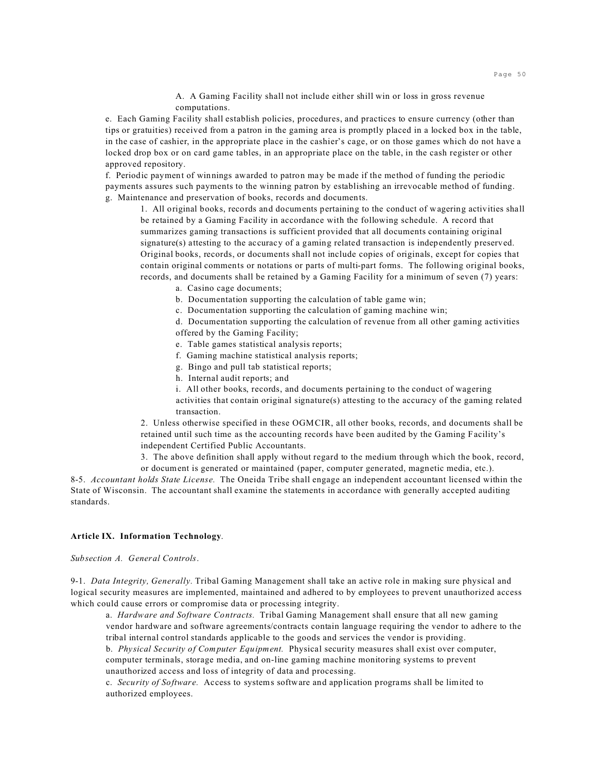A. A Gaming Facility shall not include either shill win or loss in gross revenue computations.

e. Each Gaming Facility shall establish policies, procedures, and practices to ensure currency (other than tips or gratuities) received from a patron in the gaming area is promptly placed in a locked box in the table, in the case of cashier, in the appropriate place in the cashier's cage, or on those games which do not have a locked drop box or on card game tables, in an appropriate place on the table, in the cash register or other approved repository.

f. Periodic payment of winnings awarded to patron may be made if the method of funding the periodic payments assures such payments to the winning patron by establishing an irrevocable method of funding. g. Maintenance and preservation of books, records and documents.

1. All original books, records and documents pertaining to the conduct of wagering activities shall be retained by a Gaming Facility in accordance with the following schedule. A record that summarizes gaming transactions is sufficient provided that all documents containing original signature(s) attesting to the accuracy of a gaming related transaction is independently preserved. Original books, records, or documents shall not include copies of originals, except for copies that contain original comments or notations or parts of multi-part forms. The following original books, records, and documents shall be retained by a Gaming Facility for a minimum of seven (7) years:

- a. Casino cage documents;
- b. Documentation supporting the calculation of table game win;
- c. Documentation supporting the calculation of gaming machine win;

d. Documentation supporting the calculation of revenue from all other gaming activities offered by the Gaming Facility;

- e. Table games statistical analysis reports;
- f. Gaming machine statistical analysis reports;
- g. Bingo and pull tab statistical reports;
- h. Internal audit reports; and
- i. All other books, records, and documents pertaining to the conduct of wagering

activities that contain original signature(s) attesting to the accuracy of the gaming related transaction.

2. Unless otherwise specified in these OGMCIR, all other books, records, and documents shall be retained until such time as the accounting records have been audited by the Gaming Facility's independent Certified Public Accountants.

3. The above definition shall apply without regard to the medium through which the book, record,

or document is generated or maintained (paper, computer generated, magnetic media, etc.). 8-5. *Accountant holds State License.* The Oneida Tribe shall engage an independent accountant licensed within the State of Wisconsin. The accountant shall examine the statements in accordance with generally accepted auditing standards.

### **Article IX. Information Technology**.

*Subsection A. General Controls*.

9-1. *Data Integrity, Generally.* Tribal Gaming Management shall take an active role in making sure physical and logical security measures are implemented, maintained and adhered to by employees to prevent unauthorized access which could cause errors or compromise data or processing integrity.

a. *Hardware and Software Contracts.* Tribal Gaming Management shall ensure that all new gaming vendor hardware and software agreements/contracts contain language requiring the vendor to adhere to the tribal internal control standards applicable to the goods and services the vendor is providing.

b. *Physical Security of Computer Equipment.* Physical security measures shall exist over computer, computer terminals, storage media, and on-line gaming machine monitoring systems to prevent unauthorized access and loss of integrity of data and processing.

c. *Security of Software.* Access to systems software and application programs shall be limited to authorized employees.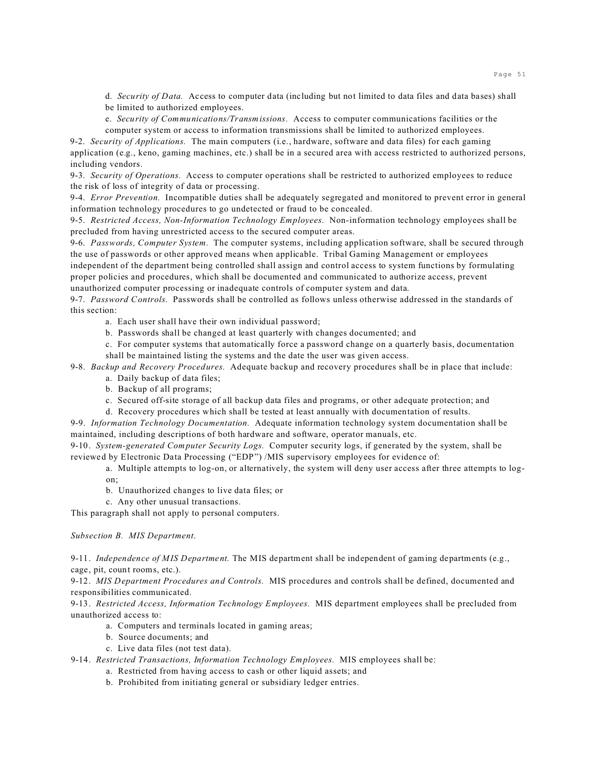d. *Security of Data.* Access to computer data (including but not limited to data files and data bases) shall be limited to authorized employees.

e. *Security of Communications/Transmissions.* Access to computer communications facilities or the computer system or access to information transmissions shall be limited to authorized employees.

9-2. *Security of Applications.* The main computers (i.e., hardware, software and data files) for each gaming application (e.g., keno, gaming machines, etc.) shall be in a secured area with access restricted to authorized persons, including vendors.

9-3. *Security of Operations.* Access to computer operations shall be restricted to authorized employees to reduce the risk of loss of integrity of data or processing.

9-4. *Error Prevention.* Incompatible duties shall be adequately segregated and monitored to prevent error in general information technology procedures to go undetected or fraud to be concealed.

9-5. *Restricted Access, Non-Information Technology Employees.* Non-information technology employees shall be precluded from having unrestricted access to the secured computer areas.

9-6. *Passwords, Computer System.* The computer systems, including application software, shall be secured through the use of passwords or other approved means when applicable. Tribal Gaming Management or employees

independent of the department being controlled shall assign and control access to system functions by formulating proper policies and procedures, which shall be documented and communicated to authorize access, prevent unauthorized computer processing or inadequate controls of computer system and data.

9-7. *Password Controls.* Passwords shall be controlled as follows unless otherwise addressed in the standards of this section:

a. Each user shall have their own individual password;

b. Passwords shall be changed at least quarterly with changes documented; and

c. For computer systems that automatically force a password change on a quarterly basis, documentation shall be maintained listing the systems and the date the user was given access.

9-8. *Backup and Recovery Procedures.* Adequate backup and recovery procedures shall be in place that include:

a. Daily backup of data files; b. Backup of all programs;

c. Secured off-site storage of all backup data files and programs, or other adequate protection; and

d. Recovery procedures which shall be tested at least annually with documentation of results.

9-9. *Information Technology Documentation.* Adequate information technology system documentation shall be maintained, including descriptions of both hardware and software, operator manuals, etc.

9-10. *System-generated Computer Security Logs.* Computer security logs, if generated by the system, shall be reviewed by Electronic Data Processing ("EDP") /MIS supervisory employees for evidence of:

a. Multiple attempts to log-on, or alternatively, the system will deny user access after three attempts to logon;

b. Unauthorized changes to live data files; or

c. Any other unusual transactions.

This paragraph shall not apply to personal computers.

## *Subsection B. MIS Department*.

9-11. *Independence of MIS Department.* The MIS department shall be independent of gaming departments (e.g., cage, pit, count rooms, etc.).

9-12. *MIS Department Procedures and Controls.* MIS procedures and controls shall be defined, documented and responsibilities communicated.

9-13. *Restricted Access, Information Technology Employees.* MIS department employees shall be precluded from unauthorized access to:

- a. Computers and terminals located in gaming areas;
- b. Source documents; and
- c. Live data files (not test data).

9-14. *Restricted Transactions, Information Technology Employees.* MIS employees shall be:

- a. Restricted from having access to cash or other liquid assets; and
- b. Prohibited from initiating general or subsidiary ledger entries.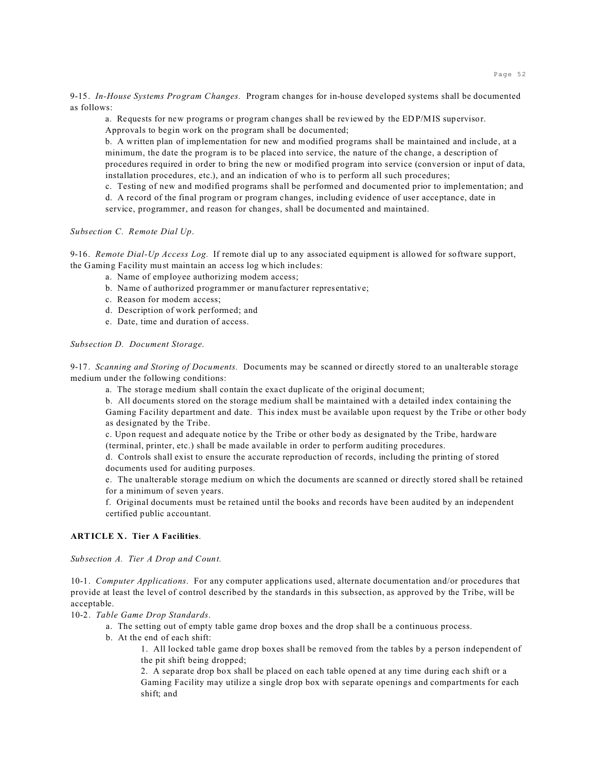9-15. *In-House Systems Program Changes.* Program changes for in-house developed systems shall be documented as follows:

a. Requests for new programs or program changes shall be reviewed by the EDP/MIS supervisor. Approvals to begin work on the program shall be documented;

b. A written plan of implementation for new and modified programs shall be maintained and include, at a minimum, the date the program is to be placed into service, the nature of the change, a description of procedures required in order to bring the new or modified program into service (conversion or input of data, installation procedures, etc.), and an indication of who is to perform all such procedures;

c. Testing of new and modified programs shall be performed and documented prior to implementation; and

d. A record of the final program or program changes, including evidence of user acceptance, date in service, programmer, and reason for changes, shall be documented and maintained.

*Subsection C. Remote Dial Up*.

9-16. *Remote Dial-Up Access Log.* If remote dial up to any associated equipment is allowed for software support, the Gaming Facility must maintain an access log which includes:

- a. Name of employee authorizing modem access;
- b. Name of authorized programmer or manufacturer representative;
- c. Reason for modem access;
- d. Description of work performed; and
- e. Date, time and duration of access.

*Subsection D. Document Storage*.

9-17. *Scanning and Storing of Documents.* Documents may be scanned or directly stored to an unalterable storage medium under the following conditions:

a. The storage medium shall contain the exact duplicate of the original document;

b. All documents stored on the storage medium shall be maintained with a detailed index containing the Gaming Facility department and date. This index must be available upon request by the Tribe or other body as designated by the Tribe.

c. Upon request and adequate notice by the Tribe or other body as designated by the Tribe, hardware (terminal, printer, etc.) shall be made available in order to perform auditing procedures.

d. Controls shall exist to ensure the accurate reproduction of records, including the printing of stored documents used for auditing purposes.

e. The unalterable storage medium on which the documents are scanned or directly stored shall be retained for a minimum of seven years.

f. Original documents must be retained until the books and records have been audited by an independent certified public accountant.

# **ARTICLE X. Tier A Facilities**.

*Subsection A. Tier A Drop and Count.*

10-1. *Computer Applications*. For any computer applications used, alternate documentation and/or procedures that provide at least the level of control described by the standards in this subsection, as approved by the Tribe, will be acceptable.

10-2. *Table Game Drop Standards*.

- a. The setting out of empty table game drop boxes and the drop shall be a continuous process.
- b. At the end of each shift:

1. All locked table game drop boxes shall be removed from the tables by a person independent of the pit shift being dropped;

2. A separate drop box shall be placed on each table opened at any time during each shift or a Gaming Facility may utilize a single drop box with separate openings and compartments for each shift; and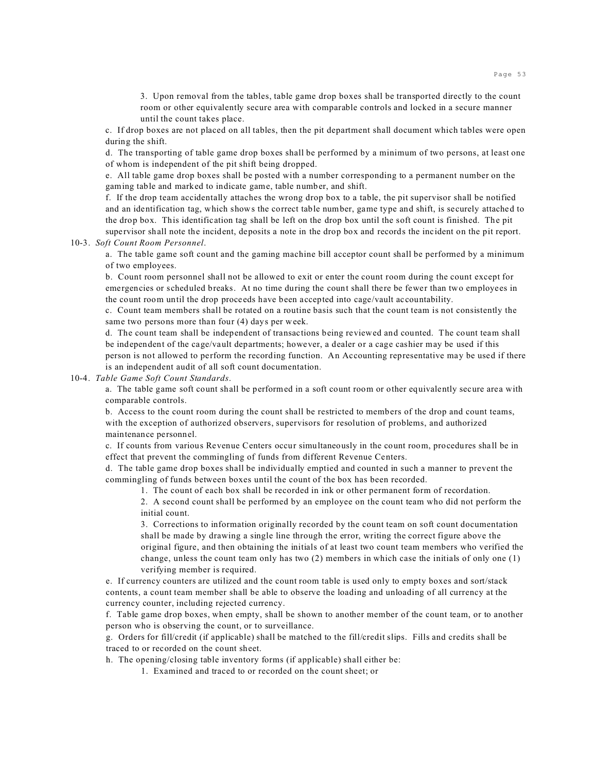3. Upon removal from the tables, table game drop boxes shall be transported directly to the count room or other equivalently secure area with comparable controls and locked in a secure manner until the count takes place.

c. If drop boxes are not placed on all tables, then the pit department shall document which tables were open during the shift.

d. The transporting of table game drop boxes shall be performed by a minimum of two persons, at least one of whom is independent of the pit shift being dropped.

e. All table game drop boxes shall be posted with a number corresponding to a permanent number on the gaming table and marked to indicate game, table number, and shift.

f. If the drop team accidentally attaches the wrong drop box to a table, the pit supervisor shall be notified and an identification tag, which shows the correct table number, game type and shift, is securely attached to the drop box. This identification tag shall be left on the drop box until the soft count is finished. The pit

supervisor shall note the incident, deposits a note in the drop box and records the incident on the pit report. 10-3. *Soft Count Room Personnel*.

a. The table game soft count and the gaming machine bill acceptor count shall be performed by a minimum of two employees.

b. Count room personnel shall not be allowed to exit or enter the count room during the count except for emergencies or scheduled breaks. At no time during the count shall there be fewer than two employees in the count room until the drop proceeds have been accepted into cage/vault accountability.

c. Count team members shall be rotated on a routine basis such that the count team is not consistently the same two persons more than four (4) days per week.

d. The count team shall be independent of transactions being reviewed and counted. The count team shall be independent of the cage/vault departments; however, a dealer or a cage cashier may be used if this person is not allowed to perform the recording function. An Accounting representative may be used if there is an independent audit of all soft count documentation.

10-4. *Table Game Soft Count Standards*.

a. The table game soft count shall be performed in a soft count room or other equivalently secure area with comparable controls.

b. Access to the count room during the count shall be restricted to members of the drop and count teams, with the exception of authorized observers, supervisors for resolution of problems, and authorized maintenance personnel.

c. If counts from various Revenue Centers occur simultaneously in the count room, procedures shall be in effect that prevent the commingling of funds from different Revenue Centers.

d. The table game drop boxes shall be individually emptied and counted in such a manner to prevent the commingling of funds between boxes until the count of the box has been recorded.

1. The count of each box shall be recorded in ink or other permanent form of recordation.

2. A second count shall be performed by an employee on the count team who did not perform the initial count.

3. Corrections to information originally recorded by the count team on soft count documentation shall be made by drawing a single line through the error, writing the correct figure above the original figure, and then obtaining the initials of at least two count team members who verified the change, unless the count team only has two (2) members in which case the initials of only one (1) verifying member is required.

e. If currency counters are utilized and the count room table is used only to empty boxes and sort/stack contents, a count team member shall be able to observe the loading and unloading of all currency at the currency counter, including rejected currency.

f. Table game drop boxes, when empty, shall be shown to another member of the count team, or to another person who is observing the count, or to surveillance.

g. Orders for fill/credit (if applicable) shall be matched to the fill/credit slips. Fills and credits shall be traced to or recorded on the count sheet.

h. The opening/closing table inventory forms (if applicable) shall either be:

1. Examined and traced to or recorded on the count sheet; or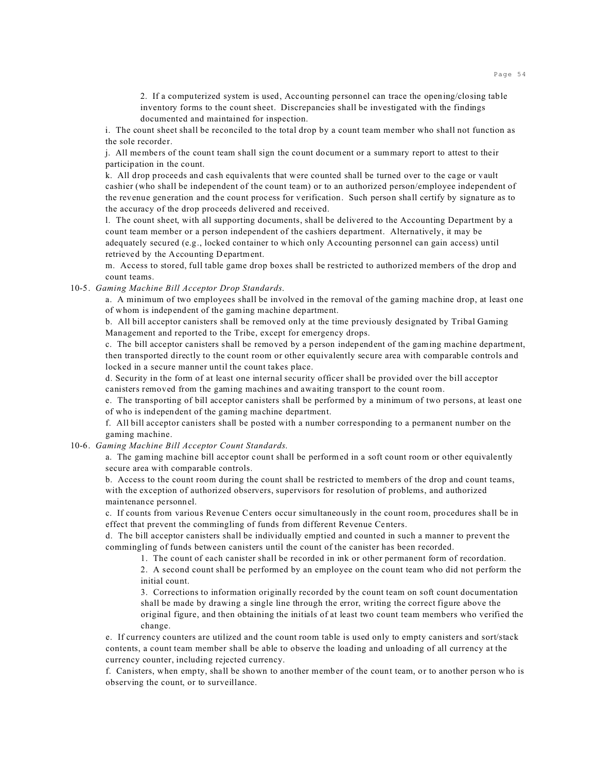2. If a computerized system is used, Accounting personnel can trace the opening/closing table inventory forms to the count sheet. Discrepancies shall be investigated with the findings documented and maintained for inspection.

i. The count sheet shall be reconciled to the total drop by a count team member who shall not function as the sole recorder.

j. All members of the count team shall sign the count document or a summary report to attest to their participation in the count.

k. All drop proceeds and cash equivalents that were counted shall be turned over to the cage or vault cashier (who shall be independent of the count team) or to an authorized person/employee independent of the revenue generation and the count process for verification. Such person shall certify by signature as to the accuracy of the drop proceeds delivered and received.

l. The count sheet, with all supporting documents, shall be delivered to the Accounting Department by a count team member or a person independent of the cashiers department. Alternatively, it may be adequately secured (e.g., locked container to which only Accounting personnel can gain access) until retrieved by the Accounting Department.

m. Access to stored, full table game drop boxes shall be restricted to authorized members of the drop and count teams.

10-5. *Gaming Machine Bill Acceptor Drop Standards*.

a. A minimum of two employees shall be involved in the removal of the gaming machine drop, at least one of whom is independent of the gaming machine department.

b. All bill acceptor canisters shall be removed only at the time previously designated by Tribal Gaming Management and reported to the Tribe, except for emergency drops.

c. The bill acceptor canisters shall be removed by a person independent of the gaming machine department, then transported directly to the count room or other equivalently secure area with comparable controls and locked in a secure manner until the count takes place.

d. Security in the form of at least one internal security officer shall be provided over the bill acceptor canisters removed from the gaming machines and awaiting transport to the count room.

e. The transporting of bill acceptor canisters shall be performed by a minimum of two persons, at least one of who is independent of the gaming machine department.

f. All bill acceptor canisters shall be posted with a number corresponding to a permanent number on the gaming machine.

10-6. *Gaming Machine Bill Acceptor Count Standards*.

a. The gaming machine bill acceptor count shall be performed in a soft count room or other equivalently secure area with comparable controls.

b. Access to the count room during the count shall be restricted to members of the drop and count teams, with the exception of authorized observers, supervisors for resolution of problems, and authorized maintenance personnel.

c. If counts from various Revenue Centers occur simultaneously in the count room, procedures shall be in effect that prevent the commingling of funds from different Revenue Centers.

d. The bill acceptor canisters shall be individually emptied and counted in such a manner to prevent the commingling of funds between canisters until the count of the canister has been recorded.

1. The count of each canister shall be recorded in ink or other permanent form of recordation.

2. A second count shall be performed by an employee on the count team who did not perform the initial count.

3. Corrections to information originally recorded by the count team on soft count documentation shall be made by drawing a single line through the error, writing the correct figure above the original figure, and then obtaining the initials of at least two count team members who verified the change.

e. If currency counters are utilized and the count room table is used only to empty canisters and sort/stack contents, a count team member shall be able to observe the loading and unloading of all currency at the currency counter, including rejected currency.

f. Canisters, when empty, shall be shown to another member of the count team, or to another person who is observing the count, or to surveillance.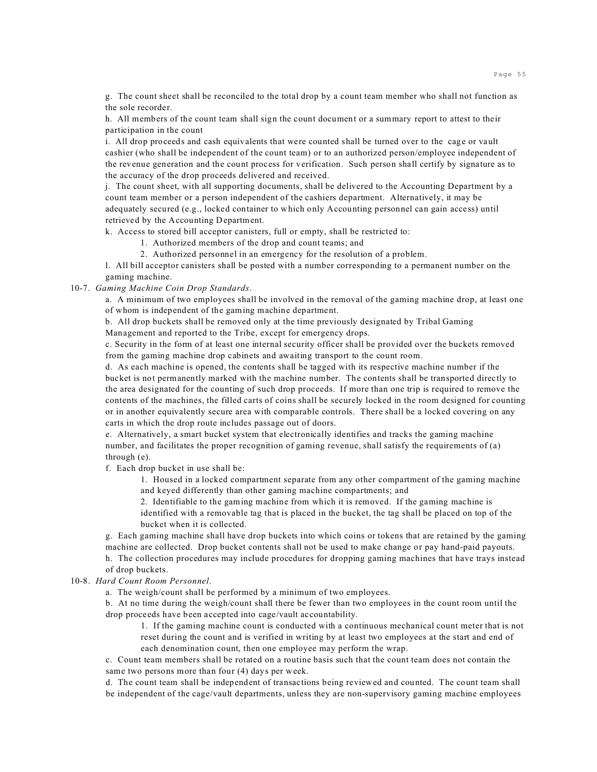g. The count sheet shall be reconciled to the total drop by a count team member who shall not function as the sole recorder.

h. All members of the count team shall sign the count document or a summary report to attest to their participation in the count

i. All drop proceeds and cash equivalents that were counted shall be turned over to the cage or vault cashier (who shall be independent of the count team) or to an authorized person/employee independent of the revenue generation and the count process for verification. Such person shall certify by signature as to the accuracy of the drop proceeds delivered and received.

j. The count sheet, with all supporting documents, shall be delivered to the Accounting Department by a count team member or a person independent of the cashiers department. Alternatively, it may be adequately secured (e.g., locked container to which only Accounting personnel can gain access) until retrieved by the Accounting Department.

k. Access to stored bill acceptor canisters, full or empty, shall be restricted to:

1. Authorized members of the drop and count teams; and

2. Authorized personnel in an emergency for the resolution of a problem.

l. All bill acceptor canisters shall be posted with a number corresponding to a permanent number on the gaming machine.

10-7. *Gaming Machine Coin Drop Standards*.

a. A minimum of two employees shall be involved in the removal of the gaming machine drop, at least one of whom is independent of the gaming machine department.

b. All drop buckets shall be removed only at the time previously designated by Tribal Gaming

Management and reported to the Tribe, except for emergency drops.

c. Security in the form of at least one internal security officer shall be provided over the buckets removed from the gaming machine drop cabinets and awaiting transport to the count room.

d. As each machine is opened, the contents shall be tagged with its respective machine number if the bucket is not permanently marked with the machine number. The contents shall be transported directly to the area designated for the counting of such drop proceeds. If more than one trip is required to remove the contents of the machines, the filled carts of coins shall be securely locked in the room designed for counting or in another equivalently secure area with comparable controls. There shall be a locked covering on any carts in which the drop route includes passage out of doors.

e. Alternatively, a smart bucket system that electronically identifies and tracks the gaming machine number, and facilitates the proper recognition of gaming revenue, shall satisfy the requirements of (a) through (e).

f. Each drop bucket in use shall be:

1. Housed in a locked compartment separate from any other compartment of the gaming machine and keyed differently than other gaming machine compartments; and

2. Identifiable to the gaming machine from which it is removed. If the gaming machine is identified with a removable tag that is placed in the bucket, the tag shall be placed on top of the bucket when it is collected.

g. Each gaming machine shall have drop buckets into which coins or tokens that are retained by the gaming machine are collected. Drop bucket contents shall not be used to make change or pay hand-paid payouts.

h. The collection procedures may include procedures for dropping gaming machines that have trays instead of drop buckets.

10-8. *Hard Count Room Personnel*.

a. The weigh/count shall be performed by a minimum of two employees.

b. At no time during the weigh/count shall there be fewer than two employees in the count room until the drop proceeds have been accepted into cage/vault accountability.

1. If the gaming machine count is conducted with a continuous mechanical count meter that is not reset during the count and is verified in writing by at least two employees at the start and end of

each denomination count, then one employee may perform the wrap.

c. Count team members shall be rotated on a routine basis such that the count team does not contain the same two persons more than four (4) days per week.

d. The count team shall be independent of transactions being reviewed and counted. The count team shall be independent of the cage/vault departments, unless they are non-supervisory gaming machine employees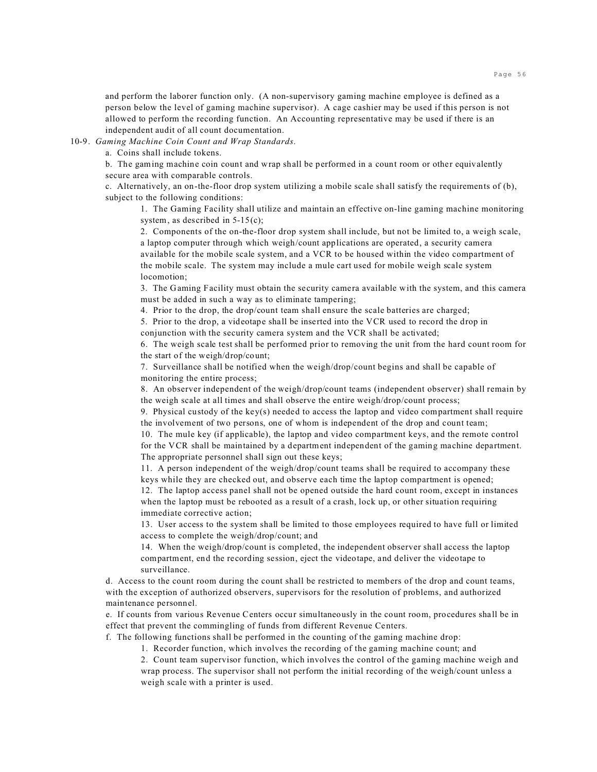and perform the laborer function only. (A non-supervisory gaming machine employee is defined as a person below the level of gaming machine supervisor). A cage cashier may be used if this person is not allowed to perform the recording function. An Accounting representative may be used if there is an independent audit of all count documentation.

10-9. *Gaming Machine Coin Count and Wrap Standards*.

a. Coins shall include tokens.

b. The gaming machine coin count and wrap shall be performed in a count room or other equivalently secure area with comparable controls.

c. Alternatively, an on-the-floor drop system utilizing a mobile scale shall satisfy the requirements of (b), subject to the following conditions:

1. The Gaming Facility shall utilize and maintain an effective on-line gaming machine monitoring system, as described in 5-15(c);

2. Components of the on-the-floor drop system shall include, but not be limited to, a weigh scale, a laptop computer through which weigh/count applications are operated, a security camera available for the mobile scale system, and a VCR to be housed within the video compartment of the mobile scale. The system may include a mule cart used for mobile weigh scale system locomotion;

3. The Gaming Facility must obtain the security camera available with the system, and this camera must be added in such a way as to eliminate tampering;

4. Prior to the drop, the drop/count team shall ensure the scale batteries are charged;

5. Prior to the drop, a videotape shall be inserted into the VCR used to record the drop in conjunction with the security camera system and the VCR shall be activated;

6. The weigh scale test shall be performed prior to removing the unit from the hard count room for the start of the weigh/drop/count;

7. Surveillance shall be notified when the weigh/drop/count begins and shall be capable of monitoring the entire process;

8. An observer independent of the weigh/drop/count teams (independent observer) shall remain by the weigh scale at all times and shall observe the entire weigh/drop/count process;

9. Physical custody of the key(s) needed to access the laptop and video compartment shall require the involvement of two persons, one of whom is independent of the drop and count team;

10. The mule key (if applicable), the laptop and video compartment keys, and the remote control for the VCR shall be maintained by a department independent of the gaming machine department. The appropriate personnel shall sign out these keys;

11. A person independent of the weigh/drop/count teams shall be required to accompany these keys while they are checked out, and observe each time the laptop compartment is opened;

12. The laptop access panel shall not be opened outside the hard count room, except in instances when the laptop must be rebooted as a result of a crash, lock up, or other situation requiring immediate corrective action;

13. User access to the system shall be limited to those employees required to have full or limited access to complete the weigh/drop/count; and

14. When the weigh/drop/count is completed, the independent observer shall access the laptop compartment, end the recording session, eject the videotape, and deliver the videotape to surveillance.

d. Access to the count room during the count shall be restricted to members of the drop and count teams, with the exception of authorized observers, supervisors for the resolution of problems, and authorized maintenance personnel.

e. If counts from various Revenue Centers occur simultaneously in the count room, procedures shall be in effect that prevent the commingling of funds from different Revenue Centers.

f. The following functions shall be performed in the counting of the gaming machine drop:

1. Recorder function, which involves the recording of the gaming machine count; and

2. Count team supervisor function, which involves the control of the gaming machine weigh and wrap process. The supervisor shall not perform the initial recording of the weigh/count unless a weigh scale with a printer is used.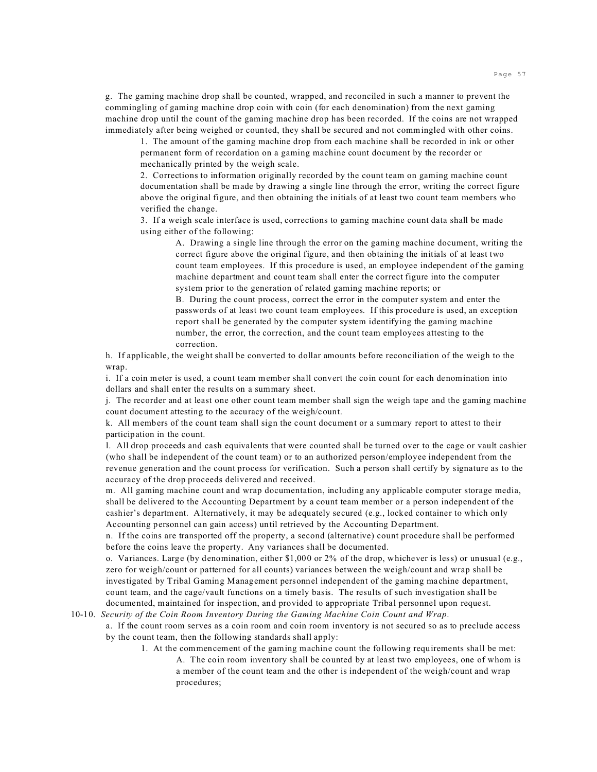g. The gaming machine drop shall be counted, wrapped, and reconciled in such a manner to prevent the commingling of gaming machine drop coin with coin (for each denomination) from the next gaming machine drop until the count of the gaming machine drop has been recorded. If the coins are not wrapped immediately after being weighed or counted, they shall be secured and not commingled with other coins.

1. The amount of the gaming machine drop from each machine shall be recorded in ink or other permanent form of recordation on a gaming machine count document by the recorder or mechanically printed by the weigh scale.

2. Corrections to information originally recorded by the count team on gaming machine count documentation shall be made by drawing a single line through the error, writing the correct figure above the original figure, and then obtaining the initials of at least two count team members who verified the change.

3. If a weigh scale interface is used, corrections to gaming machine count data shall be made using either of the following:

A. Drawing a single line through the error on the gaming machine document, writing the correct figure above the original figure, and then obtaining the initials of at least two count team employees. If this procedure is used, an employee independent of the gaming machine department and count team shall enter the correct figure into the computer system prior to the generation of related gaming machine reports; or

B. During the count process, correct the error in the computer system and enter the passwords of at least two count team employees. If this procedure is used, an exception report shall be generated by the computer system identifying the gaming machine number, the error, the correction, and the count team employees attesting to the correction.

h. If applicable, the weight shall be converted to dollar amounts before reconciliation of the weigh to the wrap.

i. If a coin meter is used, a count team member shall convert the coin count for each denomination into dollars and shall enter the results on a summary sheet.

j. The recorder and at least one other count team member shall sign the weigh tape and the gaming machine count document attesting to the accuracy of the weigh/count.

k. All members of the count team shall sign the count document or a summary report to attest to their participation in the count.

l. All drop proceeds and cash equivalents that were counted shall be turned over to the cage or vault cashier (who shall be independent of the count team) or to an authorized person/employee independent from the revenue generation and the count process for verification. Such a person shall certify by signature as to the accuracy of the drop proceeds delivered and received.

m. All gaming machine count and wrap documentation, including any applicable computer storage media, shall be delivered to the Accounting Department by a count team member or a person independent of the cashier's department. Alternatively, it may be adequately secured (e.g., locked container to which only Accounting personnel can gain access) until retrieved by the Accounting Department.

n. If the coins are transported off the property, a second (alternative) count procedure shall be performed before the coins leave the property. Any variances shall be documented.

o. Variances. Large (by denomination, either \$1,000 or 2% of the drop, whichever is less) or unusual (e.g., zero for weigh/count or patterned for all counts) variances between the weigh/count and wrap shall be investigated by Tribal Gaming Management personnel independent of the gaming machine department, count team, and the cage/vault functions on a timely basis. The results of such investigation shall be documented, maintained for inspection, and provided to appropriate Tribal personnel upon request.

10-10. *Security of the Coin Room Inventory During the Gaming Machine Coin Count and Wrap*.

a. If the count room serves as a coin room and coin room inventory is not secured so as to preclude access by the count team, then the following standards shall apply:

- 1. At the commencement of the gaming machine count the following requirements shall be met:
	- A. The coin room inventory shall be counted by at least two employees, one of whom is a member of the count team and the other is independent of the weigh/count and wrap procedures;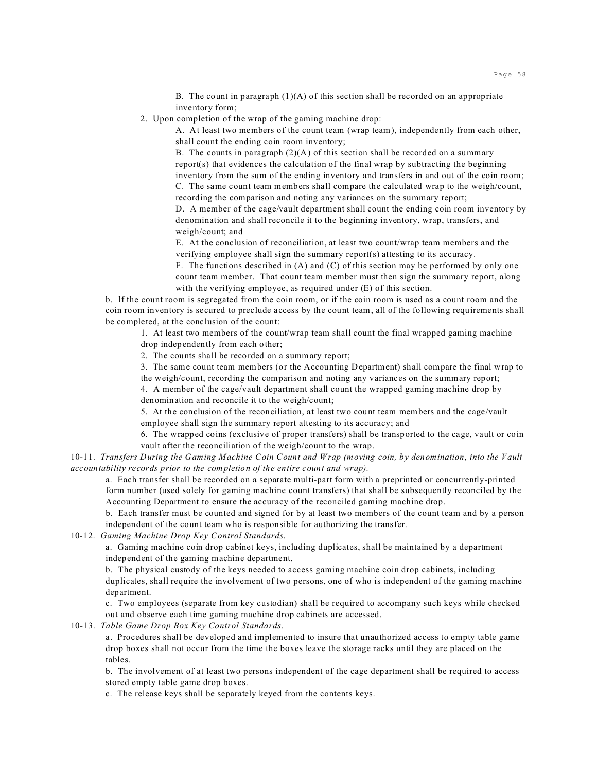B. The count in paragraph (1)(A) of this section shall be recorded on an appropriate inventory form;

2. Upon completion of the wrap of the gaming machine drop:

A. At least two members of the count team (wrap team), independently from each other, shall count the ending coin room inventory;

B. The counts in paragraph  $(2)(A)$  of this section shall be recorded on a summary report(s) that evidences the calculation of the final wrap by subtracting the beginning inventory from the sum of the ending inventory and transfers in and out of the coin room; C. The same count team members shall compare the calculated wrap to the weigh/count, recording the comparison and noting any variances on the summary report;

D. A member of the cage/vault department shall count the ending coin room inventory by denomination and shall reconcile it to the beginning inventory, wrap, transfers, and weigh/count; and

E. At the conclusion of reconciliation, at least two count/wrap team members and the verifying employee shall sign the summary report(s) attesting to its accuracy.

F. The functions described in  $(A)$  and  $(C)$  of this section may be performed by only one count team member. That count team member must then sign the summary report, along with the verifying employee, as required under (E) of this section.

b. If the count room is segregated from the coin room, or if the coin room is used as a count room and the coin room inventory is secured to preclude access by the count team, all of the following requirements shall be completed, at the conclusion of the count:

1. At least two members of the count/wrap team shall count the final wrapped gaming machine drop independently from each other;

2. The counts shall be recorded on a summary report;

3. The same count team members (or the Accounting Department) shall compare the final wrap to the weigh/count, recording the comparison and noting any variances on the summary report;

4. A member of the cage/vault department shall count the wrapped gaming machine drop by denomination and reconcile it to the weigh/count;

5. At the conclusion of the reconciliation, at least two count team members and the cage/vault employee shall sign the summary report attesting to its accuracy; and

6. The wrapped coins (exclusive of proper transfers) shall be transported to the cage, vault or coin vault after the reconciliation of the weigh/count to the wrap.

10-11. *Transfers During the Gaming Machine Coin Count and Wrap (moving coin, by denomination, into the Vault accountability records prior to the completion of the entire count and wrap).*

a. Each transfer shall be recorded on a separate multi-part form with a preprinted or concurrently-printed form number (used solely for gaming machine count transfers) that shall be subsequently reconciled by the Accounting Department to ensure the accuracy of the reconciled gaming machine drop.

b. Each transfer must be counted and signed for by at least two members of the count team and by a person independent of the count team who is responsible for authorizing the transfer.

10-12. *Gaming Machine Drop Key Control Standards*.

a. Gaming machine coin drop cabinet keys, including duplicates, shall be maintained by a department independent of the gaming machine department.

b. The physical custody of the keys needed to access gaming machine coin drop cabinets, including duplicates, shall require the involvement of two persons, one of who is independent of the gaming machine department.

c. Two employees (separate from key custodian) shall be required to accompany such keys while checked out and observe each time gaming machine drop cabinets are accessed.

10-13. *Table Game Drop Box Key Control Standards*.

a. Procedures shall be developed and implemented to insure that unauthorized access to empty table game drop boxes shall not occur from the time the boxes leave the storage racks until they are placed on the tables.

b. The involvement of at least two persons independent of the cage department shall be required to access stored empty table game drop boxes.

c. The release keys shall be separately keyed from the contents keys.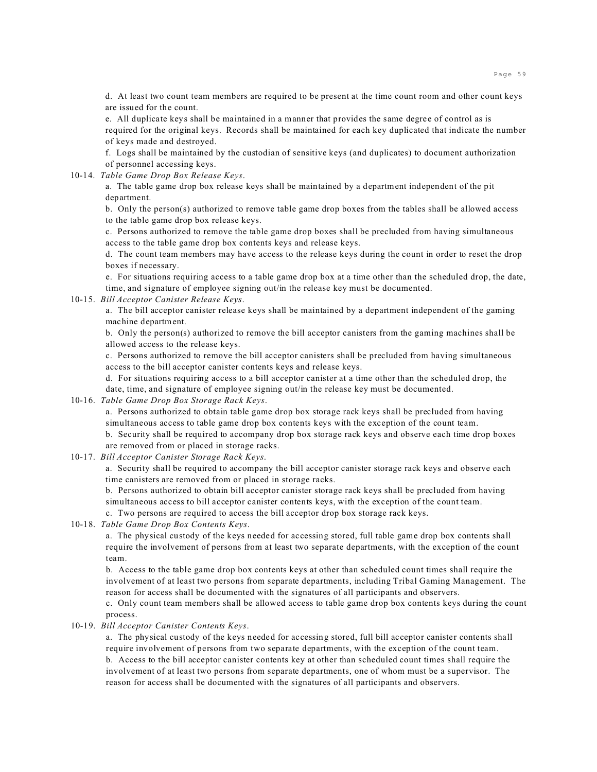d. At least two count team members are required to be present at the time count room and other count keys are issued for the count.

e. All duplicate keys shall be maintained in a manner that provides the same degree of control as is required for the original keys. Records shall be maintained for each key duplicated that indicate the number of keys made and destroyed.

f. Logs shall be maintained by the custodian of sensitive keys (and duplicates) to document authorization of personnel accessing keys.

10-14. *Table Game Drop Box Release Keys*.

a. The table game drop box release keys shall be maintained by a department independent of the pit department.

b. Only the person(s) authorized to remove table game drop boxes from the tables shall be allowed access to the table game drop box release keys.

c. Persons authorized to remove the table game drop boxes shall be precluded from having simultaneous access to the table game drop box contents keys and release keys.

d. The count team members may have access to the release keys during the count in order to reset the drop boxes if necessary.

e. For situations requiring access to a table game drop box at a time other than the scheduled drop, the date, time, and signature of employee signing out/in the release key must be documented.

## 10-15. *Bill Acceptor Canister Release Keys*.

a. The bill acceptor canister release keys shall be maintained by a department independent of the gaming machine department.

b. Only the person(s) authorized to remove the bill acceptor canisters from the gaming machines shall be allowed access to the release keys.

c. Persons authorized to remove the bill acceptor canisters shall be precluded from having simultaneous access to the bill acceptor canister contents keys and release keys.

d. For situations requiring access to a bill acceptor canister at a time other than the scheduled drop, the date, time, and signature of employee signing out/in the release key must be documented.

10-16. *Table Game Drop Box Storage Rack Keys*.

a. Persons authorized to obtain table game drop box storage rack keys shall be precluded from having simultaneous access to table game drop box contents keys with the exception of the count team.

b. Security shall be required to accompany drop box storage rack keys and observe each time drop boxes are removed from or placed in storage racks.

10-17. *Bill Acceptor Canister Storage Rack Keys*.

a. Security shall be required to accompany the bill acceptor canister storage rack keys and observe each time canisters are removed from or placed in storage racks.

b. Persons authorized to obtain bill acceptor canister storage rack keys shall be precluded from having simultaneous access to bill acceptor canister contents keys, with the exception of the count team.

c. Two persons are required to access the bill acceptor drop box storage rack keys.

10-18. *Table Game Drop Box Contents Keys*.

a. The physical custody of the keys needed for accessing stored, full table game drop box contents shall require the involvement of persons from at least two separate departments, with the exception of the count team.

b. Access to the table game drop box contents keys at other than scheduled count times shall require the involvement of at least two persons from separate departments, including Tribal Gaming Management. The reason for access shall be documented with the signatures of all participants and observers.

c. Only count team members shall be allowed access to table game drop box contents keys during the count process.

# 10-19. *Bill Acceptor Canister Contents Keys*.

a. The physical custody of the keys needed for accessing stored, full bill acceptor canister contents shall require involvement of persons from two separate departments, with the exception of the count team. b. Access to the bill acceptor canister contents key at other than scheduled count times shall require the involvement of at least two persons from separate departments, one of whom must be a supervisor. The reason for access shall be documented with the signatures of all participants and observers.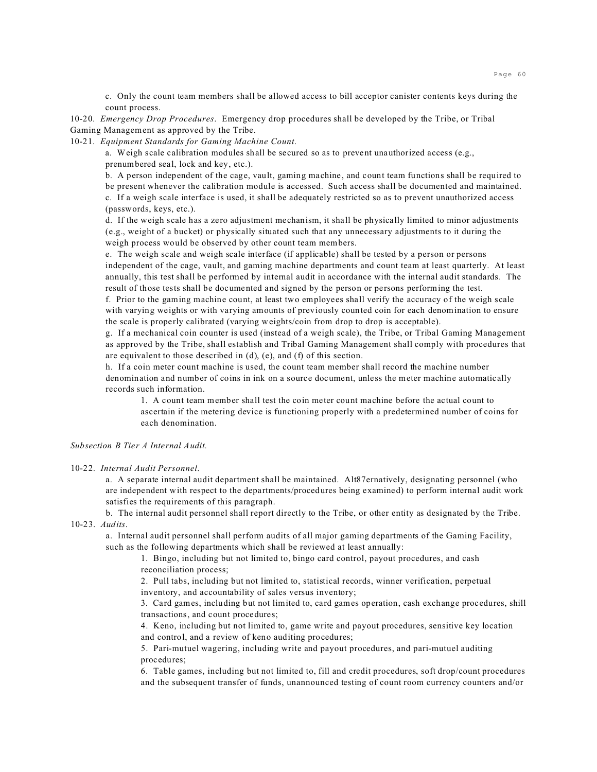c. Only the count team members shall be allowed access to bill acceptor canister contents keys during the count process.

10-20. *Emergency Drop Procedures*. Emergency drop procedures shall be developed by the Tribe, or Tribal Gaming Management as approved by the Tribe.

10-21. *Equipment Standards for Gaming Machine Count*.

a. Weigh scale calibration modules shall be secured so as to prevent unauthorized access (e.g., prenumbered seal, lock and key, etc.).

b. A person independent of the cage, vault, gaming machine, and count team functions shall be required to be present whenever the calibration module is accessed. Such access shall be documented and maintained. c. If a weigh scale interface is used, it shall be adequately restricted so as to prevent unauthorized access

(passwords, keys, etc.).

d. If the weigh scale has a zero adjustment mechanism, it shall be physically limited to minor adjustments (e.g., weight of a bucket) or physically situated such that any unnecessary adjustments to it during the weigh process would be observed by other count team members.

e. The weigh scale and weigh scale interface (if applicable) shall be tested by a person or persons independent of the cage, vault, and gaming machine departments and count team at least quarterly. At least annually, this test shall be performed by internal audit in accordance with the internal audit standards. The result of those tests shall be documented and signed by the person or persons performing the test.

f. Prior to the gaming machine count, at least two employees shall verify the accuracy of the weigh scale with varying weights or with varying amounts of previously counted coin for each denomination to ensure the scale is properly calibrated (varying weights/coin from drop to drop is acceptable).

g. If a mechanical coin counter is used (instead of a weigh scale), the Tribe, or Tribal Gaming Management as approved by the Tribe, shall establish and Tribal Gaming Management shall comply with procedures that are equivalent to those described in (d), (e), and (f) of this section.

h. If a coin meter count machine is used, the count team member shall record the machine number denomination and number of coins in ink on a source document, unless the meter machine automatically records such information.

1. A count team member shall test the coin meter count machine before the actual count to ascertain if the metering device is functioning properly with a predetermined number of coins for each denomination.

# *Subsection B Tier A Internal Audit.*

#### 10-22. *Internal Audit Personnel*.

a. A separate internal audit department shall be maintained. Alt87ernatively, designating personnel (who are independent with respect to the departments/procedures being examined) to perform internal audit work satisfies the requirements of this paragraph.

b. The internal audit personnel shall report directly to the Tribe, or other entity as designated by the Tribe. 10-23. *Audits*.

a. Internal audit personnel shall perform audits of all major gaming departments of the Gaming Facility, such as the following departments which shall be reviewed at least annually:

1. Bingo, including but not limited to, bingo card control, payout procedures, and cash reconciliation process;

2. Pull tabs, including but not limited to, statistical records, winner verification, perpetual inventory, and accountability of sales versus inventory;

3. Card games, including but not limited to, card games operation, cash exchange procedures, shill transactions, and count procedures;

4. Keno, including but not limited to, game write and payout procedures, sensitive key location and control, and a review of keno auditing procedures;

5. Pari-mutuel wagering, including write and payout procedures, and pari-mutuel auditing procedures;

6. Table games, including but not limited to, fill and credit procedures, soft drop/count procedures and the subsequent transfer of funds, unannounced testing of count room currency counters and/or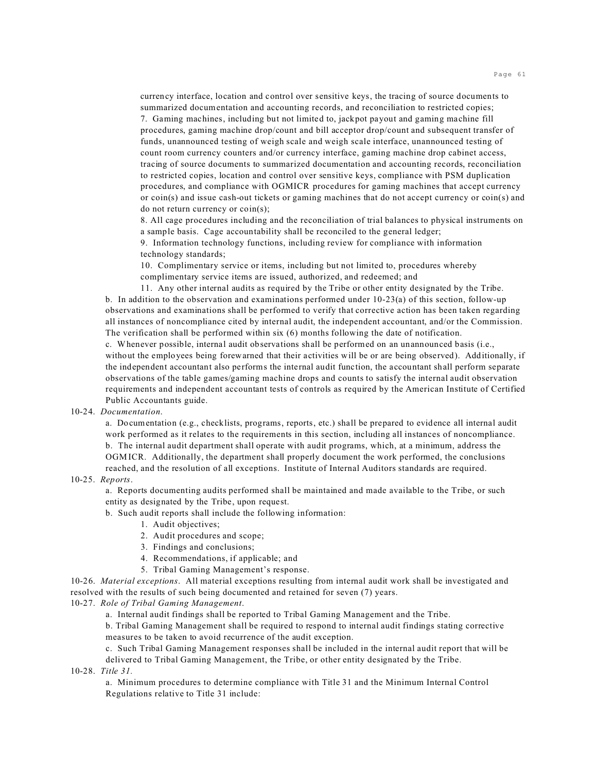currency interface, location and control over sensitive keys, the tracing of source documents to summarized documentation and accounting records, and reconciliation to restricted copies; 7. Gaming machines, including but not limited to, jackpot payout and gaming machine fill procedures, gaming machine drop/count and bill acceptor drop/count and subsequent transfer of funds, unannounced testing of weigh scale and weigh scale interface, unannounced testing of count room currency counters and/or currency interface, gaming machine drop cabinet access, tracing of source documents to summarized documentation and accounting records, reconciliation to restricted copies, location and control over sensitive keys, compliance with PSM duplication procedures, and compliance with OGMICR procedures for gaming machines that accept currency or coin(s) and issue cash-out tickets or gaming machines that do not accept currency or coin(s) and do not return currency or coin(s);

8. All cage procedures including and the reconciliation of trial balances to physical instruments on a sample basis. Cage accountability shall be reconciled to the general ledger;

9. Information technology functions, including review for compliance with information technology standards;

10. Complimentary service or items, including but not limited to, procedures whereby complimentary service items are issued, authorized, and redeemed; and

11. Any other internal audits as required by the Tribe or other entity designated by the Tribe. b. In addition to the observation and examinations performed under 10-23(a) of this section, follow-up observations and examinations shall be performed to verify that corrective action has been taken regarding all instances of noncompliance cited by internal audit, the independent accountant, and/or the Commission. The verification shall be performed within six (6) months following the date of notification.

c. Whenever possible, internal audit observations shall be performed on an unannounced basis (i.e., without the employees being forewarned that their activities will be or are being observed). Additionally, if the independent accountant also performs the internal audit function, the accountant shall perform separate observations of the table games/gaming machine drops and counts to satisfy the internal audit observation requirements and independent accountant tests of controls as required by the American Institute of Certified Public Accountants guide.

## 10-24. *Documentation*.

a. Documentation (e.g., checklists, programs, reports, etc.) shall be prepared to evidence all internal audit work performed as it relates to the requirements in this section, including all instances of noncompliance. b. The internal audit department shall operate with audit programs, which, at a minimum, address the OGMICR. Additionally, the department shall properly document the work performed, the conclusions reached, and the resolution of all exceptions. Institute of Internal Auditors standards are required.

#### 10-25. *Reports*.

a. Reports documenting audits performed shall be maintained and made available to the Tribe, or such entity as designated by the Tribe, upon request.

b. Such audit reports shall include the following information:

- 1. Audit objectives;
- 2. Audit procedures and scope;
- 3. Findings and conclusions;
- 4. Recommendations, if applicable; and
- 5. Tribal Gaming Management's response.

10-26. *Material exceptions*. All material exceptions resulting from internal audit work shall be investigated and resolved with the results of such being documented and retained for seven (7) years.

10-27. *Role of Tribal Gaming Management*.

a. Internal audit findings shall be reported to Tribal Gaming Management and the Tribe.

b. Tribal Gaming Management shall be required to respond to internal audit findings stating corrective measures to be taken to avoid recurrence of the audit exception.

c. Such Tribal Gaming Management responses shall be included in the internal audit report that will be delivered to Tribal Gaming Management, the Tribe, or other entity designated by the Tribe.

10-28. *Title 31.*

a. Minimum procedures to determine compliance with Title 31 and the Minimum Internal Control Regulations relative to Title 31 include: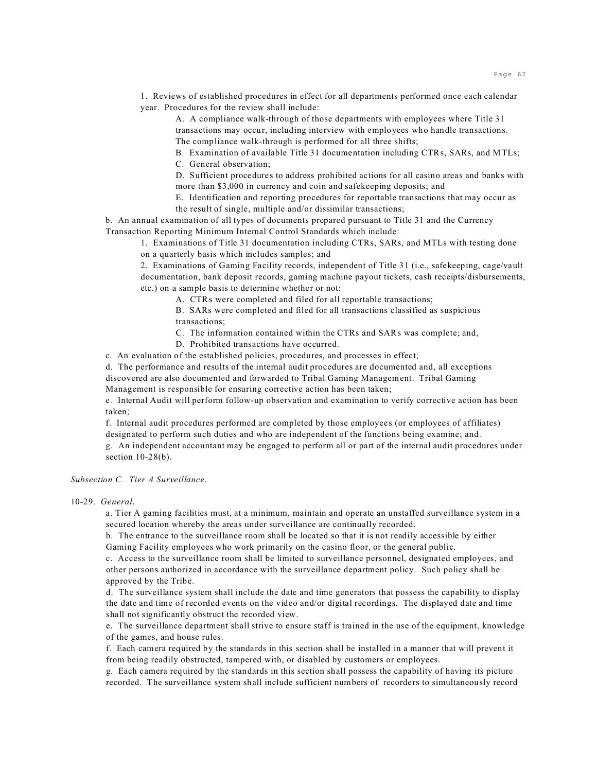1. Reviews of established procedures in effect for all departments performed once each calendar year. Procedures for the review shall include:

A. A compliance walk-through of those departments with employees where Title 31 transactions may occur, including interview with employees who handle transactions. The compliance walk-through is performed for all three shifts;

B. Examination of available Title 31 documentation including CTRs, SARs, and MTLs; C. General observation;

D. Sufficient procedures to address prohibited actions for all casino areas and banks with more than \$3,000 in currency and coin and safekeeping deposits; and

E. Identification and reporting procedures for reportable transactions that may occur as the result of single, multiple and/or dissimilar transactions;

b. An annual examination of all types of documents prepared pursuant to Title 31 and the Currency Transaction Reporting Minimum Internal Control Standards which include:

1. Examinations of Title 31 documentation including CTRs, SARs, and MTLs with testing done

on a quarterly basis which includes samples; and

2. Examinations of Gaming Facility records, independent of Title 31 (i.e., safekeeping, cage/vault documentation, bank deposit records, gaming machine payout tickets, cash receipts/disbursements, etc.) on a sample basis to determine whether or not:

A. CTRs were completed and filed for all reportable transactions;

B. SARs were completed and filed for all transactions classified as suspicious transactions;

C. The information contained within the CTRs and SARs was complete; and,

D. Prohibited transactions have occurred.

c. An evaluation of the established policies, procedures, and processes in effect;

d. The performance and results of the internal audit procedures are documented and, all exceptions discovered are also documented and forwarded to Tribal Gaming Management. Tribal Gaming Management is responsible for ensuring corrective action has been taken;

e. Internal Audit will perform follow-up observation and examination to verify corrective action has been taken;

f. Internal audit procedures performed are completed by those employees (or employees of affiliates) designated to perform such duties and who are independent of the functions being examine; and.

g. An independent accountant may be engaged to perform all or part of the internal audit procedures under section  $10-28(b)$ .

### *Subsection C. Tier A Surveillance*.

10-29. *General*.

a. Tier A gaming facilities must, at a minimum, maintain and operate an unstaffed surveillance system in a secured location whereby the areas under surveillance are continually recorded.

b. The entrance to the surveillance room shall be located so that it is not readily accessible by either Gaming Facility employees who work primarily on the casino floor, or the general public.

c. Access to the surveillance room shall be limited to surveillance personnel, designated employees, and other persons authorized in accordance with the surveillance department policy. Such policy shall be approved by the Tribe.

d. The surveillance system shall include the date and time generators that possess the capability to display the date and time of recorded events on the video and/or digital recordings. The displayed date and time shall not significantly obstruct the recorded view.

e. The surveillance department shall strive to ensure staff is trained in the use of the equipment, knowledge of the games, and house rules.

f. Each camera required by the standards in this section shall be installed in a manner that will prevent it from being readily obstructed, tampered with, or disabled by customers or employees.

g. Each camera required by the standards in this section shall possess the capability of having its picture recorded. The surveillance system shall include sufficient numbers of recorders to simultaneously record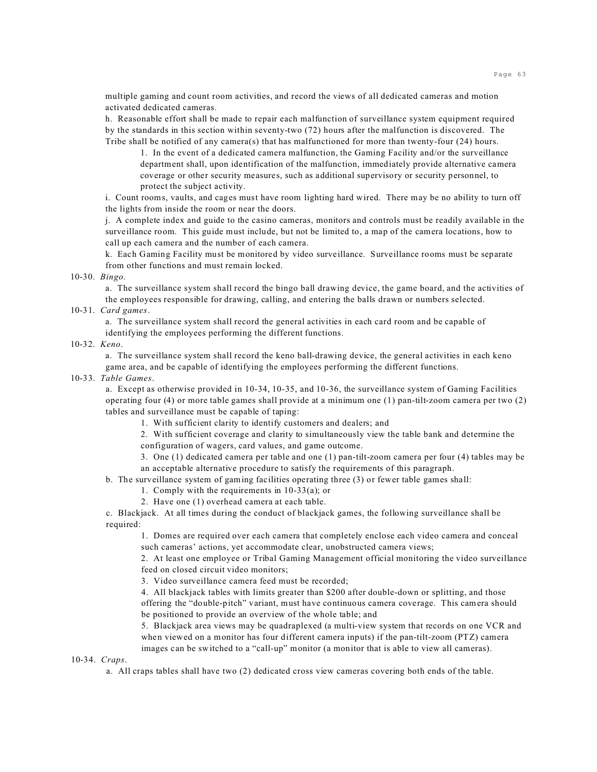multiple gaming and count room activities, and record the views of all dedicated cameras and motion activated dedicated cameras.

h. Reasonable effort shall be made to repair each malfunction of surveillance system equipment required by the standards in this section within seventy-two (72) hours after the malfunction is discovered. The Tribe shall be notified of any camera(s) that has malfunctioned for more than twenty-four (24) hours.

1. In the event of a dedicated camera malfunction, the Gaming Facility and/or the surveillance department shall, upon identification of the malfunction, immediately provide alternative camera coverage or other security measures, such as additional supervisory or security personnel, to protect the subject activity.

i. Count rooms, vaults, and cages must have room lighting hard wired. There may be no ability to turn off the lights from inside the room or near the doors.

j. A complete index and guide to the casino cameras, monitors and controls must be readily available in the surveillance room. This guide must include, but not be limited to, a map of the camera locations, how to call up each camera and the number of each camera.

k. Each Gaming Facility must be monitored by video surveillance. Surveillance rooms must be separate from other functions and must remain locked.

# 10-30. *Bingo*.

a. The surveillance system shall record the bingo ball drawing device, the game board, and the activities of the employees responsible for drawing, calling, and entering the balls drawn or numbers selected.

# 10-31. *Card games*.

a. The surveillance system shall record the general activities in each card room and be capable of identifying the employees performing the different functions.

#### 10-32. *Keno*.

a. The surveillance system shall record the keno ball-drawing device, the general activities in each keno game area, and be capable of identifying the employees performing the different functions.

#### 10-33. *Table Games*.

a. Except as otherwise provided in 10-34, 10-35, and 10-36, the surveillance system of Gaming Facilities operating four (4) or more table games shall provide at a minimum one (1) pan-tilt-zoom camera per two (2) tables and surveillance must be capable of taping:

1. With sufficient clarity to identify customers and dealers; and

2. With sufficient coverage and clarity to simultaneously view the table bank and determine the configuration of wagers, card values, and game outcome.

3. One (1) dedicated camera per table and one (1) pan-tilt-zoom camera per four (4) tables may be an acceptable alternative procedure to satisfy the requirements of this paragraph.

b. The surveillance system of gaming facilities operating three (3) or fewer table games shall:

1. Comply with the requirements in 10-33(a); or

2. Have one (1) overhead camera at each table.

c. Blackjack. At all times during the conduct of blackjack games, the following surveillance shall be required:

1. Domes are required over each camera that completely enclose each video camera and conceal such cameras' actions, yet accommodate clear, unobstructed camera views;

2. At least one employee or Tribal Gaming Management official monitoring the video surveillance feed on closed circuit video monitors;

3. Video surveillance camera feed must be recorded;

4. All blackjack tables with limits greater than \$200 after double-down or splitting, and those offering the "double-pitch" variant, must have continuous camera coverage. This camera should be positioned to provide an overview of the whole table; and

5. Blackjack area views may be quadraplexed (a multi-view system that records on one VCR and when viewed on a monitor has four different camera inputs) if the pan-tilt-zoom (PTZ) camera images can be switched to a "call-up" monitor (a monitor that is able to view all cameras).

10-34. *Craps*.

a. All craps tables shall have two (2) dedicated cross view cameras covering both ends of the table.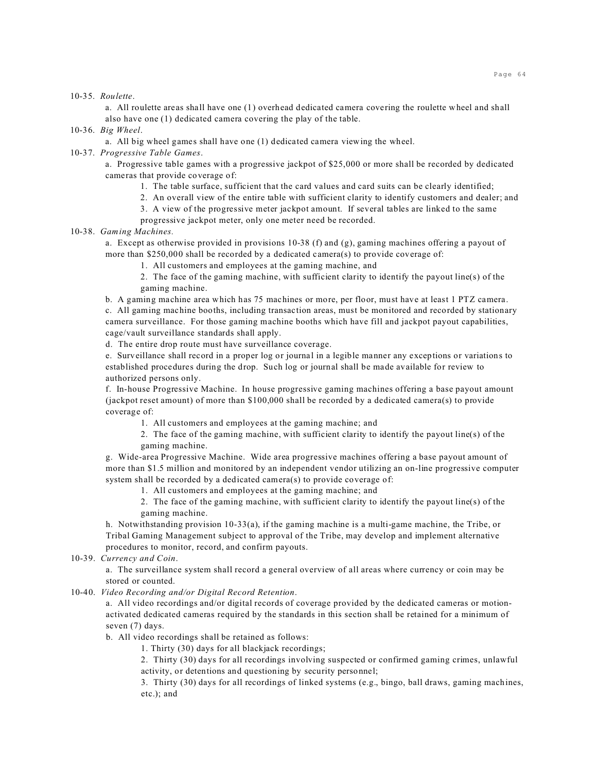10-35. *Roulette*.

a. All roulette areas shall have one (1) overhead dedicated camera covering the roulette wheel and shall also have one (1) dedicated camera covering the play of the table.

10-36. *Big Wheel*.

a. All big wheel games shall have one (1) dedicated camera viewing the wheel.

## 10-37. *Progressive Table Games*.

a. Progressive table games with a progressive jackpot of \$25,000 or more shall be recorded by dedicated cameras that provide coverage of:

- 1. The table surface, sufficient that the card values and card suits can be clearly identified;
- 2. An overall view of the entire table with sufficient clarity to identify customers and dealer; and
- 3. A view of the progressive meter jackpot amount. If several tables are linked to the same
- progressive jackpot meter, only one meter need be recorded.

10-38. *Gaming Machines.*

a. Except as otherwise provided in provisions 10-38 (f) and  $(g)$ , gaming machines offering a payout of more than \$250,000 shall be recorded by a dedicated camera(s) to provide coverage of:

1. All customers and employees at the gaming machine, and

2. The face of the gaming machine, with sufficient clarity to identify the payout line(s) of the gaming machine.

b. A gaming machine area which has 75 machines or more, per floor, must have at least 1 PTZ camera.

c. All gaming machine booths, including transaction areas, must be monitored and recorded by stationary camera surveillance. For those gaming machine booths which have fill and jackpot payout capabilities, cage/vault surveillance standards shall apply.

d. The entire drop route must have surveillance coverage.

e. Surveillance shall record in a proper log or journal in a legible manner any exceptions or variations to established procedures during the drop. Such log or journal shall be made available for review to authorized persons only.

f. In-house Progressive Machine. In house progressive gaming machines offering a base payout amount (jackpot reset amount) of more than \$100,000 shall be recorded by a dedicated camera(s) to provide coverage of:

1. All customers and employees at the gaming machine; and

2. The face of the gaming machine, with sufficient clarity to identify the payout line(s) of the gaming machine.

g. Wide-area Progressive Machine. Wide area progressive machines offering a base payout amount of more than \$1.5 million and monitored by an independent vendor utilizing an on-line progressive computer system shall be recorded by a dedicated camera(s) to provide coverage of:

1. All customers and employees at the gaming machine; and

2. The face of the gaming machine, with sufficient clarity to identify the payout line(s) of the gaming machine.

h. Notwithstanding provision 10-33(a), if the gaming machine is a multi-game machine, the Tribe, or Tribal Gaming Management subject to approval of the Tribe, may develop and implement alternative procedures to monitor, record, and confirm payouts.

10-39. *Currency and Coin*.

a. The surveillance system shall record a general overview of all areas where currency or coin may be stored or counted.

### 10-40. *Video Recording and/or Digital Record Retention*.

a. All video recordings and/or digital records of coverage provided by the dedicated cameras or motionactivated dedicated cameras required by the standards in this section shall be retained for a minimum of seven (7) days.

b. All video recordings shall be retained as follows:

1. Thirty (30) days for all blackjack recordings;

2. Thirty (30) days for all recordings involving suspected or confirmed gaming crimes, unlawful activity, or detentions and questioning by security personnel;

3. Thirty (30) days for all recordings of linked systems (e.g., bingo, ball draws, gaming machines, etc.); and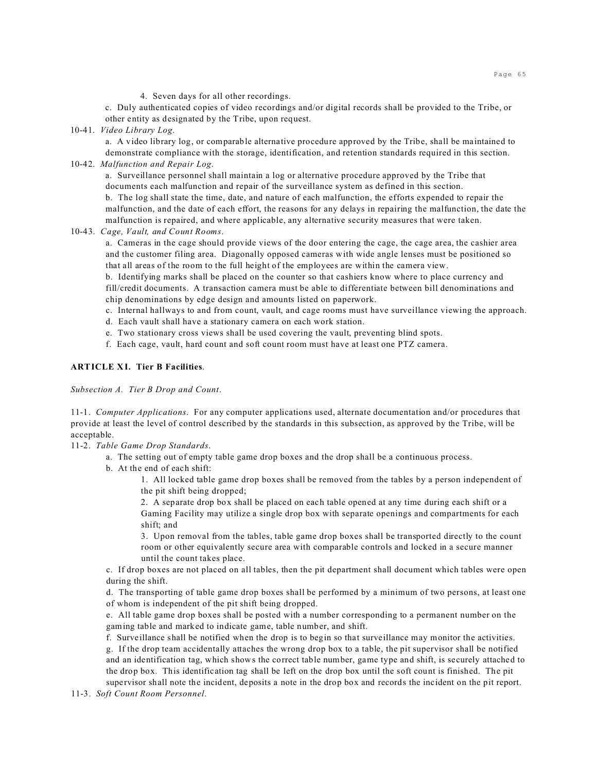4. Seven days for all other recordings.

c. Duly authenticated copies of video recordings and/or digital records shall be provided to the Tribe, or other entity as designated by the Tribe, upon request.

10-41. *Video Library Log*.

a. A video library log, or comparable alternative procedure approved by the Tribe, shall be maintained to demonstrate compliance with the storage, identification, and retention standards required in this section.

10-42. *Malfunction and Repair Log*.

a. Surveillance personnel shall maintain a log or alternative procedure approved by the Tribe that documents each malfunction and repair of the surveillance system as defined in this section.

b. The log shall state the time, date, and nature of each malfunction, the efforts expended to repair the malfunction, and the date of each effort, the reasons for any delays in repairing the malfunction, the date the malfunction is repaired, and where applicable, any alternative security measures that were taken.

10-43. *Cage, Vault, and Count Rooms*.

a. Cameras in the cage should provide views of the door entering the cage, the cage area, the cashier area and the customer filing area. Diagonally opposed cameras with wide angle lenses must be positioned so that all areas of the room to the full height of the employees are within the camera view.

b. Identifying marks shall be placed on the counter so that cashiers know where to place currency and fill/credit documents. A transaction camera must be able to differentiate between bill denominations and chip denominations by edge design and amounts listed on paperwork.

c. Internal hallways to and from count, vault, and cage rooms must have surveillance viewing the approach.

- d. Each vault shall have a stationary camera on each work station.
- e. Two stationary cross views shall be used covering the vault, preventing blind spots.
- f. Each cage, vault, hard count and soft count room must have at least one PTZ camera.

### **ARTICLE XI. Tier B Facilities**.

*Subsection A. Tier B Drop and Count*.

11-1. *Computer Applications*. For any computer applications used, alternate documentation and/or procedures that provide at least the level of control described by the standards in this subsection, as approved by the Tribe, will be acceptable.

11-2. *Table Game Drop Standards*.

a. The setting out of empty table game drop boxes and the drop shall be a continuous process.

b. At the end of each shift:

1. All locked table game drop boxes shall be removed from the tables by a person independent of the pit shift being dropped;

2. A separate drop box shall be placed on each table opened at any time during each shift or a Gaming Facility may utilize a single drop box with separate openings and compartments for each shift; and

3. Upon removal from the tables, table game drop boxes shall be transported directly to the count room or other equivalently secure area with comparable controls and locked in a secure manner until the count takes place.

c. If drop boxes are not placed on all tables, then the pit department shall document which tables were open during the shift.

d. The transporting of table game drop boxes shall be performed by a minimum of two persons, at least one of whom is independent of the pit shift being dropped.

e. All table game drop boxes shall be posted with a number corresponding to a permanent number on the gaming table and marked to indicate game, table number, and shift.

f. Surveillance shall be notified when the drop is to begin so that surveillance may monitor the activities. g. If the drop team accidentally attaches the wrong drop box to a table, the pit supervisor shall be notified and an identification tag, which shows the correct table number, game type and shift, is securely attached to the drop box. This identification tag shall be left on the drop box until the soft count is finished. The pit supervisor shall note the incident, deposits a note in the drop box and records the incident on the pit report.

11-3. *Soft Count Room Personnel*.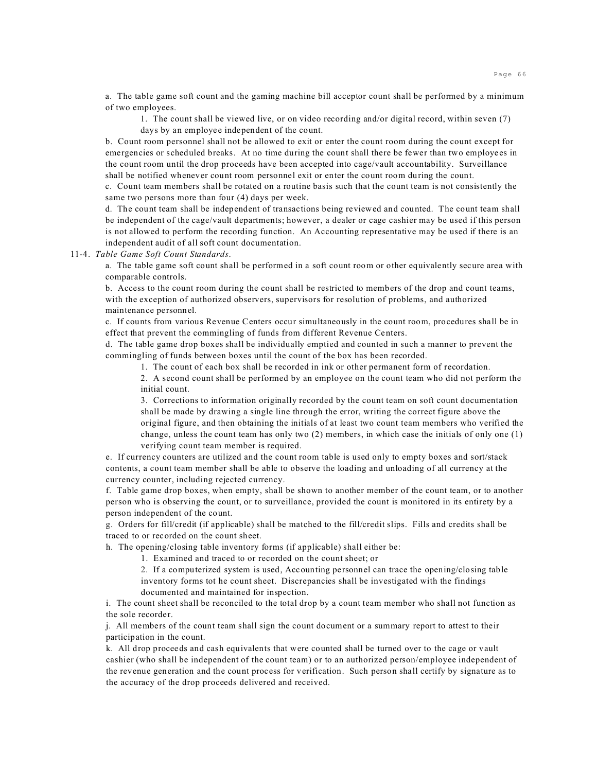a. The table game soft count and the gaming machine bill acceptor count shall be performed by a minimum of two employees.

1. The count shall be viewed live, or on video recording and/or digital record, within seven (7) days by an employee independent of the count.

b. Count room personnel shall not be allowed to exit or enter the count room during the count except for emergencies or scheduled breaks. At no time during the count shall there be fewer than two employees in the count room until the drop proceeds have been accepted into cage/vault accountability. Surveillance shall be notified whenever count room personnel exit or enter the count room during the count.

c. Count team members shall be rotated on a routine basis such that the count team is not consistently the same two persons more than four (4) days per week.

d. The count team shall be independent of transactions being reviewed and counted. The count team shall be independent of the cage/vault departments; however, a dealer or cage cashier may be used if this person is not allowed to perform the recording function. An Accounting representative may be used if there is an independent audit of all soft count documentation.

11-4. *Table Game Soft Count Standards*.

a. The table game soft count shall be performed in a soft count room or other equivalently secure area with comparable controls.

b. Access to the count room during the count shall be restricted to members of the drop and count teams, with the exception of authorized observers, supervisors for resolution of problems, and authorized maintenance personnel.

c. If counts from various Revenue Centers occur simultaneously in the count room, procedures shall be in effect that prevent the commingling of funds from different Revenue Centers.

d. The table game drop boxes shall be individually emptied and counted in such a manner to prevent the commingling of funds between boxes until the count of the box has been recorded.

1. The count of each box shall be recorded in ink or other permanent form of recordation.

2. A second count shall be performed by an employee on the count team who did not perform the initial count.

3. Corrections to information originally recorded by the count team on soft count documentation shall be made by drawing a single line through the error, writing the correct figure above the original figure, and then obtaining the initials of at least two count team members who verified the change, unless the count team has only two (2) members, in which case the initials of only one (1) verifying count team member is required.

e. If currency counters are utilized and the count room table is used only to empty boxes and sort/stack contents, a count team member shall be able to observe the loading and unloading of all currency at the currency counter, including rejected currency.

f. Table game drop boxes, when empty, shall be shown to another member of the count team, or to another person who is observing the count, or to surveillance, provided the count is monitored in its entirety by a person independent of the count.

g. Orders for fill/credit (if applicable) shall be matched to the fill/credit slips. Fills and credits shall be traced to or recorded on the count sheet.

h. The opening/closing table inventory forms (if applicable) shall either be:

1. Examined and traced to or recorded on the count sheet; or

2. If a computerized system is used, Accounting personnel can trace the opening/closing table inventory forms tot he count sheet. Discrepancies shall be investigated with the findings documented and maintained for inspection.

i. The count sheet shall be reconciled to the total drop by a count team member who shall not function as the sole recorder.

j. All members of the count team shall sign the count document or a summary report to attest to their participation in the count.

k. All drop proceeds and cash equivalents that were counted shall be turned over to the cage or vault cashier (who shall be independent of the count team) or to an authorized person/employee independent of the revenue generation and the count process for verification. Such person shall certify by signature as to the accuracy of the drop proceeds delivered and received.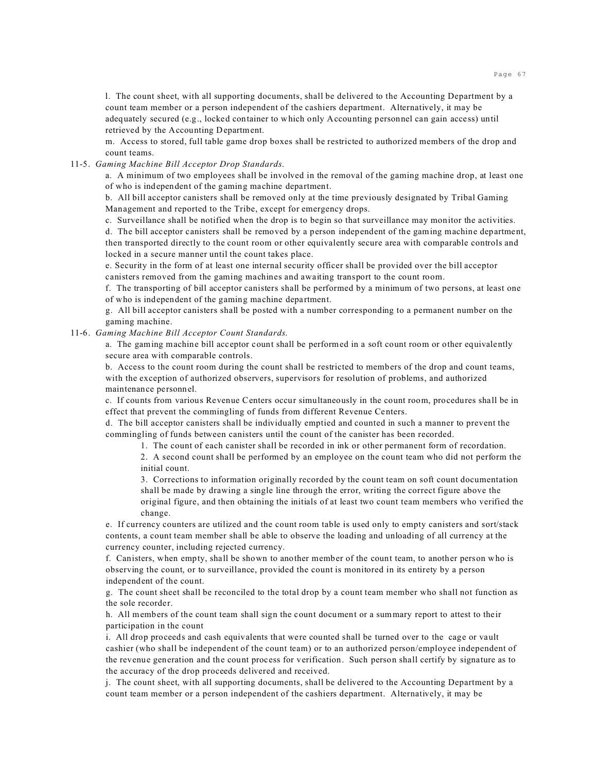l. The count sheet, with all supporting documents, shall be delivered to the Accounting Department by a count team member or a person independent of the cashiers department. Alternatively, it may be adequately secured (e.g., locked container to which only Accounting personnel can gain access) until retrieved by the Accounting Department.

m. Access to stored, full table game drop boxes shall be restricted to authorized members of the drop and count teams.

### 11-5. *Gaming Machine Bill Acceptor Drop Standards*.

a. A minimum of two employees shall be involved in the removal of the gaming machine drop, at least one of who is independent of the gaming machine department.

b. All bill acceptor canisters shall be removed only at the time previously designated by Tribal Gaming Management and reported to the Tribe, except for emergency drops.

c. Surveillance shall be notified when the drop is to begin so that surveillance may monitor the activities.

d. The bill acceptor canisters shall be removed by a person independent of the gaming machine department, then transported directly to the count room or other equivalently secure area with comparable controls and locked in a secure manner until the count takes place.

e. Security in the form of at least one internal security officer shall be provided over the bill acceptor canisters removed from the gaming machines and awaiting transport to the count room.

f. The transporting of bill acceptor canisters shall be performed by a minimum of two persons, at least one of who is independent of the gaming machine department.

g. All bill acceptor canisters shall be posted with a number corresponding to a permanent number on the gaming machine.

## 11-6. *Gaming Machine Bill Acceptor Count Standards*.

a. The gaming machine bill acceptor count shall be performed in a soft count room or other equivalently secure area with comparable controls.

b. Access to the count room during the count shall be restricted to members of the drop and count teams, with the exception of authorized observers, supervisors for resolution of problems, and authorized maintenance personnel.

c. If counts from various Revenue Centers occur simultaneously in the count room, procedures shall be in effect that prevent the commingling of funds from different Revenue Centers.

d. The bill acceptor canisters shall be individually emptied and counted in such a manner to prevent the commingling of funds between canisters until the count of the canister has been recorded.

1. The count of each canister shall be recorded in ink or other permanent form of recordation.

2. A second count shall be performed by an employee on the count team who did not perform the initial count.

3. Corrections to information originally recorded by the count team on soft count documentation shall be made by drawing a single line through the error, writing the correct figure above the original figure, and then obtaining the initials of at least two count team members who verified the change.

e. If currency counters are utilized and the count room table is used only to empty canisters and sort/stack contents, a count team member shall be able to observe the loading and unloading of all currency at the currency counter, including rejected currency.

f. Canisters, when empty, shall be shown to another member of the count team, to another person who is observing the count, or to surveillance, provided the count is monitored in its entirety by a person independent of the count.

g. The count sheet shall be reconciled to the total drop by a count team member who shall not function as the sole recorder.

h. All members of the count team shall sign the count document or a summary report to attest to their participation in the count

i. All drop proceeds and cash equivalents that were counted shall be turned over to the cage or vault cashier (who shall be independent of the count team) or to an authorized person/employee independent of the revenue generation and the count process for verification. Such person shall certify by signature as to the accuracy of the drop proceeds delivered and received.

j. The count sheet, with all supporting documents, shall be delivered to the Accounting Department by a count team member or a person independent of the cashiers department. Alternatively, it may be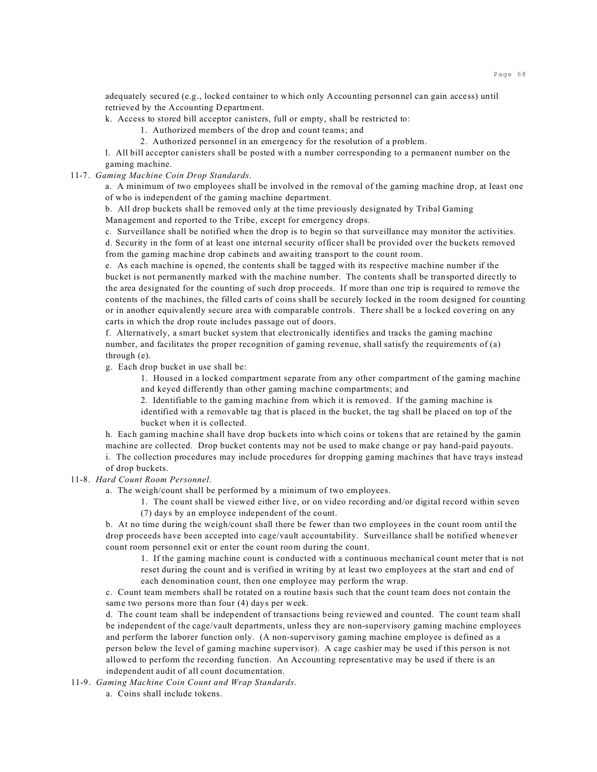adequately secured (e.g., locked container to which only Accounting personnel can gain access) until retrieved by the Accounting Department.

k. Access to stored bill acceptor canisters, full or empty, shall be restricted to:

- 1. Authorized members of the drop and count teams; and
- 2. Authorized personnel in an emergency for the resolution of a problem.

l. All bill acceptor canisters shall be posted with a number corresponding to a permanent number on the gaming machine.

11-7. *Gaming Machine Coin Drop Standards*.

a. A minimum of two employees shall be involved in the removal of the gaming machine drop, at least one of who is independent of the gaming machine department.

b. All drop buckets shall be removed only at the time previously designated by Tribal Gaming Management and reported to the Tribe, except for emergency drops.

c. Surveillance shall be notified when the drop is to begin so that surveillance may monitor the activities. d. Security in the form of at least one internal security officer shall be provided over the buckets removed from the gaming machine drop cabinets and awaiting transport to the count room.

e. As each machine is opened, the contents shall be tagged with its respective machine number if the bucket is not permanently marked with the machine number. The contents shall be transported directly to the area designated for the counting of such drop proceeds. If more than one trip is required to remove the contents of the machines, the filled carts of coins shall be securely locked in the room designed for counting or in another equivalently secure area with comparable controls. There shall be a locked covering on any carts in which the drop route includes passage out of doors.

f. Alternatively, a smart bucket system that electronically identifies and tracks the gaming machine number, and facilitates the proper recognition of gaming revenue, shall satisfy the requirements of (a) through (e).

g. Each drop bucket in use shall be:

1. Housed in a locked compartment separate from any other compartment of the gaming machine and keyed differently than other gaming machine compartments; and

2. Identifiable to the gaming machine from which it is removed. If the gaming machine is identified with a removable tag that is placed in the bucket, the tag shall be placed on top of the bucket when it is collected.

h. Each gaming machine shall have drop buckets into which coins or tokens that are retained by the gamin machine are collected. Drop bucket contents may not be used to make change or pay hand-paid payouts.

i. The collection procedures may include procedures for dropping gaming machines that have trays instead of drop buckets.

## 11-8. *Hard Count Room Personnel*.

a. The weigh/count shall be performed by a minimum of two employees.

1. The count shall be viewed either live, or on video recording and/or digital record within seven (7) days by an employee independent of the count.

b. At no time during the weigh/count shall there be fewer than two employees in the count room until the drop proceeds have been accepted into cage/vault accountability. Surveillance shall be notified whenever count room personnel exit or enter the count room during the count.

1. If the gaming machine count is conducted with a continuous mechanical count meter that is not reset during the count and is verified in writing by at least two employees at the start and end of each denomination count, then one employee may perform the wrap.

c. Count team members shall be rotated on a routine basis such that the count team does not contain the same two persons more than four (4) days per week.

d. The count team shall be independent of transactions being reviewed and counted. The count team shall be independent of the cage/vault departments, unless they are non-supervisory gaming machine employees and perform the laborer function only. (A non-supervisory gaming machine employee is defined as a person below the level of gaming machine supervisor). A cage cashier may be used if this person is not allowed to perform the recording function. An Accounting representative may be used if there is an independent audit of all count documentation.

11-9. *Gaming Machine Coin Count and Wrap Standards*.

a. Coins shall include tokens.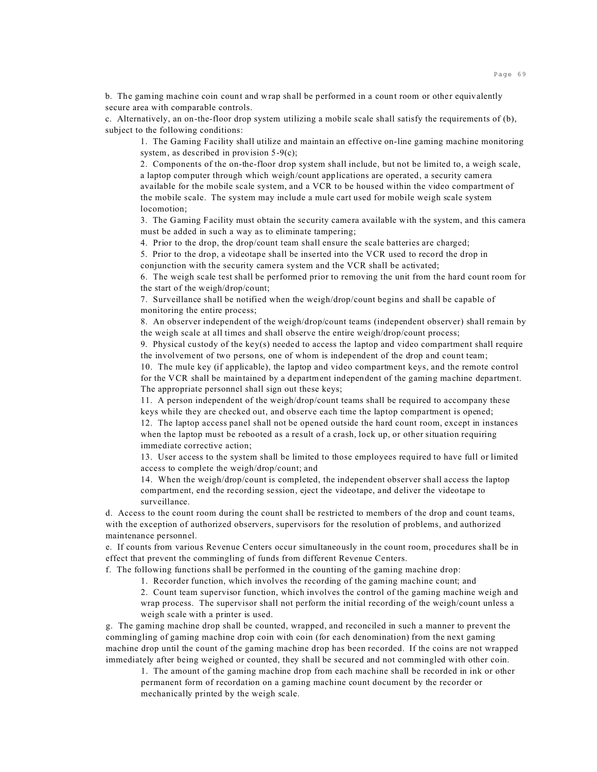b. The gaming machine coin count and wrap shall be performed in a count room or other equivalently secure area with comparable controls.

c. Alternatively, an on-the-floor drop system utilizing a mobile scale shall satisfy the requirements of (b), subject to the following conditions:

1. The Gaming Facility shall utilize and maintain an effective on-line gaming machine monitoring system, as described in provision 5-9(c);

2. Components of the on-the-floor drop system shall include, but not be limited to, a weigh scale, a laptop computer through which weigh/count applications are operated, a security camera available for the mobile scale system, and a VCR to be housed within the video compartment of the mobile scale. The system may include a mule cart used for mobile weigh scale system locomotion;

3. The Gaming Facility must obtain the security camera available with the system, and this camera must be added in such a way as to eliminate tampering;

4. Prior to the drop, the drop/count team shall ensure the scale batteries are charged;

5. Prior to the drop, a videotape shall be inserted into the VCR used to record the drop in

conjunction with the security camera system and the VCR shall be activated;

6. The weigh scale test shall be performed prior to removing the unit from the hard count room for the start of the weigh/drop/count;

7. Surveillance shall be notified when the weigh/drop/count begins and shall be capable of monitoring the entire process;

8. An observer independent of the weigh/drop/count teams (independent observer) shall remain by the weigh scale at all times and shall observe the entire weigh/drop/count process;

9. Physical custody of the key(s) needed to access the laptop and video compartment shall require the involvement of two persons, one of whom is independent of the drop and count team;

10. The mule key (if applicable), the laptop and video compartment keys, and the remote control for the VCR shall be maintained by a department independent of the gaming machine department. The appropriate personnel shall sign out these keys;

11. A person independent of the weigh/drop/count teams shall be required to accompany these keys while they are checked out, and observe each time the laptop compartment is opened;

12. The laptop access panel shall not be opened outside the hard count room, except in instances when the laptop must be rebooted as a result of a crash, lock up, or other situation requiring immediate corrective action;

13. User access to the system shall be limited to those employees required to have full or limited access to complete the weigh/drop/count; and

14. When the weigh/drop/count is completed, the independent observer shall access the laptop compartment, end the recording session, eject the videotape, and deliver the videotape to surveillance.

d. Access to the count room during the count shall be restricted to members of the drop and count teams, with the exception of authorized observers, supervisors for the resolution of problems, and authorized maintenance personnel.

e. If counts from various Revenue Centers occur simultaneously in the count room, procedures shall be in effect that prevent the commingling of funds from different Revenue Centers.

f. The following functions shall be performed in the counting of the gaming machine drop:

1. Recorder function, which involves the recording of the gaming machine count; and

2. Count team supervisor function, which involves the control of the gaming machine weigh and wrap process. The supervisor shall not perform the initial recording of the weigh/count unless a weigh scale with a printer is used.

g. The gaming machine drop shall be counted, wrapped, and reconciled in such a manner to prevent the commingling of gaming machine drop coin with coin (for each denomination) from the next gaming machine drop until the count of the gaming machine drop has been recorded. If the coins are not wrapped immediately after being weighed or counted, they shall be secured and not commingled with other coin.

1. The amount of the gaming machine drop from each machine shall be recorded in ink or other permanent form of recordation on a gaming machine count document by the recorder or mechanically printed by the weigh scale.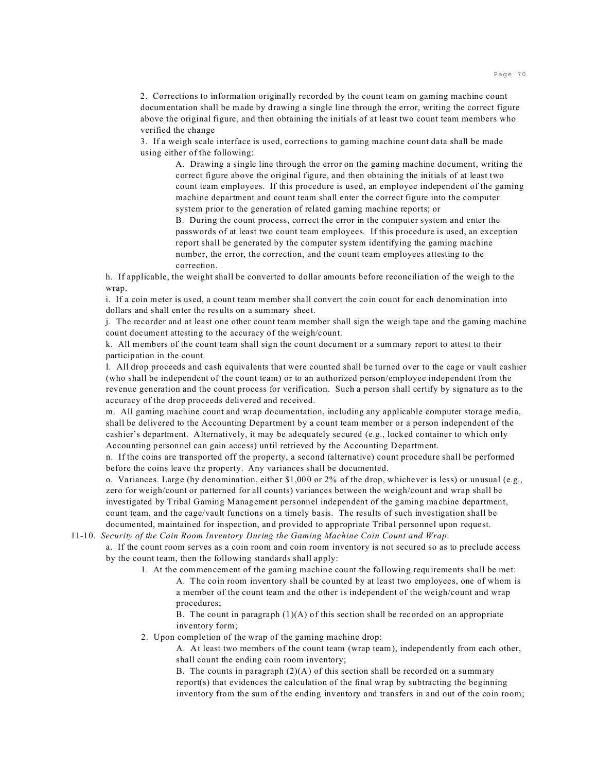2. Corrections to information originally recorded by the count team on gaming machine count documentation shall be made by drawing a single line through the error, writing the correct figure above the original figure, and then obtaining the initials of at least two count team members who verified the change

3. If a weigh scale interface is used, corrections to gaming machine count data shall be made using either of the following:

A. Drawing a single line through the error on the gaming machine document, writing the correct figure above the original figure, and then obtaining the initials of at least two count team employees. If this procedure is used, an employee independent of the gaming machine department and count team shall enter the correct figure into the computer system prior to the generation of related gaming machine reports; or

B. During the count process, correct the error in the computer system and enter the passwords of at least two count team employees. If this procedure is used, an exception report shall be generated by the computer system identifying the gaming machine number, the error, the correction, and the count team employees attesting to the correction.

h. If applicable, the weight shall be converted to dollar amounts before reconciliation of the weigh to the wrap.

i. If a coin meter is used, a count team member shall convert the coin count for each denomination into dollars and shall enter the results on a summary sheet.

j. The recorder and at least one other count team member shall sign the weigh tape and the gaming machine count document attesting to the accuracy of the weigh/count.

k. All members of the count team shall sign the count document or a summary report to attest to their participation in the count.

l. All drop proceeds and cash equivalents that were counted shall be turned over to the cage or vault cashier (who shall be independent of the count team) or to an authorized person/employee independent from the revenue generation and the count process for verification. Such a person shall certify by signature as to the accuracy of the drop proceeds delivered and received.

m. All gaming machine count and wrap documentation, including any applicable computer storage media, shall be delivered to the Accounting Department by a count team member or a person independent of the cashier's department. Alternatively, it may be adequately secured (e.g., locked container to which only Accounting personnel can gain access) until retrieved by the Accounting Department.

n. If the coins are transported off the property, a second (alternative) count procedure shall be performed before the coins leave the property. Any variances shall be documented.

o. Variances. Large (by denomination, either \$1,000 or 2% of the drop, whichever is less) or unusual (e.g., zero for weigh/count or patterned for all counts) variances between the weigh/count and wrap shall be investigated by Tribal Gaming Management personnel independent of the gaming machine department, count team, and the cage/vault functions on a timely basis. The results of such investigation shall be documented, maintained for inspection, and provided to appropriate Tribal personnel upon request.

11-10. *Security of the Coin Room Inventory During the Gaming Machine Coin Count and Wrap*.

a. If the count room serves as a coin room and coin room inventory is not secured so as to preclude access by the count team, then the following standards shall apply:

1. At the commencement of the gaming machine count the following requirements shall be met: A. The coin room inventory shall be counted by at least two employees, one of whom is a member of the count team and the other is independent of the weigh/count and wrap procedures;

B. The count in paragraph  $(1)(A)$  of this section shall be recorded on an appropriate inventory form;

2. Upon completion of the wrap of the gaming machine drop:

A. At least two members of the count team (wrap team), independently from each other, shall count the ending coin room inventory;

B. The counts in paragraph  $(2)(A)$  of this section shall be recorded on a summary report(s) that evidences the calculation of the final wrap by subtracting the beginning inventory from the sum of the ending inventory and transfers in and out of the coin room;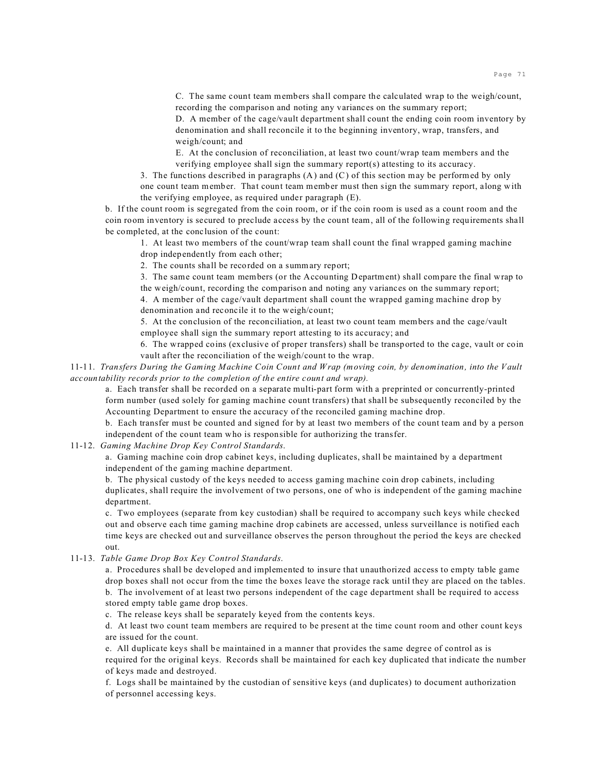C. The same count team members shall compare the calculated wrap to the weigh/count, recording the comparison and noting any variances on the summary report;

D. A member of the cage/vault department shall count the ending coin room inventory by denomination and shall reconcile it to the beginning inventory, wrap, transfers, and weigh/count; and

E. At the conclusion of reconciliation, at least two count/wrap team members and the verifying employee shall sign the summary report(s) attesting to its accuracy.

3. The functions described in paragraphs (A) and (C) of this section may be performed by only one count team member. That count team member must then sign the summary report, along with the verifying employee, as required under paragraph (E).

b. If the count room is segregated from the coin room, or if the coin room is used as a count room and the coin room inventory is secured to preclude access by the count team, all of the following requirements shall be completed, at the conclusion of the count:

1. At least two members of the count/wrap team shall count the final wrapped gaming machine

drop independently from each other;

2. The counts shall be recorded on a summary report;

3. The same count team members (or the Accounting Department) shall compare the final wrap to

the weigh/count, recording the comparison and noting any variances on the summary report; 4. A member of the cage/vault department shall count the wrapped gaming machine drop by denomination and reconcile it to the weigh/count;

5. At the conclusion of the reconciliation, at least two count team members and the cage/vault employee shall sign the summary report attesting to its accuracy; and

6. The wrapped coins (exclusive of proper transfers) shall be transported to the cage, vault or coin vault after the reconciliation of the weigh/count to the wrap.

11-11. *Transfers During the Gaming Machine Coin Count and Wrap (moving coin, by denomination, into the Vault accountability records prior to the completion of the entire count and wrap).*

a. Each transfer shall be recorded on a separate multi-part form with a preprinted or concurrently-printed form number (used solely for gaming machine count transfers) that shall be subsequently reconciled by the Accounting Department to ensure the accuracy of the reconciled gaming machine drop.

b. Each transfer must be counted and signed for by at least two members of the count team and by a person independent of the count team who is responsible for authorizing the transfer.

# 11-12. *Gaming Machine Drop Key Control Standards*.

a. Gaming machine coin drop cabinet keys, including duplicates, shall be maintained by a department independent of the gaming machine department.

b. The physical custody of the keys needed to access gaming machine coin drop cabinets, including duplicates, shall require the involvement of two persons, one of who is independent of the gaming machine department.

c. Two employees (separate from key custodian) shall be required to accompany such keys while checked out and observe each time gaming machine drop cabinets are accessed, unless surveillance is notified each time keys are checked out and surveillance observes the person throughout the period the keys are checked out.

### 11-13. *Table Game Drop Box Key Control Standards*.

a. Procedures shall be developed and implemented to insure that unauthorized access to empty table game drop boxes shall not occur from the time the boxes leave the storage rack until they are placed on the tables. b. The involvement of at least two persons independent of the cage department shall be required to access stored empty table game drop boxes.

c. The release keys shall be separately keyed from the contents keys.

d. At least two count team members are required to be present at the time count room and other count keys are issued for the count.

e. All duplicate keys shall be maintained in a manner that provides the same degree of control as is required for the original keys. Records shall be maintained for each key duplicated that indicate the number of keys made and destroyed.

f. Logs shall be maintained by the custodian of sensitive keys (and duplicates) to document authorization of personnel accessing keys.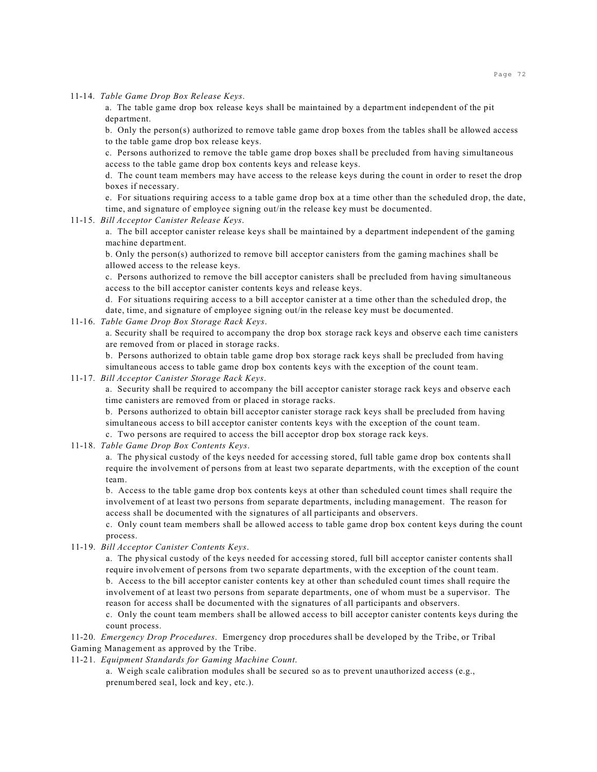11-14. *Table Game Drop Box Release Keys*.

a. The table game drop box release keys shall be maintained by a department independent of the pit department.

b. Only the person(s) authorized to remove table game drop boxes from the tables shall be allowed access to the table game drop box release keys.

c. Persons authorized to remove the table game drop boxes shall be precluded from having simultaneous access to the table game drop box contents keys and release keys.

d. The count team members may have access to the release keys during the count in order to reset the drop boxes if necessary.

e. For situations requiring access to a table game drop box at a time other than the scheduled drop, the date, time, and signature of employee signing out/in the release key must be documented.

#### 11-15. *Bill Acceptor Canister Release Keys*.

a. The bill acceptor canister release keys shall be maintained by a department independent of the gaming machine department.

b. Only the person(s) authorized to remove bill acceptor canisters from the gaming machines shall be allowed access to the release keys.

c. Persons authorized to remove the bill acceptor canisters shall be precluded from having simultaneous access to the bill acceptor canister contents keys and release keys.

d. For situations requiring access to a bill acceptor canister at a time other than the scheduled drop, the date, time, and signature of employee signing out/in the release key must be documented.

### 11-16. *Table Game Drop Box Storage Rack Keys*.

a. Security shall be required to accompany the drop box storage rack keys and observe each time canisters are removed from or placed in storage racks.

b. Persons authorized to obtain table game drop box storage rack keys shall be precluded from having simultaneous access to table game drop box contents keys with the exception of the count team.

## 11-17. *Bill Acceptor Canister Storage Rack Keys*.

a. Security shall be required to accompany the bill acceptor canister storage rack keys and observe each time canisters are removed from or placed in storage racks.

b. Persons authorized to obtain bill acceptor canister storage rack keys shall be precluded from having simultaneous access to bill acceptor canister contents keys with the exception of the count team.

c. Two persons are required to access the bill acceptor drop box storage rack keys.

11-18. *Table Game Drop Box Contents Keys*.

a. The physical custody of the keys needed for accessing stored, full table game drop box contents shall require the involvement of persons from at least two separate departments, with the exception of the count team.

b. Access to the table game drop box contents keys at other than scheduled count times shall require the involvement of at least two persons from separate departments, including management. The reason for access shall be documented with the signatures of all participants and observers.

c. Only count team members shall be allowed access to table game drop box content keys during the count process.

11-19. *Bill Acceptor Canister Contents Keys*.

a. The physical custody of the keys needed for accessing stored, full bill acceptor canister contents shall require involvement of persons from two separate departments, with the exception of the count team. b. Access to the bill acceptor canister contents key at other than scheduled count times shall require the involvement of at least two persons from separate departments, one of whom must be a supervisor. The reason for access shall be documented with the signatures of all participants and observers.

c. Only the count team members shall be allowed access to bill acceptor canister contents keys during the count process.

11-20. *Emergency Drop Procedures*. Emergency drop procedures shall be developed by the Tribe, or Tribal Gaming Management as approved by the Tribe.

11-21. *Equipment Standards for Gaming Machine Count*.

a. Weigh scale calibration modules shall be secured so as to prevent unauthorized access (e.g., prenumbered seal, lock and key, etc.).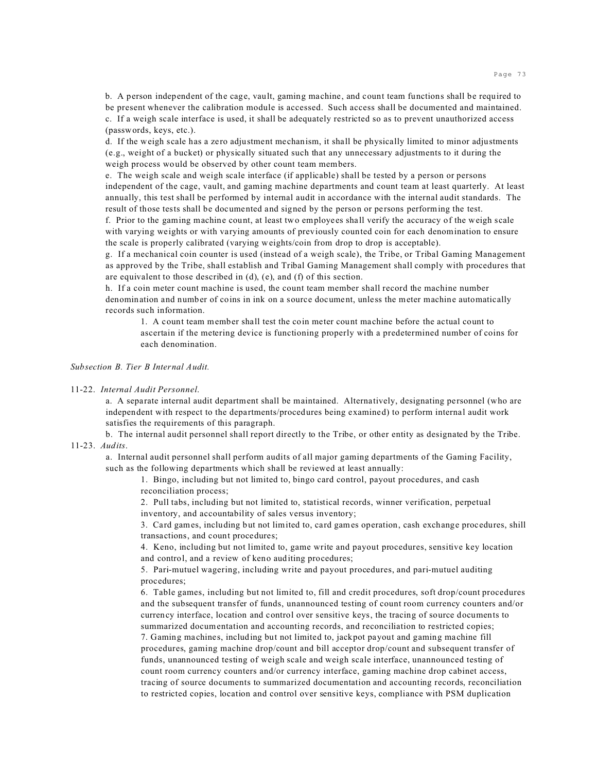b. A person independent of the cage, vault, gaming machine, and count team functions shall be required to be present whenever the calibration module is accessed. Such access shall be documented and maintained. c. If a weigh scale interface is used, it shall be adequately restricted so as to prevent unauthorized access (passwords, keys, etc.).

d. If the weigh scale has a zero adjustment mechanism, it shall be physically limited to minor adjustments (e.g., weight of a bucket) or physically situated such that any unnecessary adjustments to it during the weigh process would be observed by other count team members.

e. The weigh scale and weigh scale interface (if applicable) shall be tested by a person or persons independent of the cage, vault, and gaming machine departments and count team at least quarterly. At least annually, this test shall be performed by internal audit in accordance with the internal audit standards. The result of those tests shall be documented and signed by the person or persons performing the test.

f. Prior to the gaming machine count, at least two employees shall verify the accuracy of the weigh scale with varying weights or with varying amounts of previously counted coin for each denomination to ensure the scale is properly calibrated (varying weights/coin from drop to drop is acceptable).

g. If a mechanical coin counter is used (instead of a weigh scale), the Tribe, or Tribal Gaming Management as approved by the Tribe, shall establish and Tribal Gaming Management shall comply with procedures that are equivalent to those described in (d), (e), and (f) of this section.

h. If a coin meter count machine is used, the count team member shall record the machine number denomination and number of coins in ink on a source document, unless the meter machine automatically records such information.

1. A count team member shall test the coin meter count machine before the actual count to ascertain if the metering device is functioning properly with a predetermined number of coins for each denomination.

# *Subsection B. Tier B Internal Audit.*

#### 11-22. *Internal Audit Personnel*.

a. A separate internal audit department shall be maintained. Alternatively, designating personnel (who are independent with respect to the departments/procedures being examined) to perform internal audit work satisfies the requirements of this paragraph.

b. The internal audit personnel shall report directly to the Tribe, or other entity as designated by the Tribe. 11-23. *Audits*.

a. Internal audit personnel shall perform audits of all major gaming departments of the Gaming Facility, such as the following departments which shall be reviewed at least annually:

1. Bingo, including but not limited to, bingo card control, payout procedures, and cash reconciliation process;

2. Pull tabs, including but not limited to, statistical records, winner verification, perpetual inventory, and accountability of sales versus inventory;

3. Card games, including but not limited to, card games operation, cash exchange procedures, shill transactions, and count procedures;

4. Keno, including but not limited to, game write and payout procedures, sensitive key location and control, and a review of keno auditing procedures;

5. Pari-mutuel wagering, including write and payout procedures, and pari-mutuel auditing procedures;

6. Table games, including but not limited to, fill and credit procedures, soft drop/count procedures and the subsequent transfer of funds, unannounced testing of count room currency counters and/or currency interface, location and control over sensitive keys, the tracing of source documents to summarized documentation and accounting records, and reconciliation to restricted copies; 7. Gaming machines, including but not limited to, jackpot payout and gaming machine fill procedures, gaming machine drop/count and bill acceptor drop/count and subsequent transfer of funds, unannounced testing of weigh scale and weigh scale interface, unannounced testing of count room currency counters and/or currency interface, gaming machine drop cabinet access, tracing of source documents to summarized documentation and accounting records, reconciliation to restricted copies, location and control over sensitive keys, compliance with PSM duplication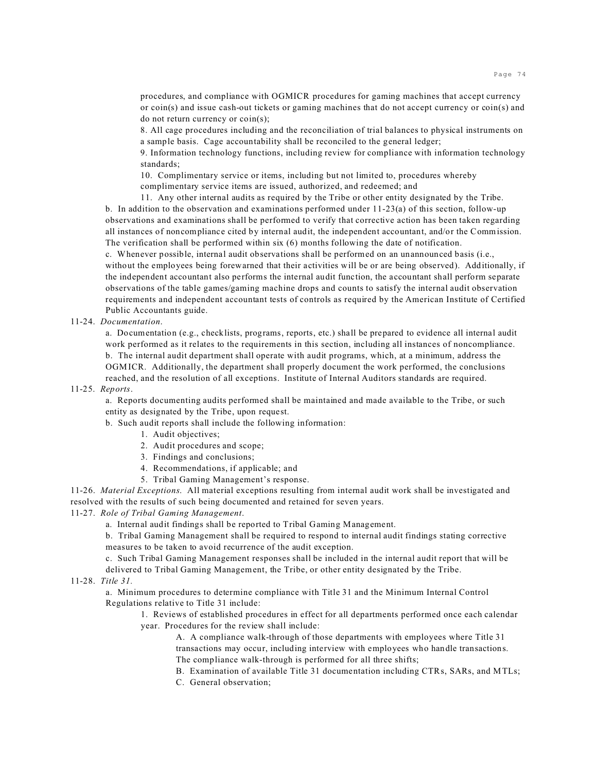procedures, and compliance with OGMICR procedures for gaming machines that accept currency or coin(s) and issue cash-out tickets or gaming machines that do not accept currency or coin(s) and do not return currency or coin(s);

8. All cage procedures including and the reconciliation of trial balances to physical instruments on a sample basis. Cage accountability shall be reconciled to the general ledger;

9. Information technology functions, including review for compliance with information technology standards;

10. Complimentary service or items, including but not limited to, procedures whereby complimentary service items are issued, authorized, and redeemed; and

11. Any other internal audits as required by the Tribe or other entity designated by the Tribe. b. In addition to the observation and examinations performed under 11-23(a) of this section, follow-up observations and examinations shall be performed to verify that corrective action has been taken regarding all instances of noncompliance cited by internal audit, the independent accountant, and/or the Commission. The verification shall be performed within six (6) months following the date of notification.

c. Whenever possible, internal audit observations shall be performed on an unannounced basis (i.e., without the employees being forewarned that their activities will be or are being observed). Additionally, if the independent accountant also performs the internal audit function, the accountant shall perform separate observations of the table games/gaming machine drops and counts to satisfy the internal audit observation requirements and independent accountant tests of controls as required by the American Institute of Certified Public Accountants guide.

11-24. *Documentation*.

a. Documentation (e.g., checklists, programs, reports, etc.) shall be prepared to evidence all internal audit work performed as it relates to the requirements in this section, including all instances of noncompliance. b. The internal audit department shall operate with audit programs, which, at a minimum, address the OGMICR. Additionally, the department shall properly document the work performed, the conclusions reached, and the resolution of all exceptions. Institute of Internal Auditors standards are required.

11-25. *Reports*.

a. Reports documenting audits performed shall be maintained and made available to the Tribe, or such entity as designated by the Tribe, upon request.

## b. Such audit reports shall include the following information:

- 1. Audit objectives;
- 2. Audit procedures and scope;
- 3. Findings and conclusions;
- 4. Recommendations, if applicable; and
- 5. Tribal Gaming Management's response.

11-26. *Material Exceptions*. All material exceptions resulting from internal audit work shall be investigated and resolved with the results of such being documented and retained for seven years.

11-27. *Role of Tribal Gaming Management*.

a. Internal audit findings shall be reported to Tribal Gaming Management.

b. Tribal Gaming Management shall be required to respond to internal audit findings stating corrective measures to be taken to avoid recurrence of the audit exception.

c. Such Tribal Gaming Management responses shall be included in the internal audit report that will be delivered to Tribal Gaming Management, the Tribe, or other entity designated by the Tribe.

11-28. *Title 31.*

a. Minimum procedures to determine compliance with Title 31 and the Minimum Internal Control Regulations relative to Title 31 include:

1. Reviews of established procedures in effect for all departments performed once each calendar year. Procedures for the review shall include:

A. A compliance walk-through of those departments with employees where Title 31 transactions may occur, including interview with employees who handle transactions. The compliance walk-through is performed for all three shifts;

B. Examination of available Title 31 documentation including CTRs, SARs, and MTLs;

C. General observation;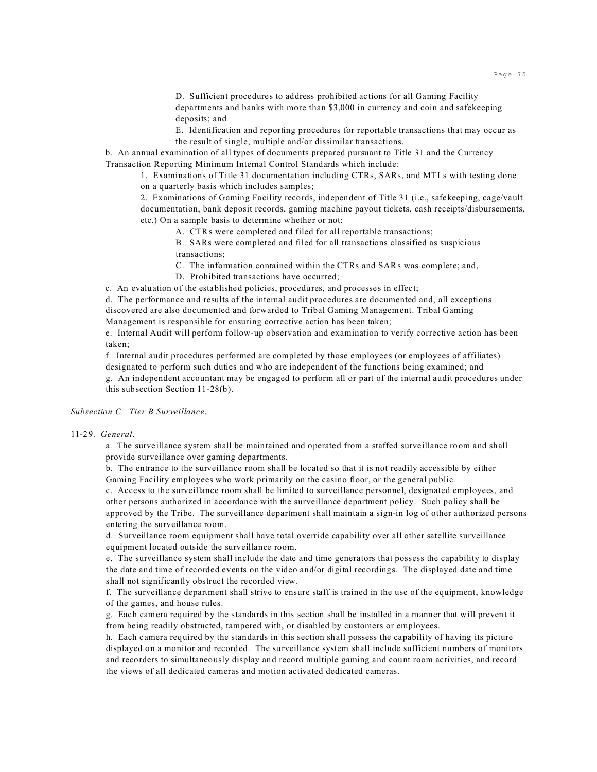D. Sufficient procedures to address prohibited actions for all Gaming Facility departments and banks with more than \$3,000 in currency and coin and safekeeping deposits; and

E. Identification and reporting procedures for reportable transactions that may occur as the result of single, multiple and/or dissimilar transactions.

b. An annual examination of all types of documents prepared pursuant to Title 31 and the Currency Transaction Reporting Minimum Internal Control Standards which include:

1. Examinations of Title 31 documentation including CTRs, SARs, and MTLs with testing done on a quarterly basis which includes samples;

2. Examinations of Gaming Facility records, independent of Title 31 (i.e., safekeeping, cage/vault documentation, bank deposit records, gaming machine payout tickets, cash receipts/disbursements, etc.) On a sample basis to determine whether or not:

A. CTRs were completed and filed for all reportable transactions;

B. SARs were completed and filed for all transactions classified as suspicious transactions;

C. The information contained within the CTRs and SARs was complete; and,

D. Prohibited transactions have occurred;

c. An evaluation of the established policies, procedures, and processes in effect;

d. The performance and results of the internal audit procedures are documented and, all exceptions discovered are also documented and forwarded to Tribal Gaming Management. Tribal Gaming Management is responsible for ensuring corrective action has been taken;

e. Internal Audit will perform follow-up observation and examination to verify corrective action has been taken;

f. Internal audit procedures performed are completed by those employees (or employees of affiliates) designated to perform such duties and who are independent of the functions being examined; and g. An independent accountant may be engaged to perform all or part of the internal audit procedures under this subsection Section 11-28(b).

*Subsection C. Tier B Surveillance*.

11-29. *General*.

a. The surveillance system shall be maintained and operated from a staffed surveillance room and shall provide surveillance over gaming departments.

b. The entrance to the surveillance room shall be located so that it is not readily accessible by either Gaming Facility employees who work primarily on the casino floor, or the general public.

c. Access to the surveillance room shall be limited to surveillance personnel, designated employees, and other persons authorized in accordance with the surveillance department policy. Such policy shall be approved by the Tribe. The surveillance department shall maintain a sign-in log of other authorized persons entering the surveillance room.

d. Surveillance room equipment shall have total override capability over all other satellite surveillance equipment located outside the surveillance room.

e. The surveillance system shall include the date and time generators that possess the capability to display the date and time of recorded events on the video and/or digital recordings. The displayed date and time shall not significantly obstruct the recorded view.

f. The surveillance department shall strive to ensure staff is trained in the use of the equipment, knowledge of the games, and house rules.

g. Each camera required by the standards in this section shall be installed in a manner that will prevent it from being readily obstructed, tampered with, or disabled by customers or employees.

h. Each camera required by the standards in this section shall possess the capability of having its picture displayed on a monitor and recorded. The surveillance system shall include sufficient numbers of monitors and recorders to simultaneously display and record multiple gaming and count room activities, and record the views of all dedicated cameras and motion activated dedicated cameras.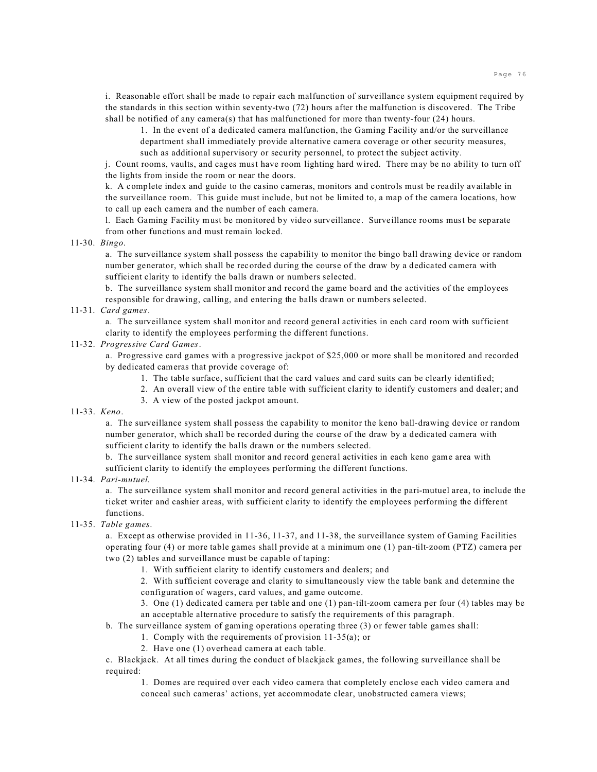i. Reasonable effort shall be made to repair each malfunction of surveillance system equipment required by the standards in this section within seventy-two (72) hours after the malfunction is discovered. The Tribe shall be notified of any camera(s) that has malfunctioned for more than twenty-four (24) hours.

1. In the event of a dedicated camera malfunction, the Gaming Facility and/or the surveillance department shall immediately provide alternative camera coverage or other security measures,

such as additional supervisory or security personnel, to protect the subject activity.

j. Count rooms, vaults, and cages must have room lighting hard wired. There may be no ability to turn off the lights from inside the room or near the doors.

k. A complete index and guide to the casino cameras, monitors and controls must be readily available in the surveillance room. This guide must include, but not be limited to, a map of the camera locations, how to call up each camera and the number of each camera.

l. Each Gaming Facility must be monitored by video surveillance. Surveillance rooms must be separate from other functions and must remain locked.

### 11-30. *Bingo*.

a. The surveillance system shall possess the capability to monitor the bingo ball drawing device or random number generator, which shall be recorded during the course of the draw by a dedicated camera with sufficient clarity to identify the balls drawn or numbers selected.

b. The surveillance system shall monitor and record the game board and the activities of the employees responsible for drawing, calling, and entering the balls drawn or numbers selected.

## 11-31. *Card games*.

a. The surveillance system shall monitor and record general activities in each card room with sufficient clarity to identify the employees performing the different functions.

### 11-32. *Progressive Card Games*.

a. Progressive card games with a progressive jackpot of \$25,000 or more shall be monitored and recorded by dedicated cameras that provide coverage of:

- 1. The table surface, sufficient that the card values and card suits can be clearly identified;
- 2. An overall view of the entire table with sufficient clarity to identify customers and dealer; and
- 3. A view of the posted jackpot amount.

### 11-33. *Keno*.

a. The surveillance system shall possess the capability to monitor the keno ball-drawing device or random number generator, which shall be recorded during the course of the draw by a dedicated camera with sufficient clarity to identify the balls drawn or the numbers selected.

b. The surveillance system shall monitor and record general activities in each keno game area with sufficient clarity to identify the employees performing the different functions.

11-34. *Pari-mutuel*.

a. The surveillance system shall monitor and record general activities in the pari-mutuel area, to include the ticket writer and cashier areas, with sufficient clarity to identify the employees performing the different functions.

## 11-35. *Table games*.

a. Except as otherwise provided in 11-36, 11-37, and 11-38, the surveillance system of Gaming Facilities operating four (4) or more table games shall provide at a minimum one (1) pan-tilt-zoom (PTZ) camera per two (2) tables and surveillance must be capable of taping:

1. With sufficient clarity to identify customers and dealers; and

2. With sufficient coverage and clarity to simultaneously view the table bank and determine the

configuration of wagers, card values, and game outcome.

3. One (1) dedicated camera per table and one (1) pan-tilt-zoom camera per four (4) tables may be an acceptable alternative procedure to satisfy the requirements of this paragraph.

b. The surveillance system of gaming operations operating three (3) or fewer table games shall:

- 1. Comply with the requirements of provision 11-35(a); or
	- 2. Have one (1) overhead camera at each table.

c. Blackjack. At all times during the conduct of blackjack games, the following surveillance shall be required:

1. Domes are required over each video camera that completely enclose each video camera and conceal such cameras' actions, yet accommodate clear, unobstructed camera views;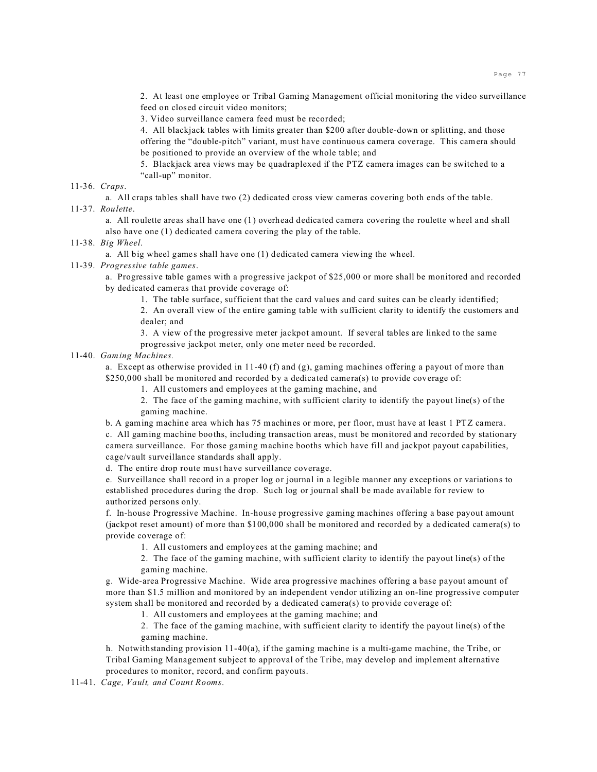2. At least one employee or Tribal Gaming Management official monitoring the video surveillance feed on closed circuit video monitors;

3. Video surveillance camera feed must be recorded;

4. All blackjack tables with limits greater than \$200 after double-down or splitting, and those offering the "double-pitch" variant, must have continuous camera coverage. This camera should be positioned to provide an overview of the whole table; and

5. Blackjack area views may be quadraplexed if the PTZ camera images can be switched to a "call-up" monitor.

#### 11-36. *Craps*.

a. All craps tables shall have two (2) dedicated cross view cameras covering both ends of the table. 11-37. *Roulette*.

a. All roulette areas shall have one (1) overhead dedicated camera covering the roulette wheel and shall also have one (1) dedicated camera covering the play of the table.

#### 11-38. *Big Wheel*.

a. All big wheel games shall have one (1) dedicated camera viewing the wheel.

#### 11-39. *Progressive table games*.

a. Progressive table games with a progressive jackpot of \$25,000 or more shall be monitored and recorded by dedicated cameras that provide coverage of:

1. The table surface, sufficient that the card values and card suites can be clearly identified;

2. An overall view of the entire gaming table with sufficient clarity to identify the customers and dealer; and

3. A view of the progressive meter jackpot amount. If several tables are linked to the same progressive jackpot meter, only one meter need be recorded.

## 11-40. *Gaming Machines.*

a. Except as otherwise provided in 11-40 (f) and (g), gaming machines offering a payout of more than \$250,000 shall be monitored and recorded by a dedicated camera(s) to provide coverage of:

1. All customers and employees at the gaming machine, and

2. The face of the gaming machine, with sufficient clarity to identify the payout line(s) of the gaming machine.

b. A gaming machine area which has 75 machines or more, per floor, must have at least 1 PTZ camera. c. All gaming machine booths, including transaction areas, must be monitored and recorded by stationary camera surveillance. For those gaming machine booths which have fill and jackpot payout capabilities, cage/vault surveillance standards shall apply.

d. The entire drop route must have surveillance coverage.

e. Surveillance shall record in a proper log or journal in a legible manner any exceptions or variations to established procedures during the drop. Such log or journal shall be made available for review to authorized persons only.

f. In-house Progressive Machine. In-house progressive gaming machines offering a base payout amount (jackpot reset amount) of more than \$100,000 shall be monitored and recorded by a dedicated camera(s) to provide coverage of:

1. All customers and employees at the gaming machine; and

2. The face of the gaming machine, with sufficient clarity to identify the payout line(s) of the gaming machine.

g. Wide-area Progressive Machine. Wide area progressive machines offering a base payout amount of more than \$1.5 million and monitored by an independent vendor utilizing an on-line progressive computer system shall be monitored and recorded by a dedicated camera(s) to provide coverage of:

1. All customers and employees at the gaming machine; and

2. The face of the gaming machine, with sufficient clarity to identify the payout line(s) of the gaming machine.

h. Notwithstanding provision 11-40(a), if the gaming machine is a multi-game machine, the Tribe, or Tribal Gaming Management subject to approval of the Tribe, may develop and implement alternative procedures to monitor, record, and confirm payouts.

11-41. *Cage, Vault, and Count Rooms*.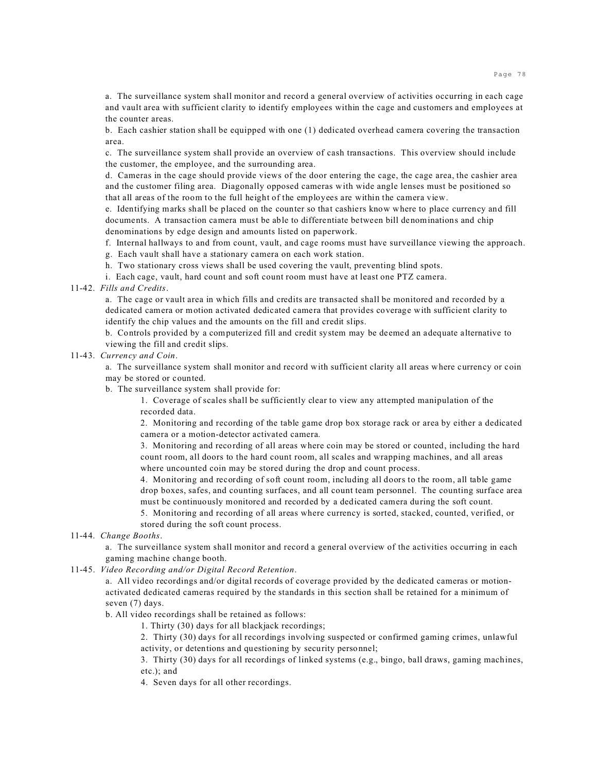a. The surveillance system shall monitor and record a general overview of activities occurring in each cage and vault area with sufficient clarity to identify employees within the cage and customers and employees at the counter areas.

b. Each cashier station shall be equipped with one (1) dedicated overhead camera covering the transaction area.

c. The surveillance system shall provide an overview of cash transactions. This overview should include the customer, the employee, and the surrounding area.

d. Cameras in the cage should provide views of the door entering the cage, the cage area, the cashier area and the customer filing area. Diagonally opposed cameras with wide angle lenses must be positioned so that all areas of the room to the full height of the employees are within the camera view.

e. Identifying marks shall be placed on the counter so that cashiers know where to place currency and fill documents. A transaction camera must be able to differentiate between bill denominations and chip denominations by edge design and amounts listed on paperwork.

f. Internal hallways to and from count, vault, and cage rooms must have surveillance viewing the approach.

g. Each vault shall have a stationary camera on each work station.

h. Two stationary cross views shall be used covering the vault, preventing blind spots.

i. Each cage, vault, hard count and soft count room must have at least one PTZ camera.

## 11-42. *Fills and Credits*.

a. The cage or vault area in which fills and credits are transacted shall be monitored and recorded by a dedicated camera or motion activated dedicated camera that provides coverage with sufficient clarity to identify the chip values and the amounts on the fill and credit slips.

b. Controls provided by a computerized fill and credit system may be deemed an adequate alternative to viewing the fill and credit slips.

## 11-43. *Currency and Coin*.

a. The surveillance system shall monitor and record with sufficient clarity all areas where currency or coin may be stored or counted.

b. The surveillance system shall provide for:

1. Coverage of scales shall be sufficiently clear to view any attempted manipulation of the recorded data.

2. Monitoring and recording of the table game drop box storage rack or area by either a dedicated camera or a motion-detector activated camera.

3. Monitoring and recording of all areas where coin may be stored or counted, including the hard count room, all doors to the hard count room, all scales and wrapping machines, and all areas where uncounted coin may be stored during the drop and count process.

4. Monitoring and recording of soft count room, including all doors to the room, all table game drop boxes, safes, and counting surfaces, and all count team personnel. The counting surface area must be continuously monitored and recorded by a dedicated camera during the soft count.

5. Monitoring and recording of all areas where currency is sorted, stacked, counted, verified, or stored during the soft count process.

11-44. *Change Booths*.

a. The surveillance system shall monitor and record a general overview of the activities occurring in each gaming machine change booth.

### 11-45. *Video Recording and/or Digital Record Retention*.

a. All video recordings and/or digital records of coverage provided by the dedicated cameras or motionactivated dedicated cameras required by the standards in this section shall be retained for a minimum of seven (7) days.

b. All video recordings shall be retained as follows:

1. Thirty (30) days for all blackjack recordings;

2. Thirty (30) days for all recordings involving suspected or confirmed gaming crimes, unlawful activity, or detentions and questioning by security personnel;

3. Thirty (30) days for all recordings of linked systems (e.g., bingo, ball draws, gaming machines, etc.); and

4. Seven days for all other recordings.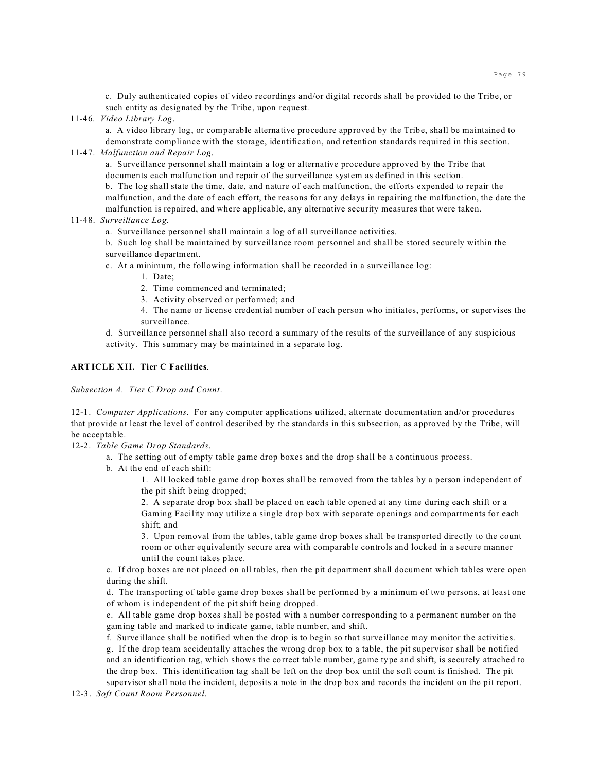c. Duly authenticated copies of video recordings and/or digital records shall be provided to the Tribe, or such entity as designated by the Tribe, upon request.

11-46. *Video Library Log*.

a. A video library log, or comparable alternative procedure approved by the Tribe, shall be maintained to demonstrate compliance with the storage, identification, and retention standards required in this section.

#### 11-47. *Malfunction and Repair Log*.

a. Surveillance personnel shall maintain a log or alternative procedure approved by the Tribe that documents each malfunction and repair of the surveillance system as defined in this section.

b. The log shall state the time, date, and nature of each malfunction, the efforts expended to repair the malfunction, and the date of each effort, the reasons for any delays in repairing the malfunction, the date the malfunction is repaired, and where applicable, any alternative security measures that were taken.

11-48. *Surveillance Log*.

a. Surveillance personnel shall maintain a log of all surveillance activities.

b. Such log shall be maintained by surveillance room personnel and shall be stored securely within the surveillance department.

c. At a minimum, the following information shall be recorded in a surveillance log:

- 1. Date;
- 2. Time commenced and terminated;
- 3. Activity observed or performed; and

4. The name or license credential number of each person who initiates, performs, or supervises the surveillance.

d. Surveillance personnel shall also record a summary of the results of the surveillance of any suspicious activity. This summary may be maintained in a separate log.

### **ARTICLE XII. Tier C Facilities**.

*Subsection A. Tier C Drop and Count*.

12-1. *Computer Applications*. For any computer applications utilized, alternate documentation and/or procedures that provide at least the level of control described by the standards in this subsection, as approved by the Tribe, will be acceptable.

12-2. *Table Game Drop Standards*.

a. The setting out of empty table game drop boxes and the drop shall be a continuous process.

b. At the end of each shift:

1. All locked table game drop boxes shall be removed from the tables by a person independent of the pit shift being dropped;

2. A separate drop box shall be placed on each table opened at any time during each shift or a Gaming Facility may utilize a single drop box with separate openings and compartments for each shift; and

3. Upon removal from the tables, table game drop boxes shall be transported directly to the count room or other equivalently secure area with comparable controls and locked in a secure manner until the count takes place.

c. If drop boxes are not placed on all tables, then the pit department shall document which tables were open during the shift.

d. The transporting of table game drop boxes shall be performed by a minimum of two persons, at least one of whom is independent of the pit shift being dropped.

e. All table game drop boxes shall be posted with a number corresponding to a permanent number on the gaming table and marked to indicate game, table number, and shift.

f. Surveillance shall be notified when the drop is to begin so that surveillance may monitor the activities. g. If the drop team accidentally attaches the wrong drop box to a table, the pit supervisor shall be notified and an identification tag, which shows the correct table number, game type and shift, is securely attached to the drop box. This identification tag shall be left on the drop box until the soft count is finished. The pit supervisor shall note the incident, deposits a note in the drop box and records the incident on the pit report.

12-3. *Soft Count Room Personnel*.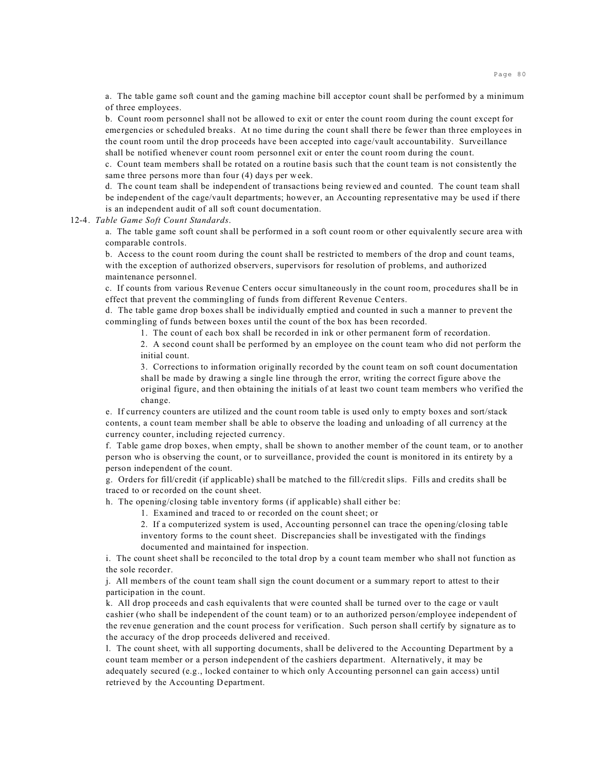a. The table game soft count and the gaming machine bill acceptor count shall be performed by a minimum of three employees.

b. Count room personnel shall not be allowed to exit or enter the count room during the count except for emergencies or scheduled breaks. At no time during the count shall there be fewer than three employees in the count room until the drop proceeds have been accepted into cage/vault accountability. Surveillance shall be notified whenever count room personnel exit or enter the count room during the count.

c. Count team members shall be rotated on a routine basis such that the count team is not consistently the same three persons more than four (4) days per week.

d. The count team shall be independent of transactions being reviewed and counted. The count team shall be independent of the cage/vault departments; however, an Accounting representative may be used if there is an independent audit of all soft count documentation.

#### 12-4. *Table Game Soft Count Standards*.

a. The table game soft count shall be performed in a soft count room or other equivalently secure area with comparable controls.

b. Access to the count room during the count shall be restricted to members of the drop and count teams, with the exception of authorized observers, supervisors for resolution of problems, and authorized maintenance personnel.

c. If counts from various Revenue Centers occur simultaneously in the count room, procedures shall be in effect that prevent the commingling of funds from different Revenue Centers.

d. The table game drop boxes shall be individually emptied and counted in such a manner to prevent the commingling of funds between boxes until the count of the box has been recorded.

1. The count of each box shall be recorded in ink or other permanent form of recordation.

2. A second count shall be performed by an employee on the count team who did not perform the initial count.

3. Corrections to information originally recorded by the count team on soft count documentation shall be made by drawing a single line through the error, writing the correct figure above the original figure, and then obtaining the initials of at least two count team members who verified the change.

e. If currency counters are utilized and the count room table is used only to empty boxes and sort/stack contents, a count team member shall be able to observe the loading and unloading of all currency at the currency counter, including rejected currency.

f. Table game drop boxes, when empty, shall be shown to another member of the count team, or to another person who is observing the count, or to surveillance, provided the count is monitored in its entirety by a person independent of the count.

g. Orders for fill/credit (if applicable) shall be matched to the fill/credit slips. Fills and credits shall be traced to or recorded on the count sheet.

h. The opening/closing table inventory forms (if applicable) shall either be:

1. Examined and traced to or recorded on the count sheet; or

2. If a computerized system is used, Accounting personnel can trace the opening/closing table inventory forms to the count sheet. Discrepancies shall be investigated with the findings documented and maintained for inspection.

i. The count sheet shall be reconciled to the total drop by a count team member who shall not function as the sole recorder.

j. All members of the count team shall sign the count document or a summary report to attest to their participation in the count.

k. All drop proceeds and cash equivalents that were counted shall be turned over to the cage or vault cashier (who shall be independent of the count team) or to an authorized person/employee independent of the revenue generation and the count process for verification. Such person shall certify by signature as to the accuracy of the drop proceeds delivered and received.

l. The count sheet, with all supporting documents, shall be delivered to the Accounting Department by a count team member or a person independent of the cashiers department. Alternatively, it may be adequately secured (e.g., locked container to which only Accounting personnel can gain access) until retrieved by the Accounting Department.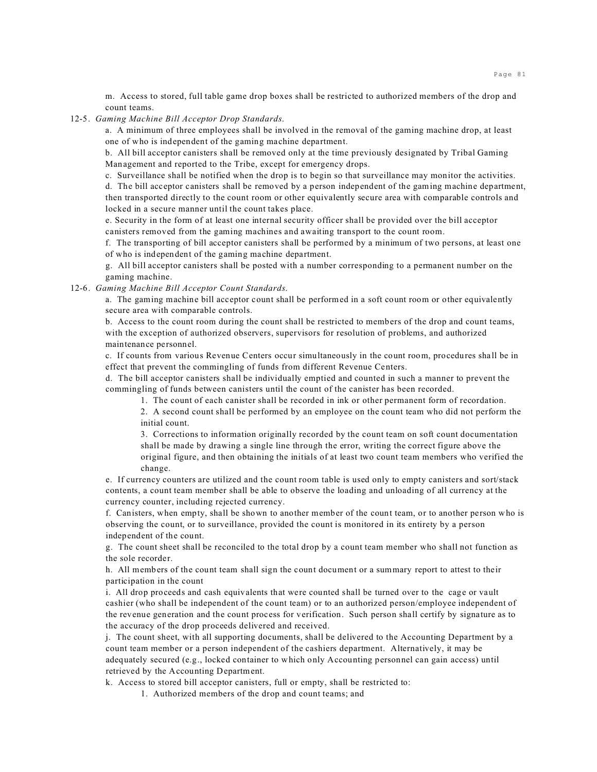m. Access to stored, full table game drop boxes shall be restricted to authorized members of the drop and count teams.

#### 12-5. *Gaming Machine Bill Acceptor Drop Standards*.

a. A minimum of three employees shall be involved in the removal of the gaming machine drop, at least one of who is independent of the gaming machine department.

b. All bill acceptor canisters shall be removed only at the time previously designated by Tribal Gaming Management and reported to the Tribe, except for emergency drops.

c. Surveillance shall be notified when the drop is to begin so that surveillance may monitor the activities.

d. The bill acceptor canisters shall be removed by a person independent of the gaming machine department, then transported directly to the count room or other equivalently secure area with comparable controls and locked in a secure manner until the count takes place.

e. Security in the form of at least one internal security officer shall be provided over the bill acceptor canisters removed from the gaming machines and awaiting transport to the count room.

f. The transporting of bill acceptor canisters shall be performed by a minimum of two persons, at least one of who is independent of the gaming machine department.

g. All bill acceptor canisters shall be posted with a number corresponding to a permanent number on the gaming machine.

12-6. *Gaming Machine Bill Acceptor Count Standards*.

a. The gaming machine bill acceptor count shall be performed in a soft count room or other equivalently secure area with comparable controls.

b. Access to the count room during the count shall be restricted to members of the drop and count teams, with the exception of authorized observers, supervisors for resolution of problems, and authorized maintenance personnel.

c. If counts from various Revenue Centers occur simultaneously in the count room, procedures shall be in effect that prevent the commingling of funds from different Revenue Centers.

d. The bill acceptor canisters shall be individually emptied and counted in such a manner to prevent the commingling of funds between canisters until the count of the canister has been recorded.

1. The count of each canister shall be recorded in ink or other permanent form of recordation.

2. A second count shall be performed by an employee on the count team who did not perform the initial count.

3. Corrections to information originally recorded by the count team on soft count documentation shall be made by drawing a single line through the error, writing the correct figure above the original figure, and then obtaining the initials of at least two count team members who verified the change.

e. If currency counters are utilized and the count room table is used only to empty canisters and sort/stack contents, a count team member shall be able to observe the loading and unloading of all currency at the currency counter, including rejected currency.

f. Canisters, when empty, shall be shown to another member of the count team, or to another person who is observing the count, or to surveillance, provided the count is monitored in its entirety by a person independent of the count.

g. The count sheet shall be reconciled to the total drop by a count team member who shall not function as the sole recorder.

h. All members of the count team shall sign the count document or a summary report to attest to their participation in the count

i. All drop proceeds and cash equivalents that were counted shall be turned over to the cage or vault cashier (who shall be independent of the count team) or to an authorized person/employee independent of the revenue generation and the count process for verification. Such person shall certify by signature as to the accuracy of the drop proceeds delivered and received.

j. The count sheet, with all supporting documents, shall be delivered to the Accounting Department by a count team member or a person independent of the cashiers department. Alternatively, it may be adequately secured (e.g., locked container to which only Accounting personnel can gain access) until retrieved by the Accounting Department.

k. Access to stored bill acceptor canisters, full or empty, shall be restricted to:

1. Authorized members of the drop and count teams; and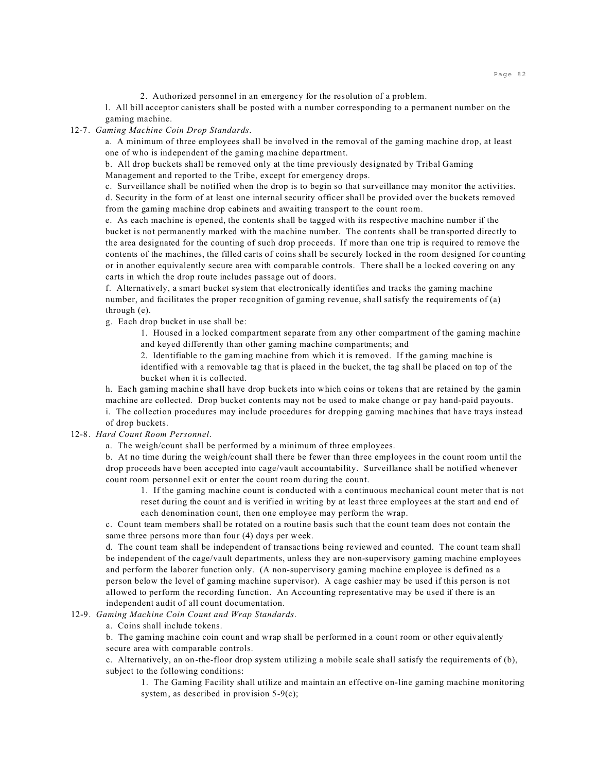2. Authorized personnel in an emergency for the resolution of a problem.

l. All bill acceptor canisters shall be posted with a number corresponding to a permanent number on the gaming machine.

#### 12-7. *Gaming Machine Coin Drop Standards*.

a. A minimum of three employees shall be involved in the removal of the gaming machine drop, at least one of who is independent of the gaming machine department.

b. All drop buckets shall be removed only at the time previously designated by Tribal Gaming Management and reported to the Tribe, except for emergency drops.

c. Surveillance shall be notified when the drop is to begin so that surveillance may monitor the activities. d. Security in the form of at least one internal security officer shall be provided over the buckets removed from the gaming machine drop cabinets and awaiting transport to the count room.

e. As each machine is opened, the contents shall be tagged with its respective machine number if the bucket is not permanently marked with the machine number. The contents shall be transported directly to the area designated for the counting of such drop proceeds. If more than one trip is required to remove the contents of the machines, the filled carts of coins shall be securely locked in the room designed for counting or in another equivalently secure area with comparable controls. There shall be a locked covering on any carts in which the drop route includes passage out of doors.

f. Alternatively, a smart bucket system that electronically identifies and tracks the gaming machine number, and facilitates the proper recognition of gaming revenue, shall satisfy the requirements of (a) through (e).

g. Each drop bucket in use shall be:

1. Housed in a locked compartment separate from any other compartment of the gaming machine and keyed differently than other gaming machine compartments; and

2. Identifiable to the gaming machine from which it is removed. If the gaming machine is identified with a removable tag that is placed in the bucket, the tag shall be placed on top of the bucket when it is collected.

h. Each gaming machine shall have drop buckets into which coins or tokens that are retained by the gamin machine are collected. Drop bucket contents may not be used to make change or pay hand-paid payouts.

i. The collection procedures may include procedures for dropping gaming machines that have trays instead of drop buckets.

# 12-8. *Hard Count Room Personnel*.

a. The weigh/count shall be performed by a minimum of three employees.

b. At no time during the weigh/count shall there be fewer than three employees in the count room until the drop proceeds have been accepted into cage/vault accountability. Surveillance shall be notified whenever count room personnel exit or enter the count room during the count.

1. If the gaming machine count is conducted with a continuous mechanical count meter that is not reset during the count and is verified in writing by at least three employees at the start and end of each denomination count, then one employee may perform the wrap.

c. Count team members shall be rotated on a routine basis such that the count team does not contain the same three persons more than four (4) days per week.

d. The count team shall be independent of transactions being reviewed and counted. The count team shall be independent of the cage/vault departments, unless they are non-supervisory gaming machine employees and perform the laborer function only. (A non-supervisory gaming machine employee is defined as a person below the level of gaming machine supervisor). A cage cashier may be used if this person is not allowed to perform the recording function. An Accounting representative may be used if there is an independent audit of all count documentation.

#### 12-9. *Gaming Machine Coin Count and Wrap Standards*.

a. Coins shall include tokens.

b. The gaming machine coin count and wrap shall be performed in a count room or other equivalently secure area with comparable controls.

c. Alternatively, an on-the-floor drop system utilizing a mobile scale shall satisfy the requirements of (b), subject to the following conditions:

1. The Gaming Facility shall utilize and maintain an effective on-line gaming machine monitoring system, as described in provision 5-9(c);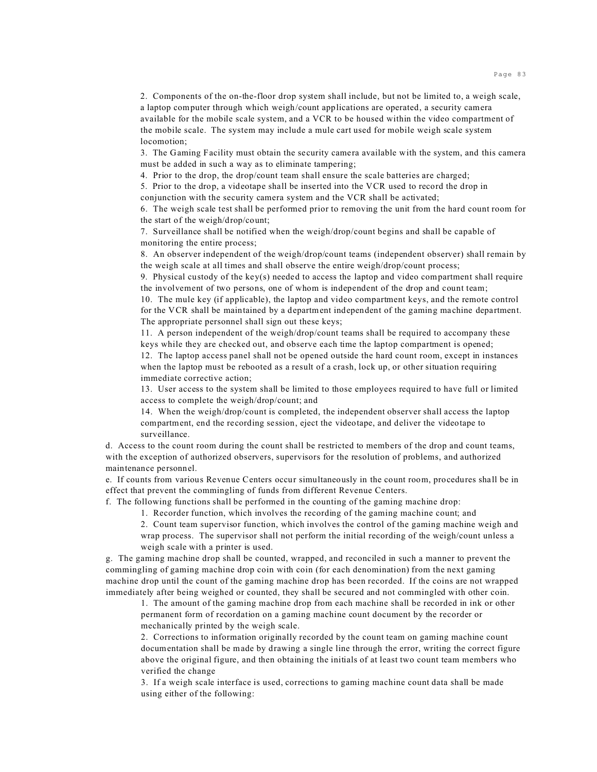2. Components of the on-the-floor drop system shall include, but not be limited to, a weigh scale, a laptop computer through which weigh/count applications are operated, a security camera available for the mobile scale system, and a VCR to be housed within the video compartment of the mobile scale. The system may include a mule cart used for mobile weigh scale system locomotion;

3. The Gaming Facility must obtain the security camera available with the system, and this camera must be added in such a way as to eliminate tampering;

4. Prior to the drop, the drop/count team shall ensure the scale batteries are charged;

5. Prior to the drop, a videotape shall be inserted into the VCR used to record the drop in conjunction with the security camera system and the VCR shall be activated;

6. The weigh scale test shall be performed prior to removing the unit from the hard count room for the start of the weigh/drop/count;

7. Surveillance shall be notified when the weigh/drop/count begins and shall be capable of monitoring the entire process;

8. An observer independent of the weigh/drop/count teams (independent observer) shall remain by the weigh scale at all times and shall observe the entire weigh/drop/count process;

9. Physical custody of the key(s) needed to access the laptop and video compartment shall require the involvement of two persons, one of whom is independent of the drop and count team;

10. The mule key (if applicable), the laptop and video compartment keys, and the remote control for the VCR shall be maintained by a department independent of the gaming machine department. The appropriate personnel shall sign out these keys;

11. A person independent of the weigh/drop/count teams shall be required to accompany these keys while they are checked out, and observe each time the laptop compartment is opened;

12. The laptop access panel shall not be opened outside the hard count room, except in instances when the laptop must be rebooted as a result of a crash, lock up, or other situation requiring immediate corrective action;

13. User access to the system shall be limited to those employees required to have full or limited access to complete the weigh/drop/count; and

14. When the weigh/drop/count is completed, the independent observer shall access the laptop compartment, end the recording session, eject the videotape, and deliver the videotape to surveillance.

d. Access to the count room during the count shall be restricted to members of the drop and count teams, with the exception of authorized observers, supervisors for the resolution of problems, and authorized maintenance personnel.

e. If counts from various Revenue Centers occur simultaneously in the count room, procedures shall be in effect that prevent the commingling of funds from different Revenue Centers.

f. The following functions shall be performed in the counting of the gaming machine drop:

1. Recorder function, which involves the recording of the gaming machine count; and

2. Count team supervisor function, which involves the control of the gaming machine weigh and wrap process. The supervisor shall not perform the initial recording of the weigh/count unless a weigh scale with a printer is used.

g. The gaming machine drop shall be counted, wrapped, and reconciled in such a manner to prevent the commingling of gaming machine drop coin with coin (for each denomination) from the next gaming machine drop until the count of the gaming machine drop has been recorded. If the coins are not wrapped immediately after being weighed or counted, they shall be secured and not commingled with other coin.

1. The amount of the gaming machine drop from each machine shall be recorded in ink or other permanent form of recordation on a gaming machine count document by the recorder or mechanically printed by the weigh scale.

2. Corrections to information originally recorded by the count team on gaming machine count documentation shall be made by drawing a single line through the error, writing the correct figure above the original figure, and then obtaining the initials of at least two count team members who verified the change

3. If a weigh scale interface is used, corrections to gaming machine count data shall be made using either of the following: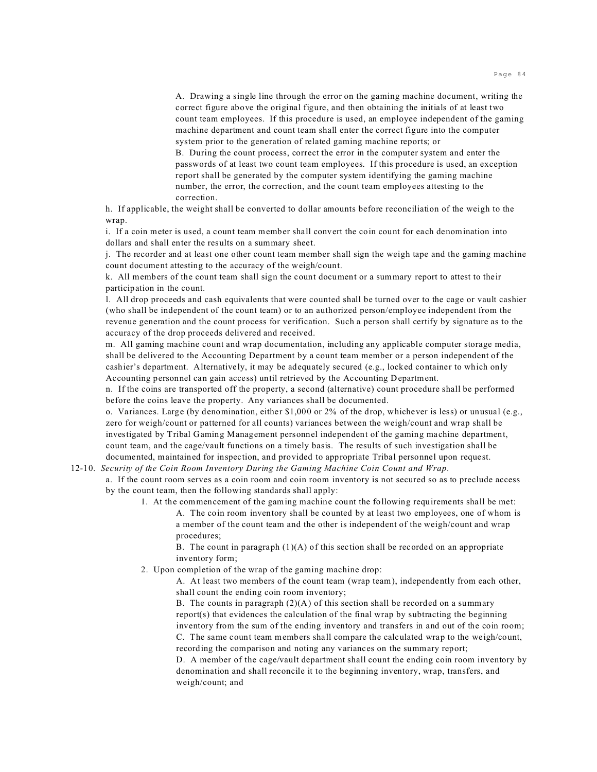A. Drawing a single line through the error on the gaming machine document, writing the correct figure above the original figure, and then obtaining the initials of at least two count team employees. If this procedure is used, an employee independent of the gaming machine department and count team shall enter the correct figure into the computer system prior to the generation of related gaming machine reports; or

B. During the count process, correct the error in the computer system and enter the passwords of at least two count team employees. If this procedure is used, an exception report shall be generated by the computer system identifying the gaming machine number, the error, the correction, and the count team employees attesting to the correction.

h. If applicable, the weight shall be converted to dollar amounts before reconciliation of the weigh to the wrap.

i. If a coin meter is used, a count team member shall convert the coin count for each denomination into dollars and shall enter the results on a summary sheet.

j. The recorder and at least one other count team member shall sign the weigh tape and the gaming machine count document attesting to the accuracy of the weigh/count.

k. All members of the count team shall sign the count document or a summary report to attest to their participation in the count.

l. All drop proceeds and cash equivalents that were counted shall be turned over to the cage or vault cashier (who shall be independent of the count team) or to an authorized person/employee independent from the revenue generation and the count process for verification. Such a person shall certify by signature as to the accuracy of the drop proceeds delivered and received.

m. All gaming machine count and wrap documentation, including any applicable computer storage media, shall be delivered to the Accounting Department by a count team member or a person independent of the cashier's department. Alternatively, it may be adequately secured (e.g., locked container to which only Accounting personnel can gain access) until retrieved by the Accounting Department.

n. If the coins are transported off the property, a second (alternative) count procedure shall be performed before the coins leave the property. Any variances shall be documented.

o. Variances. Large (by denomination, either \$1,000 or 2% of the drop, whichever is less) or unusual (e.g., zero for weigh/count or patterned for all counts) variances between the weigh/count and wrap shall be investigated by Tribal Gaming Management personnel independent of the gaming machine department, count team, and the cage/vault functions on a timely basis. The results of such investigation shall be documented, maintained for inspection, and provided to appropriate Tribal personnel upon request.

#### 12-10. *Security of the Coin Room Inventory During the Gaming Machine Coin Count and Wrap*.

a. If the count room serves as a coin room and coin room inventory is not secured so as to preclude access by the count team, then the following standards shall apply:

1. At the commencement of the gaming machine count the following requirements shall be met: A. The coin room inventory shall be counted by at least two employees, one of whom is a member of the count team and the other is independent of the weigh/count and wrap procedures;

B. The count in paragraph (1)(A) of this section shall be recorded on an appropriate inventory form;

2. Upon completion of the wrap of the gaming machine drop:

A. At least two members of the count team (wrap team), independently from each other, shall count the ending coin room inventory;

B. The counts in paragraph  $(2)(A)$  of this section shall be recorded on a summary report(s) that evidences the calculation of the final wrap by subtracting the beginning inventory from the sum of the ending inventory and transfers in and out of the coin room; C. The same count team members shall compare the calculated wrap to the weigh/count, recording the comparison and noting any variances on the summary report;

D. A member of the cage/vault department shall count the ending coin room inventory by denomination and shall reconcile it to the beginning inventory, wrap, transfers, and weigh/count; and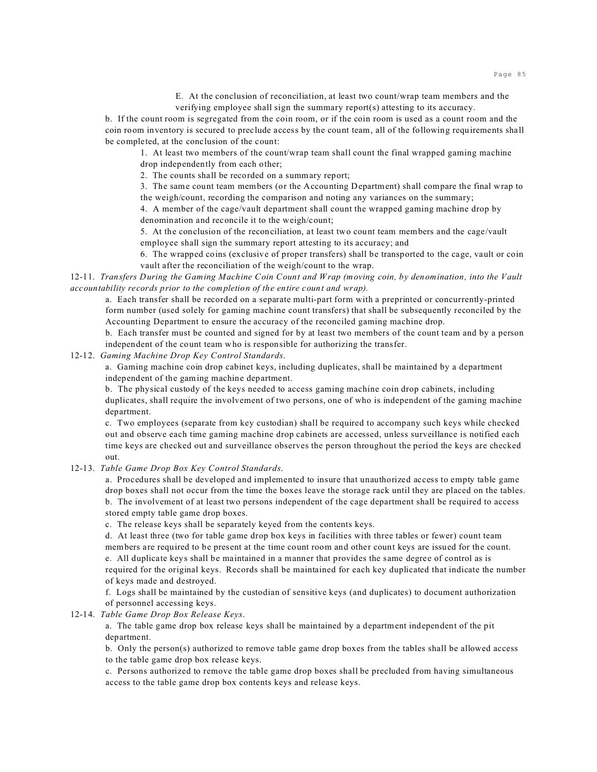E. At the conclusion of reconciliation, at least two count/wrap team members and the verifying employee shall sign the summary report(s) attesting to its accuracy.

b. If the count room is segregated from the coin room, or if the coin room is used as a count room and the coin room inventory is secured to preclude access by the count team, all of the following requirements shall be completed, at the conclusion of the count:

1. At least two members of the count/wrap team shall count the final wrapped gaming machine drop independently from each other;

2. The counts shall be recorded on a summary report;

3. The same count team members (or the Accounting Department) shall compare the final wrap to the weigh/count, recording the comparison and noting any variances on the summary;

4. A member of the cage/vault department shall count the wrapped gaming machine drop by denomination and reconcile it to the weigh/count;

5. At the conclusion of the reconciliation, at least two count team members and the cage/vault employee shall sign the summary report attesting to its accuracy; and

6. The wrapped coins (exclusive of proper transfers) shall be transported to the cage, vault or coin vault after the reconciliation of the weigh/count to the wrap.

12-11. *Transfers During the Gaming Machine Coin Count and Wrap (moving coin, by denomination, into the Vault accountability records prior to the completion of the entire count and wrap).*

a. Each transfer shall be recorded on a separate multi-part form with a preprinted or concurrently-printed form number (used solely for gaming machine count transfers) that shall be subsequently reconciled by the Accounting Department to ensure the accuracy of the reconciled gaming machine drop.

b. Each transfer must be counted and signed for by at least two members of the count team and by a person independent of the count team who is responsible for authorizing the transfer.

12-12. *Gaming Machine Drop Key Control Standards*.

a. Gaming machine coin drop cabinet keys, including duplicates, shall be maintained by a department independent of the gaming machine department.

b. The physical custody of the keys needed to access gaming machine coin drop cabinets, including duplicates, shall require the involvement of two persons, one of who is independent of the gaming machine department.

c. Two employees (separate from key custodian) shall be required to accompany such keys while checked out and observe each time gaming machine drop cabinets are accessed, unless surveillance is notified each time keys are checked out and surveillance observes the person throughout the period the keys are checked out.

12-13. *Table Game Drop Box Key Control Standards*.

a. Procedures shall be developed and implemented to insure that unauthorized access to empty table game drop boxes shall not occur from the time the boxes leave the storage rack until they are placed on the tables. b. The involvement of at least two persons independent of the cage department shall be required to access stored empty table game drop boxes.

c. The release keys shall be separately keyed from the contents keys.

d. At least three (two for table game drop box keys in facilities with three tables or fewer) count team members are required to be present at the time count room and other count keys are issued for the count. e. All duplicate keys shall be maintained in a manner that provides the same degree of control as is required for the original keys. Records shall be maintained for each key duplicated that indicate the number of keys made and destroyed.

f. Logs shall be maintained by the custodian of sensitive keys (and duplicates) to document authorization of personnel accessing keys.

12-14. *Table Game Drop Box Release Keys*.

a. The table game drop box release keys shall be maintained by a department independent of the pit department.

b. Only the person(s) authorized to remove table game drop boxes from the tables shall be allowed access to the table game drop box release keys.

c. Persons authorized to remove the table game drop boxes shall be precluded from having simultaneous access to the table game drop box contents keys and release keys.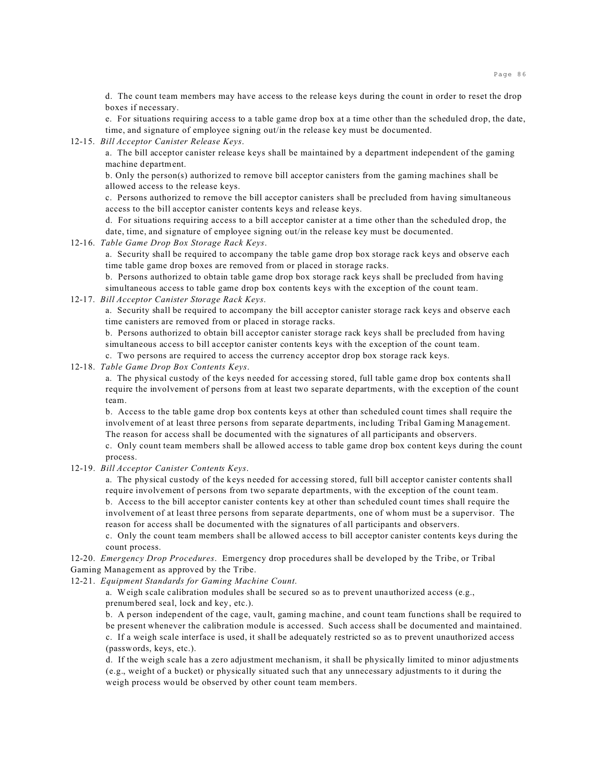d. The count team members may have access to the release keys during the count in order to reset the drop boxes if necessary.

e. For situations requiring access to a table game drop box at a time other than the scheduled drop, the date, time, and signature of employee signing out/in the release key must be documented.

#### 12-15. *Bill Acceptor Canister Release Keys*.

a. The bill acceptor canister release keys shall be maintained by a department independent of the gaming machine department.

b. Only the person(s) authorized to remove bill acceptor canisters from the gaming machines shall be allowed access to the release keys.

c. Persons authorized to remove the bill acceptor canisters shall be precluded from having simultaneous access to the bill acceptor canister contents keys and release keys.

d. For situations requiring access to a bill acceptor canister at a time other than the scheduled drop, the date, time, and signature of employee signing out/in the release key must be documented.

## 12-16. *Table Game Drop Box Storage Rack Keys*.

a. Security shall be required to accompany the table game drop box storage rack keys and observe each time table game drop boxes are removed from or placed in storage racks.

b. Persons authorized to obtain table game drop box storage rack keys shall be precluded from having simultaneous access to table game drop box contents keys with the exception of the count team.

## 12-17. *Bill Acceptor Canister Storage Rack Keys*.

a. Security shall be required to accompany the bill acceptor canister storage rack keys and observe each time canisters are removed from or placed in storage racks.

b. Persons authorized to obtain bill acceptor canister storage rack keys shall be precluded from having simultaneous access to bill acceptor canister contents keys with the exception of the count team.

c. Two persons are required to access the currency acceptor drop box storage rack keys.

### 12-18. *Table Game Drop Box Contents Keys*.

a. The physical custody of the keys needed for accessing stored, full table game drop box contents shall require the involvement of persons from at least two separate departments, with the exception of the count team.

b. Access to the table game drop box contents keys at other than scheduled count times shall require the involvement of at least three persons from separate departments, including Tribal Gaming Management. The reason for access shall be documented with the signatures of all participants and observers.

c. Only count team members shall be allowed access to table game drop box content keys during the count process.

12-19. *Bill Acceptor Canister Contents Keys*.

a. The physical custody of the keys needed for accessing stored, full bill acceptor canister contents shall require involvement of persons from two separate departments, with the exception of the count team. b. Access to the bill acceptor canister contents key at other than scheduled count times shall require the involvement of at least three persons from separate departments, one of whom must be a supervisor. The

reason for access shall be documented with the signatures of all participants and observers. c. Only the count team members shall be allowed access to bill acceptor canister contents keys during the count process.

12-20. *Emergency Drop Procedures*. Emergency drop procedures shall be developed by the Tribe, or Tribal Gaming Management as approved by the Tribe.

12-21. *Equipment Standards for Gaming Machine Count*.

a. Weigh scale calibration modules shall be secured so as to prevent unauthorized access (e.g., prenumbered seal, lock and key, etc.).

b. A person independent of the cage, vault, gaming machine, and count team functions shall be required to be present whenever the calibration module is accessed. Such access shall be documented and maintained. c. If a weigh scale interface is used, it shall be adequately restricted so as to prevent unauthorized access (passwords, keys, etc.).

d. If the weigh scale has a zero adjustment mechanism, it shall be physically limited to minor adjustments (e.g., weight of a bucket) or physically situated such that any unnecessary adjustments to it during the weigh process would be observed by other count team members.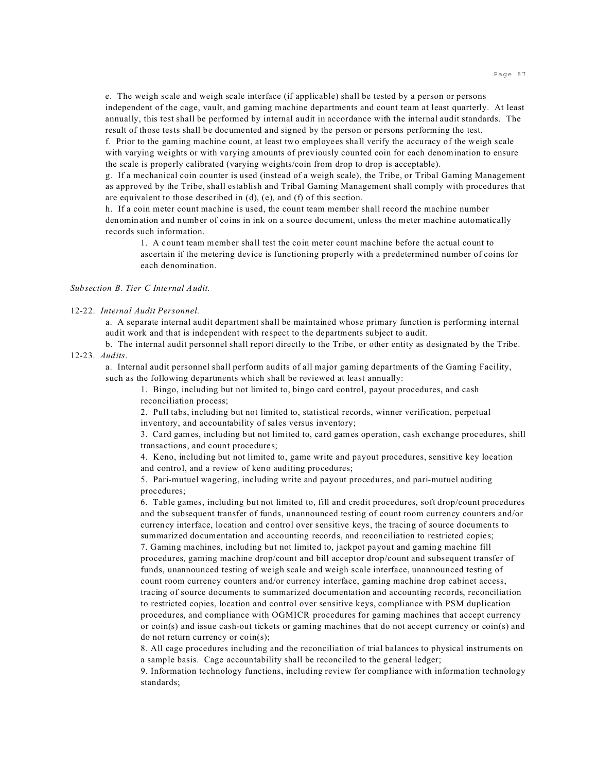e. The weigh scale and weigh scale interface (if applicable) shall be tested by a person or persons independent of the cage, vault, and gaming machine departments and count team at least quarterly. At least annually, this test shall be performed by internal audit in accordance with the internal audit standards. The result of those tests shall be documented and signed by the person or persons performing the test.

f. Prior to the gaming machine count, at least two employees shall verify the accuracy of the weigh scale with varying weights or with varying amounts of previously counted coin for each denomination to ensure the scale is properly calibrated (varying weights/coin from drop to drop is acceptable).

g. If a mechanical coin counter is used (instead of a weigh scale), the Tribe, or Tribal Gaming Management as approved by the Tribe, shall establish and Tribal Gaming Management shall comply with procedures that are equivalent to those described in (d), (e), and (f) of this section.

h. If a coin meter count machine is used, the count team member shall record the machine number denomination and number of coins in ink on a source document, unless the meter machine automatically records such information.

1. A count team member shall test the coin meter count machine before the actual count to ascertain if the metering device is functioning properly with a predetermined number of coins for each denomination.

*Subsection B. Tier C Internal Audit.*

#### 12-22. *Internal Audit Personnel*.

a. A separate internal audit department shall be maintained whose primary function is performing internal audit work and that is independent with respect to the departments subject to audit.

b. The internal audit personnel shall report directly to the Tribe, or other entity as designated by the Tribe. 12-23. *Audits*.

a. Internal audit personnel shall perform audits of all major gaming departments of the Gaming Facility, such as the following departments which shall be reviewed at least annually:

1. Bingo, including but not limited to, bingo card control, payout procedures, and cash reconciliation process;

2. Pull tabs, including but not limited to, statistical records, winner verification, perpetual inventory, and accountability of sales versus inventory;

3. Card games, including but not limited to, card games operation, cash exchange procedures, shill transactions, and count procedures;

4. Keno, including but not limited to, game write and payout procedures, sensitive key location and control, and a review of keno auditing procedures;

5. Pari-mutuel wagering, including write and payout procedures, and pari-mutuel auditing procedures;

6. Table games, including but not limited to, fill and credit procedures, soft drop/count procedures and the subsequent transfer of funds, unannounced testing of count room currency counters and/or currency interface, location and control over sensitive keys, the tracing of source documents to summarized documentation and accounting records, and reconciliation to restricted copies; 7. Gaming machines, including but not limited to, jackpot payout and gaming machine fill procedures, gaming machine drop/count and bill acceptor drop/count and subsequent transfer of funds, unannounced testing of weigh scale and weigh scale interface, unannounced testing of count room currency counters and/or currency interface, gaming machine drop cabinet access, tracing of source documents to summarized documentation and accounting records, reconciliation to restricted copies, location and control over sensitive keys, compliance with PSM duplication procedures, and compliance with OGMICR procedures for gaming machines that accept currency or coin(s) and issue cash-out tickets or gaming machines that do not accept currency or coin(s) and do not return currency or coin(s);

8. All cage procedures including and the reconciliation of trial balances to physical instruments on a sample basis. Cage accountability shall be reconciled to the general ledger;

9. Information technology functions, including review for compliance with information technology standards;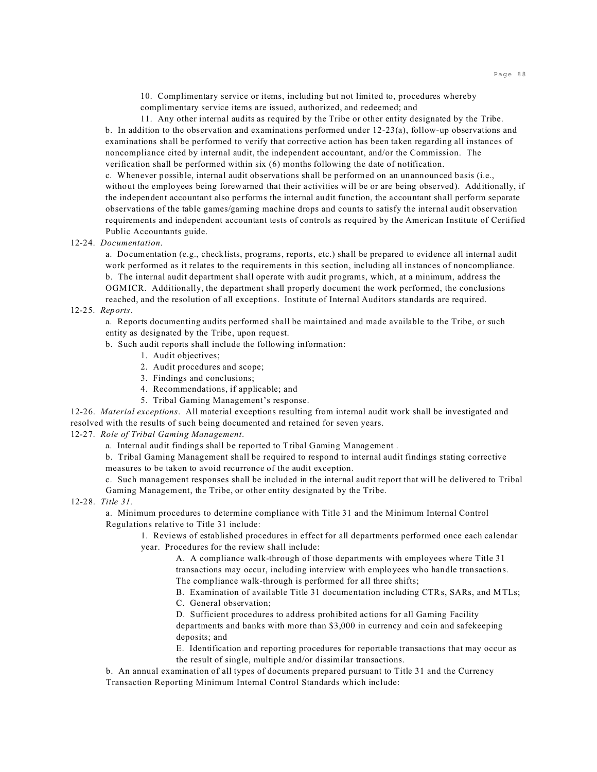10. Complimentary service or items, including but not limited to, procedures whereby complimentary service items are issued, authorized, and redeemed; and

11. Any other internal audits as required by the Tribe or other entity designated by the Tribe. b. In addition to the observation and examinations performed under 12-23(a), follow-up observations and examinations shall be performed to verify that corrective action has been taken regarding all instances of noncompliance cited by internal audit, the independent accountant, and/or the Commission. The verification shall be performed within six (6) months following the date of notification.

c. Whenever possible, internal audit observations shall be performed on an unannounced basis (i.e., without the employees being forewarned that their activities will be or are being observed). Additionally, if the independent accountant also performs the internal audit function, the accountant shall perform separate observations of the table games/gaming machine drops and counts to satisfy the internal audit observation requirements and independent accountant tests of controls as required by the American Institute of Certified Public Accountants guide.

### 12-24. *Documentation*.

a. Documentation (e.g., checklists, programs, reports, etc.) shall be prepared to evidence all internal audit work performed as it relates to the requirements in this section, including all instances of noncompliance. b. The internal audit department shall operate with audit programs, which, at a minimum, address the OGMICR. Additionally, the department shall properly document the work performed, the conclusions reached, and the resolution of all exceptions. Institute of Internal Auditors standards are required.

### 12-25. *Reports*.

a. Reports documenting audits performed shall be maintained and made available to the Tribe, or such entity as designated by the Tribe, upon request.

# b. Such audit reports shall include the following information:

- 1. Audit objectives;
- 2. Audit procedures and scope;
- 3. Findings and conclusions;
- 4. Recommendations, if applicable; and
- 5. Tribal Gaming Management's response.

12-26. *Material exceptions*. All material exceptions resulting from internal audit work shall be investigated and resolved with the results of such being documented and retained for seven years.

## 12-27. *Role of Tribal Gaming Management*.

a. Internal audit findings shall be reported to Tribal Gaming Management .

b. Tribal Gaming Management shall be required to respond to internal audit findings stating corrective measures to be taken to avoid recurrence of the audit exception.

c. Such management responses shall be included in the internal audit report that will be delivered to Tribal Gaming Management, the Tribe, or other entity designated by the Tribe.

12-28. *Title 31.*

a. Minimum procedures to determine compliance with Title 31 and the Minimum Internal Control Regulations relative to Title 31 include:

1. Reviews of established procedures in effect for all departments performed once each calendar year. Procedures for the review shall include:

A. A compliance walk-through of those departments with employees where Title 31 transactions may occur, including interview with employees who handle transactions. The compliance walk-through is performed for all three shifts;

B. Examination of available Title 31 documentation including CTRs, SARs, and MTLs;

C. General observation;

D. Sufficient procedures to address prohibited actions for all Gaming Facility departments and banks with more than \$3,000 in currency and coin and safekeeping deposits; and

E. Identification and reporting procedures for reportable transactions that may occur as the result of single, multiple and/or dissimilar transactions.

b. An annual examination of all types of documents prepared pursuant to Title 31 and the Currency Transaction Reporting Minimum Internal Control Standards which include: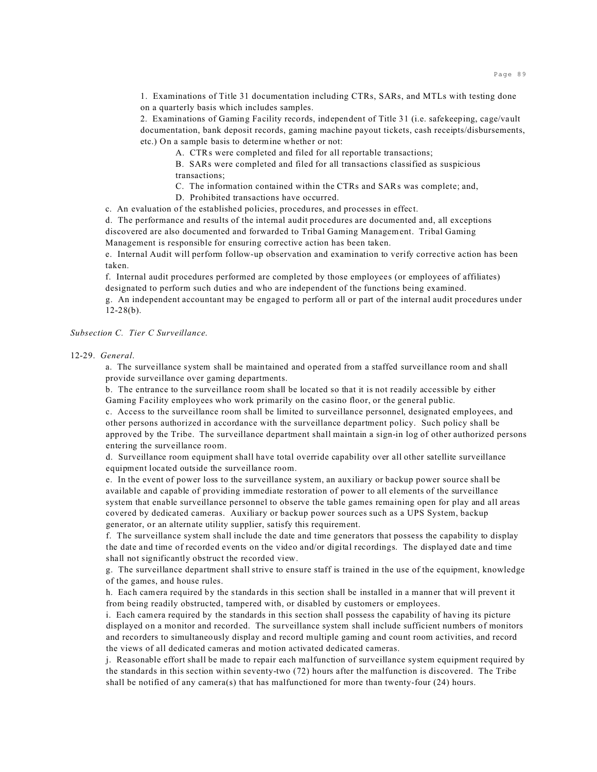1. Examinations of Title 31 documentation including CTRs, SARs, and MTLs with testing done on a quarterly basis which includes samples.

2. Examinations of Gaming Facility records, independent of Title 31 (i.e. safekeeping, cage/vault documentation, bank deposit records, gaming machine payout tickets, cash receipts/disbursements, etc.) On a sample basis to determine whether or not:

A. CTRs were completed and filed for all reportable transactions;

B. SARs were completed and filed for all transactions classified as suspicious transactions;

C. The information contained within the CTRs and SARs was complete; and,

D. Prohibited transactions have occurred.

c. An evaluation of the established policies, procedures, and processes in effect.

d. The performance and results of the internal audit procedures are documented and, all exceptions discovered are also documented and forwarded to Tribal Gaming Management. Tribal Gaming Management is responsible for ensuring corrective action has been taken.

e. Internal Audit will perform follow-up observation and examination to verify corrective action has been taken.

f. Internal audit procedures performed are completed by those employees (or employees of affiliates) designated to perform such duties and who are independent of the functions being examined.

g. An independent accountant may be engaged to perform all or part of the internal audit procedures under  $12-28(b)$ .

## *Subsection C. Tier C Surveillance*.

12-29. *General*.

a. The surveillance system shall be maintained and operated from a staffed surveillance room and shall provide surveillance over gaming departments.

b. The entrance to the surveillance room shall be located so that it is not readily accessible by either Gaming Facility employees who work primarily on the casino floor, or the general public.

c. Access to the surveillance room shall be limited to surveillance personnel, designated employees, and other persons authorized in accordance with the surveillance department policy. Such policy shall be approved by the Tribe. The surveillance department shall maintain a sign-in log of other authorized persons entering the surveillance room.

d. Surveillance room equipment shall have total override capability over all other satellite surveillance equipment located outside the surveillance room.

e. In the event of power loss to the surveillance system, an auxiliary or backup power source shall be available and capable of providing immediate restoration of power to all elements of the surveillance system that enable surveillance personnel to observe the table games remaining open for play and all areas covered by dedicated cameras. Auxiliary or backup power sources such as a UPS System, backup generator, or an alternate utility supplier, satisfy this requirement.

f. The surveillance system shall include the date and time generators that possess the capability to display the date and time of recorded events on the video and/or digital recordings. The displayed date and time shall not significantly obstruct the recorded view.

g. The surveillance department shall strive to ensure staff is trained in the use of the equipment, knowledge of the games, and house rules.

h. Each camera required by the standards in this section shall be installed in a manner that will prevent it from being readily obstructed, tampered with, or disabled by customers or employees.

i. Each camera required by the standards in this section shall possess the capability of having its picture displayed on a monitor and recorded. The surveillance system shall include sufficient numbers of monitors and recorders to simultaneously display and record multiple gaming and count room activities, and record the views of all dedicated cameras and motion activated dedicated cameras.

j. Reasonable effort shall be made to repair each malfunction of surveillance system equipment required by the standards in this section within seventy-two (72) hours after the malfunction is discovered. The Tribe shall be notified of any camera(s) that has malfunctioned for more than twenty-four (24) hours.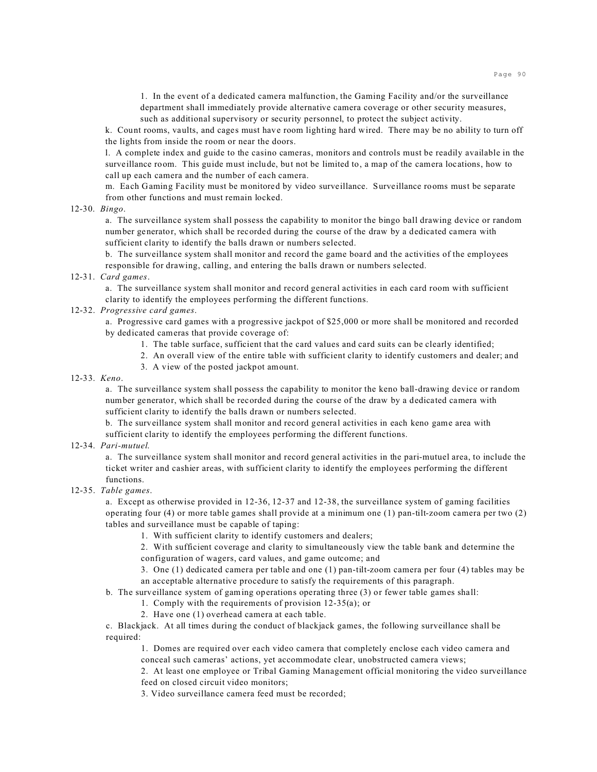1. In the event of a dedicated camera malfunction, the Gaming Facility and/or the surveillance department shall immediately provide alternative camera coverage or other security measures, such as additional supervisory or security personnel, to protect the subject activity.

k. Count rooms, vaults, and cages must have room lighting hard wired. There may be no ability to turn off the lights from inside the room or near the doors.

l. A complete index and guide to the casino cameras, monitors and controls must be readily available in the surveillance room. This guide must include, but not be limited to, a map of the camera locations, how to call up each camera and the number of each camera.

m. Each Gaming Facility must be monitored by video surveillance. Surveillance rooms must be separate from other functions and must remain locked.

#### 12-30. *Bingo*.

a. The surveillance system shall possess the capability to monitor the bingo ball drawing device or random number generator, which shall be recorded during the course of the draw by a dedicated camera with sufficient clarity to identify the balls drawn or numbers selected.

b. The surveillance system shall monitor and record the game board and the activities of the employees responsible for drawing, calling, and entering the balls drawn or numbers selected.

# 12-31. *Card games*.

a. The surveillance system shall monitor and record general activities in each card room with sufficient clarity to identify the employees performing the different functions.

# 12-32. *Progressive card games*.

a. Progressive card games with a progressive jackpot of \$25,000 or more shall be monitored and recorded by dedicated cameras that provide coverage of:

- 1. The table surface, sufficient that the card values and card suits can be clearly identified;
- 2. An overall view of the entire table with sufficient clarity to identify customers and dealer; and
- 3. A view of the posted jackpot amount.
- 12-33. *Keno*.

a. The surveillance system shall possess the capability to monitor the keno ball-drawing device or random number generator, which shall be recorded during the course of the draw by a dedicated camera with sufficient clarity to identify the balls drawn or numbers selected.

b. The surveillance system shall monitor and record general activities in each keno game area with sufficient clarity to identify the employees performing the different functions.

#### 12-34. *Pari-mutuel*.

a. The surveillance system shall monitor and record general activities in the pari-mutuel area, to include the ticket writer and cashier areas, with sufficient clarity to identify the employees performing the different functions.

#### 12-35. *Table games*.

a. Except as otherwise provided in 12-36, 12-37 and 12-38, the surveillance system of gaming facilities operating four (4) or more table games shall provide at a minimum one (1) pan-tilt-zoom camera per two (2) tables and surveillance must be capable of taping:

1. With sufficient clarity to identify customers and dealers;

2. With sufficient coverage and clarity to simultaneously view the table bank and determine the configuration of wagers, card values, and game outcome; and

3. One (1) dedicated camera per table and one (1) pan-tilt-zoom camera per four (4) tables may be an acceptable alternative procedure to satisfy the requirements of this paragraph.

b. The surveillance system of gaming operations operating three (3) or fewer table games shall:

- 1. Comply with the requirements of provision 12-35(a); or
	- 2. Have one (1) overhead camera at each table.

c. Blackjack. At all times during the conduct of blackjack games, the following surveillance shall be required:

1. Domes are required over each video camera that completely enclose each video camera and conceal such cameras' actions, yet accommodate clear, unobstructed camera views;

2. At least one employee or Tribal Gaming Management official monitoring the video surveillance feed on closed circuit video monitors;

3. Video surveillance camera feed must be recorded;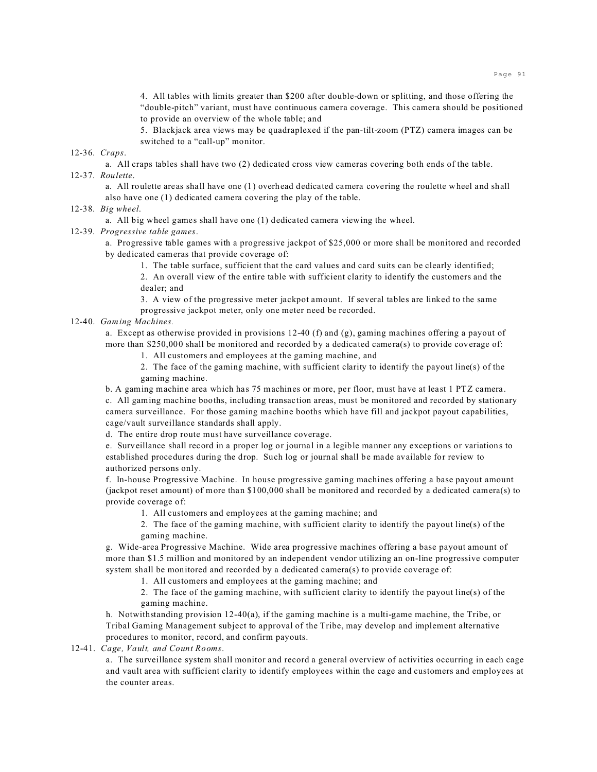4. All tables with limits greater than \$200 after double-down or splitting, and those offering the "double-pitch" variant, must have continuous camera coverage. This camera should be positioned to provide an overview of the whole table; and

5. Blackjack area views may be quadraplexed if the pan-tilt-zoom (PTZ) camera images can be switched to a "call-up" monitor.

12-36. *Craps*.

a. All craps tables shall have two (2) dedicated cross view cameras covering both ends of the table. 12-37. *Roulette*.

a. All roulette areas shall have one (1) overhead dedicated camera covering the roulette wheel and shall also have one (1) dedicated camera covering the play of the table.

### 12-38. *Big wheel*.

a. All big wheel games shall have one (1) dedicated camera viewing the wheel.

### 12-39. *Progressive table games*.

a. Progressive table games with a progressive jackpot of \$25,000 or more shall be monitored and recorded by dedicated cameras that provide coverage of:

1. The table surface, sufficient that the card values and card suits can be clearly identified;

2. An overall view of the entire table with sufficient clarity to identify the customers and the dealer; and

3. A view of the progressive meter jackpot amount. If several tables are linked to the same progressive jackpot meter, only one meter need be recorded.

## 12-40. *Gaming Machines.*

a. Except as otherwise provided in provisions 12-40 (f) and (g), gaming machines offering a payout of more than \$250,000 shall be monitored and recorded by a dedicated camera(s) to provide coverage of:

1. All customers and employees at the gaming machine, and

2. The face of the gaming machine, with sufficient clarity to identify the payout line(s) of the gaming machine.

b. A gaming machine area which has 75 machines or more, per floor, must have at least 1 PTZ camera. c. All gaming machine booths, including transaction areas, must be monitored and recorded by stationary camera surveillance. For those gaming machine booths which have fill and jackpot payout capabilities, cage/vault surveillance standards shall apply.

d. The entire drop route must have surveillance coverage.

e. Surveillance shall record in a proper log or journal in a legible manner any exceptions or variations to established procedures during the drop. Such log or journal shall be made available for review to authorized persons only.

f. In-house Progressive Machine. In house progressive gaming machines offering a base payout amount (jackpot reset amount) of more than \$100,000 shall be monitored and recorded by a dedicated camera(s) to provide coverage of:

1. All customers and employees at the gaming machine; and

2. The face of the gaming machine, with sufficient clarity to identify the payout line(s) of the gaming machine.

g. Wide-area Progressive Machine. Wide area progressive machines offering a base payout amount of more than \$1.5 million and monitored by an independent vendor utilizing an on-line progressive computer system shall be monitored and recorded by a dedicated camera(s) to provide coverage of:

1. All customers and employees at the gaming machine; and

2. The face of the gaming machine, with sufficient clarity to identify the payout line(s) of the gaming machine.

h. Notwithstanding provision 12-40(a), if the gaming machine is a multi-game machine, the Tribe, or Tribal Gaming Management subject to approval of the Tribe, may develop and implement alternative procedures to monitor, record, and confirm payouts.

12-41. *Cage, Vault, and Count Rooms*.

a. The surveillance system shall monitor and record a general overview of activities occurring in each cage and vault area with sufficient clarity to identify employees within the cage and customers and employees at the counter areas.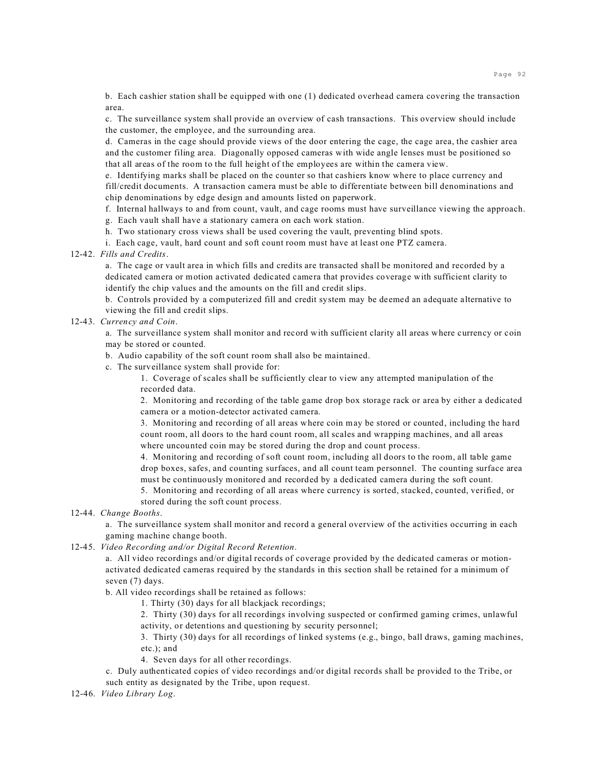b. Each cashier station shall be equipped with one (1) dedicated overhead camera covering the transaction area.

c. The surveillance system shall provide an overview of cash transactions. This overview should include the customer, the employee, and the surrounding area.

d. Cameras in the cage should provide views of the door entering the cage, the cage area, the cashier area and the customer filing area. Diagonally opposed cameras with wide angle lenses must be positioned so that all areas of the room to the full height of the employees are within the camera view.

e. Identifying marks shall be placed on the counter so that cashiers know where to place currency and fill/credit documents. A transaction camera must be able to differentiate between bill denominations and chip denominations by edge design and amounts listed on paperwork.

f. Internal hallways to and from count, vault, and cage rooms must have surveillance viewing the approach.

g. Each vault shall have a stationary camera on each work station.

h. Two stationary cross views shall be used covering the vault, preventing blind spots.

i. Each cage, vault, hard count and soft count room must have at least one PTZ camera.

#### 12-42. *Fills and Credits*.

a. The cage or vault area in which fills and credits are transacted shall be monitored and recorded by a dedicated camera or motion activated dedicated camera that provides coverage with sufficient clarity to identify the chip values and the amounts on the fill and credit slips.

b. Controls provided by a computerized fill and credit system may be deemed an adequate alternative to viewing the fill and credit slips.

## 12-43. *Currency and Coin*.

a. The surveillance system shall monitor and record with sufficient clarity all areas where currency or coin may be stored or counted.

- b. Audio capability of the soft count room shall also be maintained.
- c. The surveillance system shall provide for:

1. Coverage of scales shall be sufficiently clear to view any attempted manipulation of the recorded data.

2. Monitoring and recording of the table game drop box storage rack or area by either a dedicated camera or a motion-detector activated camera.

3. Monitoring and recording of all areas where coin may be stored or counted, including the hard count room, all doors to the hard count room, all scales and wrapping machines, and all areas where uncounted coin may be stored during the drop and count process.

4. Monitoring and recording of soft count room, including all doors to the room, all table game drop boxes, safes, and counting surfaces, and all count team personnel. The counting surface area must be continuously monitored and recorded by a dedicated camera during the soft count.

5. Monitoring and recording of all areas where currency is sorted, stacked, counted, verified, or stored during the soft count process.

12-44. *Change Booths*.

a. The surveillance system shall monitor and record a general overview of the activities occurring in each gaming machine change booth.

## 12-45. *Video Recording and/or Digital Record Retention*.

a. All video recordings and/or digital records of coverage provided by the dedicated cameras or motionactivated dedicated cameras required by the standards in this section shall be retained for a minimum of seven (7) days.

b. All video recordings shall be retained as follows:

1. Thirty (30) days for all blackjack recordings;

2. Thirty (30) days for all recordings involving suspected or confirmed gaming crimes, unlawful activity, or detentions and questioning by security personnel;

3. Thirty (30) days for all recordings of linked systems (e.g., bingo, ball draws, gaming machines, etc.); and

4. Seven days for all other recordings.

c. Duly authenticated copies of video recordings and/or digital records shall be provided to the Tribe, or such entity as designated by the Tribe, upon request.

12-46. *Video Library Log*.